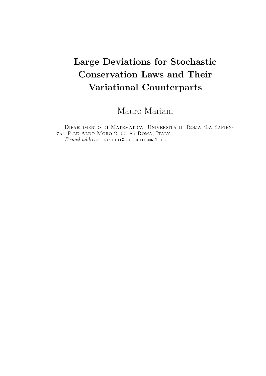# Large Deviations for Stochastic Conservation Laws and Their Variational Counterparts

Mauro Mariani

Dipartimento di Matematica, Universita di Roma 'La Sapien- ` za', P.le Aldo Moro 2, 00185 Roma, Italy E-mail address: mariani@mat.uniroma1.it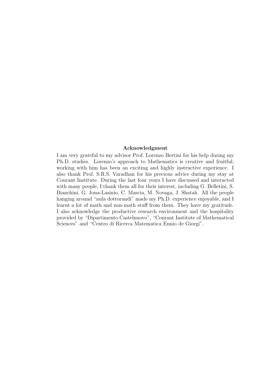### Acknowledgment

I am very grateful to my advisor Prof. Lorenzo Bertini for his help during my Ph.D. studies. Lorenzo's approach to Mathematics is creative and fruitful; working with him has been an exciting and highly instructive experience. I also thank Prof. S.R.S. Varadhan for his precious advice during my stay at Courant Institute. During the last four years I have discussed and interacted with many people, I thank them all for their interest, including G. Belletini, S. Bianchini, G. Jona-Lasinio, C. Mascia, M. Novaga, J. Shatah. All the people hanging around "aula dottorandi" made my Ph.D. experience enjoyable, and I learnt a lot of math and non-math stuff from them. They have my gratitude. I also acknowledge the productive research environment and the hospitality provided by "Dipartimento Castelnuovo", "Courant Institute of Mathematical Sciences" and "Centro di Ricerca Matematica Ennio de Giorgi".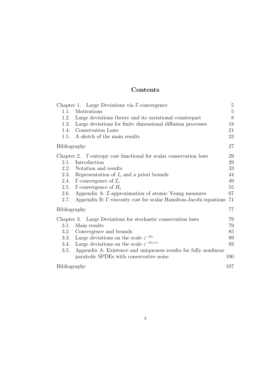## Contents

|              |                     | Chapter 1. Large Deviations via $\Gamma$ -convergence                     | $5\,$       |
|--------------|---------------------|---------------------------------------------------------------------------|-------------|
|              | 1.1.                | Motivations                                                               | $\mathbf 5$ |
|              | 1.2.                | Large deviations theory and its variational counterpart                   | $8\,$       |
|              | 1.3.                | Large deviations for finite dimensional diffusion processes               | 18          |
|              |                     | 1.4. Conservation Laws                                                    | 21          |
|              | 1.5.                | A sketch of the main results                                              | 23          |
|              | <b>Bibliography</b> |                                                                           | 27          |
|              |                     | Chapter 2. F-entropy cost functional for scalar conservation laws         | 29          |
|              | 2.1.                | Introduction                                                              | 29          |
|              | 2.2.                | Notation and results                                                      | 33          |
|              | 2.3.                | Representation of $I_{\varepsilon}$ and a priori bounds                   | 44          |
|              | 2.4.                | $\Gamma$ -convergence of $\mathcal{I}_{\varepsilon}$                      | 49          |
|              | 2.5.                | $\Gamma$ -convergence of $H_{\varepsilon}$                                | 55          |
|              | 2.6.                | Appendix A: $\mathcal{I}$ -approximation of atomic Young measures         | 67          |
|              | 2.7.                | Appendix B: $\Gamma$ -viscosity cost for scalar Hamilton-Jacobi equations | 71          |
| Bibliography |                     | 77                                                                        |             |
|              |                     | Chapter 3. Large Deviations for stochastic conservation laws              | 79          |
|              | 3.1.                | Main results                                                              | 79          |
|              |                     | 3.2. Convergence and bounds                                               | 85          |
|              | 3.3.                | Large deviations on the scale $\varepsilon^{-2\gamma}$                    | 89          |
|              | 3.4.                | Large deviations on the scale $\varepsilon^{-2\gamma+1}$                  | 93          |
|              | 3.5.                | Appendix A: Existence and uniqueness results for fully nonlinear          |             |
|              |                     | parabolic SPDEs with conservative noise                                   | 100         |
|              | Bibliography        |                                                                           |             |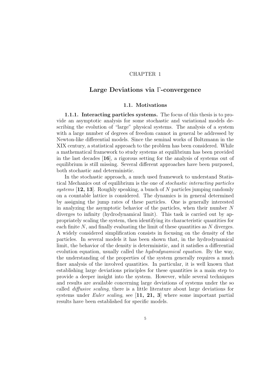### CHAPTER 1

### Large Deviations via Γ-convergence

### 1.1. Motivations

1.1.1. Interacting particles systems. The focus of this thesis is to provide an asymptotic analysis for some stochastic and variational models describing the evolution of "large" physical systems. The analysis of a system with a large number of degrees of freedom cannot in general be addressed by Newton-like differential models. Since the seminal works of Boltzmann in the XIX century, a statistical approach to the problem has been considered. While a mathematical framework to study systems at equilibrium has been provided in the last decades [16], a rigorous setting for the analysis of systems out of equilibrium is still missing. Several different approaches have been purposed, both stochastic and deterministic.

In the stochastic approach, a much used framework to understand Statistical Mechanics out of equilibrium is the one of stochastic interacting particles systems  $[12, 13]$ . Roughly speaking, a bunch of N particles jumping randomly on a countable lattice is considered. The dynamics is in general determined by assigning the jump rates of these particles. One is generally interested in analyzing the asymptotic behavior of the particles, when their number  $N$ diverges to infinity (hydrodynamical limit). This task is carried out by appropriately scaling the system, then identifying its characteristic quantities for each finite  $N$ , and finally evaluating the limit of these quantities as  $N$  diverges. A widely considered simplification consists in focusing on the density of the particles. In several models it has been shown that, in the hydrodynamical limit, the behavior of the density is deterministic, and it satisfies a differential evolution equation, usually called the *hydrodynamical equation*. By the way, the understanding of the properties of the system generally requires a much finer analysis of the involved quantities. In particular, it is well known that establishing large deviations principles for these quantities is a main step to provide a deeper insight into the system. However, while several techniques and results are available concerning large deviations of systems under the so called diffusive scaling, there is a little literature about large deviations for systems under Euler scaling, see  $\begin{bmatrix} 11, 21, 3 \end{bmatrix}$  where some important partial results have been established for specific models.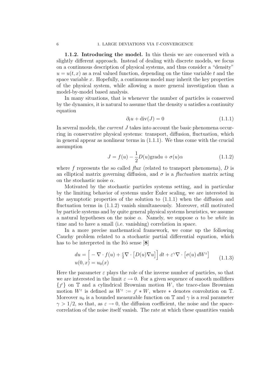1.1.2. Introducing the model. In this thesis we are concerned with a slightly different approach. Instead of dealing with discrete models, we focus on a continuous description of physical systems, and thus consider a "density"  $u = u(t, x)$  as a real valued function, depending on the time variable t and the space variable  $x$ . Hopefully, a continuous model may inherit the key properties of the physical system, while allowing a more general investigation than a model-by-model based analysis.

In many situations, that is whenever the number of particles is conserved by the dynamics, it is natural to assume that the density  $u$  satisfies a continuity equation

$$
\partial_t u + \text{div}(J) = 0 \tag{1.1.1}
$$

In several models, the *current J* takes into account the basic phenomena occurring in conservative physical systems: transport, diffusion, fluctuation, which in general appear as nonlinear terms in  $(1.1.1)$ . We thus come with the crucial assumption

$$
J = f(u) - \frac{1}{2}D(u)\text{grad}u + \sigma(u)\alpha
$$
 (1.1.2)

where  $f$  represents the so called  $flux$  (related to transport phenomena),  $D$  is an elliptical matrix governing diffusion, and  $\sigma$  is a *fluctuation* matrix acting on the stochastic noise  $\alpha$ .

Motivated by the stochastic particles systems setting, and in particular by the limiting behavior of systems under Euler scaling, we are interested in the asymptotic properties of the solution to  $(1.1.1)$  when the diffusion and fluctuation terms in (1.1.2) vanish simultaneously. Moreover, still motivated by particle systems and by quite general physical systems heuristics, we assume a natural hypotheses on the noise  $\alpha$ . Namely, we suppose  $\alpha$  to be white in time and to have a small (i.e. vanishing) correlation in space.

In a more precise mathematical framework, we come up the following Cauchy problem related to a stochastic partial differential equation, which has to be interpreted in the Itô sense  $[8]$ 

$$
du = \left[ -\nabla \cdot f(u) + \frac{\varepsilon}{2} \nabla \cdot \left[ D(u) \nabla u \right] \right] dt + \varepsilon^{\gamma} \nabla \cdot \left[ \sigma(u) dW^{\varepsilon} \right] \tag{1.1.3}
$$
  

$$
u(0, x) = u_0(x)
$$

Here the parameter  $\varepsilon$  plays the role of the inverse number of particles, so that we are interested in the limit  $\varepsilon \to 0$ . For a given sequence of smooth mollifiers  $\{f^{\varepsilon}\}\$  on  $\mathbb T$  and a cylindrical Brownian motion W, the trace-class Brownian motion  $W^{\varepsilon}$  is defined as  $W^{\varepsilon} := f^{\varepsilon} * W$ , where  $*$  denotes convolution on  $\mathbb{T}$ . Moreover  $u_0$  is a bounded measurable function on T and  $\gamma$  is a real parameter  $\gamma > 1/2$ , so that, as  $\varepsilon \to 0$ , the diffusion coefficient, the noise and the spacecorrelation of the noise itself vanish. The rate at which these quantities vanish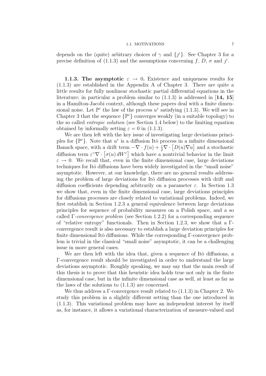### 1.1. MOTIVATIONS 7

depends on the (quite) arbitrary choices of  $\gamma$  and  $\{f^{\varepsilon}\}\$ . See Chapter 3 for a precise definition of (1.1.3) and the assumptions concerning f, D,  $\sigma$  and  $\chi^{\varepsilon}$ .

**1.1.3. The asymptotic**  $\varepsilon \to 0$ . Existence and uniqueness results for (1.1.3) are established in the Appendix A of Chapter 3. There are quite a little results for fully nonlinear stochastic partial differential equations in the literature; in particular a problem similar to  $(1.1.3)$  is addressed in [14, 15] in a Hamilton-Jacobi context, although these papers deal with a finite dimensional noise. Let  $\mathbb{P}^{\varepsilon}$  the law of the process  $u^{\varepsilon}$  satisfying (1.1.3). We will see in Chapter 3 that the sequence  $\{\mathbb{P}^{\varepsilon}\}\$  converges weakly (in a suitable topology) to the so called entropic solution (see Section 1.4 below) to the limiting equation obtained by informally setting  $\varepsilon = 0$  in (1.1.3).

We are then left with the key issue of investigating large deviations principles for  $\{\mathbb{P}^{\varepsilon}\}\$ . Note that  $u^{\varepsilon}$  is a diffusion Itô process in a infinite dimensional Banach space, with a drift term  $-\nabla \cdot f(u) + \frac{\varepsilon}{2} \nabla \cdot [D(u)\nabla u]$  and a stochastic diffusion term  $\epsilon^{\gamma}\nabla \cdot [\sigma(u) dW^{\epsilon}]$  which have a nontrivial behavior in the limit  $\varepsilon \to 0$ . We recall that, even in the finite dimensional case, large deviations techniques for Itˆo diffusions have been widely investigated in the "small noise" asymptotic. However, at our knowledge, there are no general results addressing the problem of large deviations for Itô diffusion processes with drift and diffusion coefficients depending arbitrarily on a parameter  $\varepsilon$ . In Section 1.3 we show that, even in the finite dimensional case, large deviations principles for diffusions processes are closely related to variational problems. Indeed, we first establish in Section 1.2.3 a general equivalence between large deviations principles for sequence of probability measures on a Polish space, and a so called  $\Gamma$ -convergence problem (see Section 1.2.2) for a corresponding sequence of "relative entropy" functionals. Then in Section 1.2.3, we show that a Γconvergence result is also necessary to establish a large deviation principles for finite dimensional Itô diffusions. While the corresponding  $\Gamma$ -convergence problem is trivial in the classical "small noise" asymptotic, it can be a challenging issue in more general cases.

We are then left with the idea that, given a sequence of Itô diffusions, a Γ-convergence result should be investigated in order to understand the large deviations asymptotic. Roughly speaking, we may say that the main result of this thesis is to prove that this heuristic idea holds true not only in the finite dimensional case, but in the infinite dimensional case as well, at least as far as the laws of the solutions to (1.1.3) are concerned.

We thus address a  $\Gamma$ -convergence result related to  $(1.1.3)$  in Chapter 2. We study this problem in a slightly different setting than the one introduced in (1.1.3). This variational problem may have an independent interest by itself as, for instance, it allows a variational characterization of measure-valued and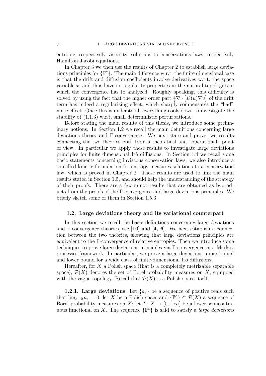entropic, respectively viscosity, solutions to conservations laws, respectively Hamilton-Jacobi equations.

In Chapter 3 we then use the results of Chapter 2 to establish large deviations principles for  $\{\mathbb{P}^{\varepsilon}\}$ . The main difference w.r.t. the finite dimensional case is that the drift and diffusion coefficients involve derivatives w.r.t. the space variable  $x$ , and thus have no regularity properties in the natural topologies in which the convergence has to analyzed. Roughly speaking, this difficulty is solved by using the fact that the higher order part  $\frac{\varepsilon}{2} \nabla \cdot [D(u)\nabla u]$  of the drift term has indeed a regularizing effect, which sharply compensates the "bad" noise effect. Once this is understood, everything cools down to investigate the stability of (1.1.3) w.r.t. small deterministic perturbations.

Before stating the main results of this thesis, we introduce some preliminary notions. In Section 1.2 we recall the main definitions concerning large deviations theory and Γ-convergence. We next state and prove two results connecting the two theories both from a theoretical and "operational" point of view. In particular we apply these results to investigate large deviations principles for finite dimensional Itô diffusions. In Section 1.4 we recall some basic statements concerning inviscous conservation laws; we also introduce a so called kinetic formulation for entropy-measures solutions to a conservation law, which is proved in Chapter 2. These results are used to link the main results stated in Section 1.5, and should help the understanding of the strategy of their proofs. There are a few minor results that are obtained as byproducts from the proofs of the Γ-convergence and large deviations principles. We briefly sketch some of them in Section 1.5.3

### 1.2. Large deviations theory and its variational counterpart

In this section we recall the basic definitions concerning large deviations and  $\Gamma$ -convergence theories, see [10] and [4, 6]. We next establish a connection between the two theories, showing that large deviations principles are equivalent to the Γ-convergence of relative entropies. Then we introduce some techniques to prove large deviations principles via Γ-convergence in a Markov processes framework. In particular, we prove a large deviations upper bound and lower bound for a wide class of finite-dimensional Itô diffusions.

Hereafter, for  $X$  a Polish space (that is a completely metrizable separable space),  $\mathcal{P}(X)$  denotes the set of Borel probability measures on X, equipped with the vague topology. Recall that  $\mathcal{P}(X)$  is a Polish space itself.

**1.2.1.** Large deviations. Let  $\{a_{\varepsilon}\}\$  be a sequence of positive reals such that  $\lim_{\varepsilon \to 0} a_{\varepsilon} = 0$ ; let X be a Polish space and  $\{\mathbb{P}^{\varepsilon}\}\subset \mathcal{P}(X)$  a sequence of Borel probability measures on X; let  $I: X \to [0, +\infty]$  be a lower semicontinuous functional on X. The sequence  $\{\mathbb{P}^{\varepsilon}\}\$ is said to satisfy a *large deviations*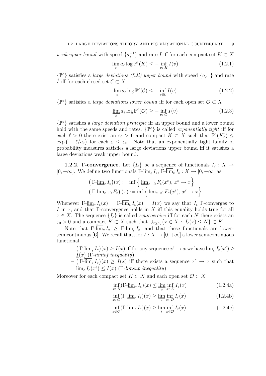weak upper bound with speed  $\{a_{\varepsilon}^{-1}\}$  and rate I iff for each compact set  $K \subset X$ 

$$
\overline{\lim_{\varepsilon}} a_{\varepsilon} \log \mathbb{P}^{\varepsilon}(K) \le - \inf_{v \in K} I(v)
$$
\n(1.2.1)

 $\{\mathbb{P}^{\varepsilon}\}\$  satisfies a *large deviations (full) upper bound* with speed  $\{a_{\varepsilon}^{-1}\}\$  and rate I iff for each closed set  $C \subset X$ 

$$
\overline{\lim_{\varepsilon}} a_{\varepsilon} \log \mathbb{P}^{\varepsilon}(\mathcal{C}) \le - \inf_{v \in \mathcal{C}} I(v)
$$
\n(1.2.2)

 $\{\mathbb{P}^{\varepsilon}\}\$  satisfies a *large deviations lower bound* iff for each open set  $\mathcal{O} \subset X$ 

$$
\lim_{\varepsilon} a_{\varepsilon} \log \mathbb{P}^{\varepsilon}(\mathcal{O}) \ge - \inf_{v \in \mathcal{O}} I(v)
$$
\n(1.2.3)

 $\{\mathbb{P}^{\varepsilon}\}\$  satisfies a *large deviation principle* iff an upper bound and a lower bound hold with the same speeds and rates.  $\{ \mathbb{P}^{\varepsilon} \}$  is called *exponentially tight* iff for each  $\ell > 0$  there exist an  $\varepsilon_0 > 0$  and compact  $K \subset X$  such that  $\mathbb{P}^{\varepsilon}(K_{\ell}^c) \leq$  $\exp(-\ell/a_{\varepsilon})$  for each  $\varepsilon \leq \varepsilon_0$ . Note that an exponentially tight family of probability measures satisfies a large deviations upper bound iff it satisfies a large deviations weak upper bound.

**1.2.2.** Γ-convergence. Let  $\{I_{\varepsilon}\}\$ be a sequence of functionals  $I_{\varepsilon}: X \to$  $[0, +\infty]$ . We define two functionals  $\Gamma\text{-}\underline{\lim}_{\varepsilon} I_{\varepsilon}$ ,  $\Gamma\text{-}\lim_{\varepsilon} I_{\varepsilon}: X \to [0, +\infty]$  as

$$
\left(\Gamma-\underline{\lim}_{\varepsilon} I_{\varepsilon}\right)(x) := \inf\left\{\underline{\lim}_{\varepsilon \to 0} F_{\varepsilon}(x^{\varepsilon}), x^{\varepsilon} \to x\right\}
$$

$$
\left(\Gamma-\overline{\lim}_{\varepsilon \to 0} F_{\varepsilon}\right)(x) := \inf\left\{\overline{\lim}_{\varepsilon \to 0} F_{\varepsilon}(x^{\varepsilon}), x^{\varepsilon} \to x\right\}
$$

Whenever  $\Gamma\text{-}\underline{\lim}_{\varepsilon} I_{\varepsilon}(x) = \Gamma\text{-}\lim_{\varepsilon} I_{\varepsilon}(x) = I(x)$  we say that  $I_{\varepsilon}$   $\Gamma$ -converges to I in x, and that  $\Gamma$ -convergence holds in X iff this equality holds true for all  $x \in X$ . The sequence  $\{I_{\varepsilon}\}\$ is called *equicoercive* iff for each N there exists an  $\varepsilon_0 > 0$  and a compact  $K \subset X$  such that  $\bigcup_{\varepsilon \leq \varepsilon_0} \{x \in X : I_{\varepsilon}(x) \leq N\} \subset K$ .

Note that  $\Gamma\text{-}\lim_{\varepsilon} I_{\varepsilon} \geq \Gamma\text{-}\underline{\lim}_{\varepsilon} I_{\varepsilon}$ , and that these functionals are lowersemicontinuous [6]. We recall that, for  $I : X \to [0, +\infty]$  a lower semicontinuous functional

- $-((\Gamma\text{-}\underline{\lim}_{\varepsilon} I_{\varepsilon})(x)) \geq \underline{I}(x)$  iff for any sequence  $x^{\varepsilon} \to x$  we have  $\underline{\lim}_{\varepsilon} I_{\varepsilon}(x^{\varepsilon}) \geq$  $\underline{I}(x)$  (Γ-liminf inequality);
- $(\Gamma\text{-}\overline{\lim}_{\varepsilon} I_{\varepsilon})(x) \geq \overline{I}(x)$  iff there exists a sequence  $x^{\varepsilon} \to x$  such that  $\overline{\lim}_{\varepsilon} I_{\varepsilon}(x^{\varepsilon}) \leq \overline{I}(x)$  (*Γ*-limsup inequality).

Moreover for each compact set  $K \subset X$  and each open set  $\mathcal{O} \subset X$ 

$$
\inf_{x \in K} \left( \mathbb{I} \text{--} \underline{\lim}_{\varepsilon} I_{\varepsilon} \right) (x) \le \underline{\lim}_{\varepsilon} \inf_{x \in K} I_{\varepsilon} (x) \tag{1.2.4a}
$$

$$
\inf_{x \in \mathcal{O}} (\Gamma \text{-} \underline{\lim}_{\varepsilon} I_{\varepsilon})(x) \ge \lim_{\varepsilon} \inf_{x \in \mathcal{O}} I_{\varepsilon}(x) \tag{1.2.4b}
$$

$$
\inf_{x \in \mathcal{O}} (\Gamma - \overline{\lim}_{\varepsilon} I_{\varepsilon})(x) \ge \overline{\lim}_{\varepsilon} \inf_{x \in \mathcal{O}} I_{\varepsilon}(x) \tag{1.2.4c}
$$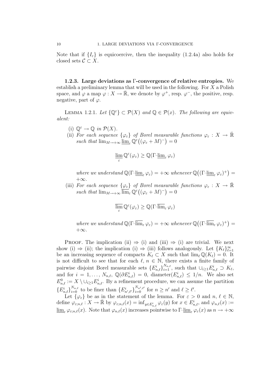Note that if  $\{I_{\varepsilon}\}\$ is equicoercive, then the inequality (1.2.4a) also holds for closed sets  $C \subset X$ .

1.2.3. Large deviations as Γ-convergence of relative entropies. We establish a preliminary lemma that will be used in the following. For  $X$  a Polish space, and  $\varphi$  a map  $\varphi: X \to \bar{\mathbb{R}}$ , we denote by  $\varphi^+$ , resp.  $\varphi^-$ , the positive, resp. negative, part of  $\varphi$ .

LEMMA 1.2.1. Let  $\{\mathbb{Q}^{\varepsilon}\}\subset \mathcal{P}(X)$  and  $\mathbb{Q}\in \mathcal{P}(x)$ . The following are equivalent:

- (i)  $\mathbb{Q}^{\varepsilon} \to \mathbb{Q}$  in  $\mathcal{P}(X)$ .
- (ii) For each sequence  $\{\varphi_{\varepsilon}\}\$  of Borel measurable functions  $\varphi_{\varepsilon}: X \to \overline{\mathbb{R}}$ such that  $\lim_{M\to+\infty} \underline{\lim}_{\varepsilon} \mathbb{Q}^{\varepsilon}\big((\varphi_{\varepsilon}+M)^{-}\big)=0$

$$
\varliminf_\varepsilon \mathbb{Q}^\varepsilon(\varphi_\varepsilon) \geq \mathbb{Q}(\Gamma \text{-} \varinjlim_\varepsilon \varphi_\varepsilon)
$$

where we understand  $\mathbb{Q}(\Gamma \text{-}\underline{\lim}_{\varepsilon} \varphi_{\varepsilon}) = +\infty$  whenever  $\mathbb{Q}((\Gamma \text{-}\underline{\lim}_{\varepsilon} \varphi_{\varepsilon})^+) =$  $+\infty$ .

(iii) For each sequence  $\{\varphi_{\varepsilon}\}\$  of Borel measurable functions  $\varphi_{\varepsilon}: X \to \overline{\mathbb{R}}$ such that  $\lim_{M\to+\infty} \overline{\lim}_{\varepsilon} \mathbb{Q}^{\varepsilon}((\varphi_{\varepsilon}+M)^{-})=0$ 

$$
\varlimsup_{\varepsilon} \mathbb{Q}^{\varepsilon}(\varphi_{\varepsilon}) \geq \mathbb{Q}(\Gamma \text{-} \varlimsup_{\varepsilon} \varphi_{\varepsilon})
$$

where we understand  $\mathbb{Q}(\Gamma\text{-}\overline{\lim}_{\varepsilon} \varphi_{\varepsilon}) = +\infty$  whenever  $\mathbb{Q}((\Gamma\text{-}\overline{\lim}_{\varepsilon} \varphi_{\varepsilon})^+) =$  $+\infty$ .

PROOF. The implication (ii)  $\Rightarrow$  (i) and (iii)  $\Rightarrow$  (i) are trivial. We next show (i)  $\Rightarrow$  (ii); the implication (i)  $\Rightarrow$  (iii) follows analogously. Let  $\{K_\ell\}_{\ell=1}^\infty$ be an increasing sequence of compacts  $K_\ell \subset X$  such that  $\lim_{\ell} \mathbb{Q}(K_\ell) = 0$ . It is not difficult to see that for each  $\ell, n \in \mathbb{N}$ , there exists a finite family of pairwise disjoint Borel measurable sets  $\{E_{n,\ell}^i\}_{i=1}^{N_{n,\ell}}$ , such that  $\cup_{i\geq 1} E_{n,\ell}^i \supset K_\ell$ , and for  $i = 1, \ldots, N_{n,\ell}, \mathbb{Q}(\partial E_{n,\ell}^i) = 0$ , diameter $(E_{n,\ell}^i) \leq 1/n$ . We also set  $E_{n,\ell}^0 := X \setminus \cup_{i \geq 1} E_{n,\ell}^i$ . By a refinement procedure, we can assume the partition  ${E_{n,\ell}^i}_{i=0}^{N_{n,\ell}}$  to be finer than  ${E_{n',\ell'}^i}_{i=0}^{N_{n',\ell'}}$  for  $n \geq n'$  and  $\ell \geq \ell'.$ 

Let  $\{\varphi_{\varepsilon}\}\$  be as in the statement of the lemma. For  $\varepsilon > 0$  and  $n, \ell \in \mathbb{N}$ , define  $\varphi_{\varepsilon,n,\ell}: X \to \bar{\mathbb{R}}$  by  $\varphi_{\varepsilon,n,\ell}(x) = \inf_{y \in E_{n,\ell}^i} \varphi_{\varepsilon}(y)$  for  $x \in E_{n,\ell}^i$ , and  $\varphi_{n,\ell}(x) :=$  $\lim_{\varepsilon} \varphi_{\varepsilon:n,\ell}(x)$ . Note that  $\varphi_{n,\ell}(x)$  increases pointwise to  $\Gamma-\lim_{\varepsilon} \varphi_{\varepsilon}(x)$  as  $n \to +\infty$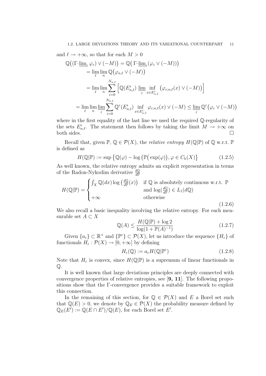and  $\ell \to +\infty$ , so that for each  $M > 0$ 

$$
\mathbb{Q}\big((\Gamma\text{-}\underset{\ell}{\underline{\lim}}_{\varepsilon}\varphi_{\varepsilon})\vee(-M)\big)=\mathbb{Q}\big(\Gamma\text{-}\underset{n}{\underline{\lim}}_{\varepsilon}(\varphi_{\varepsilon}\vee(-M))\big)
$$
\n
$$
=\underset{\ell}{\lim}\underset{n}{\lim}\mathbb{Q}\big(\varphi_{n,\ell}\vee(-M)\big)
$$
\n
$$
=\underset{\ell}{\lim}\underset{n}{\lim}\sum_{i=0}^{N_{n,\ell}}\left[\mathbb{Q}(E_{n,\ell}^{i})\underset{\varepsilon}{\underline{\lim}}\underset{n\in\mathcal{E}}{\inf}\big(\varphi_{\varepsilon;n,\ell}(x)\vee(-M)\big)\right]
$$
\n
$$
=\underset{\ell}{\lim}\underset{n}{\lim}\underset{\varepsilon}{\lim}\sum_{i=0}^{N_{n,\ell}}\mathbb{Q}^{\varepsilon}(E_{n,\ell}^{i})\underset{x\in E_{n,\ell}^{i}}{\inf}\varphi_{\varepsilon;n,\ell}(x)\vee(-M)\leq\underline{\lim}_{\varepsilon}\mathbb{Q}^{\varepsilon}\big(\varphi_{\varepsilon}\vee(-M)\big)
$$

where in the first equality of the last line we used the required Q-regularity of the sets  $E^i_{n,\ell}$ . The statement then follows by taking the limit  $M \to +\infty$  on both sides.  $\Box$ 

Recall that, given  $\mathbb{P}, \mathbb{Q} \in \mathcal{P}(X)$ , the *relative entropy*  $H(\mathbb{Q}|\mathbb{P})$  of  $\mathbb{Q}$  w.r.t.  $\mathbb{P}$ is defined as

$$
H(\mathbb{Q}|\mathbb{P}) := \sup \{ \mathbb{Q}(\varphi) - \log \left( \mathbb{P}(\exp(\varphi)), \varphi \in C_{\mathbf{b}}(X) \right\} \tag{1.2.5}
$$

As well known, the relative entropy admits an explicit representation in terms of the Radon-Nykodim derivative  $\frac{dQ}{dP}$ 

$$
H(\mathbb{Q}|\mathbb{P}) = \begin{cases} \int_X \mathbb{Q}(dx) \log\left(\frac{d\mathbb{Q}}{d\mathbb{P}}(x)\right) & \text{if } \mathbb{Q} \text{ is absolutely continuous w.r.t. } \mathbb{P} \\ \text{and } \log\left(\frac{d\mathbb{Q}}{d\mathbb{P}}\right) \in L_1(d\mathbb{Q}) \\ +\infty & \text{otherwise} \end{cases}
$$
(1.2.6)

We also recall a basic inequality involving the relative entropy. For each measurable set  $A \subset X$ 

$$
\mathbb{Q}(A) \le \frac{H(\mathbb{Q}|\mathbb{P}) + \log 2}{\log(1 + \mathbb{P}(A)^{-1})}
$$
\n(1.2.7)

Given  $\{a_{\varepsilon}\}\subset\mathbb{R}^+$  and  $\{\mathbb{P}^{\varepsilon}\}\subset\mathcal{P}(X)$ , let us introduce the sequence  $\{H_{\varepsilon}\}\$  of functionals  $H_{\varepsilon}: \mathcal{P}(X) \to [0, +\infty]$  by defining

$$
H_{\varepsilon}(\mathbb{Q}) := a_{\varepsilon} H(\mathbb{Q}|\mathbb{P}^{\varepsilon}) \tag{1.2.8}
$$

Note that  $H_{\varepsilon}$  is convex, since  $H(\mathbb{Q}|\mathbb{P})$  is a supremum of linear functionals in  $\mathbb{O}.$ 

It is well known that large deviations principles are deeply connected with convergence properties of relative entropies, see [9, 11]. The following propositions show that the Γ-convergence provides a suitable framework to exploit this connection.

In the remaining of this section, for  $\mathbb{Q} \in \mathcal{P}(X)$  and E a Borel set such that  $\mathbb{Q}(E) > 0$ , we denote by  $\mathbb{Q}_E \in \mathcal{P}(X)$  the probability measure defined by  $\mathbb{Q}_E(E') := \mathbb{Q}(E \cap E')/\mathbb{Q}(E)$ , for each Borel set E'.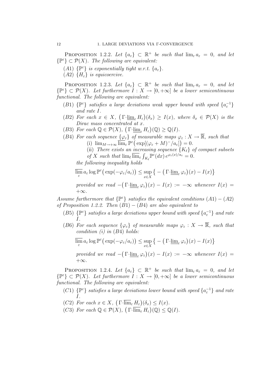PROPOSITION 1.2.2. Let  $\{a_{\varepsilon}\}\subset \mathbb{R}^+$  be such that  $\lim_{\varepsilon} a_{\varepsilon} = 0$ , and let  $\{\mathbb{P}^{\varepsilon}\}\subset \mathcal{P}(X)$ . The following are equivalent:

- (A1)  $\{\mathbb{P}^{\varepsilon}\}\$ is exponentially tight w.r.t.  $\{a_{\varepsilon}\}\$ .
- (A2)  ${H<sub>\varepsilon</sub>}$  is equicoercive.

PROPOSITION 1.2.3. Let  $\{a_{\varepsilon}\}\subset \mathbb{R}^+$  be such that  $\lim_{\varepsilon} a_{\varepsilon} = 0$ , and let  $\{\mathbb{P}^{\varepsilon}\}\subset \mathcal{P}(X)$ . Let furthermore  $I: X \to [0, +\infty]$  be a lower semicontinuous functional. The following are equivalent:

- (B1)  $\{ \mathbb{P}^{\varepsilon} \}$  satisfies a large deviations weak upper bound with speed  $\{ a_{\varepsilon}^{-1} \}$ and rate I.
- (B2) For each  $x \in X$ ,  $\left(\Gamma \text{-}\underline{\lim}_{\varepsilon} H_{\varepsilon}\right) (\delta_x) \geq I(x)$ , where  $\delta_x \in \mathcal{P}(X)$  is the Dirac mass concentrated at x.
- (B3) For each  $\mathbb{Q} \in \mathcal{P}(X)$ ,  $\left(\Gamma \text{-}\underline{\lim}_{\varepsilon} H_{\varepsilon}\right)(\mathbb{Q}) \geq \mathbb{Q}(I)$ .
- (B4) For each sequence  $\{\varphi_{\varepsilon}\}\$  of measurable maps  $\varphi_{\varepsilon}: X \to \overline{\mathbb{R}}$ , such that (i)  $\lim_{M \to +\infty} \overline{\lim}_{\varepsilon} \mathbb{P}^{\varepsilon} \big( \exp[(\varphi_{\varepsilon} + M)^{-}/a_{\varepsilon}] \big) = 0.$ 
	- (ii) There exists an increasing sequence  ${K_{\ell}}$  of compact subsets
	- of X such that  $\lim_{\varepsilon} \overline{\lim}_{\varepsilon} \int_{K_{\varepsilon}} \mathbb{P}^{\varepsilon}(dx) e^{\varphi_{\varepsilon}(x)/a_{\varepsilon}} = 0.$

the following inequality holds

$$
\overline{\lim_{\varepsilon}} a_{\varepsilon} \log \mathbb{P}^{\varepsilon} \big( \exp(-\varphi_{\varepsilon}/a_{\varepsilon}) \big) \leq \sup_{x \in X} \big\{ - \big( \Gamma \text{-} \underline{\lim}_{\varepsilon} \varphi_{\varepsilon} \big)(x) - I(x) \big\}
$$

provided we read  $-(\Gamma\text{-}\underline{\lim}_{\varepsilon}\varphi_{\varepsilon})(x) - I(x) := -\infty$  whenever  $I(x) =$  $+\infty$ .

Assume furthermore that  $\{P^{\varepsilon}\}\$  satisfies the equivalent conditions  $(A1) - (A2)$ of Proposition 1.2.2. Then  $(B1) - (B4)$  are also equivalent to

- (B5)  $\{ \mathbb{P}^{\varepsilon} \}$  satisfies a large deviations upper bound with speed  $\{ a_{\varepsilon}^{-1} \}$  and rate I.
- (B6) For each sequence  $\{\varphi_{\varepsilon}\}\$  of measurable maps  $\varphi_{\varepsilon}: X \to \overline{\mathbb{R}}$ , such that condition  $(i)$  in  $(B4)$  holds:

$$
\overline{\lim_{\varepsilon}} a_{\varepsilon} \log \mathbb{P}^{\varepsilon} \big( \exp(-\varphi_{\varepsilon}/a_{\varepsilon}) \big) \leq \sup_{x \in X} \big\{ - \big( \Gamma \text{-} \underline{\lim}_{\varepsilon} \varphi_{\varepsilon} \big)(x) - I(x) \big\}
$$

provided we read  $-(\Gamma\text{-}\underline{\lim}_{\varepsilon}\varphi_{\varepsilon})(x) - I(x) := -\infty$  whenever  $I(x) =$  $+\infty$ .

PROPOSITION 1.2.4. Let  $\{a_{\varepsilon}\}\subset \mathbb{R}^+$  be such that  $\lim_{\varepsilon} a_{\varepsilon} = 0$ , and let  $\{\mathbb{P}^{\varepsilon}\}\subset \mathcal{P}(X)$ . Let furthermore  $I: X \to [0, +\infty]$  be a lower semicontinuous functional. The following are equivalent:

(C1)  $\{ \mathbb{P}^{\varepsilon} \}$  satisfies a large deviations lower bound with speed  $\{ a_{\varepsilon}^{-1} \}$  and rate I.

- (C2) For each  $x \in X$ ,  $\left(\Gamma\overline{\lim}_{\varepsilon} H_{\varepsilon}\right)(\delta_x) \leq I(x)$ .
- (C3) For each  $\mathbb{Q} \in \mathcal{P}(X)$ ,  $\left(\Gamma\overline{\dim}_{\varepsilon} H_{\varepsilon}\right)(\mathbb{Q}) \leq \mathbb{Q}(I)$ .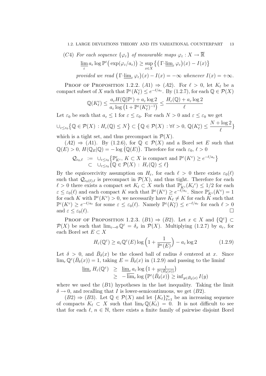### 1.2. LARGE DEVIATIONS THEORY AND ITS VARIATIONAL COUNTERPART 13

(C4) For each sequence 
$$
\{\varphi_{\varepsilon}\}\
$$
 of measurable maps  $\varphi_{\varepsilon}: X \to \overline{\mathbb{R}}$   

$$
\varliminf_{\varepsilon} a_{\varepsilon} \log \mathbb{P}^{\varepsilon} \big( \exp(\varphi_{\varepsilon}/a_{\varepsilon}) \big) \geq \sup_{x \in X} \big\{ \big( \Gamma \text{-}\varinjlim_{\varepsilon} \varphi_{\varepsilon} \big)(x) - I(x) \big\}
$$

provided we read  $\left(\Gamma\text{-}\underline{\lim}_{\varepsilon} \varphi_{\varepsilon}\right)(x) - I(x) = -\infty$  whenever  $I(x) = +\infty$ .

PROOF OF PROPOSITION 1.2.2.  $(A1) \Rightarrow (A2)$ . For  $\ell > 0$ , let  $K_{\ell}$  be a compact subset of X such that  $\mathbb{P}^{\varepsilon}(K_{\ell}^{c}) \leq e^{-\ell/a_{\varepsilon}}$ . By (1.2.7), for each  $\mathbb{Q} \in \mathcal{P}(X)$ 

$$
\mathbb{Q}(K_\ell^c) \leq \frac{a_\varepsilon H(\mathbb{Q}|\mathbb{P}^\varepsilon) + a_\varepsilon \log 2}{a_\varepsilon \log \left(1 + \mathbb{P}^\varepsilon(K_\ell^c)^{-1}\right)} \leq \frac{H_\varepsilon(\mathbb{Q}) + a_\varepsilon \log 2}{\ell}
$$

Let  $\varepsilon_0$  be such that  $a_{\varepsilon} \leq 1$  for  $\varepsilon \leq \varepsilon_0$ . For each  $N > 0$  and  $\varepsilon \leq \varepsilon_0$  we get  $\bigcup_{\varepsilon \leq \varepsilon_0} \big\{ \mathbb{Q} \in \mathcal{P}(X) : H_{\varepsilon}(\mathbb{Q}) \leq N \big\} \subset \big\{ \mathbb{Q} \in \mathcal{P}(X) : \forall \ell > 0, \, \mathbb{Q}(K_{\ell}^c) \leq \frac{N + \log 2}{\ell}$  $\ell$ }

which is a tight set, and thus precompact in  $\mathcal{P}(X)$ .

 $(A2) \Rightarrow (A1)$ . By  $(1.2.6)$ , for  $\mathbb{Q} \in \mathcal{P}(X)$  and a Borel set E such that  $\mathbb{Q}(E) > 0, H(\mathbb{Q}_E|\mathbb{Q}) = -\log(\mathbb{Q}(E)).$  Therefore for each  $\varepsilon_0, \ell > 0$ 

$$
\begin{array}{rcl}\mathcal{Q}_{\varepsilon_0,\ell}&:=&\cup_{\varepsilon\leq \varepsilon_0}\left\{\mathbb{P}_{K^c}^{\varepsilon},\,K\subset X\,\,\text{is compact and}\,\,\mathbb{P}^{\varepsilon}(K^c)\geq e^{-\ell/a_{\varepsilon}}\right\} \\ &\subset&\cup_{\varepsilon\leq \varepsilon_0}\left\{\mathbb{Q}\in \mathcal{P}(X)\,:\,H_{\varepsilon}(\mathbb{Q})\leq \ell\right\}\end{array}
$$

By the equicoercivity assumption on  $H_{\varepsilon}$ , for each  $\ell > 0$  there exists  $\varepsilon_0(\ell)$ such that  $\mathcal{Q}_{\varepsilon_0(\ell),\ell}$  is precompact in  $\mathcal{P}(X)$ , and thus tight. Therefore for each  $\ell > 0$  there exists a compact set  $K_{\ell} \subset X$  such that  $\mathbb{P}_{K^c}^{\varepsilon}(K_{\ell}^c) \leq 1/2$  for each  $\varepsilon \leq \varepsilon_0(\ell)$  and each compact K such that  $\mathbb{P}^{\varepsilon}(K^c) \geq e^{-\ell/a_{\varepsilon}}$ . Since  $\mathbb{P}^{\varepsilon}_{K^c}(K^c) = 1$ for each K with  $\mathbb{P}^{\varepsilon}(K^c) > 0$ , we necessarily have  $K_{\ell} \neq K$  for each K such that  $\mathbb{P}^{\varepsilon}(K^{c}) \geq e^{-\ell/a_{\varepsilon}}$  for some  $\varepsilon \leq \varepsilon_{0}(\ell)$ . Namely  $\mathbb{P}^{\varepsilon}(K_{\ell}^{c}) \leq e^{-\ell/a_{\varepsilon}}$  for each  $\ell > 0$ and  $\varepsilon \leq \varepsilon_0(\ell)$ .

PROOF OF PROPOSITION 1.2.3.  $(B1) \Rightarrow (B2)$ . Let  $x \in X$  and  $\{\mathbb{Q}^{\varepsilon}\}\subset$  $\mathcal{P}(X)$  be such that  $\lim_{\varepsilon\to 0}\mathbb{Q}^{\varepsilon}=\delta_x$  in  $\mathcal{P}(X)$ . Multiplying (1.2.7) by  $a_{\varepsilon}$ , for each Borel set  $E \subset X$ 

$$
H_{\varepsilon}(\mathbb{Q}^{\varepsilon}) \ge a_{\varepsilon} \mathbb{Q}^{\varepsilon}(E) \log \left( 1 + \frac{1}{\mathbb{P}^{\varepsilon}(E)} \right) - a_{\varepsilon} \log 2 \tag{1.2.9}
$$

Let  $\delta > 0$ , and  $\bar{B}_{\delta}(x)$  be the closed ball of radius  $\delta$  centered at x. Since  $\lim_{\varepsilon} \mathbb{Q}^{\varepsilon}(\bar{B}_{\delta}(x)) = 1$ , taking  $E = \bar{B}_{\delta}(x)$  in (1.2.9) and passing to the liminf

$$
\underline{\lim}_{\varepsilon} H_{\varepsilon}(\mathbb{Q}^{\varepsilon}) \geq \underline{\lim}_{\varepsilon} a_{\varepsilon} \log \left( 1 + \frac{1}{\mathbb{P}^{\varepsilon}(\bar{B}_{\delta}(x))} \right) \geq -\overline{\lim}_{\varepsilon} \log \left( \mathbb{P}^{\varepsilon}(\bar{B}_{\delta}(x)) \geq \inf_{y \in \bar{B}_{\delta}(x)} I(y) \right)
$$

where we used the  $(B1)$  hypotheses in the last inequality. Taking the limit  $\delta \rightarrow 0$ , and recalling that I is lower-semicontinuous, we get (B2).

 $(B2) \Rightarrow (B3)$ . Let  $\mathbb{Q} \in \mathcal{P}(X)$  and let  $\{K_{\ell}\}_{\ell=1}^{\infty}$  be an increasing sequence of compacts  $K_\ell \subset X$  such that  $\lim_{\ell} \mathbb{Q}(K_\ell) = 0$ . It is not difficult to see that for each  $\ell, n \in \mathbb{N}$ , there exists a finite family of pairwise disjoint Borel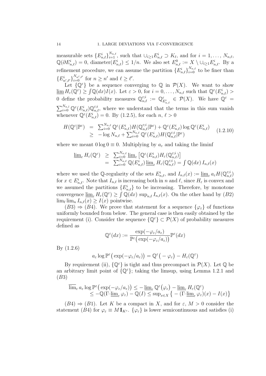measurable sets  $\{E_{n,\ell}^i\}_{i=1}^{N_{n,\ell}}$ , such that  $\cup_{i\geq 1} E_{n,\ell}^i \supset K_\ell$ , and for  $i = 1, \ldots, N_{n,\ell}$ ,  $\mathbb{Q}(\partial E^i_{n,\ell}) = 0$ , diameter $(E^i_{n,\ell}) \leq 1/n$ . We also set  $E^0_{n,\ell} := X \setminus \cup_{i \geq 1} E^i_{n,\ell}$ . By a refinement procedure, we can assume the partition  $\{E_{n,\ell}^i\}_{i=0}^{N_{n,\ell}}$  to be finer than  ${E_{n',\ell'}^{i}}_{i=0}^{N_{n',\ell'}}$  for  $n \geq n'$  and  $\ell \geq \ell'.$ 

Let  $\{\mathbb{Q}^{\varepsilon}\}\$  be a sequence converging to  $\mathbb{Q}$  in  $\mathcal{P}(X)$ . We want to show  $\underline{\lim} H_{\varepsilon}(\overline{\mathbb{Q}}^{\varepsilon}) \geq \int \mathbb{Q}(dx) I(x)$ . Let  $\varepsilon > 0$ , for  $i = 0, \ldots, N_{n,\ell}$  such that  $\mathbb{Q}^{\varepsilon}(E_{n,\ell}^i) >$ 0 define the probability measures  $\mathbb{Q}_{n,\ell}^{\varepsilon,i} := \mathbb{Q}_{E_{n,\ell}}^{\varepsilon} \in \mathcal{P}(X)$ . We have  $\mathbb{Q}^{\varepsilon} =$  $\sum_{i=0}^{N_{n,l}} \mathbb{Q}^{\varepsilon}(E_{n,\ell}^i) \mathbb{Q}_{n,\ell}^{\varepsilon,i}$ , where we understand that the terms in this sum vanish whenever  $\mathbb{Q}^{\varepsilon}(E_{n,\ell}^i) = 0$ . By (1.2.5), for each  $n, \ell > 0$ 

$$
H(\mathbb{Q}^{\varepsilon}|\mathbb{P}^{\varepsilon}) = \sum_{i=0}^{N_{n,\ell}} \mathbb{Q}^{\varepsilon}(E_{n,\ell}^{i}) H(\mathbb{Q}_{n,\ell}^{\varepsilon;i}|\mathbb{P}^{\varepsilon}) + \mathbb{Q}^{\varepsilon}(E_{n,\ell}^{i}) \log \mathbb{Q}^{\varepsilon}(E_{n,\ell}^{i})
$$
  
\n
$$
\geq -\log N_{n,\ell} + \sum_{i=0}^{N_{n,\ell}} \mathbb{Q}^{\varepsilon}(E_{n,\ell}^{i}) H(\mathbb{Q}_{n,\ell}^{\varepsilon;i}|\mathbb{P}^{\varepsilon})
$$
(1.2.10)

where we meant  $0 \log 0 \equiv 0$ . Multiplying by  $a_{\varepsilon}$  and taking the liminf

$$
\underline{\lim}_{\varepsilon} H_{\varepsilon}(\mathbb{Q}^{\varepsilon}) \geq \sum_{i=0}^{N_{n,\ell}} \underline{\lim}_{\varepsilon} \left[ \mathbb{Q}^{\varepsilon}(E_{n,\ell}^{i}) H_{\varepsilon}(\mathbb{Q}_{n,\ell}^{\varepsilon;i}) \right]
$$
  
\n
$$
= \sum_{i=0}^{N_{n,\ell}} \mathbb{Q}(E_{n,\ell}^{i}) \underline{\lim}_{\varepsilon} H_{\varepsilon}(\mathbb{Q}_{n,\ell}^{\varepsilon;i}) = \int \mathbb{Q}(dx) I_{n,\ell}(x)
$$

where we used the Q-regularity of the sets  $E^i_{n,\ell}$ , and  $I_{n,\ell}(x) := \underline{\lim}_{\varepsilon} a_{\varepsilon} H(\mathbb{Q}^{\varepsilon,i}_{n,\ell})$ for  $x \in E^i_{n,\ell}$ . Note that  $I_{n,\ell}$  is increasing both in n and  $\ell$ , since  $H_{\varepsilon}$  is convex and we assumed the partitions  $\{E_{n,\ell}^i\}$  to be increasing. Therefore, by monotone convergence  $\underline{\lim}_{\varepsilon} H_{\varepsilon}(\mathbb{Q}^{\varepsilon}) \geq \int \mathbb{Q}(dx) \sup_{n,\ell} I_{n,\ell}(x)$ . On the other hand by  $(B2)$  $\lim_{\ell} \lim_{n} I_{n,\ell}(x) \geq I(x)$  pointwise.

 $(B3) \Rightarrow (B4)$ . We prove that statement for a sequence  $\{\varphi_{\varepsilon}\}\$  of functions uniformly bounded from below. The general case is then easily obtained by the requirement (i). Consider the sequence  $\{\mathbb{Q}^{\varepsilon}\}\subset \mathcal{P}(X)$  of probability measures defined as

$$
\mathbb{Q}^{\varepsilon}(dx) := \frac{\exp(-\varphi_{\varepsilon}/a_{\varepsilon})}{\mathbb{P}^{\varepsilon}(\exp(-\varphi_{\varepsilon}/a_{\varepsilon}))} \mathbb{P}^{\varepsilon}(dx)
$$

By (1.2.6)

$$
a_{\varepsilon} \log \mathbb{P}^{\varepsilon} \big( \exp(-\varphi_{\varepsilon}/a_{\varepsilon}) \big) = \mathbb{Q}^{\varepsilon} \big( -\varphi_{\varepsilon} \big) - H_{\varepsilon}(\mathbb{Q}^{\varepsilon})
$$

By requirement (ii),  $\{\mathbb{Q}^{\varepsilon}\}\$ is tight and thus precompact in  $\mathcal{P}(X)$ . Let  $\mathbb{Q}$  be an arbitrary limit point of  $\{\mathbb{Q}^{\varepsilon}\}$ ; taking the limsup, using Lemma 1.2.1 and (B3)

$$
\overline{\lim}_{\varepsilon} a_{\varepsilon} \log \mathbb{P}^{\varepsilon} \big( \exp(-\varphi_{\varepsilon}/a_{\varepsilon}) \big) \leq -\underline{\lim}_{\varepsilon} \mathbb{Q}^{\varepsilon} \big( \varphi_{\varepsilon} \big) - \underline{\lim}_{\varepsilon} H_{\varepsilon}(\mathbb{Q}^{\varepsilon})
$$
\n
$$
\leq -\mathbb{Q} \big( \Gamma \text{-} \underline{\lim}_{\varepsilon} \varphi_{\varepsilon} \big) - \mathbb{Q} \big( I \big) \leq \sup_{x \in X} \big\{ - \big( \Gamma \text{-} \underline{\lim}_{\varepsilon} \varphi_{\varepsilon} \big) (x) - I(x) \big\}
$$

 $(B4) \Rightarrow (B1)$ . Let K be a compact in X, and for  $\varepsilon$ ,  $M > 0$  consider the statement (B4) for  $\varphi_{\varepsilon} \equiv M 1\!\!1_{K^c}$ . { $\varphi_{\varepsilon}$ } is lower semicontinuous and satisfies (i)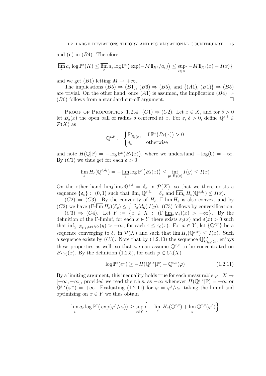and (ii) in  $(B4)$ . Therefore

$$
\overline{\lim_{\varepsilon}} a_{\varepsilon} \log \mathbb{P}^{\varepsilon}(K) \le \overline{\lim_{\varepsilon}} a_{\varepsilon} \log \mathbb{P}^{\varepsilon} \big( \exp(-M 1\!\!1_{K^c}/a_{\varepsilon}) \big) \le \sup_{x \in X} \{-M 1\!\!1_{K^c}(x) - I(x) \}
$$

and we get  $(B1)$  letting  $M \rightarrow +\infty$ .

The implications  $(B5) \Rightarrow (B1)$ ,  $(B6) \Rightarrow (B5)$ , and  $\{(A1), (B1)\}\Rightarrow (B5)$ are trivial. On the other hand, once (A1) is assumed, the implication (B4)  $\Rightarrow$  $(B6)$  follows from a standard cut-off argument.

PROOF OF PROPOSITION 1.2.4.  $(C1) \Rightarrow (C2)$ . Let  $x \in X$ , and for  $\delta > 0$ let  $B_\delta(x)$  the open ball of radius  $\delta$  centered at x. For  $\varepsilon, \delta > 0$ , define  $\mathbb{Q}^{\varepsilon,\delta} \in$  $\mathcal{P}(X)$  as

$$
\mathbb{Q}^{\varepsilon,\delta} := \begin{cases} \mathbb{P}_{B_{\delta}(x)}^{\varepsilon} & \text{if } \mathbb{P}^{\varepsilon}\big(B_{\delta}(x)\big) > 0 \\ \delta_x & \text{otherwise} \end{cases}
$$

and note  $H(\mathbb{Q}|\mathbb{P}) = -\log \mathbb{P}^{\varepsilon}(B_{\delta}(x))$ , where we understand  $-\log(0) = +\infty$ . By  $(C1)$  we thus get for each  $\delta > 0$ 

$$
\overline{\lim_{\varepsilon}} H_{\varepsilon}(\mathbb{Q}^{\varepsilon,\delta_{\varepsilon}}) = -\underline{\lim_{\varepsilon}} \log \mathbb{P}^{\varepsilon}\big(B_{\delta}(x)\big) \le \inf_{y \in B_{\delta}(x)} I(y) \le I(x)
$$

On the other hand  $\lim_{\delta} \lim_{\varepsilon} \mathbb{Q}^{\varepsilon,\delta} = \delta_x$  in  $\mathcal{P}(X)$ , so that we there exists a sequence  $\{\delta_{\varepsilon}\}\subset(0,1)$  such that  $\lim_{\varepsilon}\mathbb{Q}^{\varepsilon,\delta_{\varepsilon}}=\delta_{x}$  and  $\overline{\lim}_{\varepsilon}H_{\varepsilon}(\mathbb{Q}^{\varepsilon,\delta_{\varepsilon}})\leq I(x)$ .

 $(C2) \Rightarrow (C3)$ . By the convexity of  $H_{\varepsilon}$ ,  $\Gamma$ - $\overline{\lim} H_{\varepsilon}$  is also convex, and by (C2) we have  $(\Gamma\text{-}\overline{\lim} H_{\varepsilon})(\delta_x) \leq \int \delta_x(dy) I(y)$ . (C3) follows by convexification.

 $(C3) \Rightarrow (C4)$ . Let  $Y := \{x \in X : (\Gamma \text{--}\underline{\lim}_{\varepsilon} \varphi_{\varepsilon})(x) > -\infty\}$ . By the definition of the Γ-liminf, for each  $x \in Y$  there exists  $\varepsilon_0(x)$  and  $\delta(x) > 0$  such that  $\inf_{y \in B_{\delta(x)}(x)} \varphi_{\varepsilon}(y) > -\infty$ , for each  $\varepsilon \leq \varepsilon_0(x)$ . For  $x \in Y$ , let  $\{\hat{\mathbb{Q}}^{\varepsilon,x}\}\)$  be a sequence converging to  $\delta_x$  in  $\mathcal{P}(X)$  and such that  $\overline{\lim} H_\varepsilon(\mathbb{Q}^{\varepsilon,x}) \leq I(x)$ . Such a sequence exists by (C3). Note that by (1.2.10) the sequence  $\mathbb{Q}_{B}^{\varepsilon,x}$  $\int_{B_{\delta(x)}(x)}^{\varepsilon,x}$ enjoys these properties as well, so that we can assume  $\mathbb{Q}^{\varepsilon,x}$  to be concentrated on  $B_{\delta(x)}(x)$ . By the definition (1.2.5), for each  $\varphi \in C_{\rm b}(X)$ 

$$
\log \mathbb{P}^{\varepsilon}(e^{\varphi}) \ge -H(\mathbb{Q}^{\varepsilon,x}|\mathbb{P}) + \mathbb{Q}^{\varepsilon,x}(\varphi)
$$
\n(1.2.11)

By a limiting argument, this inequality holds true for each measurable  $\varphi: X \to$  $[-\infty, +\infty]$ , provided we read the r.h.s. as  $-\infty$  whenever  $H(\mathbb{Q}^{\varepsilon,x}|\mathbb{P}) = +\infty$  or  $\mathbb{Q}^{\varepsilon,x}(\varphi^-) = +\infty$ . Evaluating (1.2.11) for  $\varphi = \varphi^{\varepsilon}/a_{\varepsilon}$ , taking the liminf and optimizing on  $x \in Y$  we thus obtain

$$
\varliminf_{\varepsilon} a_{\varepsilon} \log \mathbb{P}^{\varepsilon} \big( \exp(\varphi^{\varepsilon}/a_{\varepsilon}) \big) \geq \sup_{x \in Y} \Big\{ -\varlimsup_{\varepsilon} H_{\varepsilon}(\mathbb{Q}^{\varepsilon,x}) + \varliminf_{\varepsilon} \mathbb{Q}^{\varepsilon,x}(\varphi^{\varepsilon}) \Big\}
$$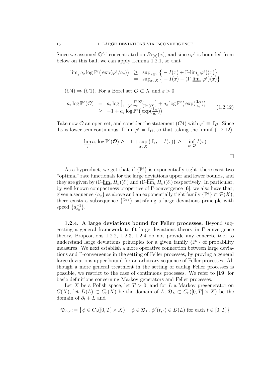Since we assumed  $\mathbb{Q}^{\varepsilon,x}$  concentrated on  $B_{\delta(x)}(x)$ , and since  $\varphi^{\varepsilon}$  is bounded from below on this ball, we can apply Lemma 1.2.1, so that

$$
\underline{\lim}_{\varepsilon} a_{\varepsilon} \log \mathbb{P}^{\varepsilon} \big( \exp(\varphi^{\varepsilon}/a_{\varepsilon}) \big) \geq \sup_{x \in Y} \big\{ -I(x) + \Gamma \text{-} \underline{\lim}_{\varepsilon} \varphi^{\varepsilon} \big)(x) \big\} \n= \sup_{x \in X} \big\{ -I(x) + \big( \Gamma \text{-} \underline{\lim}_{\varepsilon} \varphi^{\varepsilon} \big)(x) \big\}
$$

 $(C4) \Rightarrow (C1)$ . For a Borel set  $\mathcal{O} \subset X$  and  $\varepsilon > 0$ 

$$
a_{\varepsilon} \log \mathbb{P}^{\varepsilon}(\mathcal{O}) = a_{\varepsilon} \log \left[ \frac{\mathbb{P}^{\varepsilon}(\mathcal{O})}{1 + (e^{1/a_{\varepsilon}} - 1)\mathbb{P}^{\varepsilon}(\mathcal{O})} \right] + a_{\varepsilon} \log \mathbb{P}^{\varepsilon} \left( \exp(\frac{\mathbb{I}_{\mathcal{O}}}{a_{\varepsilon}}) \right) \tag{1.2.12}
$$
  

$$
\geq -1 + a_{\varepsilon} \log \mathbb{P}^{\varepsilon} \left( \exp(\frac{\mathbb{I}_{\mathcal{O}}}{a_{\varepsilon}}) \right)
$$

Take now  $\mathcal O$  an open set, and consider the statement  $(C4)$  with  $\varphi^{\varepsilon} \equiv \mathbb I_{\mathcal O}$ . Since  $\mathbb{I}_{\mathcal{O}}$  is lower semicontinuous,  $\Gamma$ -lim  $\varphi^{\varepsilon} = \mathbb{I}_{\mathcal{O}}$ , so that taking the liminf (1.2.12)

$$
\underline{\lim_{\varepsilon}} a_{\varepsilon} \log \mathbb{P}^{\varepsilon}(\mathcal{O}) \ge -1 + \sup_{x \in X} (\mathbb{I}_{\mathcal{O}} - I(x)) \ge -\inf_{x \in \mathcal{O}} I(x)
$$

As a byproduct, we get that, if  $\{\mathbb{P}^{\varepsilon}\}\$ is exponentially tight, there exist two "optimal" rate functionals for the large deviations upper and lower bounds, and they are given by  $(\Gamma\text{-}\lim_{\varepsilon} H_{\varepsilon})(\delta)$  and  $(\Gamma\text{-}\lim_{\varepsilon} H_{\varepsilon})(\delta)$  respectively. In particular, by well known compactness properties of Γ-convergence [6], we also have that, given a sequence  $\{a_{\varepsilon}\}\)$  as above and an exponentially tight family  $\{\mathbb{P}^{\varepsilon}\}\subset \mathcal{P}(X)$ , there exists a subsequence  $\{\mathbb{P}^{\varepsilon_k}\}\$  satisfying a large deviations principle with speed  $\{a_{\varepsilon_k}^{-1}\}.$ 

1.2.4. A large deviations bound for Feller processes. Beyond suggesting a general framework to fit large deviations theory in Γ-convergence theory, Propositions 1.2.2, 1.2.3, 1.2.4 do not provide any concrete tool to understand large deviations principles for a given family  $\{ \mathbb{P}^{\varepsilon} \}$  of probability measures. We next establish a more operative connection between large deviations and Γ-convergence in the setting of Feller processes, by proving a general large deviations upper bound for an arbitrary sequence of Feller processes. Although a more general treatment in the setting of cadlag Feller processes is possible, we restrict to the case of continuous processes. We refer to [19] for basic definitions concerning Markov generators and Feller processes.

Let X be a Polish space, let  $T > 0$ , and for L a Markov pregenerator on  $C(X)$ , let  $D(L) \subset C_{b}(X)$  be the domain of  $L, \mathfrak{D}_{L} \subset C_{b}([0, T] \times X)$  be the domain of  $\partial_t + L$  and

$$
\mathfrak{D}_{L,2} := \left\{ \phi \in C_{\mathbf{b}}([0,T] \times X) : \phi \in \mathfrak{D}_L, \phi^2(t, \cdot) \in D(L) \text{ for each } t \in [0,T] \right\}
$$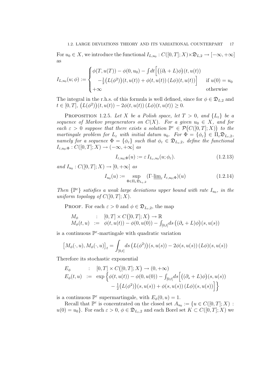For  $u_0 \in X$ , we introduce the functional  $I_{L,u_0}: C([0,T]; X) \times \mathfrak{D}_{L,2} \to [-\infty, +\infty]$ as

$$
I_{L,u_0}(u;\phi) := \begin{cases} \phi(T,u(T)) - \phi(0,u_0) - \int dt \left[ \left( (\partial_t + L)\phi \right)(t,u(t)) \\ -\frac{1}{2} \left( L(\phi^2) \right)(t,u(t)) + \phi(t,u(t)) \left( L\phi \right)(t,u(t)) \right] & \text{if } u(0) = u_0 \\ +\infty & \text{otherwise} \end{cases}
$$

The integral in the r.h.s. of this formula is well defined, since for  $\phi \in \mathfrak{D}_{L,2}$  and  $t \in [0, T], (L(\phi^2))(t, u(t)) - 2\phi(t, u(t)) (L\phi)(t, u(t)) \geq 0.$ 

PROPOSITION 1.2.5. Let X be a Polish space, let  $T > 0$ , and  $\{L_{\varepsilon}\}\$ be a sequence of Markov pregenerators on  $C(X)$ . For a given  $u_0 \in X$ , and for each  $\varepsilon > 0$  suppose that there exists a solution  $\mathbb{P}^{\varepsilon} \in \mathcal{P}(C([0,T];X))$  to the martingale problem for  $L_{\varepsilon}$  with initial datum  $u_0$ . For  $\Phi = {\varphi_{\varepsilon}} \in \Pi_{\varepsilon} \mathfrak{D}_{L_{\varepsilon},2}$ , namely for a sequence  $\Phi = {\phi_{\varepsilon}}$  such that  $\phi_{\varepsilon} \in \mathfrak{D}_{L_{\varepsilon},2}$ , define the functional  $I_{\varepsilon,u_0:\Phi}: C([0,T];X) \to (-\infty,+\infty]$  as

$$
I_{\varepsilon, u_0; \Phi}(u) := \varepsilon I_{L_{\varepsilon}, u_0}(u; \phi_{\varepsilon}).
$$
\n(1.2.13)

and  $I_{u_0}: C([0,T];X) \to [0,+\infty]$  as

$$
I_{u_0}(u) := \sup_{\Phi \in \Pi_{\varepsilon} \mathfrak{D}_{L_{\varepsilon},2}} (\Gamma \text{-} \underline{\lim}_{\varepsilon} I_{\varepsilon, u_0; \Phi})(u) \tag{1.2.14}
$$

Then  $\{\mathbb{P}^{\varepsilon}\}\$  satisfies a weak large deviations upper bound with rate  $I_{u_0}$ , in the uniform topology of  $C([0, T]; X)$ .

**PROOF.** For each  $\varepsilon > 0$  and  $\phi \in \mathfrak{D}_{L_{\varepsilon},2}$ , the map

$$
M_{\phi} : [0, T] \times C([0, T]; X) \to \mathbb{R}
$$
  
\n
$$
M_{\phi}(t, u) := \phi(t, u(t)) - \phi(0, u(0)) - \int_{[0, t]} ds \left( (\partial_s + L) \phi \right)(s, u(s))
$$

is a continuous  $\mathbb{P}^{\varepsilon}$ -martingale with quadratic variation

$$
\left[M_{\phi}(\cdot, u), M_{\phi}(\cdot, u)\right]_t = \int_{[0,t]} ds \left(L(\phi^2)\right)(s, u(s)) - 2\phi(s, u(s)) \left(L\phi\right)(s, u(s))
$$

Therefore its stochastic exponential

$$
E_{\phi} : [0, T] \times C([0, T]; X) \to (0, +\infty)
$$
  
\n
$$
E_{\phi}(t, u) := \exp \left\{ \phi(t, u(t)) - \phi(0, u(0)) - \int_{[0, t]} ds \left[ ((\partial_s + L)\phi)(s, u(s)) - \frac{1}{2}(L(\phi^2))(s, u(s)) + \phi(s, u(s)) (L\phi)(s, u(s)) \right] \right\}
$$

is a continuous  $\mathbb{P}^{\varepsilon}$  supermartingale, with  $E_{\phi}(0, u) = 1$ .

Recall that  $\mathbb{P}^{\varepsilon}$  is concentrated on the closed set  $A_{u_0} := \{u \in C([0,T]; X) :$  $u(0) = u_0$ . For each  $\varepsilon > 0$ ,  $\phi \in \mathfrak{D}_{L_{\varepsilon},2}$  and each Borel set  $K \subset C([0,T];X)$  we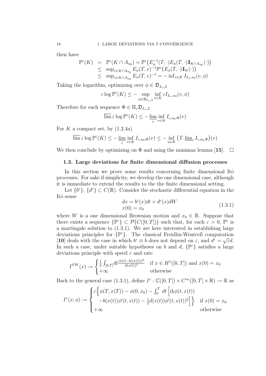then have

$$
\mathbb{P}^{\varepsilon}(K) = \mathbb{P}^{\varepsilon}(K \cap A_{u_0}) = \mathbb{P}^{\varepsilon}\big(E_{\phi}^{-1}(T,\cdot)E_{\phi}(T,\cdot)\mathbb{I}_{K \cap A_{u_0}}(\cdot)\big) \leq \sup_{v \in K \cap A_{u_0}} E_{\phi}(T,v)^{-1} \mathbb{P}^{\varepsilon}\big(E_{\phi}(T,\cdot)\mathbb{I}_{K}(\cdot)\big) \leq \sup_{v \in K \cap A_{u_0}} E_{\phi}(T,v)^{-1} = -\inf_{v \in K} I_{L_{\varepsilon},u_0}(v,\phi)
$$

Taking the logarithm, optimizing over  $\phi \in \mathfrak{D}_{L_{\varepsilon},2}$ 

$$
\varepsilon \log \mathbb{P}^{\varepsilon}(K) \leq - \sup_{\phi \in \mathfrak{D}_{L_{\varepsilon},2}} \inf_{v \in K} \varepsilon I_{L_{\varepsilon},u_0}(v,\phi)
$$

Therefore for each sequence  $\Phi \in \Pi_{\varepsilon} \mathfrak{D}_{L_{\varepsilon},2}$ 

$$
\overline{\lim}_{\varepsilon} \log \mathbb{P}^{\varepsilon}(K) \leq -\underline{\lim}_{\varepsilon} \inf_{v \in K} I_{\varepsilon, u_0; \Phi}(v)
$$

For K a compact set, by  $(1.2.4a)$ 

$$
\overline{\lim}_{\epsilon} \epsilon \log \mathbb{P}^{\epsilon}(K) \leq -\underline{\lim}_{\epsilon} \inf_{v \in K} I_{\epsilon, u_0; \Phi}(v) \leq -\inf_{u \in K} \left( \Gamma \text{-} \underline{\lim}_{\epsilon} I_{\epsilon, u_0; \Phi} \right)(v)
$$

We then conclude by optimizing on  $\Phi$  and using the minimax lemma [15].  $\Box$ 

### 1.3. Large deviations for finite dimensional diffusion processes

In this section we prove some results concerning finite dimensional Itô processes. For sake if simplicity, we develop the one dimensional case, although it is immediate to extend the results to the the finite dimensional setting.

Let  $\{b^{\varepsilon}\}, \{d^{\varepsilon}\}\subset C(\mathbb{R})$ . Consider the stochastic differential equation in the Itô sense

$$
dx = b^{\varepsilon}(x)dt + d^{\varepsilon}(x)dW
$$
  
\n
$$
x(0) = x_0
$$
\n(1.3.1)

where W is a one dimensional Brownian motion and  $x_0 \in \mathbb{R}$ . Suppose that there exists a sequence  $\{\mathbb{P}^{\varepsilon}\}\subset \mathcal{P}(C([0,T]))$  such that, for each  $\varepsilon > 0$ ,  $\mathbb{P}^{\varepsilon}$  is a martingale solution to (1.3.1). We are here interested in establishing large deviations principles for  $\{ \mathbb{P}^{\varepsilon} \}$ . The classical Freidlin-Wentcell computation [10] deals with the case in which  $b^{\varepsilon} \equiv b$  does not depend on  $\varepsilon$ , and  $d^{\varepsilon} = \sqrt{\varepsilon}d$ . In such a case, under suitable hypotheses on b and d,  $\{\mathbb{P}^{\varepsilon}\}\$  satisfies a large deviations principle with speed  $\varepsilon$  and rate

$$
I^{FW}(x) := \begin{cases} \frac{1}{2} \int_{[0,T]} dt \frac{|\dot{x}(t) - b((x(t))|^2}{d(x(t))^2} & \text{if } x \in H^1([0,T]) \text{ and } x(0) = x_0\\ +\infty & \text{otherwise} \end{cases}
$$

Back to the general case (1.3.1), define  $I^{\varepsilon} : \mathbb{C}([0,T]) \times C^{\infty}([0,T] \times \mathbb{R}) \to \mathbb{R}$  as

$$
I^{\varepsilon}(x;\phi) := \begin{cases} \varepsilon \Big\{ \phi(T,x(T)) - \phi(0,x_0) - \int_0^T dt \Big[ \partial_t \phi(t,x(t)) \\ -b(x(t))\phi'(t,x(t)) - \frac{1}{2}d(x(t))\phi'(t,x(t))^2 \Big] \Big\} & \text{if } x(0) = x_0 \\ +\infty & \text{otherwise} \end{cases}
$$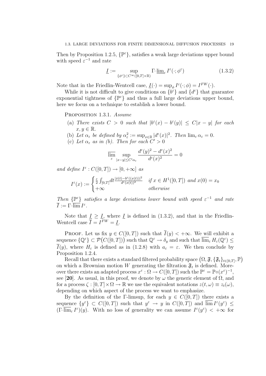Then by Proposition 1.2.5,  $\{\mathbb{P}^{\varepsilon}\}\$ , satisfies a weak large deviations upper bound with speed  $\varepsilon^{-1}$  and rate

$$
\underline{I} := \sup_{\{\phi^{\varepsilon}\} \subset C^{\infty}([0,T] \times \mathbb{R})} \Gamma \text{-}\underline{\lim}_{\varepsilon} I^{\varepsilon}(\cdot; \phi^{\varepsilon}) \tag{1.3.2}
$$

Note that in the Friedlin-Wentcell case,  $\underline{I}(\cdot) = \sup_{\phi} I^{\varepsilon}(\cdot; \phi) = I^{FW}(\cdot)$ .

While it is not difficult to give conditions on  $\{b^{\varepsilon}\}\$  and  $\{d^{\varepsilon}\}\$  that guarantee exponential tightness of  $\{ \mathbb{P}^{\varepsilon} \}$  and thus a full large deviations upper bound, here we focus on a technique to establish a lower bound.

PROPOSITION 1.3.1. Assume

- (a) There exists  $C > 0$  such that  $|b^{\varepsilon}(x) b^{\varepsilon}(y)| \leq C|x y|$  for each  $x, y \in \mathbb{R}$ .
- (b) Let  $\alpha_{\varepsilon}$  be defined by  $\alpha_{\varepsilon}^2 := \sup_{x \in \mathbb{R}} |d^{\varepsilon}(x)|^2$ . Then  $\lim_{\varepsilon} \alpha_{\varepsilon} = 0$ .
- (c) Let  $\alpha_{\varepsilon}$  as in (b). Then for each  $C' > 0$

$$
\overline{\lim_{\varepsilon}} \sup_{|x-y| \le C'\alpha_{\varepsilon}} \frac{d^{\varepsilon}(y)^2 - d^{\varepsilon}(x)^2}{d^{\varepsilon}(x)^2} = 0
$$

and define  $I^{\varepsilon}: C([0,T]) \to [0,+\infty]$  as

$$
I^{\varepsilon}(x) := \begin{cases} \frac{\varepsilon}{2} \int_{[0,T]} dt \frac{|x(t) - b^{\varepsilon}((x(t))|^{2})}{d^{\varepsilon}(x(t))^{2}} & \text{if } x \in H^{1}([0,T]) \text{ and } x(0) = x_{0} \\ +\infty & \text{otherwise} \end{cases}
$$

Then  $\{\mathbb{P}^{\varepsilon}\}\$  satisfies a large deviations lower bound with speed  $\varepsilon^{-1}$  and rate  $\overline{I}:=\Gamma\text{-}\overline{\lim}\,I^\varepsilon.$ 

Note that  $\underline{I} \geq \underline{I}$ , where  $\underline{I}$  is defined in (1.3.2), and that in the Friedlin-Wentcell case  $\overline{I} = I^{FW} = \underline{I}$ .

PROOF. Let us fix  $y \in C([0,T])$  such that  $\overline{I}(y) < +\infty$ . We will exhibit a sequence  $\{ \mathbb{Q}^{\varepsilon} \} \subset \mathcal{P}(C([0,T]))$  such that  $\mathbb{Q}^{\varepsilon} \to \delta_y$  and such that  $\overline{\lim}_{\varepsilon} H_{\varepsilon}(\mathbb{Q}^{\varepsilon}) \leq$  $\overline{I}(y)$ , where  $H_{\varepsilon}$  is defined as in (1.2.8) with  $a_{\varepsilon} = \varepsilon$ . We then conclude by Proposition 1.2.4.

Recall that there exists a standard filtered probability space  $(\Omega, \mathfrak{F}, \{\mathfrak{F}_t\}_{t\in[0,T]}, \mathbb{P})$ on which a Brownian motion W generating the filtration  $\mathfrak{F}_t$  is defined. Moreover there exists an adapted process  $x^{\varepsilon} : \Omega \to C([0,T])$  such the  $\mathbb{P}^{\varepsilon} = \mathbb{P} \circ (x^{\varepsilon})^{-1}$ , see [20]. As usual, in this proof, we denote by  $\omega$  the generic element of  $\Omega$ , and for a process  $\zeta : [0, T] \times \Omega \to \mathbb{R}$  we use the equivalent notations  $z(t, \omega) \equiv z_t(\omega)$ , depending on which aspect of the process we want to emphasize.

By the definition of the Γ-limsup, for each  $y \in C([0, T])$  there exists a sequence  $\{y^{\varepsilon}\}\subset C([0,T])$  such that  $y^{\varepsilon} \to y$  in  $C([0,T])$  and  $\overline{\lim} I^{\varepsilon}(y^{\varepsilon}) \leq$  $(\Gamma\overline{\lim}_{\varepsilon}I^{\varepsilon})(y)$ . With no loss of generality we can assume  $I^{\varepsilon}(y^{\varepsilon}) < +\infty$  for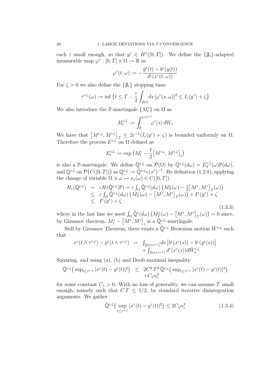each  $\varepsilon$  small enough, so that  $y^{\varepsilon} \in H^1([0,T])$ . We define the  $\{\mathfrak{F}_t\}$ -adapted measurable map  $\varphi^{\varepsilon} : [0, T] \times \Omega \to \mathbb{R}$  as

$$
\varphi^\varepsilon(t,\omega):=-\frac{\dot y^\varepsilon(t)-b^\varepsilon(y(t))}{d^\varepsilon(x^\varepsilon(t,\omega))}
$$

For  $\zeta > 0$  we also define the  $\{\mathfrak{F}_t\}$  stopping time

$$
\tau^{\varepsilon,\zeta}(\omega) := \inf \left\{ t \leq T \, : \, \frac{\varepsilon}{2} \int_{[0,t]} ds \, [\varphi^{\varepsilon}(s,\omega)]^2 \leq I_{\varepsilon}(y^{\varepsilon}) + \zeta \right\}
$$

We also introduce the P-martingale  $\{M_t^{\varepsilon}\}$  on  $\Omega$  as

$$
M_t^{\varepsilon,\zeta} := \int_0^{t\wedge\tau^{\varepsilon,\zeta}} \varphi^\varepsilon(s) \, dW_s
$$

We have that  $\left[M^{\varepsilon,\zeta}, M^{\varepsilon,\zeta}\right]_T \leq 2\varepsilon^{-1}(I_{\varepsilon}(y^{\varepsilon}) + \zeta)$  is bounded uniformly on  $\Omega$ . Therefore the process  $E^{\varepsilon,\zeta}$  on  $\Omega$  defined as

$$
E_t^{\varepsilon,\zeta} := \exp\left(M_t^{\varepsilon} - \frac{1}{2} \big[M^{\varepsilon,\zeta}, M^{\varepsilon,\zeta}\big]_t\right)
$$

is also a P-martingale. We define  $\tilde{\mathbb{Q}}^{\varepsilon,\zeta}$  on  $\mathcal{P}(\Omega)$  by  $\tilde{\mathbb{Q}}^{\varepsilon,\zeta}(d\omega) = E_T^{\varepsilon,\zeta}$  $\mathbb{P}_T^{\varepsilon,\zeta}(\omega)\mathbb{P}(d\omega),$ and  $\mathbb{Q}^{\varepsilon,\zeta}$  on  $\mathcal{P}(C([0,T]))$  as  $\mathbb{Q}^{\varepsilon,\zeta} := \tilde{\mathbb{Q}}^{\varepsilon,\zeta} \circ (x^{\varepsilon})^{-1}$ . By definition  $(1.2.8)$ , applying the change of variable  $\Omega \ni \omega \mapsto x_{\varepsilon}(\omega) \in C([0, T])$ 

$$
H_{\varepsilon}(\mathbb{Q}^{\varepsilon;\zeta}) = \varepsilon H(\tilde{\mathbb{Q}}^{\varepsilon,\zeta}|\mathbb{P}) = \varepsilon \int_{\Omega} \tilde{\mathbb{Q}}^{\varepsilon,\zeta}(d\omega) \left( M_T^{\varepsilon}(\omega) - \frac{1}{2} \left[ M^{\varepsilon}, M^{\varepsilon} \right]_T(\omega) \right) \n\leq \varepsilon \int_{\Omega} \tilde{\mathbb{Q}}^{\varepsilon,\zeta}(d\omega) \left( M_T^{\varepsilon}(\omega) - \left[ M^{\varepsilon}, M^{\varepsilon} \right]_T(\omega) \right) + I^{\varepsilon}(y^{\varepsilon}) + \zeta \n\leq I^{\varepsilon}(y^{\varepsilon}) + \zeta
$$
\n(1.3.3)

where in the last line we used  $\int_{\Omega} \tilde{\mathbb{Q}}^{\varepsilon}(d\omega) \left( M_T^{\varepsilon}(\omega) - \left[ M^{\varepsilon}, M^{\varepsilon} \right]_T(\omega) \right) = 0$  since, by Girsanov theorem,  $M_t^{\varepsilon} - \left[M^{\varepsilon}, M^{\varepsilon}\right]_t$  is a  $\tilde{\mathbb{Q}}_{\cdot}^{\varepsilon, \zeta}$ -martingale.

Still by Girsanov Theorem, there exists a  $\tilde{\mathbb{Q}}^{\varepsilon,\zeta}$  Brownian motion  $\tilde{W}^{\varepsilon,\zeta}$  such that

$$
x^{\varepsilon}(t \wedge \tau^{\varepsilon,\zeta}) - y^{\varepsilon}(t \wedge \tau^{\varepsilon,\zeta}) = \int_{[0,t \wedge \tau^{\varepsilon,\zeta}]} ds \left[ b^{\varepsilon}(x^{\varepsilon}(s)) - b^{\varepsilon}(y^{\varepsilon}(s)) \right] + \int_{[0,t \wedge \tau^{\varepsilon,\zeta}]} d^{\varepsilon}(x^{\varepsilon}(s)) d\tilde{W}_{s}^{\varepsilon,\zeta}
$$

Squaring, and using (a), (b) and Doob maximal inequality

$$
\tilde{\mathbb{Q}}^{\varepsilon,\zeta} \left( \sup_{t \le \tau^{\varepsilon,\eta}} |x^{\varepsilon}(t) - y^{\varepsilon}(t)|^2 \right) \le 2C^2 T^2 \tilde{\mathbb{Q}}^{\varepsilon,\zeta} \left( \sup_{t \le \tau^{\varepsilon,\zeta}} |x^{\varepsilon}(t) - y^{\varepsilon}(t)|^2 \right) + C_1 \alpha_{\varepsilon}^2
$$

for some constant  $C_1 > 0$ . With no loss of generality, we can assume T small enough, namely such that  $CT \leq 1/2$ , by standard iterative disintegration arguments. We gather

$$
\tilde{\mathbb{Q}}^{\varepsilon,\zeta} \left( \sup_{t \le \tau^{\varepsilon,\zeta}} |x^{\varepsilon}(t) - y^{\varepsilon}(t)|^2 \right) \le 2C_1 \alpha_{\varepsilon}^2 \tag{1.3.4}
$$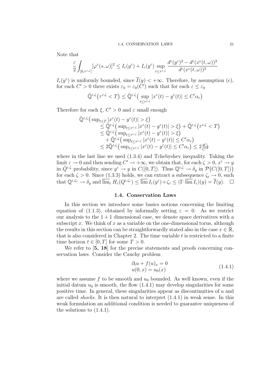Note that

$$
\frac{\varepsilon}{2} \int_{[0,\tau^{\varepsilon,\zeta}]} [\varphi^{\varepsilon}(s,\omega)]^2 \le I_{\varepsilon}(y^{\varepsilon}) + I_{\varepsilon}(y^{\varepsilon}) \sup_{t \le \tau^{\varepsilon,\zeta}} \frac{d^{\varepsilon}(y^{\varepsilon})^2 - d^{\varepsilon}(x^{\varepsilon}(t,\omega))^2}{d^{\varepsilon}(x^{\varepsilon}(t,\omega))^2}
$$

 $I_{\varepsilon}(y^{\varepsilon})$  is uniformly bounded, since  $\overline{I}(y) < +\infty$ . Therefore, by assumption (c), for each  $C' > 0$  there exists  $\varepsilon_0 = \varepsilon_0(C')$  such that for each  $\varepsilon \leq \varepsilon_0$ 

$$
\tilde{\mathbb{Q}}^{\varepsilon,\zeta}\big(\tau^{\varepsilon,\zeta} < T\big) \leq \tilde{\mathbb{Q}}^{\varepsilon,\zeta}\big(\sup_{t \leq \tau^{\varepsilon,\zeta}} |x^{\varepsilon}(t) - y^{\varepsilon}(t)| \leq C' \alpha_{\varepsilon}\big)
$$

Therefore for each  $\xi, C' > 0$  and  $\varepsilon$  small enough

$$
\tilde{\mathbb{Q}}^{\varepsilon,\zeta} \left( \sup_{t \leq T} |x^{\varepsilon}(t) - y^{\varepsilon}(t)| > \xi \right) \n\leq \tilde{\mathbb{Q}}^{\varepsilon,\zeta} \left( \sup_{t \leq \tau^{\varepsilon,\zeta}} |x^{\varepsilon}(t) - y^{\varepsilon}(t)| > \xi \right) + \tilde{\mathbb{Q}}^{\varepsilon,\zeta} \left( \tau^{\varepsilon,\zeta} < T \right) \n\leq \tilde{\mathbb{Q}}^{\varepsilon,\zeta} \left( \sup_{t \leq \tau^{\varepsilon,\zeta}} |x^{\varepsilon}(t) - y^{\varepsilon}(t)| > \xi \right) \n+ \tilde{\mathbb{Q}}^{\varepsilon,\zeta} \left( \sup_{t \leq \tau^{\varepsilon,\zeta}} |x^{\varepsilon}(t) - y^{\varepsilon}(t)| \leq C' \alpha_{\varepsilon} \right) \n\leq 2 \tilde{\mathbb{Q}}^{\varepsilon,\zeta} \left( \sup_{t \leq \tau^{\varepsilon,\zeta}} |x^{\varepsilon}(t) - y^{\varepsilon}(t)| \leq C' \alpha_{\varepsilon} \right) \leq 2 \frac{4C_1}{C'^2}
$$

where in the last line we used  $(1.3.4)$  and Tchebyshev inequality. Taking the limit  $\varepsilon \to 0$  and then sending  $C' \to +\infty$ , we obtain that, for each  $\zeta > 0$ ,  $x^{\varepsilon} \to y$ in  $\tilde{Q}^{\varepsilon,\zeta}$  probability, since  $y^{\varepsilon} \to y$  in  $C([0,T])$ . Thus  $\mathbb{Q}^{\varepsilon,\zeta} \to \delta_y$  in  $\mathcal{P}(C([0,T]))$ for each  $\zeta > 0$ . Since (1.3.3) holds, we can extract a subsequence  $\zeta_{\varepsilon} \to 0$ , such that  $\mathbb{Q}^{\varepsilon,\zeta_{\varepsilon}} \to \delta_y$  and  $\overline{\lim}_{\varepsilon} H_{\varepsilon}(Q^{\varepsilon,\zeta_{\varepsilon}}) \leq \overline{\lim} I_{\varepsilon}(y^{\varepsilon}) + \zeta_{\varepsilon} \leq (\Gamma - \overline{\lim} I_{\varepsilon})(y) = \overline{I}(y).$ 

### 1.4. Conservation Laws

In this section we introduce some basics notions concerning the limiting equation of (1.1.3), obtained by informally setting  $\varepsilon = 0$ . As we restrict our analysis to the  $1 + 1$  dimensional case, we denote space derivatives with a subscript x. We think of x as a variable on the one-dimensional torus, although the results in this section can be straightforwardly stated also in the case  $x \in \mathbb{R}$ , that is also considered in Chapter 2. The time variable  $t$  is restricted to a finite time horizon  $t \in [0, T]$  for some  $T > 0$ .

We refer to  $\mathfrak{b}, \mathfrak{18}$  for the precise statements and proofs concerning conservation laws. Consider the Cauchy problem

$$
\begin{aligned} \partial_t u + f(u)_x &= 0 \\ u(0, x) &= u_0(x) \end{aligned} \tag{1.4.1}
$$

where we assume f to be smooth and  $u_0$  bounded. As well known, even if the initial datum  $u_0$  is smooth, the flow  $(1.4.1)$  may develop singularities for some positive time. In general, these singularities appear as discontinuities of u and are called *shocks*. It is then natural to interpret  $(1.4.1)$  in weak sense. In this weak formulation an additional condition is needed to guarantee uniqueness of the solutions to (1.4.1).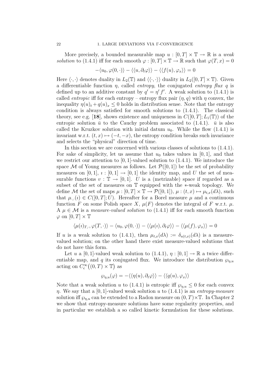More precisely, a bounded measurable map  $u : [0, T] \times \mathbb{T} \to \mathbb{R}$  is a weak solution to (1.4.1) iff for each smooth  $\varphi : [0, T] \times \mathbb{T} \to \mathbb{R}$  such that  $\varphi(T, x) = 0$ 

$$
-\langle u_0, \varphi(0, \cdot) \rangle - \langle \langle u, \partial_t \varphi \rangle \rangle - \langle \langle f(u), \varphi_x \rangle \rangle = 0
$$

Here  $\langle \cdot, \cdot \rangle$  denotes duality in  $L_2(\mathbb{T})$  and  $\langle \langle \cdot, \cdot \rangle \rangle$  duality in  $L_2([0, T] \times \mathbb{T})$ . Given a differentiable function  $\eta$ , called *entropy*, the conjugated *entropy flux q* is defined up to an additive constant by  $q' = \eta' f'$ . A weak solution to (1.4.1) is called *entropic* iff for each entropy – entropy flux pair  $(\eta, q)$  with  $\eta$  convex, the inequality  $\eta(u)_t + q(u)_x \leq 0$  holds in distribution sense. Note that the entropy condition is always satisfied for smooth solutions to (1.4.1). The classical theory, see e.g. [18], shows existence and uniqueness in  $C([0, T]; L_1(\mathbb{T}))$  of the entropic solution  $\bar{u}$  to the Cauchy problem associated to (1.4.1).  $\bar{u}$  is also called the Kruzkov solution with initial datum  $u_0$ . While the flow (1.4.1) is invariant w.r.t.  $(t, x) \mapsto (-t, -x)$ , the entropy condition breaks such invariance and selects the "physical" direction of time.

In this section we are concerned with various classes of solutions to (1.4.1). For sake of simplicity, let us assume that  $u_0$  takes values in [0, 1], and that we restrict our attention to  $[0, 1]$ -valued solution to  $(1.4.1)$ . We introduce the space M of Young measures as follows. Let  $\mathcal{P}([0,1])$  be the set of probability measures on [0, 1],  $i : [0, 1] \rightarrow [0, 1]$  the identity map, and U the set of measurable functions  $v : \mathbb{T} \to [0, 1]$ . U is a (metrizable) space if regarded as a subset of the set of measures on T equipped with the ∗-weak topology. We define M the set of maps  $\mu : [0, T] \times \mathbb{T} \to \mathcal{P}([0, 1]), \mu : (t, x) \mapsto \mu_{t, x}(d\lambda)$ , such that  $\mu_{\cdot,\cdot}(i) \in C([0,T];U)$ . Hereafter for a Borel measure  $\mu$  and a continuous function F on some Polish space X,  $\mu(F)$  denotes the integral of F w.r.t.  $\mu$ . A  $\mu \in \mathcal{M}$  is a *measure-valued solution* to (1.4.1) iff for each smooth function  $\varphi$  on  $[0, T] \times T$ 

$$
\langle \mu(\iota)_{T,\cdot}, \varphi(T, \cdot) \rangle - \langle u_0, \varphi(0, \cdot) \rangle - \langle \langle \mu(\iota), \partial_t \varphi \rangle \rangle - \langle \langle \mu(f), \varphi_x \rangle \rangle = 0
$$

If u is a weak solution to (1.4.1), then  $\mu_{t,x}(d\lambda) := \delta_{u(t,x)}(d\lambda)$  is a measurevalued solution; on the other hand there exist measure-valued solutions that do not have this form.

Let u a [0, 1]-valued weak solution to (1.4.1),  $\eta : [0, 1] \to \mathbb{R}$  a twice differentiable map, and q its conjugated flux. We introduce the distribution  $\wp_{\eta,u}$ acting on  $C_c^{\infty}((0,T)\times\mathbb{T})$  as

$$
\wp_{\eta, u}(\varphi) = - \langle \langle \eta(u), \partial_t \varphi \rangle \rangle - \langle \langle q(u), \varphi_x \rangle \rangle
$$

Note that a weak solution u to (1.4.1) is entropic iff  $\wp_{\eta,u} \leq 0$  for each convex  $\eta$ . We say that a [0, 1]-valued weak solution u to (1.4.1) is an entropy-measure solution iff  $\wp_{n,u}$  can be extended to a Radon measure on  $(0,T)\times\mathbb{T}$ . In Chapter 2 we show that entropy-measure solutions have some regularity properties, and in particular we establish a so called kinetic formulation for these solutions.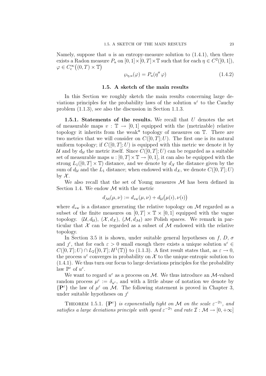Namely, suppose that u is an entropy-measure solution to  $(1.4.1)$ , then there exists a Radon measure  $P_u$  on  $[0,1] \times [0,T] \times \mathbb{T}$  such that for each  $\eta \in C^2([0,1])$ ,  $\varphi \in C_c^{\infty}((0,T) \times \mathbb{T})$ 

$$
\wp_{\eta, u}(\varphi) = P_u(\eta'' \varphi) \tag{1.4.2}
$$

### 1.5. A sketch of the main results

In this Section we roughly sketch the main results concerning large deviations principles for the probability laws of the solution  $u^{\varepsilon}$  to the Cauchy problem (1.1.3), see also the discussion in Section 1.1.3.

1.5.1. Statements of the results. We recall that  $U$  denotes the set of measurable maps  $v : \mathbb{T} \to [0, 1]$  equipped with the (metrizable) relative topology it inherits from the weak\* topology of measures on  $\mathbb{T}$ . There are two metrics that we will consider on  $C([0,T]; U)$ . The first one is its natural uniform topology; if  $C([0,T]; U)$  is equipped with this metric we denote it by U and by  $d_{\mathcal{U}}$  the metric itself. Since  $C([0,T];U)$  can be regarded as a suitable set of measurable maps  $u : [0, T] \times \mathbb{T} \to [0, 1]$ , it can also be equipped with the strong  $L_1([0,T] \times \mathbb{T})$  distance, and we denote by  $d_{\mathcal{X}}$  the distance given by the sum of  $d_{\mathcal{U}}$  and the  $L_1$  distance; when endowed with  $d_{\mathcal{X}}$ , we denote  $C([0, T]; U)$ by  $\mathcal{X}$ .

We also recall that the set of Young measures  $M$  has been defined in Section 1.4. We endow  $\mathcal M$  with the metric

$$
d_{\mathcal{M}}(\mu,\nu) := d_{\text{sw}}(\mu,\nu) + d_{\mathcal{U}}(\mu(\nu),\nu(\nu))
$$

where  $d_{\ast w}$  is a distance generating the relative topology on M regarded as a subset of the finite measures on  $[0, T] \times \mathbb{T} \times [0, 1]$  equipped with the vague topology.  $(\mathcal{U}, d_{\mathcal{U}}), (\mathcal{X}, d_{\mathcal{X}}), (\mathcal{M}, d_{\mathcal{M}})$  are Polish spaces. We remark in particular that  $\mathcal X$  can be regarded as a subset of  $\mathcal M$  endowed with the relative topology.

In Section 3.5 it is shown, under suitable general hypotheses on f, D,  $\sigma$ and  $j^{\varepsilon}$ , that for each  $\varepsilon > 0$  small enough there exists a unique solution  $u^{\varepsilon} \in$  $C([0,T];U) \cap L_2([0,T];H^1(\mathbb{T}))$  to (1.1.3). A first result states that, as  $\varepsilon \to 0$ , the process  $u^{\varepsilon}$  converges in probability on X to the unique entropic solution to (1.4.1). We thus turn our focus to large deviations principles for the probability law  $\mathbb{P}^{\varepsilon}$  of  $u^{\varepsilon}$ .

We want to regard  $u^{\varepsilon}$  as a process on M. We thus introduce an M-valued random process  $\mu^{\varepsilon} := \delta_{u^{\varepsilon}}$ , and with a little abuse of notation we denote by  $\{P^{\varepsilon}\}\)$  the law of  $\mu^{\varepsilon}$  on M. The following statement is proved in Chapter 3, under suitable hypotheses on  $j^{\varepsilon}$ 

THEOREM 1.5.1.  $\{P^{\varepsilon}\}\$ is exponentially tight on M on the scale  $\varepsilon^{-2\gamma}$ , and satisfies a large deviations principle with speed  $\varepsilon^{-2\gamma}$  and rate  $\mathcal{I}: \mathcal{M} \to [0, +\infty]$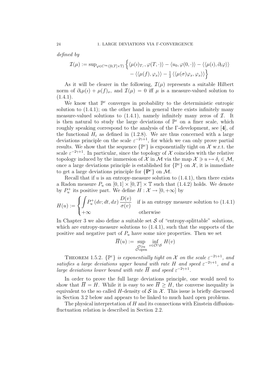defined by

$$
\mathcal{I}(\mu) := \sup_{\varphi \in C^{\infty}([0,T] \times \mathbb{T})} \left\{ \langle \mu(\iota)_{T,\cdot}, \varphi(T,\cdot) \rangle - \langle u_0, \varphi(0,\cdot) \rangle - \langle \langle \mu(\iota), \partial_t \varphi \rangle \rangle - \langle \langle \mu(f), \varphi_x \rangle \rangle - \frac{1}{2} \langle \langle \mu(\sigma) \varphi_x, \varphi_x \rangle \rangle \right\}
$$

As it will be clearer in the following,  $\mathcal{I}(\mu)$  represents a suitable Hilbert norm of  $\partial_t \mu(i) + \mu(f)_x$ , and  $\mathcal{I}(\mu) = 0$  iff  $\mu$  is a measure-valued solution to  $(1.4.1).$ 

We know that  $\mathbb{P}^{\varepsilon}$  converges in probability to the deterministic entropic solution to (1.4.1); on the other hand in general there exists infinitely many measure-valued solutions to  $(1.4.1)$ , namely infinitely many zeros of  $\mathcal{I}$ . It is then natural to study the large deviations of  $\mathbb{P}^{\varepsilon}$  on a finer scale, which roughly speaking correspond to the analysis of the Γ-development, see [4], of the functional  $H_{\varepsilon}$  as defined in (1.2.8). We are thus concerned with a large deviations principle on the scale  $\varepsilon^{-2\gamma+1}$ , for which we can only prove partial results. We show that the sequence  $\{ \mathbb{P}^{\varepsilon} \}$  is exponentially tight on X w.r.t. the scale  $\varepsilon^{-2\gamma+1}$ . In particular, since the topology of X coincides with the relative topology induced by the immersion of X in M via the map  $\mathcal{X} \ni u \mapsto \delta_i \in \mathcal{M}$ , once a large deviations principle is established for  $\{ \mathbb{P}^{\varepsilon} \}$  on  $\mathcal{X}$ , it is immediate to get a large deviations principle for  $\{P^{\varepsilon}\}\$  on M.

Recall that if  $u$  is an entropy-measure solution to  $(1.4.1)$ , then there exists a Radon measure  $P_u$  on  $[0, 1] \times [0, T] \times \mathbb{T}$  such that (1.4.2) holds. We denote by  $P_u^+$  its positive part. We define  $H: \mathcal{X} \to [0, +\infty]$  by

$$
H(u) := \begin{cases} \int P_u^+(dv; dt, dx) \frac{D(v)}{\sigma(v)} & \text{if is an entropy measure solution to (1.4.1)}\\ +\infty & \text{otherwise} \end{cases}
$$

In Chapter 3 we also define a suitable set  $\mathcal S$  of "entropy-splittable" solutions, which are entropy-measure solutions to  $(1.4.1)$ , such that the supports of the positive and negative part of  $P_u$  have some nice properties. Then we set

$$
\overline{H}(u) := \sup_{\substack{\mathcal{O} \ni u \\ \mathcal{O} \text{ open}}} \inf_{v \in \mathcal{O} \cap \mathcal{S}} H(v)
$$

THEOREM 1.5.2.  $\{\mathbb{P}^{\varepsilon}\}\$ is exponentially tight on X on the scale  $\varepsilon^{-2\gamma+1}$ , and satisfies a large deviations upper bound with rate H and speed  $\varepsilon^{-2\gamma+1}$ , and a large deviations lower bound with rate  $\overline{H}$  and speed  $\varepsilon^{-2\gamma+1}$ .

In order to prove the full large deviations principle, one would need to show that  $\overline{H} = H$ . While it is easy to see  $\overline{H} \geq H$ , the converse inequality is equivalent to the so called H-density of  $S$  in  $\mathcal{X}$ . This issue is briefly discussed in Section 3.2 below and appears to be linked to much hard open problems.

The physical interpretation of  $H$  and its connections with Einstein diffusionfluctuation relation is described in Section 2.2.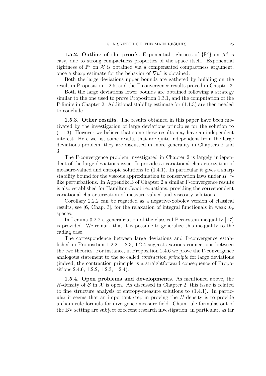**1.5.2. Outline of the proofs.** Exponential tightness of  $\{\mathbb{P}^{\varepsilon}\}\)$  on M is easy, due to strong compactness properties of the space itself. Exponential tightness of  $\mathbb{P}^{\varepsilon}$  on  $\mathcal X$  is obtained via a compensated compactness argument, once a sharp estimate for the behavior of  $\nabla u^{\varepsilon}$  is obtained.

Both the large deviations upper bounds are gathered by building on the result in Proposition 1.2.5, and the Γ-convergence results proved in Chapter 3.

Both the large deviations lower bounds are obtained following a strategy similar to the one used to prove Proposition 1.3.1, and the computation of the Γ-limits in Chapter 2. Additional stability estimate for (1.1.3) are then needed to conclude.

1.5.3. Other results. The results obtained in this paper have been motivated by the investigation of large deviations principles for the solution to (1.1.3). However we believe that some these results may have an independent interest. Here we list some results that are quite independent from the large deviations problem; they are discussed in more generality in Chapters 2 and 3.

The F-convergence problem investigated in Chapter 2 is largely independent of the large deviations issue. It provides a variational characterization of measure-valued and entropic solutions to (1.4.1). In particular it gives a sharp stability bound for the viscous approximation to conservation laws under  $H^{-1}$ like perturbations. In Appendix B of Chapter 2 a similar Γ-convergence results is also established for Hamilton-Jacobi equations, providing the correspondent variational characterization of measure-valued and viscosity solutions.

Corollary 2.2.2 can be regarded as a negative-Sobolev version of classical results, see [6, Chap. 3], for the relaxation of integral functionals in weak  $L_p$ spaces.

In Lemma 3.2.2 a generalization of the classical Bernestein inequality [17] is provided. We remark that it is possible to generalize this inequality to the cadlag case.

The correspondence between large deviations and Γ-convergence established in Proposition 1.2.2, 1.2.3, 1.2.4 suggests various connections between the two theories. For instance, in Proposition 2.4.6 we prove the Γ-convergence analogous statement to the so called contraction principle for large deviations (indeed, the contraction principle is a straightforward consequence of Propositions 2.4.6, 1.2.2, 1.2.3, 1.2.4).

1.5.4. Open problems and developments. As mentioned above, the H-density of  $S$  in  $X$  is open. As discussed in Chapter 2, this issue is related to fine structure analysis of entropy-measure solutions to (1.4.1). In particular it seems that an important step in proving the H-density is to provide a chain rule formula for divergence-measure field. Chain rule formulas out of the BV setting are subject of recent research investigation; in particular, as far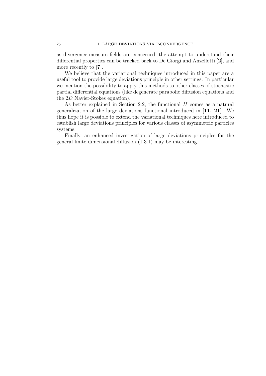as divergence-measure fields are concerned, the attempt to understand their differential properties can be tracked back to De Giorgi and Anzellotti [2], and more recently to [7].

We believe that the variational techniques introduced in this paper are a useful tool to provide large deviations principle in other settings. In particular we mention the possibility to apply this methods to other classes of stochastic partial differential equations (like degenerate parabolic diffusion equations and the 2D Navier-Stokes equation).

As better explained in Section 2.2, the functional  $H$  comes as a natural generalization of the large deviations functional introduced in [11, 21]. We thus hope it is possible to extend the variational techniques here introduced to establish large deviations principles for various classes of asymmetric particles systems.

Finally, an enhanced investigation of large deviations principles for the general finite dimensional diffusion (1.3.1) may be interesting.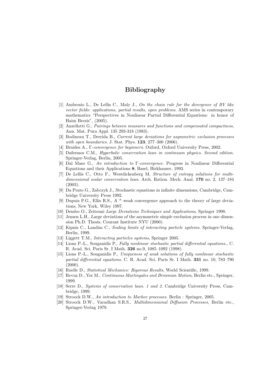### Bibliography

- [1] Ambrosio L., De Lellis C., Maly J., On the chain rule for the divergence of BV like vector fields: applications, partial results, open problems. AMS series in contemporary mathematics "Perspectives in Nonlinear Partial Differential Equations: in honor of Haim Brezis", (2005).
- [2] Anzellotti G., Pairings between measures and functions and compensated compactness, Ann. Mat. Pura Appl. 135 293-318 (1983).
- [3] Bodineau T., Derrida B., Current large deviations for asymmetric exclusion processes with open boundaries. J. Stat. Phys. **123**, 277-300 (2006).
- [4] Braides A., Γ-convergence for beginners. Oxford, Oxford University Press, 2002.
- [5] Dafermos C.M., Hyperbolic conservation laws in continuum physics. Second edition. Springer-Verlag, Berlin, 2005.
- [6] Dal Maso G., An introduction to Γ-convergence. Progress in Nonlinear Differential Equations and their Applications 8, Basel, Birkhauser, 1993.
- [7] De Lellis C., Otto F., Westdickenberg M, Structure of entropy solutions for multidimensional scalar conservation laws. Arch. Ration. Mech. Anal. 170 no. 2, 137–184 (2003).
- [8] Da Prato G., Zabczyk J., Stochastic equations in infinite dimensions, Cambridge, Cambridge University Press 1992.
- [9] Dupuis P.G., Ellis R.S., A \*–weak convergence approach to the theory of large deviations, New York, Wiley 1997.
- [10] Dembo O., Zeitouni Large Deviations Techniques and Applications, Springer 1998.
- [11] Jensen L.H., Large deviations of the asymmetric simple exclusion process in one dimension Ph.D. Thesis, Courant Institute NYU (2000).
- [12] Kipnis C., Landim C., Scaling limits of interacting particle systems. Springer-Verlag, Berlin, 1999.
- [13] Liggett T.M., Interacting particles systems, Springer 2005.
- [14] Lions P.-L., Souganidis P., Fully nonlinear stochastic partial differential equations., C. R. Acad. Sci. Paris Sr. I Math. 326 no.9, 1085–1092 (1998).
- [15] Lions P.-L., Souganidis P., Uniqueness of weak solutions of fully nonlinear stochastic partial differential equations. C. R. Acad. Sci. Paris Sr. I Math. 331 no. 10, 783–790  $(2000)$ .
- [16] Ruelle D., Statistical Mechanics: Rigorous Results, World Scientific, 1999.
- [17] Revuz D., Yor M., Continuous Martingales and Brownian Motion, Berlin etc., Springer, 1999.
- [18] Serre D., Systems of conservation laws. 1 and 2. Cambridge University Press, Cambridge, 1999.
- [19] Stroock D.W., An introduction to Markov processes. Berlin : Springer, 2005.
- [20] Stroock D.W., Varadhan S.R.S., Multidimensional Diffusion Processes, Berlin etc., Springer-Verlag 1979.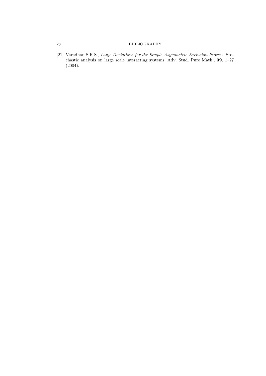### 28 BIBLIOGRAPHY

[21] Varadhan S.R.S., Large Deviations for the Simple Asymmetric Exclusion Process. Stochastic analysis on large scale interacting systems, Adv. Stud. Pure Math., 39, 1–27 (2004).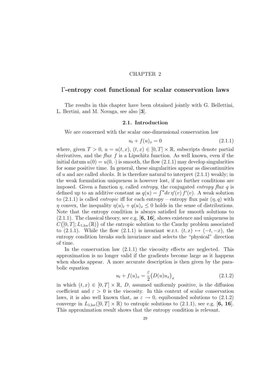### CHAPTER 2

### Γ-entropy cost functional for scalar conservation laws

The results in this chapter have been obtained jointly with G. Bellettini, L. Bertini, and M. Novaga, see also [3].

### 2.1. Introduction

We are concerned with the scalar one-dimensional conservation law

$$
u_t + f(u)_x = 0 \t\t(2.1.1)
$$

where, given  $T > 0$ ,  $u = u(t, x)$ ,  $(t, x) \in [0, T] \times \mathbb{R}$ , subscripts denote partial derivatives, and the flux f is a Lipschitz function. As well known, even if the initial datum  $u(0) = u(0, \cdot)$  is smooth, the flow (2.1.1) may develop singularities for some positive time. In general, these singularities appear as discontinuities of u and are called *shocks*. It is therefore natural to interpret  $(2.1.1)$  weakly; in the weak formulation uniqueness is however lost, if no further conditions are imposed. Given a function  $\eta$ , called *entropy*, the conjugated *entropy* flux q is defined up to an additive constant as  $q(u) = \int^u dv \, \eta'(v) \, f'(v)$ . A weak solution to  $(2.1.1)$  is called *entropic* iff for each entropy – entropy flux pair  $(\eta, q)$  with  $\eta$  convex, the inequality  $\eta(u)_t + q(u)_x \leq 0$  holds in the sense of distributions. Note that the entropy condition is always satisfied for smooth solutions to  $(2.1.1)$ . The classical theory, see e.g. [6, 16], shows existence and uniqueness in  $C([0,T];L_{1,\text{loc}}(\mathbb{R}))$  of the entropic solution to the Cauchy problem associated to (2.1.1). While the flow (2.1.1) is invariant w.r.t.  $(t, x) \mapsto (-t, -x)$ , the entropy condition breaks such invariance and selects the "physical" direction of time.

In the conservation law (2.1.1) the viscosity effects are neglected. This approximation is no longer valid if the gradients become large as it happens when shocks appear. A more accurate description is then given by the parabolic equation

$$
u_t + f(u)_x = \frac{\varepsilon}{2} \left( D(u) u_x \right)_x \tag{2.1.2}
$$

in which  $(t, x) \in [0, T] \times \mathbb{R}$ , D, assumed uniformly positive, is the diffusion coefficient and  $\varepsilon > 0$  is the viscosity. In this context of scalar conservation laws, it is also well known that, as  $\varepsilon \to 0$ , equibounded solutions to (2.1.2) converge in  $L_{1,\text{loc}}([0,T] \times \mathbb{R})$  to entropic solutions to  $(2.1.1)$ , see e.g. [6, 16]. This approximation result shows that the entropy condition is relevant.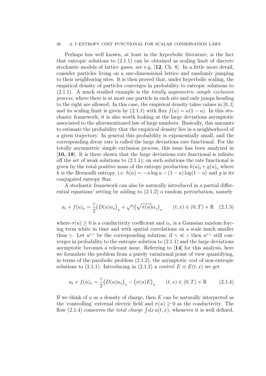#### 30 2. Γ-ENTROPY COST FUNCTIONAL FOR SCALAR CONSERVATION LAWS

Perhaps less well known, at least in the hyperbolic literature, is the fact that entropic solutions to (2.1.1) can be obtained as scaling limit of discrete stochastic models of lattice gases, see e.g. [12, Ch. 8]. In a little more detail, consider particles living on a one-dimensional lattice and randomly jumping to their neighboring sites. It is then proved that, under hyperbolic scaling, the empirical density of particles converges in probability to entropic solutions to  $(2.1.1)$ . A much studied example is the *totally asymmetric simple exclusion* process, where there is at most one particle in each site and only jumps heading to the right are allowed. In this case, the empirical density takes values in  $[0, 1]$ and its scaling limit is given by  $(2.1.1)$  with flux  $f(u) = u(1 - u)$ . In this stochastic framework, it is also worth looking at the large deviations asymptotic associated to the aforementioned law of large numbers. Basically, this amounts to estimate the probability that the empirical density lies in a neighborhood of a given trajectory. In general this probability is exponentially small, and the corresponding decay rate is called the large deviations rate functional. For the totally asymmetric simple exclusion process, this issue has been analyzed in [10, 18]. It is there shown that the large deviations rate functional is infinite off the set of weak solutions to  $(2.1.1)$ ; on such solutions the rate functional is given by the total positive mass of the entropy production  $h(u)_t + g(u)_x$  where h is the Bernoulli entropy, i.e.  $h(u) = -u \log u - (1 - u) \log(1 - u)$  and g is its conjugated entropy flux.

A stochastic framework can also be naturally introduced in a partial differential equations' setting by adding to (2.1.2) a random perturbation, namely

$$
u_t + f(u)_x = \frac{\varepsilon}{2} \left( D(u) u_x \right)_x + \sqrt{\gamma} \left( \sqrt{\sigma(u)} \alpha_\gamma \right)_x \qquad (t, x) \in (0, T) \times \mathbb{R} \quad (2.1.3)
$$

where  $\sigma(u) \geq 0$  is a conductivity coefficient and  $\alpha_{\gamma}$  is a Gaussian random forcing term white in time and with spatial correlations on a scale much smaller than  $\gamma$ . Let  $u^{\varepsilon,\gamma}$  be the corresponding solution; if  $\gamma \ll \varepsilon$  then  $u^{\varepsilon,\gamma}$  still converges in probability to the entropic solution to (2.1.1) and the large deviations asymptotic becomes a relevant issue. Referring to [14] for this analysis, here we formulate the problem from a purely variational point of view quantifying, in terms of the parabolic problem (2.1.2), the asymptotic cost of non-entropic solutions to (2.1.1). Introducing in (2.1.2) a *control*  $E \equiv E(t, x)$  we get

$$
u_t + f(u)_x = \frac{\varepsilon}{2} \big( D(u) u_x \big)_x - \big( \sigma(u) E \big)_x \qquad (t, x) \in (0, T) \times \mathbb{R} \tag{2.1.4}
$$

If we think of  $u$  as a density of charge, then  $E$  can be naturally interpreted as the 'controlling' external electric field and  $\sigma(u) \geq 0$  as the conductivity. The flow (2.1.4) conserves the *total charge*  $\int dx u(t, x)$ , whenever it is well defined.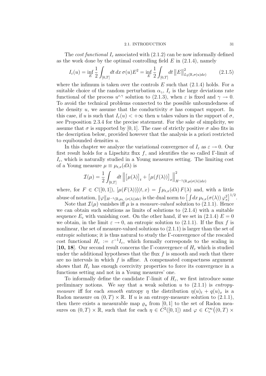#### 2.1. INTRODUCTION 31

The cost functional  $I_{\varepsilon}$  associated with (2.1.2) can be now informally defined as the work done by the optimal controlling field  $E$  in  $(2.1.4)$ , namely

$$
I_{\varepsilon}(u) = \inf_{E} \frac{1}{2} \int_{[0,T]} dt \, dx \, \sigma(u) E^2 = \inf_{E} \frac{1}{2} \int_{[0,T]} dt \, ||E||^2_{L_2(\mathbb{R}, \sigma(u)dx)} \tag{2.1.5}
$$

where the infimum is taken over the controls  $E$  such that  $(2.1.4)$  holds. For a suitable choice of the random perturbation  $\alpha_{\gamma}$ ,  $I_{\varepsilon}$  is the large deviations rate functional of the process  $u^{\varepsilon,\gamma}$  solution to (2.1.3), when  $\varepsilon$  is fixed and  $\gamma \to 0$ . To avoid the technical problems connected to the possible unboundedness of the density u, we assume that the conductivity  $\sigma$  has compact support. In this case, if u is such that  $I_{\varepsilon}(u) < +\infty$  then u takes values in the support of  $\sigma$ . see Proposition 2.3.4 for the precise statement. For the sake of simplicity, we assume that  $\sigma$  is supported by [0, 1]. The case of strictly positive  $\sigma$  also fits in the description below, provided however that the analysis is a priori restricted to equibounded densities  $u$ .

In this chapter we analyze the variational convergence of  $I_{\varepsilon}$  as  $\varepsilon \to 0$ . Our first result holds for a Lipschitz flux f, and identifies the so called  $\Gamma$ -limit of  $I_{\varepsilon}$ , which is naturally studied in a Young measures setting. The limiting cost of a Young measure  $\mu \equiv \mu_{t,x}(d\lambda)$  is

$$
\mathcal{I}(\mu) = \frac{1}{2} \int_{[0,T]} dt \left\| \left[ \mu(\lambda) \right]_t + \left[ \mu(f(\lambda)) \right]_x \right\|_{H^{-1}(\mathbb{R}, \mu(\sigma(\lambda))dx)}^2
$$

where, for  $F \in C([0,1])$ ,  $[\mu(F(\lambda))]$  $(t, x) = \int \mu_{t,x}(d\lambda) F(\lambda)$  and, with a little abuse of notation,  $\|\varphi\|_{H^{-1}(\mathbb{R},\mu_t, \cdot(\sigma(\lambda))dx)}$  is the dual norm to  $\left[\int dx \,\mu_{t,x}(\sigma(\lambda)) \,\varphi_x^2\right]^{1/2}$ .

Note that  $\mathcal{I}(\mu)$  vanishes iff  $\mu$  is a *measure-valued* solution to (2.1.1). Hence we can obtain such solutions as limits of solutions to  $(2.1.4)$  with a suitable sequence  $E_{\varepsilon}$  with vanishing cost. On the other hand, if we set in (2.1.4)  $E = 0$ we obtain, in the limit  $\varepsilon \to 0$ , an entropic solution to (2.1.1). If the flux f is nonlinear, the set of measure-valued solutions to (2.1.1) is larger than the set of entropic solutions; it is thus natural to study the Γ-convergence of the rescaled cost functional  $H_{\varepsilon} := \varepsilon^{-1} I_{\varepsilon}$ , which formally corresponds to the scaling in [10, 18]. Our second result concerns the Γ-convergence of  $H_{\varepsilon}$  which is studied under the additional hypotheses that the flux  $f$  is smooth and such that there are no intervals in which  $f$  is affine. A compensated compactness argument shows that  $H_{\varepsilon}$  has enough coercivity properties to force its convergence in a functions setting and not in a Young measures' one.

To informally define the candidate Γ-limit of  $H_{\varepsilon}$ , we first introduce some preliminary notions. We say that a weak solution  $u$  to  $(2.1.1)$  is entropymeasure iff for each smooth entropy  $\eta$  the distribution  $\eta(u)_t + q(u)_x$  is a Radon measure on  $(0, T) \times \mathbb{R}$ . If u is an entropy-measure solution to  $(2.1.1)$ , then there exists a measurable map  $\varrho_u$  from [0, 1] to the set of Radon measures on  $(0, T) \times \mathbb{R}$ , such that for each  $\eta \in C^2([0, 1])$  and  $\varphi \in C_c^{\infty}((0, T) \times$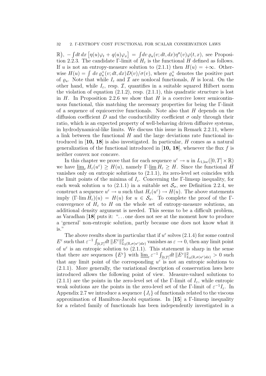$\mathbb{R}$ ),  $-\int dt dx \left[ \eta(u)\varphi_t + q(u)\varphi_x \right] = \int dv \varrho_u(v; dt, dx) \eta''(v)\varphi(t, x)$ , see Proposition 2.2.3. The candidate Γ-limit of  $H<sub>\varepsilon</sub>$  is the functional H defined as follows. If u is not an entropy-measure solution to  $(2.1.1)$  then  $H(u) = +\infty$ . Otherwise  $H(u) = \int dv \, \varrho_u^+(v; dt, dx) D(v) / \sigma(v)$ , where  $\varrho_u^+$  denotes the positive part of  $\varrho_u$ . Note that while  $I_\varepsilon$  and  $\mathcal I$  are nonlocal functionals, H is local. On the other hand, while  $I_{\varepsilon}$ , resp.  $\mathcal{I}$ , quantifies in a suitable squared Hilbert norm the violation of equation  $(2.1.2)$ , resp.  $(2.1.1)$ , this quadratic structure is lost in  $H$ . In Proposition 2.2.6 we show that  $H$  is a coercive lower semicontinuous functional, this matching the necessary properties for being the Γ-limit of a sequence of equicoercive functionals. Note also that  $H$  depends on the diffusion coefficient D and the conductibility coefficient  $\sigma$  only through their ratio, which is an expected property of well-behaving driven diffusive systems, in hydrodynamical-like limits. We discuss this issue in Remark 2.2.11, where a link between the functional  $H$  and the large deviations rate functional introduced in  $\left[10, 18\right]$  is also investigated. In particular, H comes as a natural generalization of the functional introduced in [10, 18], whenever the flux f is neither convex nor concave.

In this chapter we prove that for each sequence  $u^{\varepsilon} \to u$  in  $L_{1,\text{loc}}([0,T] \times \mathbb{R})$ we have  $\underline{\lim}_{\varepsilon} H_{\varepsilon}(u^{\varepsilon}) \geq H(u)$ , namely  $\Gamma \text{-}\underline{\lim}_{\varepsilon} H_{\varepsilon} \geq H$ . Since the functional H vanishes only on entropic solutions to (2.1.1), its zero-level set coincides with the limit points of the minima of  $I_{\varepsilon}$ . Concerning the Γ-limsup inequality, for each weak solution u to (2.1.1) in a suitable set  $\mathcal{S}_{\sigma}$ , see Definition 2.2.4, we construct a sequence  $u^{\varepsilon} \to u$  such that  $H_{\varepsilon}(u^{\varepsilon}) \to H(u)$ . The above statements imply  $(\Gamma\text{-}\lim H_{\varepsilon})(u) = H(u)$  for  $u \in \mathcal{S}_{\sigma}$ . To complete the proof of the  $\Gamma$ convergence of  $H_{\varepsilon}$  to H on the whole set of entropy-measure solutions, an additional density argument is needed. This seems to be a difficult problem, as Varadhan [18] puts it: ". . . one does not see at the moment how to produce a 'general' non-entropic solution, partly because one does not know what it is."

The above results show in particular that if  $u^{\varepsilon}$  solves (2.1.4) for some control  $E^{\varepsilon}$  such that  $\varepsilon^{-1} \int_{[0,T]} dt \, ||E^{\varepsilon}||_{L_2(\mathbb{R}, \sigma(u^{\varepsilon})dx)}^2$  vanishes as  $\varepsilon \to 0$ , then any limit point of  $u^{\varepsilon}$  is an entropic solution to (2.1.1). This statement is sharp in the sense that there are sequences  $\{E^{\varepsilon}\}\$  with  $\underline{\lim}_{\varepsilon} \varepsilon^{-1} \int_{[0,T]} dt \, ||E^{\varepsilon}||_{L_2(\mathbb{R},\sigma(u^{\varepsilon})dx)}^2 > 0$  such that any limit point of the corresponding  $u^{\varepsilon}$  is not an entropic solutions to (2.1.1). More generally, the variational description of conservation laws here introduced allows the following point of view. Measure-valued solutions to (2.1.1) are the points in the zero-level set of the Γ-limit of  $I_{\varepsilon}$ , while entropic weak solutions are the points in the zero-level set of the  $\Gamma$ -limit of  $\varepsilon^{-1}I_{\varepsilon}$ . In Appendix 2.7 we introduce a sequence  $\{J_{\varepsilon}\}\$  of functionals related to the viscous approximation of Hamilton-Jacobi equations. In [15] a Γ-limsup inequality for a related family of functionals has been independently investigated in a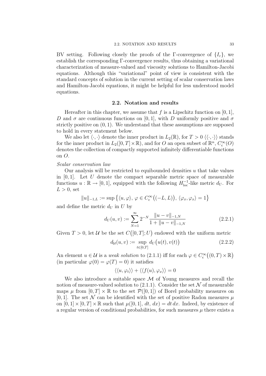BV setting. Following closely the proofs of the Γ-convergence of  $\{I_{\varepsilon}\}\,$ , we establish the corresponding Γ-convergence results, thus obtaining a variational characterization of measure-valued and viscosity solutions to Hamilton-Jacobi equations. Although this "variational" point of view is consistent with the standard concepts of solution in the current setting of scalar conservation laws and Hamilton-Jacobi equations, it might be helpful for less understood model equations.

### 2.2. Notation and results

Hereafter in this chapter, we assume that f is a Lipschitz function on  $[0, 1]$ , D and  $\sigma$  are continuous functions on [0, 1], with D uniformly positive and  $\sigma$ strictly positive on  $(0, 1)$ . We understand that these assumptions are supposed to hold in every statement below.

We also let  $\langle \cdot, \cdot \rangle$  denote the inner product in  $L_2(\mathbb{R})$ , for  $T > 0 \langle \langle \cdot, \cdot \rangle \rangle$  stands for the inner product in  $L_2([0,T]\times\mathbb{R})$ , and for O an open subset of  $\mathbb{R}^n$ ,  $C_c^{\infty}(O)$ denotes the collection of compactly supported infinitely differentiable functions on O.

### Scalar conservation law

Our analysis will be restricted to equibounded densities  $u$  that take values in  $[0, 1]$ . Let U denote the compact separable metric space of measurable functions  $u : \mathbb{R} \to [0, 1]$ , equipped with the following  $H_{\text{loc}}^{-1}$ -like metric  $d_U$ . For  $L > 0$ , set

$$
||u||_{-1,L} := \sup \{ \langle u, \varphi \rangle, \, \varphi \in C_c^{\infty} \big( (-L, L) \big), \, \langle \varphi_x, \varphi_x \rangle = 1 \}
$$

and define the metric  $d_U$  in U by

$$
d_U(u, v) := \sum_{N=1}^{\infty} 2^{-N} \frac{\|u - v\|_{-1, N}}{1 + \|u - v\|_{-1, N}}
$$
(2.2.1)

Given  $T > 0$ , let U be the set  $C([0, T]; U)$  endowed with the uniform metric

$$
d_{\mathcal{U}}(u,v) := \sup_{t \in [0,T]} d_{U}(u(t),v(t))
$$
\n(2.2.2)

An element  $u \in \mathcal{U}$  is a *weak solution* to (2.1.1) iff for each  $\varphi \in C_c^{\infty}((0, T) \times \mathbb{R})$ (in particular  $\varphi(0) = \varphi(T) = 0$ ) it satisfies

$$
\langle\langle u, \varphi_t \rangle\rangle + \langle\langle f(u), \varphi_x \rangle\rangle = 0
$$

We also introduce a suitable space  $\mathcal M$  of Young measures and recall the notion of measure-valued solution to  $(2.1.1)$ . Consider the set N of measurable maps  $\mu$  from  $[0, T] \times \mathbb{R}$  to the set  $\mathcal{P}([0, 1])$  of Borel probability measures on [0, 1]. The set N can be identified with the set of positive Radon measures  $\mu$ on  $[0, 1] \times [0, T] \times \mathbb{R}$  such that  $\mu([0, 1], dt, dx) = dt dx$ . Indeed, by existence of a regular version of conditional probabilities, for such measures  $\mu$  there exists a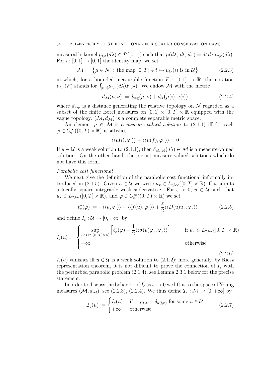measurable kernel  $\mu_{t,x}(d\lambda) \in \mathcal{P}([0,1])$  such that  $\mu(d\lambda, dt, dx) = dt dx \mu_{t,x}(d\lambda)$ . For  $i : [0, 1] \rightarrow [0, 1]$  the identity map, we set

$$
\mathcal{M} := \{ \mu \in \mathcal{N} : \text{ the map } [0, T] \ni t \mapsto \mu_{t, \cdot}(i) \text{ is in } \mathcal{U} \}
$$
 (2.2.3)

in which, for a bounded measurable function  $F : [0,1] \to \mathbb{R}$ , the notation  $\mu_{t,x}(F)$  stands for  $\int_{[0,1]}\mu_{t,x}(d\lambda)F(\lambda)$ . We endow M with the metric

$$
d_{\mathcal{M}}(\mu,\nu) := d_{\text{vag}}(\mu,\nu) + d_{\mathcal{U}}(\mu(i),\nu(i))
$$
\n(2.2.4)

where  $d_{\text{var}}$  is a distance generating the relative topology on N regarded as a subset of the finite Borel measures on  $[0, 1] \times [0, T] \times \mathbb{R}$  equipped with the vague topology.  $(M, d<sub>M</sub>)$  is a complete separable metric space.

An element  $\mu \in \mathcal{M}$  is a *measure-valued solution* to (2.1.1) iff for each  $\varphi \in C_c^{\infty}((0,T) \times \mathbb{R})$  it satisfies

$$
\langle\langle \mu(i), \varphi_t \rangle\rangle + \langle\langle \mu(f), \varphi_x \rangle\rangle = 0
$$

If  $u \in \mathcal{U}$  is a weak solution to  $(2.1.1)$ , then  $\delta_{u(t,x)}(d\lambda) \in \mathcal{M}$  is a measure-valued solution. On the other hand, there exist measure-valued solutions which do not have this form.

### Parabolic cost functional

We next give the definition of the parabolic cost functional informally introduced in (2.1.5). Given  $u \in \mathcal{U}$  we write  $u_x \in L_{2,loc}([0,T] \times \mathbb{R})$  iff u admits a locally square integrable weak x-derivative. For  $\varepsilon > 0$ ,  $u \in \mathcal{U}$  such that  $u_x \in L_{2,\text{loc}}([0,T] \times \mathbb{R})$ , and  $\varphi \in C_c^{\infty}((0,T) \times \mathbb{R})$  we set

$$
\ell_{\varepsilon}^{u}(\varphi) := -\langle \langle u, \varphi_{t} \rangle \rangle - \langle \langle f(u), \varphi_{x} \rangle \rangle + \frac{\varepsilon}{2} \langle \langle D(u)u_{x}, \varphi_{x} \rangle \rangle \tag{2.2.5}
$$

and define  $I_{\varepsilon}: \mathcal{U} \to [0, +\infty]$  by

$$
I_{\varepsilon}(u) := \begin{cases} \sup_{\varphi \in C_{c}^{\infty}((0,T) \times \mathbb{R})} \left[ \ell_{\varepsilon}^{u}(\varphi) - \frac{1}{2} \langle \langle \sigma(u)\varphi_{x}, \varphi_{x} \rangle \rangle \right] & \text{if } u_{x} \in L_{2,loc}([0,T] \times \mathbb{R}) \\ +\infty & \text{otherwise} \end{cases}
$$

 $(2.2.6)$ 

 $I_{\varepsilon}(u)$  vanishes iff  $u \in \mathcal{U}$  is a weak solution to (2.1.2); more generally, by Riesz representation theorem, it is not difficult to prove the connection of  $I_{\varepsilon}$  with the perturbed parabolic problem (2.1.4), see Lemma 2.3.1 below for the precise statement.

In order to discuss the behavior of  $I_{\varepsilon}$  as  $\varepsilon \to 0$  we lift it to the space of Young measures  $(M, d_M)$ , see (2.2.3), (2.2.4). We thus define  $\mathcal{I}_{\varepsilon} : \mathcal{M} \to [0, +\infty]$  by

$$
\mathcal{I}_{\varepsilon}(\mu) := \begin{cases} I_{\varepsilon}(u) & \text{if } \mu_{t,x} = \delta_{u(t,x)} \text{ for some } u \in \mathcal{U} \\ +\infty & \text{otherwise} \end{cases}
$$
\n(2.2.7)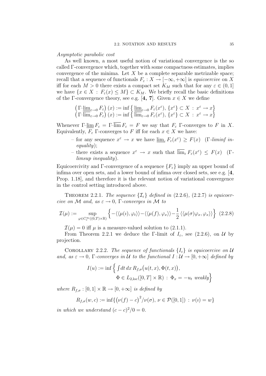Asymptotic parabolic cost

As well known, a most useful notion of variational convergence is the so called Γ-convergence which, together with some compactness estimates, implies convergence of the minima. Let  $X$  be a complete separable metrizable space; recall that a sequence of functionals  $F_{\varepsilon}: X \to [-\infty, +\infty]$  is equicoercive on X iff for each  $M > 0$  there exists a compact set  $K_M$  such that for any  $\varepsilon \in (0,1]$ we have  $\{x \in X : F_{\varepsilon}(x) \leq M\} \subset K_M$ . We briefly recall the basic definitions of the Γ-convergence theory, see e.g. [4, 7]. Given  $x \in X$  we define

$$
\left(\Gamma\text{-}\underline{\lim}_{\varepsilon\to 0}F_{\varepsilon}\right)(x) := \inf\left\{\underline{\lim}_{\varepsilon\to 0}F_{\varepsilon}(x^{\varepsilon}), \{x^{\varepsilon}\} \subset X : x^{\varepsilon} \to x\right\}
$$
\n
$$
\left(\Gamma\text{-}\overline{\lim}_{\varepsilon\to 0}F_{\varepsilon}\right)(x) := \inf\left\{\frac{\overline{\lim}_{\varepsilon\to 0}F_{\varepsilon}(x^{\varepsilon}), \{x^{\varepsilon}\} \subset X : x^{\varepsilon} \to x\right\}
$$

Whenever  $\Gamma$ - $\lim F_{\varepsilon} = \Gamma$ - $\lim \overline{F_{\varepsilon}} = F$  we say that  $F_{\varepsilon}$   $\Gamma$ -converges to F in X. Equivalently,  $F_{\varepsilon}$  Γ-converges to F iff for each  $x \in X$  we have:

- for any sequence  $x^{\varepsilon} \to x$  we have  $\underline{\lim}_{\varepsilon} F_{\varepsilon}(x^{\varepsilon}) \geq F(x)$  (*Γ-liminf in*equality);
- there exists a sequence  $x^{\varepsilon} \to x$  such that  $\overline{\lim}_{\varepsilon} F_{\varepsilon}(x^{\varepsilon}) \leq F(x)$  (Γ.) limsup inequality).

Equicoercivity and Γ-convergence of a sequence  $\{F_{\varepsilon}\}\$ imply an upper bound of infima over open sets, and a lower bound of infima over closed sets, see e.g.  $[4,$ Prop. 1.18], and therefore it is the relevant notion of variational convergence in the control setting introduced above.

THEOREM 2.2.1. The sequence  $\{\mathcal{I}_{\varepsilon}\}\$  defined in (2.2.6), (2.2.7) is equicoercive on M and, as  $\varepsilon \to 0$ , Γ-converges in M to

$$
\mathcal{I}(\mu) := \sup_{\varphi \in C_c^{\infty}((0,T) \times \mathbb{R})} \left\{ - \langle \langle \mu(i), \varphi_t \rangle \rangle - \langle \langle \mu(f), \varphi_x \rangle \rangle - \frac{1}{2} \langle \langle \mu(\sigma) \varphi_x, \varphi_x \rangle \rangle \right\} (2.2.8)
$$

 $\mathcal{I}(\mu) = 0$  iff  $\mu$  is a measure-valued solution to (2.1.1).

From Theorem 2.2.1 we deduce the Γ-limit of  $I_{\varepsilon}$ , see (2.2.6), on U by projection.

COROLLARY 2.2.2. The sequence of functionals  $\{I_{\varepsilon}\}\$ is equicoercive on U and, as  $\varepsilon \to 0$ , Γ-converges in U to the functional  $I: U \to [0, +\infty]$  defined by

$$
I(u) := \inf \left\{ \int dt \, dx \, R_{f,\sigma}(u(t,x), \Phi(t,x)), \right.\Phi \in L_{2,loc}([0,T] \times \mathbb{R}) : \Phi_x = -u_t \, weakly \right\}
$$

where  $R_{f,\sigma}:[0,1]\times\mathbb{R}\to[0,+\infty]$  is defined by

$$
R_{f,\sigma}(w,c) := \inf \{ (\nu(f) - c)^2 / \nu(\sigma), \nu \in \mathcal{P}([0,1]) : \nu(\iota) = w \}
$$

in which we understand  $(c - c)^2/0 = 0$ .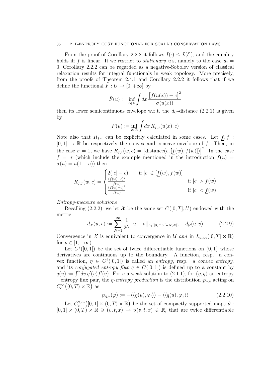#### 36 2. Γ-ENTROPY COST FUNCTIONAL FOR SCALAR CONSERVATION LAWS

From the proof of Corollary 2.2.2 it follows  $I(\cdot) \leq \mathcal{I}(\delta)$ , and the equality holds iff f is linear. If we restrict to *stationary* u's, namely to the case  $u_t =$ 0, Corollary 2.2.2 can be regarded as a negative-Sobolev version of classical relaxation results for integral functionals in weak topology. More precisely, from the proofs of Theorem 2.4.1 and Corollary 2.2.2 it follows that if we define the functional  $\tilde{F}: U \to [0, +\infty]$  by

$$
\tilde{F}(u) := \inf_{c \in \mathbb{R}} \int dx \, \frac{\left[f(u(x)) - c\right]^2}{\sigma(u(x))}
$$

then its lower semicontinuous envelope w.r.t. the  $d_U$ -distance (2.2.1) is given by

$$
F(u) := \inf_{c \in \mathbb{R}} \int dx R_{f,\sigma}(u(x), c)
$$

Note also that  $R_{f,\sigma}$  can be explicitly calculated in some cases. Let  $f,\overline{f}$ :  $[0, 1] \rightarrow \mathbb{R}$  be respectively the convex and concave envelope of f. Then, in the case  $\sigma = 1$ , we have  $R_{f,1}(w, c) = [\text{distance}(c, [f(w), \overline{f}(w)])]^2$ . In the case  $f = \sigma$  (which include the example mentioned in the introduction  $f(u) =$  $\sigma(u) = u(1-u)$  then

$$
R_{f,f}(w,c) = \begin{cases} 2(|c|-c) & \text{if } |c| \in [\underline{f}(w), \overline{f}(w)] \\ \frac{(\overline{f}(w)-c)^2}{\overline{f}(w)} & \text{if } |c| > \overline{f}(w) \\ \frac{(\underline{f}(w)-c)^2}{\underline{f}(w)} & \text{if } |c| < \underline{f}(w) \end{cases}
$$

Entropy-measure solutions

Recalling (2.2.2), we let X be the same set  $C([0, T]; U)$  endowed with the metric

$$
d_{\mathcal{X}}(u,v) := \sum_{N=1}^{\infty} \frac{1}{2^N} ||u - v||_{L_1([0,T] \times [-N,N])} + d_{\mathcal{U}}(u,v) \tag{2.2.9}
$$

Convergence in X is equivalent to convergence in U and in  $L_{p,loc}([0,T] \times \mathbb{R})$ for  $p \in [1, +\infty)$ .

Let  $C^2([0,1])$  be the set of twice differentiable functions on  $(0,1)$  whose derivatives are continuous up to the boundary. A function, resp. a convex function,  $\eta \in C^2([0,1])$  is called an *entropy*, resp. a *convex entropy*, and its *conjugated entropy flux*  $q \in C([0,1])$  is defined up to a constant by  $q(u) := \int^u \neg v \eta'(v) f'(v)$ . For u a weak solution to (2.1.1), for  $(\eta, q)$  an entropy – entropy flux pair, the *η-entropy production* is the distribution  $\wp_{\eta,u}$  acting on  $C_{\rm c}^{\infty}((0,T)\times\mathbb{R})$  as

$$
\wp_{\eta, u}(\varphi) := -\langle \langle \eta(u), \varphi_t \rangle \rangle - \langle \langle q(u), \varphi_x \rangle \rangle \tag{2.2.10}
$$

Let  $C_c^{2,\infty}([0,1] \times (0,T) \times \mathbb{R})$  be the set of compactly supported maps  $\vartheta$ :  $[0,1] \times (0,T) \times \mathbb{R} \ni (v,t,x) \mapsto \vartheta(v,t,x) \in \mathbb{R}$ , that are twice differentiable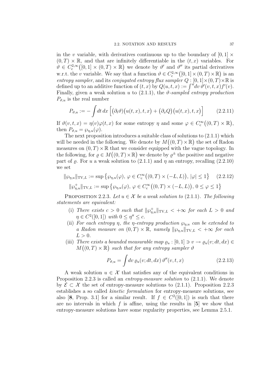in the v variable, with derivatives continuous up to the boundary of  $[0, 1] \times$  $(0, T) \times \mathbb{R}$ , and that are infinitely differentiable in the  $(t, x)$  variables. For  $\vartheta \in C_c^{2,\infty}([0,1] \times (0,T) \times \mathbb{R})$  we denote by  $\vartheta'$  and  $\vartheta''$  its partial derivatives w.r.t. the v variable. We say that a function  $\theta \in C^{2,\infty}_c([0,1] \times (0,T) \times \mathbb{R})$  is an entropy sampler, and its conjugated entropy flux sampler  $Q : [0, 1] \times (0, T) \times \mathbb{R}$  is defined up to an additive function of  $(t, x)$  by  $Q(u, t, x) := \int^u dv \, \dot{\theta}'(v, t, x) f'(v)$ . Finally, given a weak solution u to  $(2.1.1)$ , the  $\vartheta$ -sampled entropy production  $P_{\vartheta,u}$  is the real number

$$
P_{\vartheta,u} := -\int dt \, dx \left[ \left( \partial_t \vartheta \right) \left( u(t,x),t,x \right) + \left( \partial_x Q \right) \left( u(t,x),t,x \right) \right] \tag{2.2.11}
$$

If  $\vartheta(v,t,x) = \eta(v)\varphi(t,x)$  for some entropy  $\eta$  and some  $\varphi \in C_c^{\infty}((0,T) \times \mathbb{R}),$ then  $P_{\vartheta,u} = \wp_{n,u}(\varphi)$ .

The next proposition introduces a suitable class of solutions to (2.1.1) which will be needed in the following. We denote by  $M((0, T) \times \mathbb{R})$  the set of Radon measures on  $(0, T) \times \mathbb{R}$  that we consider equipped with the vague topology. In the following, for  $\rho \in M((0,T) \times \mathbb{R})$  we denote by  $\rho^{\pm}$  the positive and negative part of  $\rho$ . For u a weak solution to (2.1.1) and  $\eta$  an entropy, recalling (2.2.10) we set

$$
\|\wp_{\eta,u}\|_{\text{TV},L} := \sup \left\{ \wp_{\eta,u}(\varphi), \, \varphi \in C_c^{\infty}((0,T) \times (-L,L)), \, |\varphi| \le 1 \right\} \quad (2.2.12)
$$

$$
\|\wp_{\eta,u}^+\|_{\text{TV},L} := \sup \left\{ \wp_{\eta,u}(\varphi), \, \varphi \in C_c^{\infty}((0,T) \times (-L,L)), \, 0 \le \varphi \le 1 \right\}
$$

PROPOSITION 2.2.3. Let  $u \in \mathcal{X}$  be a weak solution to (2.1.1). The following statements are equivalent:

- (i) There exists  $c > 0$  such that  $\|\wp_{\eta,u}^+\|_{\text{TV},L} < +\infty$  for each  $L > 0$  and  $\eta \in C^2([0,1])$  with  $0 \leq \eta'' \leq c$ .
- (ii) For each entropy  $\eta$ , the  $\eta$ -entropy production  $\wp_{n,u}$  can be extended to a Radon measure on  $(0, T) \times \mathbb{R}$ , namely  $\|\wp_{\eta, u}\|_{TV,L} < +\infty$  for each  $L > 0$ .
- (iii) There exists a bounded measurable map  $\varrho_u : [0,1] \ni v \to \varrho_u(v; dt, dx) \in$  $M((0, T) \times \mathbb{R})$  such that for any entropy sampler  $\vartheta$

$$
P_{\vartheta, u} = \int dv \, \varrho_u(v; dt, dx) \, \vartheta''(v, t, x) \tag{2.2.13}
$$

A weak solution  $u \in \mathcal{X}$  that satisfies any of the equivalent conditions in Proposition 2.2.3 is called an *entropy-measure solution* to  $(2.1.1)$ . We denote by  $\mathcal{E} \subset \mathcal{X}$  the set of entropy-measure solutions to (2.1.1). Proposition 2.2.3 establishes a so called kinetic formulation for entropy-measure solutions, see also [8, Prop. 3.1] for a similar result. If  $f \in C^2([0,1])$  is such that there are no intervals in which  $f$  is affine, using the results in  $[5]$  we show that entropy-measure solutions have some regularity properties, see Lemma 2.5.1.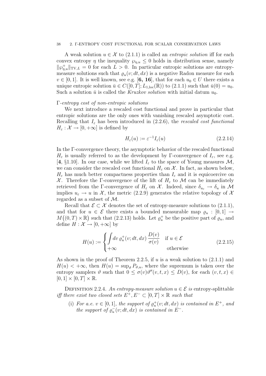#### 38 2. Γ-ENTROPY COST FUNCTIONAL FOR SCALAR CONSERVATION LAWS

A weak solution  $u \in \mathcal{X}$  to (2.1.1) is called an *entropic solution* iff for each convex entropy  $\eta$  the inequality  $\wp_{\eta,u} \leq 0$  holds in distribution sense, namely  $\|\varphi_{\eta,u}^+\|_{\text{TV},L} = 0$  for each  $L > 0$ . In particular entropic solutions are entropymeasure solutions such that  $\varrho_u(v; dt, dx)$  is a negative Radon measure for each  $v \in [0, 1]$ . It is well known, see e.g. [6, 16], that for each  $u_0 \in U$  there exists a unique entropic solution  $\bar{u} \in C([0, T]; L_{1,loc}(\mathbb{R}))$  to  $(2.1.1)$  such that  $\bar{u}(0) = u_0$ . Such a solution  $\bar{u}$  is called the *Kruzkov solution* with initial datum  $u_0$ .

### Γ-entropy cost of non-entropic solutions

We next introduce a rescaled cost functional and prove in particular that entropic solutions are the only ones with vanishing rescaled asymptotic cost. Recalling that  $I_{\varepsilon}$  has been introduced in (2.2.6), the rescaled cost functional  $H_{\varepsilon}: \mathcal{X} \to [0, +\infty]$  is defined by

$$
H_{\varepsilon}(u) := \varepsilon^{-1} I_{\varepsilon}(u) \tag{2.2.14}
$$

In the Γ-convergence theory, the asymptotic behavior of the rescaled functional  $H_{\varepsilon}$  is usually referred to as the development by Γ-convergence of  $I_{\varepsilon}$ , see e.g. [4, §1.10]. In our case, while we lifted  $I_{\varepsilon}$  to the space of Young measures M, we can consider the rescaled cost functional  $H_{\varepsilon}$  on X. In fact, as shown below,  $H_{\varepsilon}$  has much better compactness properties than  $I_{\varepsilon}$  and it is equicoercive on X. Therefore the Γ-convergence of the lift of  $H_{\varepsilon}$  to M can be immediately retrieved from the Γ-convergence of  $H_{\varepsilon}$  on X. Indeed, since  $\delta_{u_{\varepsilon}} \to \delta_u$  in M implies  $u_{\varepsilon} \to u$  in X, the metric (2.2.9) generates the relative topology of X regarded as a subset of M.

Recall that  $\mathcal{E} \subset \mathcal{X}$  denotes the set of entropy-measure solutions to (2.1.1), and that for  $u \in \mathcal{E}$  there exists a bounded measurable map  $\varrho_u : [0,1] \rightarrow$  $M((0, T) \times \mathbb{R})$  such that (2.2.13) holds. Let  $\varrho_u^+$  be the positive part of  $\varrho_u$ , and define  $H : \mathcal{X} \to [0, +\infty]$  by

$$
H(u) := \begin{cases} \int dv \, \varrho_u^+(v; dt, dx) \, \frac{D(v)}{\sigma(v)} & \text{if } u \in \mathcal{E} \\ +\infty & \text{otherwise} \end{cases} \tag{2.2.15}
$$

As shown in the proof of Theorem 2.2.5, if  $u$  is a weak solution to  $(2.1.1)$  and  $H(u) < +\infty$ , then  $H(u) = \sup_{\theta} P_{\theta,u}$ , where the supremum is taken over the entropy samplers  $\vartheta$  such that  $0 \leq \sigma(v)\vartheta''(v,t,x) \leq D(v)$ , for each  $(v,t,x) \in$  $[0, 1] \times [0, T] \times \mathbb{R}$ .

DEFINITION 2.2.4. An entropy-measure solution  $u \in \mathcal{E}$  is entropy-splittable iff there exist two closed sets  $E^+, E^- \subset [0,T] \times \mathbb{R}$  such that

(i) For a.e.  $v \in [0,1]$ , the support of  $\varrho_u^+(v; dt, dx)$  is contained in  $E^+$ , and the support of  $\varrho_u^-(v; dt, dx)$  is contained in  $E^-$ .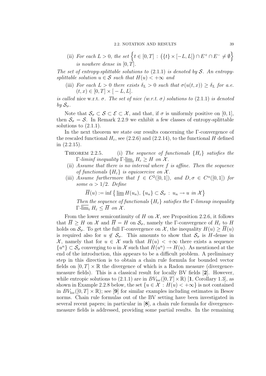(ii) For each  $L > 0$ , the set  $\{t \in [0, T] : (\{t\} \times [-L, L]) \cap E^+ \cap E^- \neq \emptyset\}$ is nowhere dense in  $[0, T]$ .

The set of entropy-splittable solutions to  $(2.1.1)$  is denoted by S. An entropysplittable solution  $u \in \mathcal{S}$  such that  $H(u) < +\infty$  and

(iii) For each  $L > 0$  there exists  $\delta_L > 0$  such that  $\sigma(u(t,x)) \geq \delta_L$  for a.e.  $(t, x) \in [0, T] \times [-L, L].$ 

is called nice w.r.t.  $\sigma$ . The set of nice (w.r.t.  $\sigma$ ) solutions to (2.1.1) is denoted by  $S_{\sigma}$ .

Note that  $\mathcal{S}_{\sigma} \subset \mathcal{S} \subset \mathcal{E} \subset \mathcal{X}$ , and that, if  $\sigma$  is uniformly positive on [0, 1], then  $S_{\sigma} = S$ . In Remark 2.2.9 we exhibit a few classes of entropy-splittable solutions to  $(2.1.1)$ .

In the next theorem we state our results concerning the Γ-convergence of the rescaled functional  $H_{\varepsilon}$ , see (2.2.6) and (2.2.14), to the functional H defined in (2.2.15).

THEOREM 2.2.5. (i) The sequence of functionals  $\{H_{\varepsilon}\}\$  satisfies the Γ-liminf inequality Γ- $\underline{\lim}_{\varepsilon} H_{\varepsilon} \geq H$  on X.

- (ii) Assume that there is no interval where f is affine. Then the sequence of functionals  $\{H_{\varepsilon}\}\$ is equicoercive on  $\mathcal{X}$ .
- (iii) Assume furthermore that  $f \in C^2([0,1])$ , and  $D, \sigma \in C^{\alpha}([0,1])$  for some  $\alpha > 1/2$ . Define

 $\overline{H}(u) := \inf \left\{ \underline{\lim} H(u_n), \{u_n\} \subset \mathcal{S}_{\sigma} : u_n \to u \text{ in } \mathcal{X} \right\}$ 

Then the sequence of functionals  ${H<sub>\varepsilon</sub>}$  satisfies the Γ-limsup inequality  $\Gamma$ - $\overline{\lim}_{\varepsilon} H_{\varepsilon} \leq \overline{H}$  on X.

From the lower semicontinuity of H on  $\mathcal{X}$ , see Proposition 2.2.6, it follows that  $\overline{H} \geq H$  on  $\mathcal X$  and  $\overline{H} = H$  on  $\mathcal S_{\sigma}$ , namely the Γ-convergence of  $H_{\varepsilon}$  to H holds on  $\mathcal{S}_{\sigma}$ . To get the full Γ-convergence on X, the inequality  $H(u) \geq \overline{H}(u)$ is required also for  $u \notin \mathcal{S}_{\sigma}$ . This amounts to show that  $\mathcal{S}_{\sigma}$  is H-dense in X, namely that for  $u \in \mathcal{X}$  such that  $H(u) < +\infty$  there exists a sequence  ${u<sup>n</sup>} \subset \mathcal{S}_{\sigma}$  converging to u in X such that  $H(u<sup>n</sup>) \to H(u)$ . As mentioned at the end of the introduction, this appears to be a difficult problem. A preliminary step in this direction is to obtain a chain rule formula for bounded vector fields on  $[0, T] \times \mathbb{R}$  the divergence of which is a Radon measure (divergencemeasure fields). This is a classical result for locally BV fields [2]. However, while entropic solutions to (2.1.1) are in  $BV_{loc}([0, T] \times \mathbb{R})$  [1, Corollary 1.3], as shown in Example 2.2.8 below, the set  $\{u \in \mathcal{X} : H(u) < +\infty\}$  is not contained in  $BV_{\text{loc}}([0,T] \times \mathbb{R})$ ; see [9] for similar examples including estimates in Besov norms. Chain rule formulas out of the BV setting have been investigated in several recent papers; in particular in [8], a chain rule formula for divergencemeasure fields is addressed, providing some partial results. In the remaining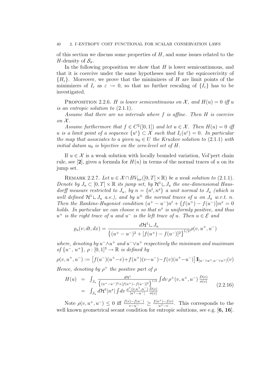of this section we discuss some properties of  $H$ , and some issues related to the H-density of  $\mathcal{S}_{\sigma}$ .

In the following proposition we show that  $H$  is lower semicontinuous, and that it is coercive under the same hypotheses used for the equicoercivity of  ${H<sub>\epsilon</sub>}$ . Moreover, we prove that the minimizers of H are limit points of the minimizers of  $I_{\varepsilon}$  as  $\varepsilon \to 0$ , so that no further rescaling of  $\{I_{\varepsilon}\}\$  has to be investigated.

PROPOSITION 2.2.6. H is lower semicontinuous on X, and  $H(u) = 0$  iff u is an entropic solution to (2.1.1).

Assume that there are no intervals where f is affine. Then H is coercive on  $\mathcal{X}$ .

Assume furthermore that  $f \in C^2([0,1])$  and let  $u \in \mathcal{X}$ . Then  $H(u) = 0$  if u is a limit point of a sequence  $\{u^{\varepsilon}\}\subset \mathcal{X}$  such that  $I_{\varepsilon}(u^{\varepsilon})=0$ . In particular the map that associates to a given  $u_0 \in U$  the Kruzkov solution to (2.1.1) with initial datum  $u_0$  is bijective on the zero-level set of H.

If  $u \in \mathcal{X}$  is a weak solution with locally bounded variation, Vol'pert chain rule, see [2], gives a formula for  $H(u)$  in terms of the normal traces of u on its jump set.

REMARK 2.2.7. Let  $u \in \mathcal{X} \cap BV_{loc}([0,T] \times \mathbb{R})$  be a weak solution to (2.1.1). Denote by  $J_u \subset [0,T] \times \mathbb{R}$  its jump set, by  $\mathcal{H}^1 \sqcup J_u$  the one-dimensional Hausdorff measure restricted to  $J_u$ , by  $n = (n^t, n^x)$  a unit normal to  $J_u$  (which is well defined  $\mathcal{H}^1 \sqcup J_u$  a.e.), and by  $u^{\pm}$  the normal traces of u on  $J_u$  w.r.t. n. Then the Rankine-Hugoniot condition  $(u^+ - u^-)n^t + (f(u^+) - f(u^-))n^x = 0$ holds. In particular we can choose n so that  $n^x$  is uniformly positive, and thus  $u^+$  is the right trace of u and  $u^-$  is the left trace of u. Then  $u \in \mathcal{E}$  and

$$
\varrho_u(v; dt, dx) = \frac{d\mathcal{H}^1 \sqcup J_u}{\left\{ (u^+ - u^-)^2 + [f(u^+) - f(u^-)]^2 \right\}^{1/2}} \rho(v, u^+, u^-)
$$

where, denoting by  $u^{-} \wedge u^{+}$  and  $u^{-} \vee u^{+}$  respectively the minimum and maximum of  $\{u^-, u^+\}$ ,  $\rho : [0, 1]^3 \to \mathbb{R}$  is defined by

$$
\rho(v, u^+, u^-) := \left[ f(u^-)(u^+ - v) + f(u^+)(v - u^-) - f(v)(u^+ - u^-) \right] \mathbb{I}_{[u^- \wedge u^+, u^- \vee u^+]}(v)
$$

Hence, denoting by  $\rho^+$  the positive part of  $\rho$ 

$$
H(u) = \int_{J_u} \frac{d\mathcal{H}^1}{\left\{ (u^+ - u^-)^2 + [f(u^+) - f(u^-)]^2 \right\}^{1/2}} \int dv \, \rho^+(v, u^+, u^-) \, \frac{D(v)}{\sigma(v)}
$$
\n
$$
= \int_{J_u} d\mathcal{H}^1 |n^x| \int dv \, \frac{\rho^+(v, u^+, u^-)}{|u^+ - u^-|} \, \frac{D(v)}{\sigma(v)} \tag{2.2.16}
$$

Note  $\rho(v, u^+, u^-) \leq 0$  iff  $\frac{f(v) - f(u^-)}{v - u^-} \geq \frac{f(u^+) - f(v)}{u^+ - v}$  $\frac{u^+ - f(v)}{u^+ - v}$ . This corresponds to the well known geometrical secant condition for entropic solutions, see e.g. [6, 16].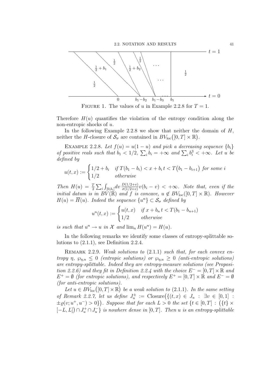

FIGURE 1. The values of u in Example 2.2.8 for  $T = 1$ .

Therefore  $H(u)$  quantifies the violation of the entropy condition along the non-entropic shocks of u.

In the following Example 2.2.8 we show that neither the domain of  $H$ , neither the H-closure of  $S_{\sigma}$  are contained in  $BV_{\text{loc}}([0,T] \times \mathbb{R})$ .

EXAMPLE 2.2.8. Let  $f(u) = u(1-u)$  and pick a decreasing sequence  $\{b_i\}$ of positive reals such that  $b_1 < 1/2$ ,  $\sum_i b_i = +\infty$  and  $\sum_i b_i^3 < +\infty$ . Let u be defined by

$$
u(t,x) := \begin{cases} 1/2 + b_i & \text{if } T(b_1 - b_i) < x + b_i \, t < T(b_1 - b_{i+1}) \text{ for some } i\\ 1/2 & \text{otherwise} \end{cases}
$$

Then  $H(u) = \frac{T}{2} \sum_i \int_{[0,b_i]} dv \frac{D(1/2+v)}{\sigma(1/2+v)} v(b_i - v) < +\infty$ . Note that, even if the initial datum is in  $BV(\mathbb{R})$  and f is concave,  $u \notin BV_{loc}([0,T] \times \mathbb{R})$ . However  $H(u) = \overline{H}(u)$ . Indeed the sequence  $\{u^n\} \subset \mathcal{S}_{\sigma}$  defined by

$$
u^{n}(t,x) := \begin{cases} u(t,x) & \text{if } x + b_{n} t < T(b_{1} - b_{n+1}) \\ 1/2 & \text{otherwise} \end{cases}
$$

is such that  $u^n \to u$  in X and  $\lim_n H(u^n) = H(u)$ .

In the following remarks we identify some classes of entropy-splittable solutions to (2.1.1), see Definition 2.2.4.

REMARK 2.2.9. Weak solutions to  $(2.1.1)$  such that, for each convex entropy  $\eta$ ,  $\varphi_{n,u} \leq 0$  (entropic solutions) or  $\varphi_{n,u} \geq 0$  (anti-entropic solutions) are entropy-splittable. Indeed they are entropy-measure solutions (see Proposition 2.2.6) and they fit in Definition 2.2.4 with the choice  $E^- = [0, T] \times \mathbb{R}$  and  $E^+ = \emptyset$  (for entropic solutions), and respectively  $E^+ = [0, T] \times \mathbb{R}$  and  $E^- = \emptyset$ (for anti-entropic solutions).

Let  $u \in BV_{loc}([0,T] \times \mathbb{R})$  be a weak solution to (2.1.1). In the same setting of Remark 2.2.7, let us define  $J_u^{\pm} := \text{Closure}\left(\{(t, x) \in J_u : \exists v \in [0, 1] :$  $\pm \varrho(v; u^+, u^-) > 0$ ). Suppose that for each  $L > 0$  the set  $\{t \in [0, T] : (\{t\} \times$  $[-L, L]$ )  $\cap J_u^+ \cap J_u^-$  is nowhere dense in [0, T]. Then u is an entropy-splittable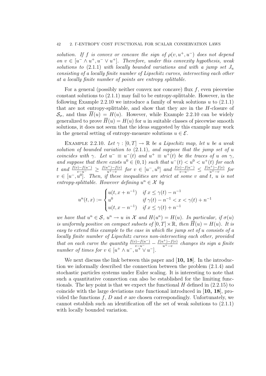solution. If f is convex or concave the sign of  $\rho(v, u^+, u^-)$  does not depend on  $v \in [u^- \wedge u^+, u^- \vee u^+]$ . Therefore, under this convexity hypothesis, weak solutions to  $(2.1.1)$  with locally bounded variations and with a jump set  $J_u$ consisting of a locally finite number of Lipschitz curves, intersecting each other at a locally finite number of points are entropy splittable.

For a general (possibly neither convex nor concave) flux  $f$ , even piecewise constant solutions to (2.1.1) may fail to be entropy-splittable. However, in the following Example 2.2.10 we introduce a family of weak solutions  $u$  to  $(2.1.1)$ that are not entropy-splittable, and show that they are in the H-closure of  $\mathcal{S}_{\sigma}$ , and thus  $H(u) = H(u)$ . However, while Example 2.2.10 can be widely generalized to prove  $\overline{H}(u) = H(u)$  for u in suitable classes of piecewise smooth solutions, it does not seem that the ideas suggested by this example may work in the general setting of entropy-measure solutions  $u \in \mathcal{E}$ .

EXAMPLE 2.2.10. Let  $\gamma : [0, T] \to \mathbb{R}$  be a Lipschitz map, let u be a weak solution of bounded variation to  $(2.1.1)$ , and suppose that the jump set of u coincides with  $\gamma$ . Let  $u^- \equiv u^-(t)$  and  $u^+ \equiv u^+(t)$  be the traces of u on  $\gamma$ , and suppose that there exists  $u^0 \in (0,1)$  such that  $u^-(t) < u^0 < u^+(t)$  for each t and  $\frac{f(v)-f(u^-)}{v-u^-} \geq \frac{f(u^+)-f(v)}{u^+-v}$  $\frac{u^{+}-v^{+}}{u^{+}-v}$  for  $v \in [u^{-}, u^{0}]$  and  $\frac{f(v)-f(u^{-})}{v-u^{-}} \leq \frac{f(u^{+})-f(v)}{u^{+}-v}$  $\frac{u^+)-f(v)}{u^+-v}$  for  $v \in [u^-, u^0]$ . Then, if these inequalities are strict at some v and t, u is not entropy-splittable. However defining  $u^n \in \mathcal{X}$  by

$$
u^{n}(t,x) := \begin{cases} u(t,x+n^{-1}) & \text{if } x \le \gamma(t) - n^{-1} \\ u^{0} & \text{if } \gamma(t) - n^{-1} < x < \gamma(t) + n^{-1} \\ u(t,x-n^{-1}) & \text{if } x \le \gamma(t) + n^{-1} \end{cases}
$$

we have that  $u^n \in \mathcal{S}$ ,  $u^n \to u$  in X and  $H(u^n) = H(u)$ . In particular, if  $\sigma(u)$ is uniformly positive on compact subsets of  $[0, T] \times \mathbb{R}$ , then  $\overline{H}(u) = H(u)$ . It is easy to extend this example to the case in which the jump set of u consists of a locally finite number of Lipschitz curves non-intersecting each other, provided that on each curve the quantity  $\frac{f(v)-f(u^-)}{v-u^-} - \frac{f(u^+)-f(v)}{u^+-v}$  $\frac{u^+ - f(v)}{u^+ - v}$  changes its sign a finite number of times for  $v \in [u^+ \wedge u^-, u^+ \vee u^-]$ .

We next discuss the link between this paper and [10, 18]. In the introduction we informally described the connection between the problem (2.1.4) and stochastic particles systems under Euler scaling. It is interesting to note that such a quantitative connection can also be established for the limiting functionals. The key point is that we expect the functional  $H$  defined in  $(2.2.15)$  to coincide with the large deviations rate functional introduced in [10, 18], provided the functions f, D and  $\sigma$  are chosen correspondingly. Unfortunately, we cannot establish such an identification off the set of weak solutions to (2.1.1) with locally bounded variation.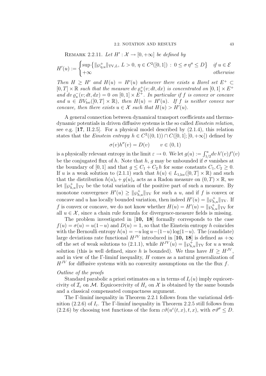# REMARK 2.2.11. Let  $H': \mathcal{X} \to [0, +\infty]$  be defined by

$$
H'(u) := \begin{cases} \sup \{ \|\wp_{\eta, u}^+\|_{\text{TV}, L}, \ L > 0, \ \eta \in C^2([0, 1]) : \ 0 \le \sigma \, \eta'' \le D \} & \text{if } u \in \mathcal{E} \\ +\infty & \text{otherwise} \end{cases}
$$

Then  $H \geq H'$  and  $H(u) = H'(u)$  whenever there exists a Borel set  $E^+ \subset$  $[0,T] \times \mathbb{R}$  such that the measure dv  $\varrho_u^+(v;dt,dx)$  is concentrated on  $[0,1] \times E^+$ and  $dv \varrho_u^-(v; dt, dx) = 0$  on  $[0, 1] \times E^+$ . In particular if f is convex or concave and  $u \in BV_{loc}([0,T] \times \mathbb{R})$ , then  $H(u) = H'(u)$ . If f is neither convex nor concave, then there exists  $u \in \mathcal{X}$  such that  $H(u) > H'(u)$ .

A general connection between dynamical transport coefficients and thermodynamic potentials in driven diffusive systems is the so called *Einstein relation*, see e.g. [17, II.2.5]. For a physical model described by (2.1.4), this relation states that the *Einstein entropy*  $h \in C^2((0,1)) \cap C([0,1]; [0,+\infty])$  defined by

$$
\sigma(v)h''(v) = D(v) \qquad v \in (0,1)
$$

is a physically relevant entropy in the limit  $\varepsilon \to 0$ . We let  $g(u) := \int_{1/2}^{u} dv \, h'(v) f'(v)$ be the conjugated flux of h. Note that h, g may be unbounded if  $\sigma$  vanishes at the boundary of [0, 1] and that  $g \leq C_1 + C_2 h$  for some constants  $C_1, C_2 \geq 0$ . If u is a weak solution to (2.1.1) such that  $h(u) \in L_{1,loc}([0,T] \times \mathbb{R})$  and such that the distribution  $h(u)_t + g(u)_x$  acts as a Radon measure on  $(0, T) \times \mathbb{R}$ , we let  $\|\wp_{h,u}^+\|_{TV}$  be the total variation of the positive part of such a measure. By monotone convergence  $H'(u) \ge ||\wp_{h,u}^+||_{TV}$  for such a u, and if f is convex or concave and u has locally bounded variation, then indeed  $H'(u) = ||\wp_{h,u}^+||_{TV}$ . If f is convex or concave, we do not know whether  $H(u) = H'(u) = ||\wp_{h,u}^+||_{TV}$  for all  $u \in \mathcal{X}$ , since a chain rule formula for divergence-measure fields is missing.

The problem investigated in [10, 18] formally corresponds to the case  $f(u) = \sigma(u) = u(1-u)$  and  $D(u) = 1$ , so that the Einstein entropy h coincides with the Bernoulli entropy  $h(u) = -u \log u - (1-u) \log(1-u)$ . The (candidate) large deviations rate functional  $H^{JV}$  introduced in [10, 18] is defined as  $+\infty$ off the set of weak solutions to (2.1.1), while  $H^{JV}(u) = ||\wp_{h,u}^{\dagger}||_{TV}$  for u a weak solution (this is well defined, since h is bounded). We thus have  $H \ge H^{JV}$ , and in view of the  $\Gamma$ -liminf inequality,  $H$  comes as a natural generalization of  $H^{JV}$  for diffusive systems with no convexity assumptions on the the flux f.

## Outline of the proofs

Standard parabolic a priori estimates on u in terms of  $I_{\varepsilon}(u)$  imply equicoercivity of  $\mathcal{I}_{\varepsilon}$  on M. Equicoercivity of  $H_{\varepsilon}$  on X is obtained by the same bounds and a classical compensated compactness argument.

The Γ-liminf inequality in Theorem 2.2.1 follows from the variational definition (2.2.6) of  $I_{\varepsilon}$ . The Γ-liminf inequality in Theorem 2.2.5 still follows from (2.2.6) by choosing test functions of the form  $\varepsilon \vartheta(u^{\varepsilon}(t,x),t,x)$ , with  $\sigma \vartheta'' \leq D$ .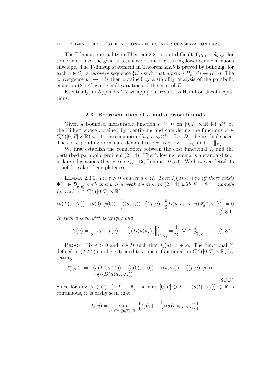#### 44 2. Γ-ENTROPY COST FUNCTIONAL FOR SCALAR CONSERVATION LAWS

The Γ-limsup inequality in Theorem 2.2.1 is not difficult if  $\mu_{t,x} = \delta_{u(t,x)}$  for some smooth u; the general result is obtained by taking lower semicontinuous envelope. The Γ-limsup statement in Theorem 2.2.5 is proved by building, for each  $u \in \mathcal{S}_{\sigma}$ , a recovery sequence  $\{u^{\varepsilon}\}\$  such that a priori  $H_{\varepsilon}(u^{\varepsilon}) \to H(u)$ . The convergence  $u^{\varepsilon} \to u$  is then obtained by a stability analysis of the parabolic equation  $(2.1.4)$  w.r.t small variations of the control E.

Eventually, in Appendix 2.7 we apply our results to Hamilton-Jacobi equations.

### 2.3. Representation of  $I_{\varepsilon}$  and a priori bounds

Given a bounded measurable function  $a \geq 0$  on  $[0, T] \times \mathbb{R}$  let  $\mathcal{D}_a^1$  be the Hilbert space obtained by identifying and completing the functions  $\varphi \in$  $C_c^{\infty}([0,T] \times \mathbb{R})$  w.r.t. the seminorm  $\langle \langle \varphi_x, a \varphi_x \rangle \rangle^{1/2}$ . Let  $\mathcal{D}_a^{-1}$  be its dual space. The corresponding norms are denoted respectively by  $\|\cdot\|_{\mathcal{D}_a^1}$  and  $\|\cdot\|_{\mathcal{D}_a^{-1}}$ .

We first establish the connection between the cost functional  $I_{\varepsilon}$  and the perturbed parabolic problem (2.1.4). The following lemma is a standard tool in large deviations theory, see e.g.  $[12, \text{Lemma } 10.5.3]$ . We however detail its proof for sake of completeness.

LEMMA 2.3.1. Fix  $\varepsilon > 0$  and let  $u \in \mathcal{U}$ . Then  $I_{\varepsilon}(u) < +\infty$  iff there exists  $\Psi^{\varepsilon,u} \in \mathcal{D}_{\sigma(u)}^1$  such that u is a weak solution to (2.1.4) with  $E = \Psi_x^{\varepsilon,u}$ , namely for each  $\varphi \in C_{\text{c}}^{\infty}([0,T] \times \mathbb{R})$ 

$$
\langle u(T), \varphi(T) \rangle - \langle u(0), \varphi(0) \rangle - \left[ \langle \langle u, \varphi_t \rangle \rangle + \langle \langle f(u) - \frac{\varepsilon}{2} D(u) u_x + \sigma(u) \Psi_x^{\varepsilon, u}, \varphi_x \rangle \rangle \right] = 0
$$
\n(2.3.1)

In such a case  $\Psi^{\varepsilon,u}$  is unique and

$$
I_{\varepsilon}(u) = \frac{1}{2} \left\| u_t + f(u)_x - \frac{\varepsilon}{2} \left( D(u) u_x \right)_x \right\|_{\mathcal{D}_{\sigma(u)}^{-1}}^2 = \frac{1}{2} \left\| \Psi^{\varepsilon, u} \right\|_{\mathcal{D}_{\sigma(u)}^{-1}}^2 \tag{2.3.2}
$$

**PROOF.** Fix  $\varepsilon > 0$  and  $u \in \mathcal{U}$  such that  $I_{\varepsilon}(u) < +\infty$ . The functional  $\ell_u^{\varepsilon}$ defined in (2.2.5) can be extended to a linear functional on  $C_c^{\infty}([0,T] \times \mathbb{R})$  by setting

$$
\ell_{\varepsilon}^{u}(\varphi) = \langle u(T), \varphi(T) \rangle - \langle u(0), \varphi(0) \rangle - \langle \langle u, \varphi_{t} \rangle \rangle - \langle \langle f(u), \varphi_{x} \rangle \rangle \n+ \frac{\varepsilon}{2} \langle \langle D(u)u_{x}, \varphi_{x} \rangle \rangle
$$
\n(2.3.3)

Since for any  $\varphi \in C_c^{\infty}([0,T] \times \mathbb{R})$  the map  $[0,T] \ni t \mapsto \langle u(t), \varphi(t) \rangle \in \mathbb{R}$  is continuous, it is easily seen that

$$
I_\varepsilon(u)=\sup_{\varphi\in C_c^\infty([0,T]\times\mathbb{R})}\left\{\ell_\varepsilon^u(\varphi)-\frac{1}{2}\langle\langle\sigma(u)\varphi_x,\varphi_x\rangle\rangle\right\}
$$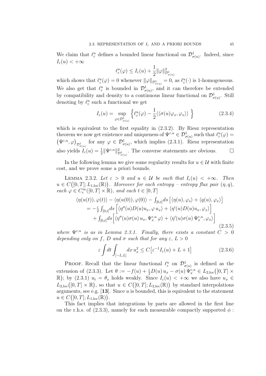We claim that  $\ell_{\varepsilon}^u$  defines a bounded linear functional on  $\mathcal{D}^1_{\sigma(u)}$ . Indeed, since  $I_{\varepsilon}(u)<+\infty$ 

$$
\ell_\varepsilon^u(\varphi)\leq I_\varepsilon(u)+\frac{1}{2}\|\varphi\|^2_{\mathcal{D}^1_{\sigma(u)}}
$$

which shows that  $\ell_{\varepsilon}^u(\varphi) = 0$  whenever  $\|\varphi\|_{\mathcal{D}^1_{\sigma(u)}} = 0$ , as  $\ell_{\varepsilon}^u(\cdot)$  is 1-homogeneous. We also get that  $\ell_{\varepsilon}^u$  is bounded in  $\mathcal{D}^1_{\sigma(u)}$ , and it can therefore be extended by compatibility and density to a continuous linear functional on  $\mathcal{D}^1_{\sigma(u)}$ . Still denoting by  $\ell_{\varepsilon}^u$  such a functional we get

$$
I_{\varepsilon}(u) = \sup_{\varphi \in \mathcal{D}_{\sigma(u)}^{1}} \left\{ \ell_{\varepsilon}^{u}(\varphi) - \frac{1}{2} \langle \langle \sigma(u)\varphi_{x}, \varphi_{x} \rangle \rangle \right\}
$$
(2.3.4)

which is equivalent to the first equality in  $(2.3.2)$ . By Riesz representation theorem we now get existence and uniqueness of  $\Psi^{\varepsilon,u} \in \mathcal{D}^1_{\sigma(u)}$  such that  $\ell^u_{\varepsilon}(\varphi) =$  $(\Psi^{\varepsilon,u},\varphi)_{\mathcal{D}^1_{\sigma(u)}}$  for any  $\varphi \in \mathcal{D}^1_{\sigma(u)},$  which implies (2.3.1). Riesz representation also yields  $I_{\varepsilon}(u) = \frac{1}{2} ||\Psi^{\varepsilon,u}||^2_{\mathcal{D}^1_{\sigma(u)}}$ . The converse statements are obvious.

In the following lemma we give some regularity results for  $u \in \mathcal{U}$  with finite cost, and we prove some a priori bounds.

LEMMA 2.3.2. Let  $\varepsilon > 0$  and  $u \in \mathcal{U}$  be such that  $I_{\varepsilon}(u) < +\infty$ . Then  $u \in C([0,T]; L_{1,\text{loc}}(\mathbb{R}))$ . Moreover for each entropy – entropy flux pair  $(\eta, q)$ , each  $\varphi \in C_c^{\infty}([0,T] \times \mathbb{R})$ , and each  $t \in [0,T]$ 

$$
\langle \eta(u(t)), \varphi(t) \rangle - \langle \eta(u(0)), \varphi(0) \rangle - \int_{[0,t]} ds \left[ \langle \eta(u), \varphi_s \rangle + \langle q(u), \varphi_x \rangle \right]
$$
  
=  $-\frac{\varepsilon}{2} \int_{[0,t]} ds \left[ \langle \eta''(u)D(u)u_x, \varphi u_x \rangle + \langle \eta'(u)D(u)u_x, \varphi_x \rangle \right]$   
+  $\int_{[0,t]} ds \left[ \langle \eta''(u)\sigma(u) u_x, \Psi_x^{\varepsilon, u} \varphi \rangle + \langle \eta'(u)\sigma(u) \Psi_x^{\varepsilon, u}, \varphi_x \rangle \right]$  (2.3.5)

where  $\Psi^{\varepsilon,u}$  is as in Lemma 2.3.1. Finally, there exists a constant  $C > 0$ depending only on f, D and  $\sigma$  such that for any  $\varepsilon$ ,  $L > 0$ 

$$
\varepsilon \int dt \int_{[-L,L]} dx \, u_x^2 \le C \big[ \varepsilon^{-1} I_\varepsilon(u) + L + 1 \big] \tag{2.3.6}
$$

PROOF. Recall that the linear functional  $\ell_{\varepsilon}^u$  on  $\mathcal{D}^1_{\sigma(u)}$  is defined as the extension of (2.3.3). Let  $\theta := -f(u) + \frac{\varepsilon}{2}D(u)u_x - \sigma(u)\Psi_x^{\varepsilon,u} \in L_{2,\text{loc}}([0,T] \times$ R); by (2.3.1)  $u_t = \theta_x$  holds weakly. Since  $I_\varepsilon(u) < +\infty$  we also have  $u_x \in$  $L_{2,\text{loc}}([0,T] \times \mathbb{R})$ , so that  $u \in C([0,T]; L_{2,\text{loc}}(\mathbb{R}))$  by standard interpolations arguments, see e.g. [13]. Since  $u$  is bounded, this is equivalent to the statement  $u \in C([0,T];L_{1,\mathrm{loc}}(\mathbb{R})).$ 

This fact implies that integrations by parts are allowed in the first line on the r.h.s. of (2.3.3), namely for each measurable compactly supported  $\phi$ :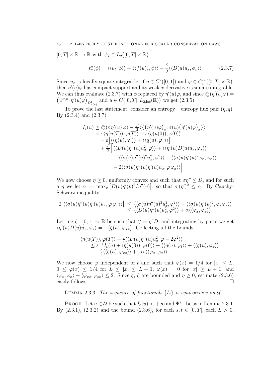### 46 2. Γ-ENTROPY COST FUNCTIONAL FOR SCALAR CONSERVATION LAWS

$$
[0, T] \times \mathbb{R} \to \mathbb{R}
$$
 with  $\phi_x \in L_2([0, T] \times \mathbb{R})$ 

$$
\ell_{\varepsilon}^{u}(\phi) = \langle \langle u_t, \phi \rangle \rangle + \langle \langle f(u)_x, \phi \rangle \rangle + \frac{\varepsilon}{2} \langle \langle D(u)u_x, \phi_x \rangle \rangle \tag{2.3.7}
$$

Since  $u_x$  is locally square integrable, if  $\eta \in C^2([0,1])$  and  $\varphi \in C_c^{\infty}([0,T] \times \mathbb{R})$ , then  $\eta'(u)\varphi$  has compact support and its weak x-derivative is square integrable. We can thus evaluate (2.3.7) with  $\phi$  replaced by  $\eta'(u)\varphi$ , and since  $\ell_{\varepsilon}^u(\eta'(u)\varphi) =$  $(\Psi^{\varepsilon,u},\eta'(u)\varphi)_{\mathcal{D}^1_{\sigma(u)}}$  and  $u \in C([0,T];L_{2,\text{loc}}(\mathbb{R}))$  we get  $(2.3.5)$ .

To prove the last statement, consider an entropy – entropy flux pair  $(\eta, q)$ . By (2.3.4) and (2.3.7)

$$
I_{\varepsilon}(u) \geq \ell_{\varepsilon}^{u}(\varepsilon \eta'(u) \varphi) - \frac{\varepsilon^{2}}{2} \langle \langle (\eta'(u)\varphi)_{x}, \sigma(u) (\eta'(u)\varphi)_{x} \rangle \rangle
$$
  
\n
$$
= \varepsilon \langle \eta(u(T)), \varphi(T) \rangle - \varepsilon \langle \eta(u(0)), \varphi(0) \rangle
$$
  
\n
$$
- \varepsilon \left[ \langle \langle \eta(u), \varphi_{t} \rangle \rangle + \langle \langle q(u), \varphi_{x} \rangle \rangle \right]
$$
  
\n
$$
+ \frac{\varepsilon^{2}}{2} \left[ \langle \langle D(u)\eta''(u)u_{x}^{2}, \varphi \rangle \rangle + \langle \langle \eta'(u)D(u)u_{x}, \varphi_{x} \rangle \rangle \right]
$$
  
\n
$$
- \langle \langle \sigma(u)\eta''(u)^{2}u_{x}^{2}, \varphi^{2} \rangle \rangle - \langle \langle \sigma(u)\eta'(u)^{2}\varphi_{x}, \varphi_{x} \rangle \rangle
$$
  
\n
$$
- 2 \langle \langle \sigma(u)\eta''(u)\eta'(u)u_{x}, \varphi \varphi_{x} \rangle \rangle \right]
$$

We now choose  $\eta \geq 0$ , uniformly convex and such that  $\sigma \eta'' \leq D$ , and for such a  $\eta$  we let  $\alpha := \max_{v} [D(v)\eta'(v)^2/\eta''(v)],$  so that  $\sigma(\eta')^2 \leq \alpha$ . By Cauchy-Schwarz inequality

$$
2\left|\langle\langle\sigma(u)\eta''(u)\eta'(u)u_x,\varphi\varphi_x\rangle\rangle\right| \leq \left|\langle\langle\sigma(u)\eta''(u)^2u_x^2,\varphi^2\rangle\rangle+\langle\langle\sigma(u)\eta'(u)^2,\varphi_x\varphi_x\rangle\rangle\right|
$$
  

$$
\leq \langle\langle D(u)\eta''(u)u_x^2,\varphi^2\rangle\rangle+\alpha\langle\langle\varphi_x,\varphi_x\rangle\rangle
$$

Letting  $\zeta : [0,1] \to \mathbb{R}$  be such that  $\zeta' = \eta' D$ , and integrating by parts we get  $\langle \eta'(u)D(u)u_x, \varphi_x \rangle = -\langle \zeta(u), \varphi_{xx} \rangle$ . Collecting all the bounds

$$
\langle \eta(u(T)), \varphi(T) \rangle + \frac{\varepsilon}{2} \langle \langle D(u)\eta''(u)u_x^2, \varphi - 2\varphi^2 \rangle \rangle \leq \varepsilon^{-1} I_{\varepsilon}(u) + \langle \eta(u(0)), \varphi(0) \rangle + \langle \langle \eta(u), \varphi_t \rangle \rangle + \langle \langle q(u), \varphi_x \rangle \rangle + \frac{\varepsilon}{2} \langle \langle \zeta(u), \varphi_{xx} \rangle \rangle + \varepsilon \alpha \langle \langle \varphi_x, \varphi_x \rangle \rangle
$$

We now choose  $\varphi$  independent of t and such that  $\varphi(x) = 1/4$  for  $|x| \leq L$ ,  $0 \leq \varphi(x) \leq 1/4$  for  $L \leq |x| \leq L+1$ ,  $\varphi(x) = 0$  for  $|x| \geq L+1$ , and  $\langle \varphi_x, \varphi_x \rangle + \langle \varphi_{xx}, \varphi_{xx} \rangle \leq 2$ . Since q,  $\zeta$  are bounded and  $\eta \geq 0$ , estimate (2.3.6) easily follows.  $\Box$ 

LEMMA 2.3.3. The sequence of functionals  $\{I_{\varepsilon}\}\$ is equicoercive on  $\mathcal{U}$ .

**PROOF.** Let  $u \in \mathcal{U}$  be such that  $I_{\varepsilon}(u) < +\infty$  and  $\Psi^{\varepsilon,u}$  be as in Lemma 2.3.1. By (2.3.1), (2.3.2) and the bound (2.3.6), for each  $s, t \in [0, T]$ , each  $L > 0$ ,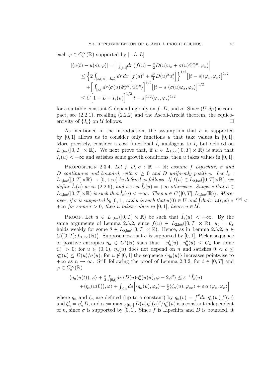each  $\varphi \in C_c^{\infty}(\mathbb{R})$  supported by  $[-L, L]$ 

$$
\begin{split} \left| \langle u(t)-u(s),\varphi \rangle \right| &= \left| \int_{[s,t]} \! dr \left\langle f(u) - \frac{\varepsilon}{2} D(u) u_x + \sigma(u) \Psi_x^{\varepsilon,u},\varphi_x \right\rangle \right| \\ & \leq \left\{ 2 \int_{[s,t] \times [-L,L]} \! dr \, dx \left[ f(u)^2 + \frac{\varepsilon^2}{4} D(u)^2 u_x^2 \right] \right\}^{1/2} \left[ |t-s| \langle \varphi_x, \varphi_x \rangle \right]^{1/2} \\ & \quad + \left[ \int_{[s,t]} \! dr \langle \sigma(u) \Psi_x^{\varepsilon,u}, \Psi_x^{\varepsilon,u} \rangle \right]^{1/2} \left[ |t-s| \langle \sigma(u) \varphi_x, \varphi_x \rangle \right]^{1/2} \\ & \leq C \left[ 1 + L + I_\varepsilon(u) \right]^{1/2} |t-s|^{1/2} \langle \varphi_x, \varphi_x \rangle^{1/2} \end{split}
$$

for a suitable constant C depending only on f, D, and  $\sigma$ . Since  $(U, d_U)$  is compact, see  $(2.2.1)$ , recalling  $(2.2.2)$  and the Ascoli-Arzelá theorem, the equicoercivity of  $\{I_{\varepsilon}\}\$  on U follows.

As mentioned in the introduction, the assumption that  $\sigma$  is supported by  $[0, 1]$  allows us to consider only functions u that take values in  $[0, 1]$ . More precisely, consider a cost functional  $I_{\varepsilon}$  analogous to  $I_{\varepsilon}$  but defined on  $L_{1,\text{loc}}([0,T] \times \mathbb{R})$ . We next prove that, if  $u \in L_{1,\text{loc}}([0,T] \times \mathbb{R})$  is such that  $I_{\varepsilon}(u) < +\infty$  and satisfies some growth conditions, then u takes values in [0, 1].

PROPOSITION 2.3.4. Let f, D,  $\sigma : \mathbb{R} \to \mathbb{R}$ ; assume f Lipschitz,  $\sigma$  and D continuous and bounded, with  $\sigma > 0$  and D uniformly positive. Let  $I_{\epsilon}$ :  $L_{1,\text{loc}}([0,T]\times\mathbb{R})\to[0,+\infty]$  be defined as follows. If  $f(u)\in L_{2,\text{loc}}([0,T]\times\mathbb{R})$ , we define  $\tilde{I}_{\varepsilon}(u)$  as in (2.2.6), and we set  $\tilde{I}_{\varepsilon}(u) = +\infty$  otherwise. Suppose that  $u \in$  $L_{1,loc}([0,T]\times\mathbb{R})$  is such that  $\hat{I}_{\varepsilon}(u) < +\infty$ . Then  $u \in C([0,T]; L_{1,loc}(\mathbb{R}))$ . Moreover, if  $\sigma$  is supported by [0, 1], and u is such that  $u(0) \in U$  and  $\int dt dx |u(t,x)|e^{-r|x|} <$  $+\infty$  for some  $r > 0$ , then u takes values in [0, 1], hence  $u \in \mathcal{U}$ .

**PROOF.** Let  $u \in L_{1,\text{loc}}([0,T] \times \mathbb{R})$  be such that  $\hat{I}_{\varepsilon}(u) < +\infty$ . By the same arguments of Lemma 2.3.2, since  $f(u) \in L_{2,loc}([0,T] \times \mathbb{R})$ ,  $u_t = \theta_x$ holds weakly for some  $\theta \in L_{2,loc}([0,T] \times \mathbb{R})$ . Hence, as in Lemma 2.3.2,  $u \in$  $C([0,T];L_{1,\text{loc}}(\mathbb{R}))$ . Suppose now that  $\sigma$  is supported by [0, 1]. Pick a sequence of positive entropies  $\eta_n \in C^2(\mathbb{R})$  such that:  $|\eta'_n(u)|, \eta''_n(u) \leq C_n$  for some  $C_n > 0$ ; for  $u \in (0,1)$ ,  $\eta_n(u)$  does not depend on n and satisfies  $0 < c \leq$  $\eta''_n(u) \le D(u)/\sigma(u)$ ; for  $u \notin [0,1]$  the sequence  $\{\eta_n(u)\}$  increases pointwise to  $+\infty$  as  $n \to \infty$ . Still following the proof of Lemma 2.3.2, for  $t \in [0, T]$  and  $\varphi \in C_{\mathrm{c}}^{\infty}(\mathbb{R})$ 

$$
\langle \eta_n(u(t)), \varphi \rangle + \frac{\varepsilon}{2} \int_{[0,t]} ds \langle D(u) \eta_n''(u) u_x^2, \varphi - 2\varphi^2 \rangle \leq \varepsilon^{-1} \hat{I}_{\varepsilon}(u) + \langle \eta_n(u(0)), \varphi \rangle + \int_{[0,t]} ds \left[ \langle q_n(u), \varphi_x \rangle + \frac{\varepsilon}{2} \langle \zeta_n(u), \varphi_{xx} \rangle + \varepsilon \alpha \langle \varphi_x, \varphi_x \rangle \right]
$$

where  $q_n$  and  $\zeta_n$  are defined (up to a constant) by  $q_n(v) = \int^v dw \, \eta'_n(w) \, f'(w)$ and  $\zeta'_n = \eta'_n D$ , and  $\alpha := \max_{u \in [0,1]} D(u)\eta'_n(u)^2/\eta''_n(u)$  is a constant independent of n, since  $\sigma$  is supported by [0, 1]. Since f is Lipschitz and D is bounded, it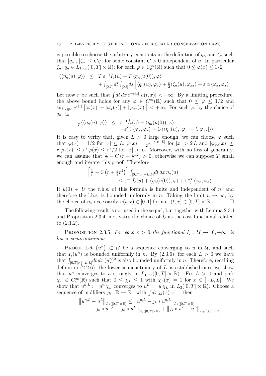is possible to choose the arbitrary constants in the definition of  $q_n$  and  $\zeta_n$  such that  $|q_n|, |\zeta_n| \leq C\eta_n$  for some constant  $C > 0$  independent of n. In particular  $\zeta_n, q_n \in L_{1,loc}([0,T] \times \mathbb{R})$ ; for each  $\varphi \in C_c^{\infty}(\mathbb{R})$  such that  $0 \leq \varphi(x) \leq 1/2$ 

$$
\langle \langle \eta_n(u), \varphi \rangle \rangle \leq T \varepsilon^{-1} \hat{I}_{\varepsilon}(u) + T \langle \eta_n(u(0)), \varphi \rangle + \int_{[0,T]} dt \int_{[0,t]} ds \left[ \langle q_n(u), \varphi_x \rangle + \frac{\varepsilon}{2} \langle \zeta_n(u), \varphi_{xx} \rangle + \varepsilon \alpha \langle \varphi_x, \varphi_x \rangle \right]
$$

Let now r be such that  $\int dt\,dx\,e^{-r|x|}|u(t,x)| < +\infty$ . By a limiting procedure, the above bound holds for any  $\varphi \in C^{\infty}(\mathbb{R})$  such that  $0 \leq \varphi \leq 1/2$  and  $\sup_{x\in\mathbb{R}} e^{r|x|} \left[ |\varphi(x)| + |\varphi_x(x)| + |\varphi_{xx}(x)| \right] < +\infty$ . For such  $\varphi$ , by the choice of  $q_n, \zeta_n$ 

$$
\frac{1}{T}\langle\langle \eta_n(u), \varphi \rangle\rangle \leq \varepsilon^{-1} \hat{I}_{\varepsilon}(u) + \langle \eta_n(u(0)), \varphi \rangle \n+ \varepsilon \frac{\alpha T}{2} \langle \varphi_x, \varphi_x \rangle + C \langle\langle \eta_n(u), |\varphi_x| + \frac{\varepsilon}{2} |\varphi_{xx}| \rangle\rangle
$$

It is easy to verify that, given  $L > 0$  large enough, we can choose  $\varphi$  such that  $\varphi(x) = 1/2$  for  $|x| \leq L$ ,  $\varphi(x) = \frac{1}{2}e^{-r|x-L|}$  for  $|x| > 2L$  and  $|\varphi_{xx}(x)| \leq$  $r|\varphi_x(x)| \leq r^2 \varphi(x) \leq r^2/2$  for  $|x| > L$ . Moreover, with no loss of generality, we can assume that  $\frac{1}{T} - C(r + \frac{\varepsilon}{2})$  $(\frac{\varepsilon}{2}r^2) > 0$ , otherwise we can suppose T small enough and iterate this proof. Therefore

$$
\begin{aligned} \left[\frac{1}{T} - C\big(r + \frac{\varepsilon}{2}r^2\big)\right] \int_{[0,T] \times [-L,L]} dt \, dx \, \eta_n(u) \\ &\leq \varepsilon^{-1} \hat{I}_{\varepsilon}(u) + \langle \eta_n(u(0)), \varphi \rangle + \varepsilon \frac{\alpha T}{2} \langle \varphi_x, \varphi_x \rangle \end{aligned}
$$

If  $u(0) \in U$  the r.h.s. of this formula is finite and independent of n, and therefore the l.h.s. is bounded uniformly in n. Taking the limit  $n \to \infty$ , by the choice of  $\eta_n$  necessarily  $u(t, x) \in [0, 1]$  for a.e.  $(t, x) \in [0, T] \times \mathbb{R}$ .

The following result is not used in the sequel, but together with Lemma 2.3.1 and Proposition 2.3.4, motivates the choice of  $I_{\varepsilon}$  as the cost functional related to (2.1.2).

PROPOSITION 2.3.5. For each  $\varepsilon > 0$  the functional  $I_{\varepsilon}: \mathcal{U} \to [0, +\infty]$  is lower semicontinuous.

PROOF. Let  $\{u^n\} \subset \mathcal{U}$  be a sequence converging to u in  $\mathcal{U}$ , and such that  $I_{\varepsilon}(u^n)$  is bounded uniformly in n. By (2.3.6), for each  $L > 0$  we have that  $\int_{[0,T]\times[-L,L]}dt\,dx\,(u_x^n)^2$  is also bounded uniformly in n. Therefore, recalling definition (2.2.6), the lower semicontinuity of  $I_{\varepsilon}$  is established once we show that  $u^n$  converges to u strongly in  $L_{1,loc}([0,T] \times \mathbb{R})$ . Fix  $L > 0$  and pick  $\chi_L \in C_c^{\infty}(\mathbb{R})$  such that  $0 \leq \chi_L \leq 1$  with  $\chi_L(x) = 1$  for  $x \in [-L, L]$ . We show that  $u^{n,L} := u^n \chi_L$  converges to  $u^L := u \chi_L$  in  $L_2([0,T] \times \mathbb{R})$ . Choose a sequence of mollifiers  $j_k : \mathbb{R} \to \mathbb{R}^+$  with  $\int dx \, j_k(x) = 1$ , then

$$
||u^{n,L} - u^L||_{L_2([0,T] \times \mathbb{R})} \le ||u^{n,L} - j_k * u^{n,L}||_{L_2([0,T] \times \mathbb{R})}
$$
  
+  $||j_k * u^{n,L} - j_k * u^L||_{L_2([0,T] \times \mathbb{R})} + ||j_k * u^L - u^L||_{L_2([0,T] \times \mathbb{R})}$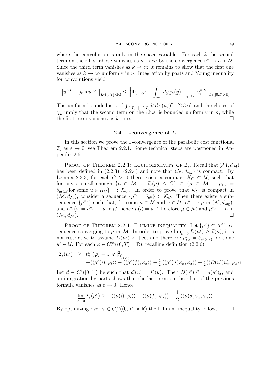where the convolution is only in the space variable. For each  $k$  the second term on the r.h.s. above vanishes as  $n \to \infty$  by the convergence  $u^n \to u$  in  $\mathcal{U}$ . Since the third term vanishes as  $k \to \infty$  it remains to show that the first one vanishes as  $k \to \infty$  uniformly in n. Integration by parts and Young inequality for convolutions yield

$$
\left\|u^{n,L}-\jmath_k*u^{n,L}\right\|_{L_2([0,T]\times \mathbb{R})}\leq \left\|1\!\!1_{[0,+\infty)}-\int_{-\infty}^{\cdot}dy\, j_k(y)\right\|_{L_1(\mathbb{R})}\!\left\|u^{n,L}_x\right\|_{L_2([0,T]\times \mathbb{R})}
$$

The uniform boundedness of  $\int_{[0,T]\times[-L,L]}dt\,dx\,(u_x^n)^2$ , (2.3.6) and the choice of  $\chi_L$  imply that the second term on the r.h.s. is bounded uniformly in n, while the first term vanishes as  $k \to \infty$ .

### 2.4. Γ-convergence of  $\mathcal{I}_{\varepsilon}$

In this section we prove the  $\Gamma$ -convergence of the parabolic cost functional  $\mathcal{I}_{\varepsilon}$  as  $\varepsilon \to 0$ , see Theorem 2.2.1. Some technical steps are postponed in Appendix 2.6.

PROOF OF THEOREM 2.2.1: EQUICOERCIVITY OF  $\mathcal{I}_{\varepsilon}$ . Recall that  $(\mathcal{M}, d_{\mathcal{M}})$ has been defined in (2.2.3), (2.2.4) and note that  $(\mathcal{N}, d_{\text{vag}})$  is compact. By Lemma 2.3.3, for each  $C > 0$  there exists a compact  $K_C \subset U$ , such that for any  $\varepsilon$  small enough  $\{\mu \in \mathcal{M} : \mathcal{I}_{\varepsilon}(\mu) \leq C\} \subset \{\mu \in \mathcal{M} : \mu_{t,x} =$  $\delta_{u(t,x)}$  for some  $u \in K_C$  =:  $\mathcal{K}_C$ . In order to prove that  $\mathcal{K}_C$  is compact in  $(M, d<sub>M</sub>)$ , consider a sequence  $\{\mu^n = \delta_{u^n}\}\subset \mathcal{K}_C$ . Then there exists a subsequence  $\{\mu^{n_j}\}\$  such that, for some  $\mu \in \mathcal{N}$  and  $u \in \mathcal{U}, \mu^{n_j} \to \mu$  in  $(\mathcal{N}, d_{\text{vag}})$ , and  $\mu^{n_j}(i) = u^{n_j} \to u$  in U, hence  $\mu(i) = u$ . Therefore  $\mu \in \mathcal{M}$  and  $\mu^{n_j} \to \mu$  in  $(\mathcal{M}, d_{\mathcal{M}}).$ 

PROOF OF THEOREM 2.2.1: Γ-LIMINF INEQUALITY. Let  $\{\mu^{\varepsilon}\}\subset \mathcal{M}$  be a sequence converging to  $\mu$  in M. In order to prove  $\underline{\lim}_{\varepsilon\to 0}\mathcal{I}_{\varepsilon}(\mu^{\varepsilon})\geq\mathcal{I}(\mu)$ , it is not restrictive to assume  $\mathcal{I}_{\varepsilon}(\mu^{\varepsilon}) < +\infty$ , and therefore  $\mu^{\varepsilon}_{t,x} = \delta_{u^{\varepsilon}(t,x)}$  for some  $u^{\varepsilon} \in \mathcal{U}$ . For each  $\varphi \in C_{c}^{\infty}((0,T) \times \mathbb{R})$ , recalling definition (2.2.6)

$$
\mathcal{I}_{\varepsilon}(\mu^{\varepsilon}) \geq \ell_{\varepsilon}^{u^{\varepsilon}}(\varphi) - \frac{1}{2} ||\varphi||_{\mathcal{D}^{1}_{\sigma(u^{\varepsilon})}}^{2}
$$
\n
$$
= -\langle\langle\mu^{\varepsilon}(i), \varphi_{t}\rangle\rangle - \langle\langle\mu^{\varepsilon}(f), \varphi_{x}\rangle\rangle - \frac{1}{2}\langle\langle\mu^{\varepsilon}(\sigma)\varphi_{x}, \varphi_{x}\rangle\rangle + \frac{\varepsilon}{2}\langle\langle D(u^{\varepsilon})u_{x}^{\varepsilon}, \varphi_{x}\rangle\rangle
$$

Let  $d \in C^1([0,1])$  be such that  $d'(u) = D(u)$ . Then  $D(u^{\varepsilon})u_x^{\varepsilon} = d(u^{\varepsilon})_x$ , and an integration by parts shows that the last term on the r.h.s. of the previous formula vanishes as  $\varepsilon \to 0$ . Hence

$$
\lim_{\varepsilon \to 0} \mathcal{I}_{\varepsilon}(\mu^{\varepsilon}) \ge -\langle \langle \mu(\iota), \varphi_t \rangle \rangle - \langle \langle \mu(f), \varphi_x \rangle \rangle - \frac{1}{2} \langle \langle \mu(\sigma) \varphi_x, \varphi_x \rangle \rangle
$$

By optimizing over  $\varphi \in C_c^{\infty}((0,T) \times \mathbb{R})$  the *Γ*-liminf inequality follows.  $\square$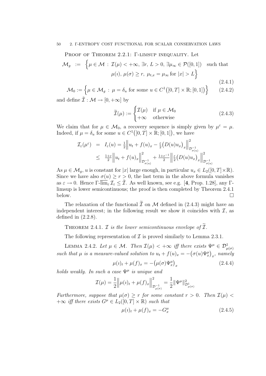#### 50 2. Γ-ENTROPY COST FUNCTIONAL FOR SCALAR CONSERVATION LAWS

### Proof of Theorem 2.2.1: Γ-limsup inequality. Let

$$
\mathcal{M}_g := \left\{ \mu \in \mathcal{M} : \mathcal{I}(\mu) < +\infty, \exists r, L > 0, \exists \mu_{\infty} \in \mathcal{P}([0,1]) \text{ such that } \mu(\nu), \mu(\sigma) \ge r, \mu_{t,x} = \mu_{\infty} \text{ for } |x| > L \right\}
$$
\n(2.4.1)

$$
\mathcal{M}_0 := \left\{ \mu \in \mathcal{M}_g : \ \mu = \delta_u \text{ for some } u \in C^1([0, T] \times \mathbb{R}; [0, 1]) \right\} \tag{2.4.2}
$$

and define  $\tilde{\mathcal{I}} : \mathcal{M} \to [0, +\infty]$  by

$$
\widetilde{\mathcal{I}}(\mu) := \begin{cases} \mathcal{I}(\mu) & \text{if } \mu \in \mathcal{M}_0 \\ +\infty & \text{otherwise} \end{cases}
$$
 (2.4.3)

We claim that for  $\mu \in \mathcal{M}_0$ , a recovery sequence is simply given by  $\mu^{\varepsilon} = \mu$ . Indeed, if  $\mu = \delta_u$  for some  $u \in C^1([0, T] \times \mathbb{R}; [0, 1])$ , we have

$$
\mathcal{I}_{\varepsilon}(\mu^{\varepsilon}) = I_{\varepsilon}(u) = \frac{1}{2} \left\| u_t + f(u)_x - \frac{\varepsilon}{2} (D(u)u_x)_x \right\|_{\mathcal{D}_{\sigma(u)}^{-1}}^2
$$
  

$$
\leq \frac{1+\varepsilon}{2} \left\| u_t + f(u)_x \right\|_{\mathcal{D}_{\sigma(u)}^{-1}}^2 + \frac{1+\varepsilon^{-1}}{2} \left\| \frac{\varepsilon}{2} (D(u)u_x)_x \right\|_{\mathcal{D}_{\sigma(u)}^{-1}}^2
$$

As  $\mu \in \mathcal{M}_q$ , u is constant for |x| large enough, in particular  $u_x \in L_2([0,T] \times \mathbb{R})$ . Since we have also  $\sigma(u) \ge r > 0$ , the last term in the above formula vanishes as  $\varepsilon \to 0$ . Hence  $\Gamma$ - $\overline{\lim}_{\varepsilon} \mathcal{I}_{\varepsilon} \leq \tilde{\mathcal{I}}$ . As well known, see e.g. [4, Prop. 1.28], any  $\Gamma$ limsup is lower semicontinuous; the proof is then completed by Theorem 2.4.1 below.

The relaxation of the functional  $\tilde{\mathcal{I}}$  on M defined in (2.4.3) might have an independent interest; in the following result we show it coincides with  $\mathcal{I}$ , as defined in (2.2.8).

THEOREM 2.4.1.  $\mathcal I$  is the lower semicontinuous envelope of  $\mathcal I$ .

The following representation of  $\mathcal I$  is proved similarly to Lemma 2.3.1.

LEMMA 2.4.2. Let  $\mu \in \mathcal{M}$ . Then  $\mathcal{I}(\mu) < +\infty$  iff there exists  $\Psi^{\mu} \in \mathcal{D}^1_{\mu(\sigma)}$ such that  $\mu$  is a measure-valued solution to  $u_t + f(u)_x = -(\sigma(u)\Psi_x^{\mu})_x$ , namely

$$
\mu(\iota)_t + \mu(f)_x = -(\mu(\sigma)\Psi_x^{\mu})_x \tag{2.4.4}
$$

holds weakly. In such a case  $\Psi^{\mu}$  is unique and

$$
\mathcal{I}(\mu) = \frac{1}{2} \left\| \mu(\iota)_t + \mu(f)_x \right\|_{\mathcal{D}^{-1}_{\mu(\sigma)}}^2 = \frac{1}{2} \|\Psi^\mu\|_{\mathcal{D}^1_{\mu(\sigma)}}^2
$$

Furthermore, suppose that  $\mu(\sigma) \geq r$  for some constant  $r > 0$ . Then  $\mathcal{I}(\mu)$  $+\infty$  iff there exists  $G^{\mu} \in L_2([0,T] \times \mathbb{R})$  such that

$$
\mu(i)_t + \mu(f)_x = -G_x^{\mu} \tag{2.4.5}
$$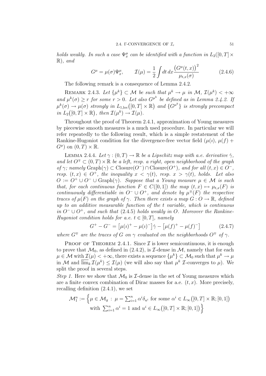holds weakly. In such a case  $\Psi^{\mu}_x$  can be identified with a function in  $L_2([0,T] \times$  $\mathbb{R}$ , and

$$
G^{\mu} = \mu(\sigma)\Psi_x^{\mu}, \qquad \mathcal{I}(\mu) = \frac{1}{2} \int dt \, dx \frac{\left(G^{\mu}(t,x)\right)^2}{\mu_{t,x}(\sigma)} \tag{2.4.6}
$$

The following remark is a consequence of Lemma 2.4.2.

REMARK 2.4.3. Let  $\{\mu^k\}\subset \mathcal{M}$  be such that  $\mu^k\to \mu$  in  $\mathcal{M}, \mathcal{I}(\mu^k)<+\infty$ and  $\mu^k(\sigma) \geq r$  for some  $r > 0$ . Let also  $G^{\mu^k}$  be defined as in Lemma 2.4.2. If  $\mu^k(\sigma) \to \mu(\sigma)$  strongly in  $L_{1,loc}([0,T] \times \mathbb{R})$  and  $\{G^{\mu^k}\}\$  is strongly precompact in  $L_2([0,T] \times \mathbb{R})$ , then  $\mathcal{I}(\mu^k) \to \mathcal{I}(\mu)$ .

Throughout the proof of Theorem 2.4.1, approximation of Young measures by piecewise smooth measures is a much used procedure. In particular we will refer repeatedly to the following result, which is a simple restatement of the Rankine-Hugoniot condition for the divergence-free vector field  $(\mu(i), \mu(f) +$  $G^{\mu}$ ) on  $(0, T) \times \mathbb{R}$ .

LEMMA 2.4.4. Let  $\gamma : (0, T) \to \mathbb{R}$  be a Lipschitz map with a.e. derivative  $\gamma$ . and let  $O^{\mp} \subset (0,T) \times \mathbb{R}$  be a left, resp. a right, open neighborhood of the graph of  $\gamma$ ; namely  $\text{Graph}(\gamma) \subset \text{Closure}(O^-) \cap \text{Closure}(O^+)$ , and for all  $(t, x) \in O^-$ , resp.  $(t, x) \in O^+$ , the inequality  $x < \gamma(t)$ , resp.  $x > \gamma(t)$ , holds. Let also  $O := O^+ \cup O^- \cup \text{Graph}(\gamma)$ . Suppose that a Young measure  $\mu \in \mathcal{M}$  is such that, for each continuous function  $F \in C([0,1])$  the map  $(t,x) \mapsto \mu_{t,x}(F)$  is continuously differentiable in  $O^- \cup O^+$ , and denote by  $\mu^{\mp}(F)$  the respective traces of  $\mu(F)$  on the graph of  $\gamma$ . Then there exists a map  $G: O \to \mathbb{R}$ , defined up to an additive measurable function of the t variable, which is continuous in  $O^-$  ∪  $O^+$ , and such that (2.4.5) holds weakly in O. Moreover the Rankine-Hugoniot condition holds for a.e.  $t \in [0, T]$ , namely

$$
G^{+} - G^{-} = \left[\mu(\iota)^{+} - \mu(\iota)^{-}\right] \dot{\gamma} - \left[\mu(f)^{+} - \mu(f)^{-}\right]
$$
\n(2.4.7)

where  $G^{\mp}$  are the traces of G on  $\gamma$  evaluated on the neighborhoods  $O^{\mp}$  of  $\gamma$ .

PROOF OF THEOREM 2.4.1. Since  $\mathcal I$  is lower semicontinuous, it is enough to prove that  $\mathcal{M}_0$ , as defined in (2.4.2), is *I*-dense in  $\mathcal{M}$ , namely that for each  $\mu\in\mathcal{M}$  with  $\mathcal{I}(\mu)<+\infty,$  there exists a sequence  $\{\mu^k\}\subset\mathcal{M}_0$  such that  $\mu^k\to\mu$ in M and  $\overline{\lim}_k \mathcal{I}(\mu^k) \leq \mathcal{I}(\mu)$  (we will also say that  $\mu^k$  *I*-converges to  $\mu$ ). We split the proof in several steps.

Step 1. Here we show that  $\mathcal{M}_0$  is *T*-dense in the set of Young measures which are a finite convex combination of Dirac masses for a.e.  $(t, x)$ . More precisely, recalling definition (2.4.1), we set

$$
\mathcal{M}_1^n := \left\{ \mu \in \mathcal{M}_g : \mu = \sum_{i=1}^n \alpha^i \delta_{u^i} \text{ for some } \alpha^i \in L_\infty([0, T] \times \mathbb{R}; [0, 1]) \right\}
$$
  
with  $\sum_{i=1}^n \alpha^i = 1$  and  $u^i \in L_\infty([0, T] \times \mathbb{R}; [0, 1])$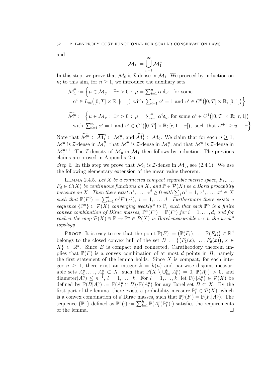and

$$
\mathcal{M}_1:=\bigcup_{n=1}^\infty \mathcal{M}_1^n
$$

In this step, we prove that  $\mathcal{M}_0$  is *T*-dense in  $\mathcal{M}_1$ . We proceed by induction on n; to this aim, for  $n \geq 1$ , we introduce the auxiliary sets

$$
\overline{\mathcal{M}}_1^n := \left\{ \mu \in \mathcal{M}_g : \exists r > 0 : \mu = \sum_{i=1}^n \alpha^i \delta_{u^i}, \text{ for some } \alpha^i \in L_\infty([0, T] \times \mathbb{R}; [r, 1]) \text{ with } \sum_{i=1}^n \alpha^i = 1 \text{ and } u^i \in C^0([0, T] \times \mathbb{R}; [0, 1]) \right\}
$$
  

$$
\widetilde{\mathcal{M}}_1^n := \left\{ \mu \in \mathcal{M}_g : \exists r > 0 : \mu = \sum_{i=1}^n \alpha^i \delta_{u^i} \text{ for some } \alpha^i \in C^1([0, T] \times \mathbb{R}; [r, 1]) \right\}
$$

with 
$$
\sum_{i=1}^{n} \alpha^{i} = 1
$$
 and  $u^{i} \in C^{1}([0, T] \times \mathbb{R}; [r, 1 - r])$ , such that  $u^{i+1} \geq u^{i} + r$ 

Note that  $\widetilde{\mathcal{M}}_1^n \subset \overline{\mathcal{M}}_1^n \subset \mathcal{M}_1^n$ , and  $\widetilde{\mathcal{M}}_1^1 \subset \mathcal{M}_0$ . We claim that for each  $n \geq 1$ ,  $\widetilde{\mathcal{M}}_1^n$  is *I*-dense in  $\overline{\mathcal{M}}_1^n$  $\overline{\widetilde{M}}_1^n$ , that  $\overline{\mathcal{M}}_1^n$  $\frac{n}{1}$  is *T*-dense in  $\mathcal{M}_1^n$ , and that  $\mathcal{M}_1^n$  is *T*-dense in  $\widetilde{\mathcal{M}}_1^{n+1}$ . The *I*-density of  $\mathcal{M}_0$  in  $\mathcal{M}_1$  then follows by induction. The previous claims are proved in Appendix 2.6.

Step 2. In this step we prove that  $\mathcal{M}_1$  is *T*-dense in  $\mathcal{M}_q$ , see (2.4.1). We use the following elementary extension of the mean value theorem.

LEMMA 2.4.5. Let X be a connected compact separable metric space,  $F_1, \ldots,$  $F_d \in C(X)$  be continuous functions on X, and  $\mathbb{P} \in \mathcal{P}(X)$  be a Borel probability measure on X. Then there exist  $\alpha^1, \dots, \alpha^d \geq 0$  with  $\sum_i \alpha^i = 1, x^1, \dots, x^d \in X$ such that  $\mathbb{P}(F^i) = \sum_{j=1}^d \alpha^j F^i(x^j)$ ,  $i = 1, \ldots, d$ . Furthermore there exists a sequence  $\{P^n\} \subset \mathcal{P}(X)$  converging weakly\* to  $\mathbb{P}$ , such that each  $\mathbb{P}^n$  is a finite convex combination of Dirac masses,  $\mathbb{P}^n(F^i) = \mathbb{P}(F^i)$  for  $i = 1, \ldots, d$ , and for each n the map  $\mathcal{P}(X) \ni \mathbb{P} \mapsto \mathbb{P}^n \in \mathcal{P}(X)$  is Borel measurable w.r.t. the weak\* topology.

**PROOF.** It is easy to see that the point  $\mathbb{P}(F) := (\mathbb{P}(F_1), \dots, \mathbb{P}(F_d)) \in \mathbb{R}^d$ belongs to the closed convex hull of the set  $B := \{ (F_1(x), \ldots, F_d(x)), x \in$  $X\}\subset\mathbb{R}^d$ . Since B is compact and connected, Caratheodory theorem implies that  $\mathbb{P}(F)$  is a convex combination of at most d points in B, namely the first statement of the lemma holds. Since  $X$  is compact, for each integer  $n \geq 1$ , there exist an integer  $k = k(n)$  and pairwise disjoint measurable sets  $A_1^n, \ldots, A_k^n \subset X$ , such that  $\mathbb{P}(X \setminus \cup_{l=1}^k A_l^n) = 0$ ,  $\mathbb{P}(A_l^n) > 0$ , and diameter $(A_l^n) \leq n^{-1}, l = 1, \ldots, k$ . For  $l = 1, \ldots, k$ , let  $\mathbb{P}(\cdot | A_l^n) \in \mathcal{P}(X)$  be defined by  $\mathbb{P}(B|A_l^n) := \mathbb{P}(A_l^n \cap B)/\mathbb{P}(A_l^n)$  for any Borel set  $B \subset X$ . By the first part of the lemma, there exists a probability measure  $\mathbb{P}^n_l \in \mathcal{P}(X)$ , which is a convex combination of d Dirac masses, such that  $\mathbb{P}^n_l(F_i) = \mathbb{P}(F_i | A_i^n)$ . The sequence  $\{\mathbb{P}^n\}$  defined as  $\mathbb{P}^n(\cdot) := \sum_{l=1}^k \mathbb{P}(A_l^n)\mathbb{P}_l^n(\cdot)$  satisfies the requirements of the lemma.  $\square$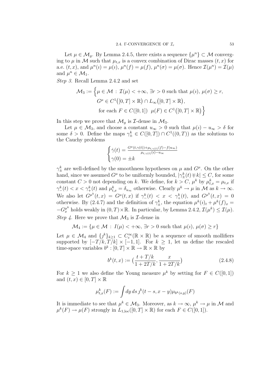Let  $\mu \in \mathcal{M}_g$ . By Lemma 2.4.5, there exists a sequence  $\{\mu^n\} \subset \mathcal{M}$  converging to  $\mu$  in M such that  $\mu_{t,x}$  is a convex combination of Dirac masses  $(t, x)$  for a.e.  $(t, x)$ , and  $\mu^{n}(i) = \mu(i)$ ,  $\mu^{n}(f) = \mu(f)$ ,  $\mu^{n}(\sigma) = \mu(\sigma)$ . Hence  $\mathcal{I}(\mu^{n}) = \mathcal{I}(\mu)$ and  $\mu^n \in \mathcal{M}_1$ .

Step 3. Recall Lemma 2.4.2 and set

$$
\mathcal{M}_3 := \left\{ \mu \in \mathcal{M} : \mathcal{I}(\mu) < +\infty, \exists r > 0 \text{ such that } \mu(i), \mu(\sigma) \ge r, \right\}
$$

$$
G^{\mu} \in C^1([0, T] \times \mathbb{R}) \cap L_{\infty}([0, T] \times \mathbb{R}),
$$

$$
\text{for each } F \in C([0, 1]) \mu(F) \in C^1([0, T] \times \mathbb{R}) \right\}
$$

In this step we prove that  $\mathcal{M}_g$  is *I*-dense in  $\mathcal{M}_3$ .

Let  $\mu \in \mathcal{M}_3$ , and choose a constant  $u_{\infty} > 0$  such that  $\mu(i) - u_{\infty} > \delta$  for some  $\delta > 0$ . Define the maps  $\gamma_{\pm}^k \in C([0,T]) \cap C^1((0,T))$  as the solutions to the Cauchy problems

$$
\begin{cases} \dot{\gamma}(t) = \frac{G^{\mu}(t,\gamma(t)) + \mu_{t,\gamma(t)}(f) - f(u_{\infty})}{\mu_{t,\gamma(t)}(i) - u_{\infty}} \\ \gamma(0) = \pm k \end{cases}
$$

 $\gamma_{\pm}^{k}$  are well-defined by the smoothness hypotheses on  $\mu$  and  $G^{\mu}$ . On the other hand, since we assumed  $G^{\mu}$  to be uniformly bounded,  $|\gamma_{\pm}^{k}(t) \mp k| \leq C$ , for some constant  $C > 0$  not depending on k. We define, for  $k > C$ ,  $\mu^k$  by  $\mu^k_{t,x} = \mu_{t,x}$  if  $\gamma_{-}^{k}(t) < x < \gamma_{+}^{k}(t)$  and  $\mu_{t,x}^{k} = \delta_{u_{\infty}}$  otherwise. Clearly  $\mu^{k} \to \mu$  in M as  $k \to \infty$ . We also let  $G^{\mu^k}(t,x) = G^{\mu}(t,x)$  if  $\gamma^k_-(t) < x < \gamma^k_+(t)$ , and  $G^{\mu^k}(t,x) = 0$ otherwise. By (2.4.7) and the definition of  $\gamma_{\pm}^k$ , the equation  $\mu^k(i)_t + \mu^k(f)_x =$  $-G_x^{\mu^k}$  holds weakly in  $(0, T) \times \mathbb{R}$ . In particular, by Lemma 2.4.2,  $\mathcal{I}(\mu^k) \leq \mathcal{I}(\mu)$ . Step 4. Here we prove that  $\mathcal{M}_3$  is *T*-dense in

$$
\mathcal{M}_4 := \{ \mu \in \mathcal{M} : I(\mu) < +\infty, \exists r > 0 \text{ such that } \mu(i), \mu(\sigma) \ge r \}
$$

Let  $\mu \in \mathcal{M}_4$  and  $\{j^k\}_{k\geq 1} \subset C_c^{\infty}(\mathbb{R} \times \mathbb{R})$  be a sequence of smooth mollifiers supported by  $[-T/k, T/k] \times [-1, 1]$ . For  $k \geq 1$ , let us define the rescaled time-space variables  $b^k : [0, T] \times \mathbb{R} \to \mathbb{R} \times \mathbb{R}$  by

$$
b^{k}(t,x) := \left(\frac{t+T/k}{1+2T/k}, \frac{x}{1+2T/k}\right)
$$
\n(2.4.8)

For  $k \geq 1$  we also define the Young measure  $\mu^k$  by setting for  $F \in C([0,1])$ and  $(t, x) \in [0, T] \times \mathbb{R}$ 

$$
\mu_{t,x}^k(F) := \int dy \, ds \, j^k(t-s, x-y) \mu_{b^k(s,y)}(F)
$$

It is immediate to see that  $\mu^k \in \mathcal{M}_3$ . Moreover, as  $k \to \infty$ ,  $\mu^k \to \mu$  in M and  $\mu^{k}(F) \to \mu(F)$  strongly in  $L_{1,\text{loc}}([0,T] \times \mathbb{R})$  for each  $F \in C([0,1])$ .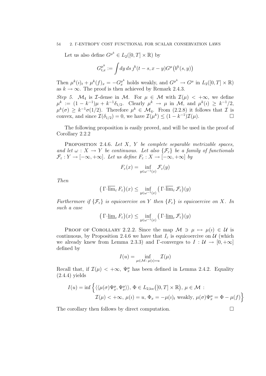#### 54 2. Γ-ENTROPY COST FUNCTIONAL FOR SCALAR CONSERVATION LAWS

Let us also define  $G^{\mu^k} \in L_2([0,T] \times \mathbb{R})$  by

$$
G_{t,x}^{\mu^k} := \int dy \, ds \, j^k(t-s, x-y) G^{\mu}(b^k(s, y))
$$

Then  $\mu^k(i)_t + \mu^k(f)_x = -G_x^{\mu^k}$  holds weakly, and  $G^{\mu^k} \to G^\mu$  in  $L_2([0,T] \times \mathbb{R})$ as  $k \to \infty$ . The proof is then achieved by Remark 2.4.3.

Step 5.  $\mathcal{M}_4$  is *T*-dense in  $\mathcal{M}$ . For  $\mu \in \mathcal{M}$  with  $\mathcal{I}(\mu) < +\infty$ , we define  $\mu^k := (1 - k^{-1})\mu + k^{-1}\delta_{1/2}$ . Clearly  $\mu^k \to \mu$  in M, and  $\mu^k(i) \geq k^{-1/2}$ ,  $\mu^{k}(\sigma) \geq k^{-1}\sigma(1/2)$ . Therefore  $\mu^{k} \in \mathcal{M}_{4}$ . From  $(2.2.8)$  it follows that  $\mathcal{I}$  is convex, and since  $\mathcal{I}(\delta_{1/2}) = 0$ , we have  $\mathcal{I}(\mu^k) \leq (1 - k^{-1})\mathcal{I}(\mu)$ .

The following proposition is easily proved, and will be used in the proof of Corollary 2.2.2

PROPOSITION 2.4.6. Let  $X$ ,  $Y$  be complete separable metrizable spaces, and let  $\omega : X \to Y$  be continuous. Let also  $\{\mathcal{F}_{\varepsilon}\}\$ be a family of functionals  $\mathcal{F}_{\varepsilon}: Y \to [-\infty, +\infty]$ . Let us define  $F_{\varepsilon}: X \to [-\infty, +\infty]$  by

$$
F_{\varepsilon}(x) = \inf_{y \in \omega^{-1}(x)} \mathcal{F}_{\varepsilon}(y)
$$

Then

$$
\left(\Gamma\overline{\text{-}\lim}_{\varepsilon} F_{\varepsilon}\right)(x) \le \inf_{y \in \omega^{-1}(x)} \left(\Gamma\overline{\text{-}\lim}_{\varepsilon} \mathcal{F}_{\varepsilon}\right)(y)
$$

Furthermore if  $\{\mathcal{F}_{\varepsilon}\}\$  is equicoercive on Y then  $\{F_{\varepsilon}\}\$  is equicoercive on X. In such a case

$$
\left(\left.\Gamma\text{-}\underline{\lim}_{\varepsilon} F_{\varepsilon}\right)\right)(x) \leq \inf_{y \in \omega^{-1}(x)} \left(\left.\Gamma\text{-}\underline{\lim}_{\varepsilon} \mathcal{F}_{\varepsilon}\right)\right)(y)
$$

PROOF OF COROLLARY 2.2.2. Since the map  $\mathcal{M} \ni \mu \mapsto \mu(i) \in \mathcal{U}$  is continuous, by Proposition 2.4.6 we have that  $I_{\varepsilon}$  is equicoercive on U (which we already knew from Lemma 2.3.3) and Γ-converges to  $I : \mathcal{U} \to [0, +\infty]$ defined by

$$
I(u) = \inf_{\mu \in \mathcal{M} \colon \mu(v) = u} \mathcal{I}(\mu)
$$

Recall that, if  $\mathcal{I}(\mu) < +\infty$ ,  $\Psi_x^{\mu}$  has been defined in Lemma 2.4.2. Equality (2.4.4) yields

$$
I(u) = \inf \left\{ \langle \langle \mu(\sigma) \Psi_x^{\mu}, \Psi_x^{\mu} \rangle \rangle, \Phi \in L_{2,loc}([0, T] \times \mathbb{R}), \mu \in \mathcal{M} : \mathcal{I}(\mu) < +\infty, \mu(\nu) = u, \Phi_x = -\mu(\nu)_t \text{ weakly, } \mu(\sigma) \Psi_x^{\mu} = \Phi - \mu(f) \right\}
$$

The corollary then follows by direct computation.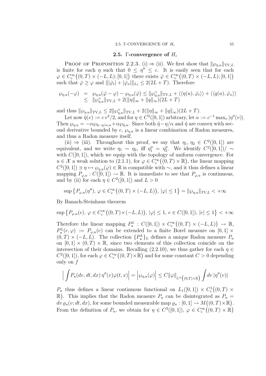### 2.5. Γ-convergence of  $H_{\varepsilon}$

PROOF OF PROPOSITION 2.2.3. (i)  $\Rightarrow$  (ii). We first show that  $\|\varphi_{\eta,u}\|_{TV,L}$ is finite for each  $\eta$  such that  $0 \leq \eta'' \leq c$ . It is easily seen that for each  $\varphi \in C_{\rm c}^{\infty}((0,T) \times (-L,L);[0,1])$  there exists  $\overline{\varphi} \in C_{\rm c}^{\infty}((0,T) \times (-L,L);[0,1])$ such that  $\bar{\varphi} \geq \varphi$  and  $\|\|\bar{\varphi}_t\| + \|\bar{\varphi}_x\|_{L_1} \leq 2(2L + T)$ . Therefore

$$
\varphi_{\eta,u}(-\varphi) = \varphi_{\eta,u}(\bar{\varphi}-\varphi) - \varphi_{\eta,u}(\bar{\varphi}) \leq ||\varphi_{\eta,u}^+||_{TV,L} + \langle\langle \eta(u), \bar{\varphi}_t \rangle\rangle + \langle\langle q(u), \bar{\varphi}_x \rangle\rangle
$$
  

$$
\leq ||\varphi_{\eta,u}^+||_{TV,L} + 2(||\eta||_{\infty} + ||q||_{\infty})(2L+T)
$$

and thus  $\|\wp_{\eta,u}\|_{\text{TV},L} \leq 2\|\wp_{\eta,u}^+\|_{\text{TV},L} + 2(\|\eta\|_{\infty} + \|q\|_{\infty})(2L+T).$ 

Let now  $\tilde{\eta}(v) := c v^2/2$ , and for  $\eta \in C^2([0,1])$  arbitrary, let  $\alpha := c^{-1} \max_v |\eta''(v)|$ . Then  $\wp_{\eta,u} = -\alpha \wp_{\tilde{\eta}-\eta/\alpha,u} + \alpha \wp_{\tilde{\eta},u}$ . Since both  $\tilde{\eta}-\eta/\alpha$  and  $\tilde{\eta}$  are convex with second derivative bounded by  $c, \varphi_{\eta,u}$  is a linear combination of Radon measures, and thus a Radon measure itself.

(ii)  $\Rightarrow$  (iii). Throughout this proof, we say that  $\eta_1, \eta_2 \in C^2([0,1])$  are equivalent, and we write  $\eta_1 \sim \eta_2$ , iff  $\eta_1'' = \eta_2''$ . We identify  $C^2([0,1])/\sim$ with  $C([0, 1])$ , which we equip with the topology of uniform convergence. For  $u \in \mathcal{X}$  a weak solution to (2.1.1), for  $\varphi \in C_c^{\infty}((0,T) \times \mathbb{R})$ , the linear mapping  $C^2([0,1]) \ni \eta \mapsto \wp_{\eta,u}(\varphi) \in \mathbb{R}$  is compatible with ~, and it thus defines a linear mapping  $P_{\varphi,u}: C([0,1]) \to \mathbb{R}$ . It is immediate to see that  $P_{\varphi,u}$  is continuous, and by (ii) for each  $\eta \in C^2([0,1])$  and  $L > 0$ 

$$
\sup\left\{P_{\varphi,u}(\eta''),\,\varphi\in C_c^\infty\big((0,T)\times(-L,L)\big),\,|\varphi|\leq 1\right\}=\|\varphi_{\eta,u}\|_{TV,L}<+\infty
$$

By Banach-Steinhaus theorem

 $\sup \{ P_{\varphi, u}(e), \, \varphi \in C^{\infty}_c((0, T) \times (-L, L)), \, |\varphi| \leq 1, \, e \in C([0, 1]), \, |e| \leq 1 \} < +\infty$ 

Therefore the linear mapping  $P_u^L : C([0,1]) \times C_c^{\infty}((0,T) \times (-L,L)) \to \mathbb{R}$ ,  $P_u^L(e,\varphi) := P_{\varphi,u}(e)$  can be extended to a finite Borel measure on  $[0,1] \times$  $(0, T) \times (-L, L)$ . The collection  $\{P_u^L\}_L$  defines a unique Radon measure  $P_u$ on  $[0, 1] \times (0, T) \times \mathbb{R}$ , since two elements of this collection coincide on the intersection of their domains. Recalling (2.2.10), we thus gather for each  $\eta \in$  $C^2([0,1])$ , for each  $\varphi \in C_c^{\infty}((0,T) \times \mathbb{R})$  and for some constant  $C > 0$  depending only on  $f$ 

$$
\Big|\int P_u(dv, dt, dx)\,\eta''(v)\varphi(t,x)\Big| = \Big|\wp_{\eta,u}(\varphi)\Big| \leq C\|\varphi\|_{C^1\big((0,T)\times \mathbb{R}\big)}\int dv\,|\eta''(v)|
$$

 $P_u$  thus defines a linear continuous functional on  $L_1([0,1]) \times C_c^1((0,T) \times$  $\mathbb{R}$ ). This implies that the Radon measure  $P_u$  can be disintegrated as  $P_u$  =  $\overline{dv} \varrho_u(v; dt, dx)$ , for some bounded measurable map  $\varrho_u : [0,1] \to M((0,T) \times \mathbb{R})$ . From the definition of  $P_u$ , we obtain for  $\eta \in C^2([0,1])$ ,  $\varphi \in C_c^{\infty}((0,T) \times \mathbb{R})$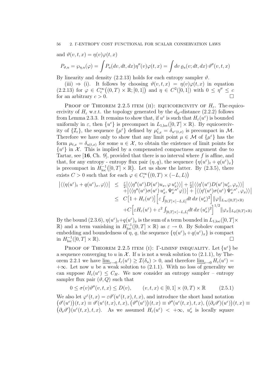and 
$$
\vartheta(v, t, x) = \eta(v)\varphi(t, x)
$$

$$
P_{\vartheta,u} = \wp_{\eta,u}(\varphi) = \int P_u(dv, dt, dx) \eta''(v) \varphi(t, x) = \int dv \, \varrho_u(v; dt, dx) \, \vartheta''(v, t, x)
$$

By linearity and density (2.2.13) holds for each entropy sampler  $\vartheta$ .

(iii)  $\Rightarrow$  (i). It follows by choosing  $\vartheta(v,t,x) = \eta(v)\varphi(t,x)$  in equation  $(2.2.13)$  for  $\varphi \in C_c^{\infty}((0,T) \times \mathbb{R};[0,1])$  and  $\eta \in C^2([0,1])$  with  $0 \leq \eta'' \leq c$ for an arbitrary  $c > 0$ .

PROOF OF THEOREM 2.2.5 ITEM (II): EQUICOERCIVITY OF  $H_{\varepsilon}$ . The equicoercivity of  $H_{\varepsilon}$  w.r.t. the topology generated by the  $d_{\mathcal{U}}$ -distance (2.2.2) follows from Lemma 2.3.3. It remains to show that, if  $u^{\varepsilon}$  is such that  $H_{\varepsilon}(u^{\varepsilon})$  is bounded uniformly in  $\varepsilon$ , then  $\{u^{\varepsilon}\}\$ is precompact in  $L_{1,\text{loc}}([0,T] \times \mathbb{R})$ . By equicoercivity of  $\{\mathcal{I}_{\varepsilon}\}\)$ , the sequence  $\{\mu^{\varepsilon}\}\$  defined by  $\mu^{\varepsilon}_{t,x} = \delta_{u^{\varepsilon}(t,x)}\)$  is precompact in M. Therefore we have only to show that any limit point  $\mu \in \mathcal{M}$  of  $\{\mu^{\varepsilon}\}\)$  has the form  $\mu_{t,x} = \delta_{u(t,x)}$  for some  $u \in \mathcal{X}$ , to obtain the existence of limit points for  $\{u^{\varepsilon}\}\$ in X. This is implied by a compensated compactness argument due to Tartar, see [16, Ch. 9], provided that there is no interval where  $f$  is affine, and that, for any entropy - entropy flux pair  $(\eta, q)$ , the sequence  $\{\eta(u^{\varepsilon})_t + q(u^{\varepsilon})_x\}$ is precompact in  $H^{-1}_{loc}([0,T] \times \mathbb{R})$ . Let us show the latter. By (2.3.5), there exists  $C > 0$  such that for each  $\varphi \in C_c^{\infty}((0, T) \times (-L, L))$ 

$$
\begin{array}{rcl} \left| \langle \langle \eta(u^{\varepsilon})_{t} + q(u^{\varepsilon})_{x}, \varphi \rangle \rangle \right| & \leq & \frac{\varepsilon}{2} \left| \langle \langle \eta''(u^{\varepsilon})D(u^{\varepsilon})u_{x}, \varphi u_{x}^{\varepsilon} \rangle \rangle \right| + \frac{\varepsilon}{2} \left| \langle \langle \eta'(u^{\varepsilon})D(u^{\varepsilon})u_{x}^{\varepsilon}, \varphi_{x} \rangle \rangle \right| \\ & & \quad + \left| \langle \langle \eta''(u^{\varepsilon})\sigma(u^{\varepsilon})u_{x}^{\varepsilon}, u^{\varepsilon} \varphi \rangle \rangle \right| + \left| \langle \langle \eta'(u^{\varepsilon})\sigma(u^{\varepsilon})u^{\varepsilon}_{x}^{u^{\varepsilon}}, \varphi_{x} \rangle \rangle \right| \\ & \leq & C\left[1 + H_{\varepsilon}(u^{\varepsilon})\right] \left[ \varepsilon \int_{[0,T] \times [-L,L]} dt \, dx \, (u^{\varepsilon}_{x})^{2} \right] \|\varphi\|_{L_{\infty}([0,T] \times \mathbb{R})} \\ & & \quad + C\left[ \varepsilon H_{\varepsilon}(u^{\varepsilon}) + \varepsilon^{2} \int_{[0,T] \times [-L,L]} dt \, dx \, (u^{\varepsilon}_{x})^{2} \right]^{1/2} \|\varphi_{x}\|_{L_{2}([0,T] \times \mathbb{R})} \end{array}
$$

By the bound (2.3.6),  $\eta(u^{\varepsilon})_t+q(u^{\varepsilon})_x$  is the sum of a term bounded in  $L_{1,\text{loc}}([0,T]\times$  $ℝ)$  and a term vanishing in  $H_{loc}^{-1}([0,T] \times ℝ)$  as  $\varepsilon \to 0$ . By Sobolev compact embedding and boundedness of  $\eta$ , q, the sequence  $\{\eta(u^{\varepsilon})_t + q(u^{\varepsilon})_x\}$  is compact in  $H_{\text{loc}}^{-1}([0,T] \times \mathbb{R})$ .

PROOF OF THEOREM 2.2.5 ITEM (I): Γ-LIMINF INEQUALITY. Let  $\{u^{\varepsilon}\}\;$  be a sequence converging to u in X. If u is not a weak solution to  $(2.1.1)$ , by Theorem 2.2.1 we have  $\underline{\lim}_{\varepsilon \to 0} I_{\varepsilon}(u^{\varepsilon}) \geq \mathcal{I}(\delta_u) > 0$ , and therefore  $\underline{\lim}_{\varepsilon \to 0} H_{\varepsilon}(u^{\varepsilon}) =$  $+\infty$ . Let now u be a weak solution to (2.1.1). With no loss of generality we can suppose  $H_{\varepsilon}(u^{\varepsilon}) \leq C_H$ . We now consider an entropy sampler – entropy sampler flux pair  $(\vartheta, Q)$  such that

$$
0 \le \sigma(v)\vartheta''(v,t,x) \le D(v), \qquad (v,t,x) \in [0,1] \times (0,T) \times \mathbb{R} \tag{2.5.1}
$$

We also let  $\varphi^{\varepsilon}(t,x) = \varepsilon \vartheta'(u^{\varepsilon}(t,x), t, x)$ , and introduce the short hand notation  $(\vartheta'(u^{\varepsilon}))(t,x) \equiv \vartheta'(u^{\varepsilon}(t,x),t,x), (\vartheta''(u^{\varepsilon}))(t,x) \equiv \vartheta''(u^{\varepsilon}(t,x),t,x), ((\partial_x \vartheta')(u^{\varepsilon}))(t,x) \equiv$  $(\partial_x \vartheta') (u^{\varepsilon}(t,x),t,x)$ . As we assumed  $H_{\varepsilon}(u^{\varepsilon}) < +\infty$ ,  $u^{\varepsilon}_x$  is locally square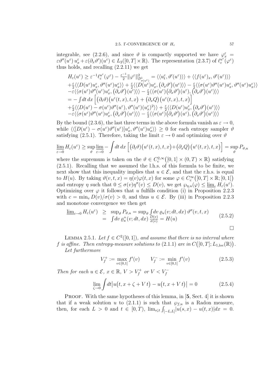integrable, see (2.2.6), and since  $\vartheta$  is compactly supported we have  $\varphi_x^{\varepsilon} =$  $\varepsilon \vartheta''(u^{\varepsilon}) u^{\varepsilon}_{x} + \varepsilon (\partial_{x} \vartheta') (u^{\varepsilon}) \in L_{2}([0, T] \times \mathbb{R}).$  The representation (2.3.7) of  $\ell_{\varepsilon}^{u^{\varepsilon}}$  $\int_\varepsilon^{u^\varepsilon} (\varphi^\varepsilon)$ thus holds, and recalling (2.2.11) we get

$$
H_{\varepsilon}(u^{\varepsilon}) \geq \varepsilon^{-1} \ell_{\varepsilon}^{u^{\varepsilon}}(\varphi^{\varepsilon}) - \frac{\varepsilon^{-1}}{2} \|\varphi^{\varepsilon}\|_{\mathcal{D}_{\sigma(u^{\varepsilon})}^{1}}^{2} = \langle \langle u^{\varepsilon}_{t}, \vartheta'(u^{\varepsilon}) \rangle \rangle + \langle \langle f(u^{\varepsilon})_{x}, \vartheta'(u^{\varepsilon}) \rangle \rangle + \frac{\varepsilon}{2} \langle \langle D(u^{\varepsilon}) u^{\varepsilon}_{x}, \vartheta''(u^{\varepsilon}) u^{\varepsilon}_{x} \rangle \rangle + \frac{\varepsilon}{2} \langle \langle D(u^{\varepsilon}) u^{\varepsilon}_{x}, (\partial_{x} \vartheta')(u^{\varepsilon}) \rangle \rangle - \frac{\varepsilon}{2} \langle \langle \sigma(u^{\varepsilon}) \vartheta''(u^{\varepsilon}) u^{\varepsilon}_{x}, \vartheta''(u^{\varepsilon}) u^{\varepsilon}_{x} \rangle \rangle - \varepsilon \langle \langle \sigma(u^{\varepsilon}) \vartheta''(u^{\varepsilon}) u^{\varepsilon}_{x}, (\partial_{x} \vartheta')(u^{\varepsilon}) \rangle \rangle - \frac{\varepsilon}{2} \langle \langle \sigma(u^{\varepsilon}) (\partial_{x} \vartheta')(u^{\varepsilon}), (\partial_{x} \vartheta')(u^{\varepsilon}) \rangle \rangle = - \int dt \, dx \left[ (\partial_{t} \vartheta) \big( u^{\varepsilon}(t, x), t, x \big) + (\partial_{x} Q) \big( u^{\varepsilon}(t, x), t, x \big) \right] + \frac{\varepsilon}{2} \langle \langle D(u^{\varepsilon}) - \sigma(u^{\varepsilon}) \vartheta''(u^{\varepsilon}), \vartheta''(u^{\varepsilon}) (u^{\varepsilon}) \rangle \rangle + \frac{\varepsilon}{2} \langle \langle D(u^{\varepsilon}) u^{\varepsilon}_{x}, (\partial_{x} \vartheta')(u^{\varepsilon}) \rangle \rangle - \varepsilon \langle \langle \sigma(u^{\varepsilon}) \vartheta''(u^{\varepsilon}) u^{\varepsilon}_{x}, (\partial_{x} \vartheta')(u^{\varepsilon}) \rangle \rangle - \frac{\varepsilon}{2} \langle \langle \sigma(u^{\varepsilon}) (\vartheta_{x} \vartheta)'(u^{\varepsilon}), (\partial_{x} \vartheta')(
$$

By the bound (2.3.6), the last three terms in the above formula vanish as  $\varepsilon \to 0$ , while  $\langle\langle [D(u^{\varepsilon})-\sigma(u^{\varepsilon})\vartheta''(u^{\varepsilon})]u^{\varepsilon}_x, \vartheta''(u^{\varepsilon})u^{\varepsilon}_x \rangle\rangle \geq 0$  for each entropy sampler  $\vartheta$ satisfying (2.5.1). Therefore, taking the limit  $\varepsilon \to 0$  and optimizing over  $\vartheta$ 

$$
\underline{\lim}_{\varepsilon \to 0} H_{\varepsilon}(u^{\varepsilon}) \ge \sup_{\vartheta} \underline{\lim}_{\varepsilon \to 0} - \int dt \, dx \left[ \left( \partial_t \vartheta \right) \left( u^{\varepsilon}(t, x), t, x \right) + \left( \partial_x Q \right) \left( u^{\varepsilon}(t, x), t, x \right) \right] = \sup_{\vartheta} P_{\vartheta, u}
$$

where the supremum is taken on the  $\theta \in C^{2,\infty}_c([0,1] \times (0,T) \times \mathbb{R})$  satisfying (2.5.1). Recalling that we assumed the l.h.s. of this formula to be finite, we next show that this inequality implies that  $u \in \mathcal{E}$ , and that the r.h.s. is equal to  $H(u)$ . By taking  $\vartheta(v,t,x) = \eta(v)\varphi(t,x)$  for some  $\varphi \in C_c^{\infty}([0,T] \times \mathbb{R};[0,1])$ and entropy  $\eta$  such that  $0 \le \sigma(v)\eta''(v) \le D(v)$ , we get  $\wp_{\eta,u}(\varphi) \le \underline{\lim}_{\varepsilon} H_{\varepsilon}(u^{\varepsilon})$ . Optimizing over  $\varphi$  it follows that u fulfills condition (i) in Proposition 2.2.3 with  $c = \min_v D(v)/\sigma(v) > 0$ , and thus  $u \in \mathcal{E}$ . By (iii) in Proposition 2.2.3 and monotone convergence we then get

$$
\underline{\lim}_{\varepsilon \to 0} H_{\varepsilon}(u^{\varepsilon}) \geq \sup_{\vartheta} P_{\vartheta, u} = \sup_{\vartheta} \int dv \, \varrho_{u}(v; dt, dx) \, \vartheta''(v, t, x) \n= \int dv \, \varrho_{u}^{+}(v; dt, dx) \, \frac{D(v)}{\sigma(v)} = H(u)
$$
\n
$$
\Box
$$

LEMMA 2.5.1. Let  $f \in C^2([0,1])$ , and assume that there is no interval where f is affine. Then entropy-measure solutions to  $(2.1.1)$  are in  $C([0,T];L_{1,\text{loc}}(\mathbb{R}))$ . Let furthermore

$$
V_f^+ := \max_{v \in [0,1]} f'(v) \qquad V_f^- := \min_{v \in [0,1]} f'(v) \tag{2.5.3}
$$

Then for each  $u \in \mathcal{E}$ ,  $x \in \mathbb{R}$ ,  $V > V_f^+$  or  $V < V_f^-$ 

$$
\lim_{\zeta \to 0} \int dt \big| u(t, x + \zeta + V t) - u(t, x + V t) \big| = 0 \tag{2.5.4}
$$

PROOF. With the same hypotheses of this lemma, in [5, Sect. 4] it is shown that if a weak solution u to (2.1.1) is such that  $\wp_{f,u}$  is a Radon measure, then, for each  $L > 0$  and  $t \in [0, T)$ ,  $\lim_{s \downarrow t} \int_{[-L, L]} |u(s, x) - u(t, x)| dx = 0$ .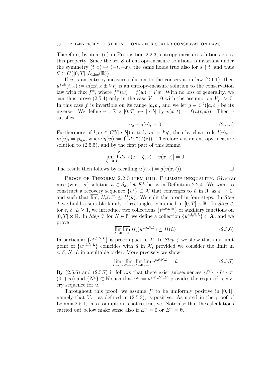Therefore, by item (ii) in Proposition 2.2.3, entropy-measure solutions enjoy this property. Since the set  $\mathcal E$  of entropy-measure solutions is invariant under the symmetry  $(t, x) \mapsto (-t, -x)$ , the same holds true also for  $s \uparrow t$ , and thus  $\mathcal{E} \subset C([0,T];L_{1,\mathrm{loc}}(\mathbb{R})).$ 

If  $u$  is an entropy-measure solution to the conservation law  $(2.1.1)$ , then  $u^{V,\pm}(t,x) := u(\pm t, x \pm Vt)$  is an entropy-measure solution to the conservation law with flux  $f^{\pm}$ , where  $f^{\pm}(w) = f(w) \mp Vw$ . With no loss of generality, we can thus prove (2.5.4) only in the case  $V = 0$  with the assumption  $V_f^- > 0$ . In this case f is invertible on its range [a, b], and we let  $g \in C^2([a, b])$  be its inverse. We define  $v : \mathbb{R} \times [0,T] \mapsto [a, b]$  by  $v(x, t) = f(u(t, x))$ . Then v satisfies

$$
v_x + g(v)_t = 0 \t\t(2.5.5)
$$

Furthermore, if  $l, m \in C^2([a, b])$  satisfy  $m' = l'g'$ , then by chain rule  $l(v)_x$  +  $m(v)_t = \wp_{\eta, u}$ , where  $\eta(w) := \int^{\omega} dz \, l'(f(z))$ . Therefore v is an entropy-measure solution to (2.5.5), and by the first part of this lemma

$$
\lim_{\zeta \to 0} \int ds \, \big| v(x+\zeta, s) - v(x, s) \big| = 0
$$

The result then follows by recalling  $u(t, x) = g(v(x, t))$ .

PROOF OF THEOREM 2.2.5 ITEM (III): Γ-LIMSUP INEQUALITY. Given an nice (w.r.t.  $\sigma$ ) solution  $\tilde{u} \in \mathcal{S}_{\sigma}$ , let  $E^{\pm}$  be as in Definition 2.2.4. We want to construct a recovery sequence  $\{u^{\varepsilon}\}\subset \mathcal{X}$  that converges to  $\tilde{u}$  in  $\mathcal{X}$  as  $\varepsilon\to 0$ , and such that  $\overline{\lim}_{\varepsilon} H_{\varepsilon}(u^{\varepsilon}) \leq H(\tilde{u})$ . We split the proof in four steps. In Step 1 we build a suitable family of rectangles contained in  $[0, T] \times \mathbb{R}$ . In Step 2, for  $\varepsilon$ ,  $\delta$ ,  $L \geq 1$ , we introduce two collections  $\{v^{\varepsilon,\delta,L,\pm}\}\$  of auxiliary functions on  $[0, T] \times \mathbb{R}$ . In Step 3, for  $N \in \mathbb{N}$  we define a collection  $\{u^{\varepsilon,\delta,N,L}\}\subset \mathcal{X}$ , and we prove

$$
\overline{\lim_{\delta \to 0}} \overline{\lim_{\varepsilon \to 0}} H_{\varepsilon}(u^{\varepsilon,\delta,N,L}) \le H(\tilde{u})
$$
\n(2.5.6)

In particular  $\{u^{\varepsilon,\delta,N,L}\}\$ is precompact in X. In Step 4 we show that any limit point of  $\{u^{\varepsilon,\delta,N,L}\}\)$  coincides with  $\tilde{u}$  in X, provided we consider the limit in  $\varepsilon$ ,  $\delta$ , N, L in a suitable order. More precisely we show

$$
\lim_{L \to \infty} \lim_{N \to \infty} \lim_{\delta \to 0} \lim_{\varepsilon \to 0} u^{\varepsilon, \delta, N, L} = \tilde{u}
$$
\n(2.5.7)

By (2.5.6) and (2.5.7) it follows that there exist subsequences  $\{\delta^{\varepsilon}\}, \{L^{\varepsilon}\}\subset$  $(0, +\infty)$  and  $\{N^{\varepsilon}\}\subset \mathbb{N}$  such that  $u^{\varepsilon} := u^{\varepsilon, \delta^{\varepsilon}, N^{\varepsilon}, L^{\varepsilon}}$  provides the required recovery sequence for  $\tilde{u}$ .

Throughout this proof, we assume  $f'$  to be uniformly positive in [0, 1], namely that  $V_f^$  $f_f^{\text{--}}$ , as defined in (2.5.3), is positive. As noted in the proof of Lemma 2.5.1, this assumption is not restrictive. Note also that the calculations carried out below make sense also if  $E^+ = \emptyset$  or  $E^- = \emptyset$ .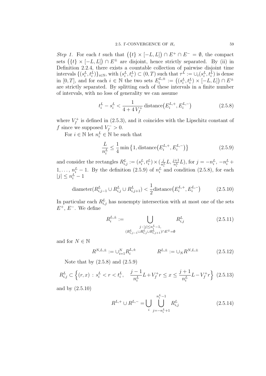Step 1. For each t such that  $({t \}\times [-L, L]) \cap E^+ \cap E^- = \emptyset$ , the compact sets  $({t} \times [-L, L]) \cap E^{\pm}$  are disjoint, hence strictly separated. By (ii) in Definition 2.2.4, there exists a countable collection of pairwise disjoint time intervals  $\{(s_i^L, t_i^L)\}_{i\in\mathbb{N}}$ , with  $(s_i^L, t_i^L) \subset (0, T)$  such that  $\tau^L := \cup_i (s_i^L, t_i^L)$  is dense in [0, T], and for each  $i \in \mathbb{N}$  the two sets  $E_i^{L,\pm}$  $i^{L,\pm}:=\left((s^L_i,t^L_i)\times [-L,L]\right)\cap E^\pm$ are strictly separated. By splitting each of these intervals in a finite number of intervals, with no loss of generality we can assume

$$
t_i^L - s_i^L < \frac{1}{4 + 4V_f^+} \operatorname{distance}(E_i^{L,+}, E_i^{L,-}) \tag{2.5.8}
$$

where  $V_f^+$  $f_f^+$  is defined in (2.5.3), and it coincides with the Lipschitz constant of f since we supposed  $V_f^- > 0$ .

For  $i \in \mathbb{N}$  let  $n_i^L \in \mathbb{N}$  be such that

$$
\frac{L}{n_i^L} \le \frac{1}{4} \min\left\{1, \text{distance}\left(E_i^{L,+}, E_i^{L,-}\right)\right\} \tag{2.5.9}
$$

and consider the rectangles  $R_{i,j}^L := (s_i^L, t_i^L) \times (\frac{j}{n})$  $\frac{j}{n_i^L} L, \frac{j+1}{n_i^L} L$ , for  $j = -n_i^L, -n_i^L +$  $1, \ldots, n_i^L - 1$ . By the definition  $(2.5.9)$  of  $n_i^L$  and condition  $(2.5.8)$ , for each  $|j| \leq n_i^L - 1$ 

$$
\text{diameter}(R_{i,j-1}^L \cup R_{i,j}^L \cup R_{i,j+1}^L) < \frac{1}{2}\text{distance}\left(E_i^{L,+}, E_i^{L,-}\right) \tag{2.5.10}
$$

In particular each  $R_{i,j}^L$  has nonempty intersection with at most one of the sets  $E^+$ ,  $E^-$ . We define

$$
R_i^{L, \pm} := \bigcup_{\substack{j \,:\, |j| \le n_i^L - 1, \\ (R_{i,j-1}^L \cup R_{i,j}^L \cup R_{i,j+1}^L) \cap E^{\mp} = \emptyset}} R_{i,j}^L
$$
\n(2.5.11)

and for  $N \in \mathbb{N}$ 

$$
R^{N,L,\pm} := \bigcup_{i=1}^{N} R_i^{L,\pm} \qquad R^{L,\pm} := \bigcup_N R^{N,L,\pm} \qquad (2.5.12)
$$

Note that by  $(2.5.8)$  and  $(2.5.9)$ 

$$
R_{i,j}^L \subset \left\{ (r,x) \, : \, s_i^L < r < t_i^L, \quad \frac{j-1}{n_i^L} L + V_f^+ r \le x \le \frac{j+1}{n_i^L} L - V_f^+ r \right\} \tag{2.5.13}
$$

and by (2.5.10)

$$
R^{L,+} \cup R^{L,-} = \bigcup_{i} \bigcup_{j=-n_i^L+1}^{n_i^L-1} R_{i,j}^L
$$
 (2.5.14)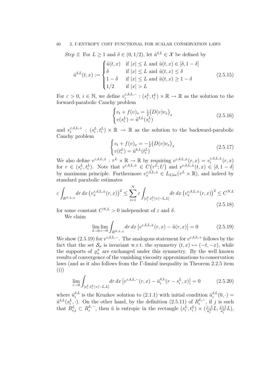#### 60 2. Γ-ENTROPY COST FUNCTIONAL FOR SCALAR CONSERVATION LAWS

Step 2. For  $L \geq 1$  and  $\delta \in (0, 1/2)$ , let  $\tilde{u}^{\delta, L} \in \mathcal{X}$  be defined by

$$
\tilde{u}^{\delta,L}(t,x) := \begin{cases}\n\tilde{u}(t,x) & \text{if } |x| \le L \text{ and } \tilde{u}(t,x) \in [\delta, 1-\delta] \\
\delta & \text{if } |x| \le L \text{ and } \tilde{u}(t,x) \le \delta \\
1-\delta & \text{if } |x| \le L \text{ and } \tilde{u}(t,x) \ge 1-\delta \\
1/2 & \text{if } |x| > L\n\end{cases}
$$
\n(2.5.15)

For  $\varepsilon > 0$ ,  $i \in \mathbb{N}$ , we define  $v_i^{\varepsilon,\delta,L,-}$  $e_i^{\varepsilon,\delta,L,-}: (s_i^L, t_i^L) \times \mathbb{R} \to \mathbb{R}$  as the solution to the forward-parabolic Cauchy problem

$$
\begin{cases} v_t + f(v)_x = \frac{\varepsilon}{2} (D(v)v_x)_x \\ v(s_i^L) = \tilde{u}^{\delta, L}(s_i^L) \end{cases}
$$
\n(2.5.16)

and  $v_i^{\varepsilon,\delta,L,+}$  $\zeta_i^{\varepsilon,\delta,L,+}$ :  $(s_i^L, t_i^L) \times \mathbb{R} \to \mathbb{R}$  as the solution to the backward-parabolic Cauchy problem

$$
\begin{cases} v_t + f(v)_x = -\frac{\varepsilon}{2} \left( D(v)v_x \right)_x \\ v(t_i^L) = \tilde{u}^{\delta, L}(t_i^L) \end{cases} \tag{2.5.17}
$$

We also define  $v^{\varepsilon,\delta,L,\pm} : \tau^L \times \mathbb{R} \to \mathbb{R}$  by requiring  $v^{\varepsilon,\delta,L,\pm}(r,x) = v^{\varepsilon,\delta,L,\pm}_i$  $\int_{i}^{\varepsilon,0,L,\pm}(r,x)$ for  $r \in (s_i^L, t_i^L)$ . Note that  $v^{\varepsilon,\delta,L,\pm} \in C(\tau^L;U)$  and  $v^{\varepsilon,\delta,L,\pm}(t,x) \in [\delta,1-\delta]$ by maximum principle. Furthermore  $v_x^{\varepsilon,\delta,L,\pm} \in L_{2,\text{loc}}(\tau^L \times \mathbb{R})$ , and indeed by standard parabolic estimates

$$
\varepsilon \int_{R^{N,L,\pm}} dr \, dx \left( v_x^{\varepsilon,\delta,L,\pm}(r,x) \right)^2 \le \sum_{i=1}^N \varepsilon \int_{[s_i^L, t_i^L] \times [-L,L]} dr \, dx \left( v_x^{\varepsilon,\delta,L,\pm}(r,x) \right)^2 \le C^{N,L}
$$
\n(2.5.18)

for some constant  $C^{N,L} > 0$  independent of  $\varepsilon$  and  $\delta$ .

We claim

$$
\lim_{\delta \to 0} \lim_{\varepsilon \to 0} \int_{R^{N,L,\pm}} dr \, dx \left| v^{\varepsilon,\delta,L,\pm}(r,x) - \tilde{u}(r,x) \right| = 0 \tag{2.5.19}
$$

We show (2.5.19) for  $v^{\epsilon,\delta,L,-}$ . The analogous statement for  $v^{\epsilon,\delta,L,+}$  follows by the fact that the set  $\mathcal{S}_{\sigma}$  is invariant w.r.t. the symmetry  $(t, x) \mapsto (-t, -x)$ , while the supports of  $\varrho_u^{\pm}$  are exchanged under this symmetry. By the well known results of convergence of the vanishing viscosity approximations to conservation laws (and as it also follows from the Γ-liminf inequality in Theorem 2.2.5 item (i))

$$
\lim_{\varepsilon \to 0} \int_{[s_i^L, t_i^L] \times [-L, L]} dr \, dx \left[ v^{\varepsilon, \delta, L, -}(r, x) - \bar{u}_i^{\delta, L}(r - s_i^L, x) \right] = 0 \tag{2.5.20}
$$

where  $\bar{u}_i^{\delta,L}$  $\tilde{u}_i^{\delta,L}$  is the Kruzkov solution to  $(2.1.1)$  with initial condition  $\bar{u}_i^{\delta,L}$  $\sum_{i=1}^{N} (0, \cdot) =$  $\tilde{u}^{\delta,L}(s_i^L, \cdot)$ . On the other hand, by the definition (2.5.11) of  $R_i^{L, -}$  $i^{L,-}$ , if j is such that  $R_{i,j}^L \subset R_i^{L,-}$  $\mu_i^{L,-}$ , then  $\tilde{u}$  is entropic in the rectangle  $(s_i^L, t_i^L) \times (\frac{j-1}{n_i^L})$  $\frac{j-1}{n_i^L}L, \frac{j+1}{n_i^L}L),$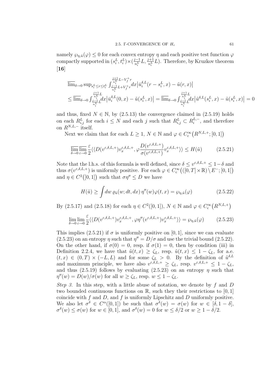namely  $\wp_{\eta,\tilde{u}}(\varphi) \leq 0$  for each convex entropy  $\eta$  and each positive test function  $\varphi$ compactly supported in  $(s_i^L, t_i^L) \times (\frac{j-1}{n^L})$  $\frac{i-1}{n_i^L}L, \frac{j+1}{n_i^L}L$ ). Therefore, by Kruzkov theorem [16]

$$
\overline{\lim}_{\delta \to 0} \sup_{s_i^L \le r \le t_i^L} \int_{\substack{\frac{j+1}{n_i^L} L - V_f^+ r \\ \frac{j+1}{n_i^L} L + V_f^+ r}}^{\frac{j+1}{n_i^L} L - V_f^+ r} dx \left| \overline{u}_i^{\delta, L} (r - s_i^L, x) - \tilde{u}(r, x) \right|
$$
\n
$$
\le \overline{\lim}_{\delta \to 0} \int_{\substack{\frac{j+1}{n_i^L} L \\ \frac{j-1}{n_i^L} L}}^{\frac{j+1}{n_i^L} L + V_f^+ r} dx \left| \overline{u}_i^{\delta, L} (r - s_i^L, x) - \overline{\tilde{u}}(r, x) \right| = \overline{\lim}_{\delta \to 0} \int_{\substack{\frac{j+1}{n_i^L} L \\ \frac{j-1}{n_i^L} L}}^{\frac{j+1}{n_i^L} L} dx \left| \overline{u}_i^{\delta, L} (s_i^L, x) - \tilde{u}(s_i^L, x) \right| = 0
$$

and thus, fixed  $N \in \mathbb{N}$ , by  $(2.5.13)$  the convergence claimed in  $(2.5.19)$  holds on each  $R_{i,j}^L$  for each  $i \leq N$  and each j such that  $R_{i,j}^L \subset R_i^{L,-}$  $i_i^{L,-}$ , and therefore on  $R^{N,L,-}$  itself.

Next we claim that for each  $L \geq 1$ ,  $N \in \mathbb{N}$  and  $\varphi \in C_c^{\infty}(R^{N,L,+};[0,1])$ 

$$
\overline{\lim}_{\delta \to 0} \overline{\lim}_{\varepsilon \to 0} \frac{\varepsilon}{2} \langle \langle D(v^{\varepsilon,\delta,L,+}) v_x^{\varepsilon,\delta,L,+}, \varphi \frac{D(v^{\varepsilon,\delta,L,+})}{\sigma(v^{\varepsilon,\delta,L,+})} v_x^{\varepsilon,\delta,L,+} \rangle \rangle \le H(\tilde{u})
$$
\n(2.5.21)

Note that the l.h.s. of this formula is well defined, since  $\delta \leq v^{\epsilon,\delta,L,+} \leq 1-\delta$  and thus  $\sigma(v^{\varepsilon,\delta,L,+})$  is uniformly positive. For each  $\varphi \in C_c^{\infty}((0,T] \times \mathbb{R}) \setminus E^{-};[0,1])$ and  $\eta \in C^2([0,1])$  such that  $\sigma \eta'' \leq D$  we have

$$
H(\tilde{u}) \ge \int dw \, \varrho_{\tilde{u}}(w; dt, dx) \, \eta''(w) \varphi(t, x) = \varrho_{\eta, \tilde{u}}(\varphi) \tag{2.5.22}
$$

By (2.5.17) and (2.5.18) for each  $\eta \in C^2([0,1])$ ,  $N \in \mathbb{N}$  and  $\varphi \in C_c^{\infty}(R^{N,L,+})$ 

$$
\lim_{\delta \to 0} \lim_{\varepsilon \to 0} \frac{\varepsilon}{2} \langle \langle D(v^{\varepsilon,\delta,L,+}) v_x^{\varepsilon,\delta,L,+}, \varphi \eta''(v^{\varepsilon,\delta,L,+}) v_x^{\varepsilon,\delta,L,+} \rangle \rangle = \wp_{\eta,\tilde{u}}(\varphi) \tag{2.5.23}
$$

This implies (2.5.21) if  $\sigma$  is uniformly positive on [0, 1], since we can evaluate (2.5.23) on an entropy  $\eta$  such that  $\eta'' = D/\sigma$  and use the trivial bound (2.5.22). On the other hand, if  $\sigma(0) = 0$ , resp. if  $\sigma(1) = 0$ , then by condition (iii) in Definition 2.2.4, we have that  $\tilde{u}(t,x) \geq \zeta_L$ , resp.  $\tilde{u}(t,x) \leq 1 - \zeta_L$ , for a.e.  $(t, x) \in (0, T) \times (-L, L)$  and for some  $\zeta_L > 0$ . By the definition of  $\tilde{u}^{\delta, L}$ and maximum principle, we have also  $v^{\varepsilon,\delta,L,+} \geq \zeta_L$ , resp.  $v^{\varepsilon,\delta,L,+} \leq 1 - \zeta_L$ , and thus (2.5.19) follows by evaluating (2.5.23) on an entropy  $\eta$  such that  $\eta''(w) = D(w)/\sigma(w)$  for all  $w \ge \zeta_L$ , resp.  $w \le 1 - \zeta_L$ .

Step 3. In this step, with a little abuse of notation, we denote by  $f$  and  $D$ two bounded continuous functions on  $\mathbb{R}$ , such they their restrictions to [0, 1] coincide with  $f$  and  $D$ , and  $f$  is uniformly Lipschitz and  $D$  uniformly positive. We also let  $\sigma^{\delta} \in C^{\alpha}([0,1])$  be such that  $\sigma^{\delta}(w) = \sigma(w)$  for  $w \in [\delta, 1-\delta],$  $\sigma^{\delta}(w) \leq \sigma(w)$  for  $w \in [0,1]$ , and  $\sigma^{\delta}(w) = 0$  for  $w \leq \delta/2$  or  $w \geq 1 - \delta/2$ .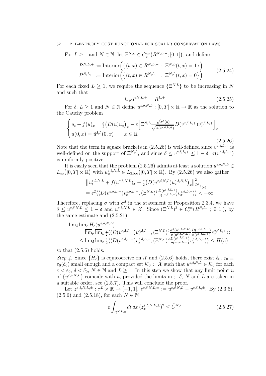#### 62 2. Γ-ENTROPY COST FUNCTIONAL FOR SCALAR CONSERVATION LAWS

For  $L \geq 1$  and  $N \in \mathbb{N}$ , let  $\Xi^{N,L} \in C_c^{\infty}(R^{N,L,+};[0,1])$ , and define

$$
P^{N,L,+} := \text{Interior}\Big(\{(t,x) \in R^{N,L,+} : \Xi^{N,L}(t,x) = 1\}\Big) P^{N,L,-} := \text{Interior}\Big(\{(t,x) \in R^{N,L,-} : \Xi^{N,L}(t,x) = 0\}\Big)
$$
(2.5.24)

For each fixed  $L \geq 1$ , we require the sequence  $\{\Xi^{N,L}\}\$  to be increasing in N and such that

$$
\cup_{N} P^{N,L,+} = R^{L,+} \tag{2.5.25}
$$

For  $\delta, L \geq 1$  and  $N \in \mathbb{N}$  define  $u^{\varepsilon,\delta,N,L} : [0,T] \times \mathbb{R} \to \mathbb{R}$  as the solution to the Cauchy problem

$$
\begin{cases}\nu_t + f(u)_x = \frac{\varepsilon}{2} (D(u)u_x)_x - \varepsilon \Big[ \Xi^{N,L} \frac{\sqrt{\sigma^{\delta}(u)}}{\sqrt{\sigma(v^{\varepsilon,\delta,L,+})}} D(v^{\varepsilon,\delta,L,+}) v_x^{\varepsilon,\delta,L,+} \Big]_x \\
u(0,x) = \tilde{u}^{\delta,L}(0,x) \qquad x \in \mathbb{R}\n\end{cases}
$$
\n(2.5.26)

Note that the term in square brackets in  $(2.5.26)$  is well-defined since  $v^{\varepsilon,\delta,L,+}$  is well-defined on the support of  $\Xi^{N,L}$ , and since  $\delta \leq v^{\varepsilon,\delta,L,+} \leq 1-\delta, \sigma(v^{\varepsilon,\delta,L,+})$ is uniformly positive.

It is easily seen that the problem (2.5.26) admits at least a solution  $u^{\varepsilon,\delta,N,L} \in$  $L_{\infty}([0,T] \times \mathbb{R})$  with  $u_x^{\varepsilon,\delta,N,\bar{L}} \in L_{2,\text{loc}}([0,T] \times \mathbb{R})$ . By  $(2.5.26)$  we also gather

$$
\|u_t^{\varepsilon,\delta,N,L} + f(u^{\varepsilon,\delta,N,L})_x - \frac{\varepsilon}{2} \left(D(u^{\varepsilon,\delta,N,L}) u_x^{\varepsilon,\delta,N,L}\right)_x \|^2_{\mathcal{D}^1_{\sigma^{\delta}(u)}} = \varepsilon^2 \langle \langle D(v^{\varepsilon,\delta,L,+}) v_x^{\varepsilon,\delta,L,+}, (\Xi^{N,L})^2 \frac{D(v^{\varepsilon,\delta,L,+})}{\sigma(v^{\varepsilon,\delta,L,+})} v_x^{\varepsilon,\delta,L,+} \rangle \rangle < +\infty
$$

Therefore, replacing  $\sigma$  with  $\sigma^{\delta}$  in the statement of Proposition 2.3.4, we have  $\delta \leq u^{\varepsilon,\delta,N,L} \leq 1-\delta$  and  $u^{\varepsilon,\delta,N,L} \in \mathcal{X}$ . Since  $(\Xi^{N,L})^2 \in C_c^{\infty}(R^{N,L,+};[0,1]),$  by the same estimate and (2.5.21)

$$
\overline{\lim}_{\delta} \overline{\lim}_{\varepsilon} H_{\varepsilon} (u^{\varepsilon,\delta,N,L})
$$
\n
$$
= \overline{\lim}_{\delta} \overline{\lim}_{\varepsilon} \frac{\varepsilon}{2} \langle \langle D(v^{\varepsilon,\delta,L,+}) v^{\varepsilon,\delta,L,+}_{x}, (\Xi^{N,L})^2 \frac{\sigma^{\delta}(u^{\varepsilon,\delta,N,L})}{\sigma(u^{\varepsilon,\delta,N,L})} \frac{D(v^{\varepsilon,\delta,L,+})}{\sigma(v^{\varepsilon,\delta,L,+})} v^{\varepsilon,\delta,L,+}_{x} \rangle \rangle
$$
\n
$$
\leq \overline{\lim}_{\delta} \overline{\lim}_{\varepsilon} \frac{\varepsilon}{2} \langle \langle D(v^{\varepsilon,\delta,L,+}) v^{\varepsilon,\delta,L,+}_{x}, (\Xi^{N,L})^2 \frac{D(v^{\varepsilon,\delta,L,+})}{\sigma(v^{\varepsilon,\delta,L,+})} v^{\varepsilon,\delta,L,+}_{x} \rangle \rangle \leq H(\tilde{u})
$$

so that (2.5.6) holds.

Step 4. Since  $\{H_{\varepsilon}\}\$ is equicoercive on X and (2.5.6) holds, there exist  $\delta_0, \varepsilon_0 \equiv$  $\varepsilon_0(\delta_0)$  small enough and a compact set  $\mathcal{K}_0 \subset \mathcal{X}$  such that  $u^{\varepsilon,\delta,N,L} \in \mathcal{K}_0$  for each  $\varepsilon < \varepsilon_0$ ,  $\delta < \delta_0$ ,  $N \in \mathbb{N}$  and  $L \geq 1$ . In this step we show that any limit point u of  $\{u^{\varepsilon,\delta,N,L}\}\$ coincide with  $\tilde{u}$ , provided the limits in  $\varepsilon, \delta, N$  and L are taken in a suitable order, see (2.5.7). This will conclude the proof.

Let  $z^{\varepsilon,\delta,N,L,\pm}$  :  $\tau^L \times \mathbb{R} \to [-1,1], z^{\varepsilon,\delta,N,L,\pm} := u^{\varepsilon,\delta,N,L} - v^{\varepsilon,\delta,L,\pm}$ . By  $(2.3.6),$  $(2.5.6)$  and  $(2.5.18)$ , for each  $N \in \mathbb{N}$ 

$$
\varepsilon \int_{R^{N,L,\pm}} dt \, dx \, (z_x^{\varepsilon,\delta,N,L,\pm})^2 \le \tilde{C}^{N,L} \tag{2.5.27}
$$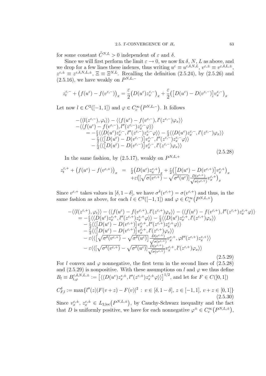for some constant  $\tilde{C}^{N,L} > 0$  independent of  $\varepsilon$  and  $\delta$ .

Since we will first perform the limit  $\varepsilon \to 0$ , we now fix  $\delta$ , N, L as above, and we drop for a few lines these indexes, thus writing  $u^{\varepsilon} \equiv u^{\varepsilon,\delta,N,L}, v^{\varepsilon,\pm} \equiv v^{\varepsilon,\delta,L,\pm},$  $z^{\epsilon,\pm} \equiv z^{\epsilon,\delta,N,L,\pm}, \ \Xi \equiv \Xi^{N,L}$ . Recalling the definition  $(2.5.24)$ , by  $(2.5.26)$  and  $(2.5.16)$ , we have weakly on  $P^{N,L,-}$ 

$$
z_t^{\varepsilon,-} + \left(f(u^{\varepsilon}) - f(v^{\varepsilon,-})\right)_x = \frac{\varepsilon}{2} \left(D(u^{\varepsilon}) z_x^{\varepsilon,-}\right)_x + \frac{\varepsilon}{2} \left(\left[D(u^{\varepsilon}) - D(v^{\varepsilon,-})\right] v_x^{\varepsilon,-}\right)_x
$$

Let now  $l \in C^2([-1, 1])$  and  $\varphi \in C_c^{\infty}(P^{N,L,-})$ . It follows

$$
\begin{split}\n&-\langle\langle l(z^{\varepsilon,-}),\varphi_{t}\rangle\rangle-\langle\langle f(u^{\varepsilon})-f(v^{\varepsilon,-}),l'(z^{\varepsilon,-})\varphi_{x}\rangle\rangle \\
&-\langle\langle f(u^{\varepsilon})-f(v^{\varepsilon,-}),l''(z^{\varepsilon,-})z^{\varepsilon,-}_{x}\varphi\rangle\rangle \\
&=-\frac{\varepsilon}{2}\langle\langle D(u^{\varepsilon})z^{\varepsilon,-}_{x},l''(z^{\varepsilon,-})z^{\varepsilon,-}_{x}\varphi\rangle\rangle-\frac{\varepsilon}{2}\langle\langle D(u^{\varepsilon})z^{\varepsilon,-}_{x},l'(z^{\varepsilon,-})\varphi_{x}\rangle\rangle \\
&- \frac{\varepsilon}{2}\langle\langle [D(u^{\varepsilon})-D(v^{\varepsilon,-})]v^{\varepsilon,-}_{x},l''(z^{\varepsilon,-})z^{\varepsilon,-}_{x}\varphi\rangle\rangle \\
&- \frac{\varepsilon}{2}\langle\langle [D(u^{\varepsilon})-D(v^{\varepsilon,-})]v^{\varepsilon,-}_{x},l'(z^{\varepsilon,-})\varphi_{x}\rangle\rangle\n\end{split}
$$
\n(2.5.28)

In the same fashion, by  $(2.5.17)$ , weakly on  $P^{N,L,+}$ 

$$
\begin{array}{lll} z^{\varepsilon,+}_{t}+\left(f(u^{\varepsilon})-f(v^{\varepsilon,+})\right)_{x}&=&\frac{\varepsilon}{2}\big(D(u^{\varepsilon})z^{\varepsilon,+}_{x}\big)_{x}+\frac{\varepsilon}{2}\big(\big[D(u^{\varepsilon})-D(v^{\varepsilon,+})\big]v^{\varepsilon,+}_{x}\big)_{x}\\& &+\varepsilon\big(\big[\sqrt{\sigma(v^{\varepsilon,+})}-\sqrt{\sigma^{\delta}(u^{\varepsilon})}\big]\frac{D(v^{\varepsilon,+})}{\sqrt{\sigma(v^{\varepsilon,+})}}v^{\varepsilon,+}_{x}\big)_{x}\end{array}
$$

Since  $v^{\varepsilon,+}$  takes values in  $[\delta, 1-\delta]$ , we have  $\sigma^{\delta}(v^{\varepsilon,+}) = \sigma(v^{\varepsilon,+})$  and thus, in the same fashion as above, for each  $l \in C^2([-1, 1])$  and  $\varphi \in C_c^{\infty}(P^{N,L,+})$ 

$$
\begin{split}\n&-\langle\langle l(z^{\varepsilon,+}),\varphi_{t}\rangle\rangle-\langle\langle f(u^{\varepsilon})-f(v^{\varepsilon,+}),l'(z^{\varepsilon,+})\varphi_{x}\rangle\rangle-\langle\langle f(u^{\varepsilon})-f(v^{\varepsilon,+}),l''(z^{\varepsilon,+})z_{x}^{\varepsilon,+}\varphi\rangle\rangle \\
&=-\frac{\varepsilon}{2}\langle\langle D(u^{\varepsilon})z_{x}^{\varepsilon,+},l''(z^{\varepsilon,+})z_{x}^{\varepsilon,+}\varphi\rangle\rangle-\frac{\varepsilon}{2}\langle\langle D(u^{\varepsilon})z_{x}^{\varepsilon,+},l'(z^{\varepsilon,+})\varphi_{x}\rangle\rangle \\
&- \frac{\varepsilon}{2}\langle\langle [D(u^{\varepsilon})-D(v^{\varepsilon,+})]v_{x}^{\varepsilon,+},l''(z^{\varepsilon,+})z_{x}^{\varepsilon,+}\varphi\rangle\rangle \\
&- \frac{\varepsilon}{2}\langle\langle [D(u^{\varepsilon})-D(v^{\varepsilon,+})]v_{x}^{\varepsilon,+},l'(z^{\varepsilon,+})\varphi_{x}\rangle\rangle \\
&- \varepsilon\langle\langle [\sqrt{\sigma^{\delta}(v^{\varepsilon,+})}-\sqrt{\sigma^{\delta}(u^{\varepsilon})}] \frac{D(v^{\varepsilon,+})}{\sqrt{\sigma(v^{\varepsilon,+})}}v_{x}^{\varepsilon,+},\varphi l''(z^{\varepsilon,+})z_{x}^{\varepsilon,+}\rangle\rangle \\
&- \varepsilon\langle\langle [\sqrt{\sigma^{\delta}(v^{\varepsilon,+})}-\sqrt{\sigma^{\delta}(u^{\varepsilon})}] \frac{D(v^{\varepsilon,+})}{\sqrt{\sigma(v^{\varepsilon,+})}}v_{x}^{\varepsilon,+},l'(z^{\varepsilon,+})\varphi_{x}\rangle\rangle\n\end{split} \tag{2.5.20}
$$

(2.5.29)

For l convex and  $\varphi$  nonnegative, the first term in the second lines of (2.5.28) and (2.5.29) is nonpositive. With these assumptions on l and  $\varphi$  we thus define  $B_l \equiv B_{l,\varphi}^{\varepsilon,\delta,N,L,\pm} := \left[ \langle \langle D(u^{\varepsilon}) z_x^{\varepsilon,\pm}, l''(z^{\varepsilon,\pm}) z_x^{\varepsilon,\pm} \varphi \rangle \rangle \right]^{1/2}$ , and let for  $F \in C([0,1])$ 

$$
C_{F,l}^{\delta} := \max\{l''(z)|F(v+z) - F(v)|^2 : v \in [\delta, 1-\delta], z \in [-1,1], v+z \in [0,1]\}
$$
\n(2.5.30)

Since  $v_x^{\varepsilon,\pm}$ ,  $z_x^{\varepsilon,\pm} \in L_{2,\text{loc}}(P^{N,L,\pm}),$  by Cauchy-Schwarz inequality and the fact that D is uniformly positive, we have for each nonnegative  $\varphi^{\pm} \in C_{c}^{\infty}(P^{N,L,\pm}),$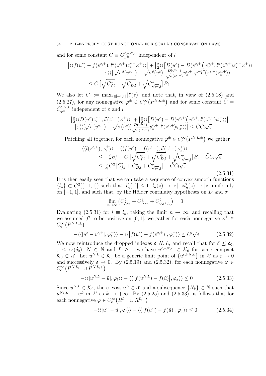and for some constant  $C \equiv C_{\varphi^{\pm}}^{\varepsilon, \delta, N, L}$  independent of l

$$
\begin{split} \left| \langle \langle f(u^{\varepsilon}) - f(v^{\varepsilon, \pm}), l''(z^{\varepsilon, \pm}) z^{\varepsilon, \pm}_{x} \varphi^{\pm} \rangle \rangle \right| &+ \left| \frac{\varepsilon}{2} \langle \langle \left[ D(u^{\varepsilon}) - D(v^{\varepsilon, \pm}) \right] v^{\varepsilon, \pm}_{x}, l''(z^{\varepsilon, \pm}) z^{\varepsilon, \pm}_{x} \varphi^{\pm} \rangle \rangle \right| \\ &+ \left| \varepsilon \langle \langle \left[ \sqrt{\sigma^{\delta}(v^{\varepsilon, +})} - \sqrt{\sigma^{\delta}(u^{\varepsilon})} \right] \frac{D(v^{\varepsilon, +})}{\sqrt{\sigma(v^{\varepsilon, +})}} v^{\varepsilon, +}_{x}, \varphi^+ l''(z^{\varepsilon, +}) z^{\varepsilon, +}_{x} \rangle \rangle \right| \\ &\leq C \left[ \sqrt{C^{\delta}_{f,l}} + \sqrt{C^{\delta}_{D,l}} + \sqrt{C^{\delta}_{\sqrt{\sigma^{\delta},l}}} \right] B_{l} \end{split}
$$

We also let  $C_l := \max_{z \in [-1,1]} |l'(z)|$  and note that, in view of  $(2.5.18)$  and (2.5.27), for any nonnegative  $\varphi^{\pm} \in C_{c}^{\infty}(P^{N,L,\pm})$  and for some constant  $\tilde{C} =$  $\tilde{C}^{\delta,N,L}_{\varphi^{\pm}}$  independent of  $\varepsilon$  and l

$$
\begin{aligned} &\left| \tfrac{\varepsilon}{2} \langle \langle D(u^{\varepsilon}) z^{\varepsilon, \pm}_{x}, l^{\prime}(z^{\varepsilon, \pm}) \varphi^{\pm}_{x} \rangle \rangle \right| + \left| \tfrac{\varepsilon}{2} \langle \langle \left[ D(u^{\varepsilon}) - D(v^{\varepsilon, \pm}) \right] v^{\varepsilon, \pm}_{x}, l^{\prime}(z^{\varepsilon, \pm}) \varphi^{\pm}_{x} \rangle \rangle \right| \\ &+ \left| \varepsilon \langle \langle \left[ \sqrt{\sigma(v^{\varepsilon, +})} - \sqrt{\sigma(u^{\varepsilon})} \right] \frac{D(v^{\varepsilon, +})}{\sqrt{\sigma(v^{\varepsilon, +})}} v^{\varepsilon, +}_{x}, l^{\prime}(z^{\varepsilon, +}) \varphi^{\pm}_{x} \rangle \rangle \right| \leq \tilde{C} C_{l} \sqrt{\varepsilon} \end{aligned}
$$

Patching all together, for each nonnegative  $\varphi^{\pm} \in C_{c}^{\infty}(P^{N,L,\pm})$  we gather

$$
\begin{split}\n&-\langle\langle l(z^{\varepsilon,\pm}),\varphi_l^{\pm}\rangle\rangle - \langle\langle f(u^{\varepsilon}) - f(v^{\varepsilon,\pm}), l'(z^{\varepsilon,\pm})\varphi_x^{\pm}\rangle\rangle \\
&\leq -\frac{\varepsilon}{2}B_l^2 + C\left[\sqrt{C_{f,l}^{\delta}} + \sqrt{C_{D,l}^{\delta}} + \sqrt{C_{\sqrt{\sigma^{\delta}},l}^{\delta}}\right]B_l + \tilde{C}C_l\sqrt{\varepsilon} \\
&\leq \frac{3}{2\varepsilon}C^2\left[C_{f,l}^{\delta} + C_{D,l}^{\delta} + C_{\sqrt{\sigma^{\delta}},l}^{\delta}\right] + \tilde{C}C_l\sqrt{\varepsilon}\n\end{split} \tag{2.5.31}
$$

It is then easily seen that we can take a sequence of convex smooth functions  ${l_n} \subset C^2([-1,1])$  such that  $|l'_n(z)| \leq 1$ ,  $l_n(z) \to |z|$ ,  $zl'_n(z) \to |z|$  uniformly on  $[-1, 1]$ , and such that, by the Hölder continuity hypotheses on D and  $\sigma$ 

$$
\lim_{n \to \infty} \left( C_{f,l_n}^{\delta} + C_{D,l_n}^{\delta} + C_{\sqrt{\sigma^{\delta}},l_n}^{\delta} \right) = 0
$$

Evaluating (2.5.31) for  $l \equiv l_n$ , taking the limit  $n \to \infty$ , and recalling that we assumed f' to be positive on [0, 1], we gather for each nonnegative  $\varphi^{\pm} \in$  $C_{\rm c}^\infty\left(P^{N,L,\pm}\right)$ 

$$
-\langle \langle |u^{\varepsilon} - v^{\varepsilon, \pm}|, \varphi_t^{\pm} \rangle \rangle - \langle \langle |f(u^{\varepsilon}) - f(v^{\varepsilon, \pm})|, \varphi_x^{\pm} \rangle \rangle \le C' \sqrt{\varepsilon}
$$
 (2.5.32)

We now reintroduce the dropped indexes  $\delta$ , N, L, and recall that for  $\delta \leq \delta_0$ ,  $\varepsilon \leq \varepsilon_0(\delta_0)$ ,  $N \in \mathbb{N}$  and  $L \geq 1$  we have  $u^{\varepsilon,\delta,N,L} \in \mathcal{K}_0$  for some compact  $\mathcal{K}_0 \subset \mathcal{X}$ . Let  $u^{N,L} \in \mathcal{K}_0$  be a generic limit point of  $\{u^{\varepsilon,\delta,N,L}\}\$ in  $\mathcal{X}$  as  $\varepsilon \to 0$ and successively  $\delta \to 0$ . By (2.5.19) and (2.5.32), for each nonnegative  $\varphi \in$  $C_{\rm c}^\infty\left(P^{N,L,-}\cup P^{N,L,+}\right)$ 

$$
-\langle\langle |u^{N,L} - \tilde{u}|, \varphi_t \rangle\rangle - \langle\langle |f(u^{N,L}) - f(\tilde{u})|, \varphi_x \rangle\rangle \le 0
$$
\n(2.5.33)

Since  $u^{N,L} \in \mathcal{K}_0$ , there exist  $u^L \in \mathcal{X}$  and a subsequence  $\{N_k\} \subset \mathbb{N}$  such that  $u^{N_k,L} \to u^L$  in X as  $k \to +\infty$ . By (2.5.25) and (2.5.33), it follows that for each nonnegative  $\varphi \in C_c^{\infty}(R^{L,-} \cup R^{L,+})$ 

$$
-\langle \langle |u^L - \tilde{u}|, \varphi_t \rangle \rangle - \langle \langle |f(u^L) - f(\tilde{u})|, \varphi_x \rangle \rangle \le 0 \tag{2.5.34}
$$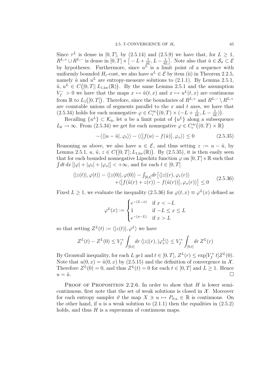Since  $\tau^L$  is dense in [0, T], by (2.5.14) and (2.5.9) we have that, for  $L \geq 1$ ,  $R^{L,+} \cup R^{L,-}$  is dense in  $[0,T] \times \left[ -L+\frac{1}{4L} \right]$  $\frac{1}{4L}, L-\frac{1}{4R}$  $\frac{1}{4L}$ . Note also that  $\tilde{u} \in \mathcal{S}_{\sigma} \subset \mathcal{E}$ by hypotheses. Furthermore, since  $u^L$  is a limit point of a sequence with uniformly bounded  $H_{\varepsilon}$ -cost, we also have  $u^L \in \mathcal{E}$  by item (ii) in Theorem 2.2.5, namely  $\tilde{u}$  and  $u^L$  are entropy-measure solutions to (2.1.1). By Lemma 2.5.1,  $\tilde{u}, u^L \in C([0,T]; L_{1,\text{loc}}(\mathbb{R}))$ . By the same Lemma 2.5.1 and the assumption  $V_f^- > 0$  we have that the maps  $x \mapsto \tilde{u}(t, x)$  and  $x \mapsto u^L(t, x)$  are continuous from  $\mathbb R$  to  $L_1([0,T])$ . Therefore, since the boundaries of  $R^{L,+}$  and  $R^{L,-} \setminus R^{L,+}$ are countable unions of segments parallel to the  $x$  and  $t$  axes, we have that (2.5.34) holds for each nonnegative  $\varphi \in C_c^{\infty}((0,T) \times (-L + \frac{1}{4i})$  $\frac{1}{4L}, L - \frac{1}{4R}$  $\frac{1}{4L})$ ).

Recalling  $\{u^L\} \subset \mathcal{K}_0$ , let u be a limit point of  $\{u^L\}$  along a subsequence  $L_k \to \infty$ . From (2.5.34) we get for each nonnegative  $\varphi \in C_c^{\infty}((0,T) \times \mathbb{R})$ 

$$
-\langle\langle |u-\tilde{u}|, \varphi_t \rangle\rangle - \langle\langle |f(u) - f(\tilde{u})|, \varphi_x \rangle\rangle \le 0 \qquad (2.5.35)
$$

Reasoning as above, we also have  $u \in \mathcal{E}$ , and thus setting  $z := u - \tilde{u}$ , by Lemma 2.5.1,  $u, \tilde{u}, z \in C([0,T]; L_{1,\text{loc}}(\mathbb{R}))$ . By  $(2.5.35)$ , it is then easily seen that for each bounded nonnegative Lipschitz function  $\varphi$  on  $[0, T] \times \mathbb{R}$  such that  $\int dt dx \, [|\varphi| + |\varphi_t| + |\varphi_x|] < +\infty$ , and for each  $t \in [0, T]$ 

$$
\langle |z(t)|, \varphi(t) \rangle - \langle |z(0)|, \varphi(0) \rangle - \int_{[0,t]} dr \left[ \langle |z|(r), \varphi_r(r) \rangle \right. \\ \left. + \langle \left| f(\tilde{u}(r) + z(r)) - f(\tilde{u}(r)) \right|, \varphi_x(r) \rangle \right] \le 0 \tag{2.5.36}
$$

Fixed  $L \geq 1$ , we evaluate the inequality (2.5.36) for  $\varphi(t,x) \equiv \varphi^{L}(x)$  defined as

$$
\varphi^L(x) := \begin{cases} e^{-(L-x)} & \text{if } x < -L \\ 1 & \text{if } -L \le x \le L \\ e^{-(x-L)} & \text{if } x > L \end{cases}
$$

so that setting  $Z^L(t) := \langle |z(t)|, \varphi^L \rangle$  we have

$$
Z^{L}(t) - Z^{L}(0) \leq V_f^{+} \int_{[0,t]} dr \langle |z|(r), |\varphi_x^{L}| \rangle \leq V_f^{+} \int_{[0,t]} dr Z^{L}(r)
$$

By Gronwall inequality, for each L ge1 and  $t \in [0, T]$ ,  $Z^{L}(r) \leq \exp[V_f^+]$  $T_f^+ t] Z^L(0).$ Note that  $u(0, x) = \tilde{u}(0, x)$  by (2.5.15) and the definition of convergence in X. Therefore  $Z^{L}(0) = 0$ , and thus  $Z^{L}(t) = 0$  for each  $t \in [0, T]$  and  $L \geq 1$ . Hence  $u = \tilde{u}$ .

PROOF OF PROPOSITION 2.2.6. In order to show that  $H$  is lower semicontinuous, first note that the set of weak solutions is closed in  $X$ . Moreover for each entropy sampler  $\vartheta$  the map  $X \ni u \mapsto P_{\vartheta,u} \in \mathbb{R}$  is continuous. On the other hand, if u is a weak solution to  $(2.1.1)$  then the equalities in  $(2.5.2)$ holds, and thus  $H$  is a supremum of continuous maps.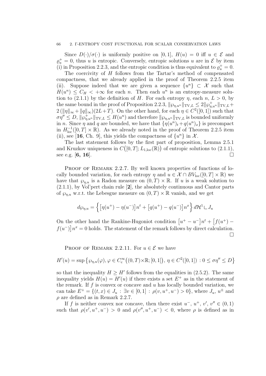Since  $D(\cdot)/\sigma(\cdot)$  is uniformly positive on [0, 1],  $H(u) = 0$  iff  $u \in \mathcal{E}$  and  $\varrho_u^+ = 0$ , thus u is entropic. Conversely, entropic solutions u are in  $\mathcal E$  by item (i) in Proposition 2.2.3, and the entropic condition is thus equivalent to  $\varrho_u^+ = 0$ .

The coercivity of H follows from the Tartar's method of compensated compactness, that we already applied in the proof of Theorem 2.2.5 item (ii). Suppose indeed that we are given a sequence  $\{u^n\} \subset \mathcal{X}$  such that  $H(u^n) \leq C_H$  <  $+\infty$  for each *n*. Then each  $u^n$  is an entropy-measure solution to (2.1.1) by the definition of H. For each entropy  $\eta$ , each  $n, L > 0$ , by the same bound in the proof of Proposition 2.2.3,  $\|\wp_{\eta,u^n}\|_{TV,L} \leq 2\|\wp_{\eta,u^n}^+\|_{TV,L}$  $2(\|\eta\|_{\infty}+\|q\|_{\infty})(2L+T)$ . On the other hand, for each  $\eta \in C^2([0,1])$  such that  $\sigma\eta'' \leq D, \|\wp_{\eta,u^n}^+\|_{\text{TV},L} \leq H(u^n)$  and therefore  $\|\wp_{\eta,u^n}\|_{\text{TV},L}$  is bounded uniformly in *n*. Since  $\eta$  and q are bounded, we have that  $\{\eta(u^n)_t + q(u^n)_x\}$  is precompact in  $H^{-1}_{loc}([0,T] \times \mathbb{R})$ . As we already noted in the proof of Theorem 2.2.5 item (ii), see [16, Ch. 9], this yields the compactness of  $\{u^n\}$  in X.

The last statement follows by the first part of proposition, Lemma 2.5.1 and Kruzkov uniqueness in  $C([0,T];L_{1,\text{loc}}(\mathbb{R}))$  of entropic solutions to  $(2.1.1)$ , see e.g. [6, 16].

PROOF OF REMARK 2.2.7. By well known properties of functions of locally bounded variation, for each entropy  $\eta$  and  $u \in \mathcal{X} \cap BV_{loc}([0, T] \times \mathbb{R})$  we have that  $\wp_{n,u}$  is a Radon measure on  $(0,T) \times \mathbb{R}$ . If u is a weak solution to (2.1.1), by Vol'pert chain rule [2], the absolutely continuous and Cantor parts of  $\wp_{n,u}$  w.r.t. the Lebesgue measure on  $(0,T) \times \mathbb{R}$  vanish, and we get

$$
d\wp_{\eta,u} = \left\{ \left[ \eta(u^+) - \eta(u^-) \right] n^t + \left[ q(u^+) - q(u^-) \right] n^x \right\} d\mathcal{H}^1 \sqcup J_u
$$

On the other hand the Rankine-Hugoniot condition  $\left[u^+ - u^-\right]n^t + \left[f(u^+)$  $f(u^-)$ | $n^x = 0$  holds. The statement of the remark follows by direct calculation.  $\perp$ 

PROOF OF REMARK 2.2.11. For  $u \in \mathcal{E}$  we have

$$
H'(u) = \sup \{ \wp_{\eta, u}(\varphi), \varphi \in C_c^{\infty}((0, T) \times \mathbb{R}; [0, 1]), \eta \in C^2([0, 1]) : 0 \le \sigma \eta'' \le D \}
$$

so that the inequality  $H \geq H'$  follows from the equalities in (2.5.2). The same inequality yields  $H(u) = H'(u)$  if there exists a set  $E^+$  as in the statement of the remark. If  $f$  is convex or concave and  $u$  has locally bounded variation, we can take  $E^+ = \{(t, x) \in J_u : \exists v \in [0, 1] : \rho(v, u^+, u^-) > 0\}$ , where  $J_u, u^{\pm}$  and  $\rho$  are defined as in Remark 2.2.7.

If f is neither convex nor concave, then there exist  $u^-, u^+, v', v'' \in (0,1)$ such that  $\rho(v', u^+, u^-) > 0$  and  $\rho(v'', u^+, u^-) < 0$ , where  $\rho$  is defined as in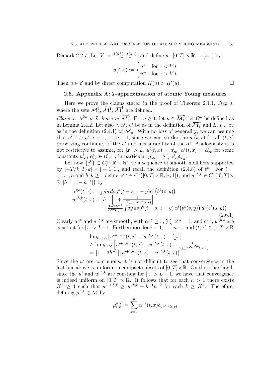Remark 2.2.7. Let  $V := \frac{f(u^+) - f(u^-)}{u^+ - u^-}$ , and define  $u : [0, T] \times \mathbb{R} \to [0, 1]$  by

$$
u(t,x) := \begin{cases} u^+ & \text{for } x < V \, t \\ u^- & \text{for } x > V \, t \end{cases}
$$

Then  $u \in \mathcal{E}$  and by direct computation  $H(u) > H'(u)$ .

### 2.6. Appendix A: I-approximation of atomic Young measures

Here we prove the claims stated in the proof of Theorem 2.4.1, Step 1, where the sets  $\mathcal{M}_n^1$ ,  $\widetilde{\mathcal{M}}_n^1$ ,  $\overline{\mathcal{M}}_n^1$  $\frac{1}{n}$  are defined.

Claim 1:  $\widetilde{\mathcal{M}}_1^n$  is *I*-dense in  $\overline{\mathcal{M}}_1^n$  $\overline{n}_1^n$ . For  $n \geq 1$ , let  $\mu \in \overline{\mathcal{M}}_1^n$  $\frac{n}{1}$ , let  $G^{\mu}$  be defined as in Lemma 2.4.2. Let also r,  $\alpha^i$ ,  $u^i$  be as in the definition of  $\overline{\mathcal{M}}_1^n$  $\int_1^n$  and  $L, \mu_\infty$  be as in the definition (2.4.1) of  $\mathcal{M}_q$ . With no loss of generality, we can assume that  $u^{i+1} \geq u^i$ ,  $i = 1, \ldots, n-1$ , since we can reorder the  $u^i(t, x)$  for all  $(t, x)$ preserving continuity of the  $u^i$  and measurability of the  $\alpha^i$ . Analogously it is not restrictive to assume, for  $|x| > L$ ,  $u^{i}(t, x) = u^{i}_{\infty}, \alpha^{i}(t, x) = \alpha^{i}_{\infty}$  for some constants  $u^i_{\infty}, \, \alpha^i_{\infty} \in (0, 1]$ ; in particular  $\mu_{\infty} = \sum_i \alpha^i_{\infty} \delta_{u^i_{\infty}}$ .

Let now  $\{j^k\} \subset C_c^{\infty}(\mathbb{R} \times \mathbb{R})$  be a sequence of smooth mollifiers supported by  $[-T/k, T/k] \times [-1, 1]$ , and recall the definition  $(2.4.8)$  of  $b^k$ . For  $i =$ 1, ..., n and  $h, k \geq 1$  define  $\alpha^{i,k} \in C^1([0,T] \times \mathbb{R}; [r,1])$ , and  $u^{i,h,k} \in C^1([0,T] \times$  $\mathbb{R}; [h^{-1}, 1-h^{-1}]$  by

$$
\alpha^{i,k}(t,x) := \int dy \, ds \, j^k(t-s, x-y) \alpha^i(b^k(s, y)) \n u^{i,h,k}(t,x) := h^{-1} \left[ 1 + \frac{i}{n \sum_{i'} i' \alpha^{i',k}(t,x)} \right] \n + \frac{1-3h^{-1}}{\alpha^{i,k}(t,x)} \int dy \, ds \, j^k(t-s, x-y) \, \alpha^i(b^k(s, y)) \, u^i(b^k(s, y)) \n (2.6.1)
$$

Clearly  $\alpha^{i;k}$  and  $u^{i;h,k}$  are smooth, with  $\alpha^{i;k} \ge r$ ,  $\sum_i \alpha^{i;k} = 1$ , and  $\alpha^{i;k}$ ,  $u^{i;h,k}$  are constant for  $|x| > L+1$ . Furthermore for  $i = 1, \ldots, n-1$  and  $(t, x) \in [0, T] \times \mathbb{R}$ 

$$
\lim_{k \to \infty} \left[ u^{i+1;h,k}(t,x) - u^{i;h,k}(t,x) - \frac{h^{-1}}{n^2} \right]
$$
\n
$$
\geq \lim_{k \to \infty} \left[ u^{i+1;h,k}(t,x) - u^{i;h,k}(t,x) - \frac{h^{-1}}{n \sum_{i'} i' \alpha^{i',k}(t,x)} \right]
$$
\n
$$
= \left[ 1 - 3h^{-1} \right] \left[ u^{i+1;h,k}(t,x) - u^{i;h,k}(t,x) \right]
$$

Since the  $u^i$  are continuous, it is not difficult to see that convergence in the last line above is uniform on compact subsets of  $[0, T] \times \mathbb{R}$ . On the other hand, since the  $u^{i}$  and  $u^{i,h,k}$  are constant for  $|x| > L + 1$ , we have that convergence is indeed uniform on  $[0, T] \times \mathbb{R}$ . It follows that for each  $h > 1$  there exists  $K^h \geq 1$  such that  $u^{i+1,h,k} \geq u^{i,h,k} + h^{-1}n^{-2}$  for each  $k \geq K^h$ . Therefore, defining  $\mu^{h,k} \in \mathcal{M}$  by

$$
\mu_{t,x}^{h,k} := \sum_{i=1}^n \alpha^{i,k}(t,x) \delta_{u^{i,h,k}(t,x)}
$$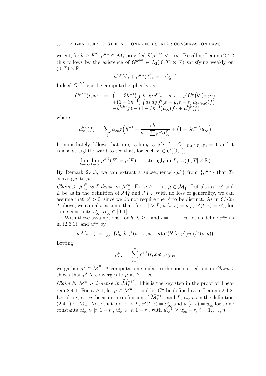we get, for  $k \geq K^h$ ,  $\mu^{h,k} \in \mathcal{M}_1^n$  provided  $\mathcal{I}(\mu^{h,k}) < +\infty$ . Recalling Lemma 2.4.2, this follows by the existence of  $G^{\mu^{h,k}} \in L_2([0,T] \times \mathbb{R})$  satisfying weakly on  $(0, T) \times \mathbb{R}$ :

$$
\mu^{h,k}(i)_t + \mu^{h,k}(f)_x = -G_x^{\mu^{h,k}}
$$

Indeed  $G^{\mu^{h,k}}$  can be computed explicitly as

$$
G^{\mu^{h,k}}(t,x) := \left(1 - 3h^{-1}\right) \int ds \, dy \, j^k(t-s, x-y) G^{\mu}\left(b^k(s, y)\right) + \left(1 - 3h^{-1}\right) \int ds \, dy \, j^k(x-y, t-s) \, \mu_{b^k(s,y)}(f) - \mu^{h,k}(f) - (1 - 3h^{-1}) \mu_{\infty}(f) + \mu_{\infty}^{h,k}(f)
$$

where

$$
\mu^{h,k}_{\infty}(f) := \sum_{i} \alpha^{i}_{\infty} f\left(h^{-1} + \frac{i h^{-1}}{n + \sum_{i'} i' \alpha^{i'}_{\infty}} + (1 - 3h^{-1}) u^{i}_{\infty}\right)
$$

It immediately follows that  $\lim_{h\to\infty} \lim_{k\to\infty} ||G^{\mu^{h,k}} - G^{\mu}||_{L_2([0,T]\times\mathbb{R})} = 0$ , and it is also straightforward to see that, for each  $F \in C([0, 1])$ 

$$
\lim_{h \to \infty} \lim_{k \to \infty} \mu^{h,k}(F) = \mu(F) \qquad \text{strongly in } L_{1,\text{loc}}([0,T] \times \mathbb{R})
$$

By Remark 2.4.3, we can extract a subsequence  $\{\mu^k\}$  from  $\{\mu^{h,k}\}\$  that  $\mathcal{I}$ converges to  $\mu$ .

Claim 2:  $\overline{\mathcal{M}}_1^n$  $\frac{n}{1}$  is *T*-dense in  $\mathcal{M}_1^n$ . For  $n \geq 1$ , let  $\mu \in \mathcal{M}_1^n$ . Let also  $\alpha^i$ ,  $u^i$  and L be as in the definition of  $\mathcal{M}_1^n$  and  $\mathcal{M}_g$ . With no loss of generality, we can assume that  $\alpha^i > 0$ , since we do not require the  $u^i$  to be distinct. As in *Claim* 1 above, we can also assume that, for  $|x| > L$ ,  $u^{i}(t, x) = u^{i}_{\infty}, \alpha^{i}(t, x) = \alpha^{i}_{\infty}$  for some constants  $u^i_{\infty}, \, \alpha^i_{\infty} \in [0, 1].$ 

With these assumptions, for  $h, k \ge 1$  and  $i = 1, \ldots, n$ , let us define  $\alpha^{i,k}$  as in  $(2.6.1)$ , and  $u^{i,k}$  by

$$
u^{i,k}(t,x) := \frac{1}{\alpha^{i,k}} \int dy \, ds \, j^k(t-s, x-y) \alpha^i(b^k(s,y)) u^i(b^k(s,y))
$$

Letting

$$
\mu_{t,x}^k:=\sum_{i=1}^n \alpha^{i;k}(t,x)\delta_{u^{i;k}(t,x)}
$$

we gather  $\mu^k \in \overline{\mathcal{M}}_1^n$  $\int_{1}^{h}$ . A computation similar to the one carried out in *Claim 1* shows that  $\mu^k$  *I*-converges to  $\mu$  as  $k \to \infty$ .

*Claim 3:*  $\mathcal{M}_1^n$  is  $\mathcal{I}\text{-dense in } \widetilde{\mathcal{M}}_1^{n+1}$ . This is the key step in the proof of Theorem 2.4.1. For  $n \geq 1$ , let  $\mu \in \widetilde{\mathcal{M}}_1^{n+1}$ , and let  $G^{\mu}$  be defined as in Lemma 2.4.2. Let also r,  $\alpha^i$ ,  $u^i$  be as in the definition of  $\widetilde{\mathcal{M}}_1^{n+1}$ , and  $L$ ,  $\mu_\infty$  as in the definition  $(2.4.1)$  of  $\mathcal{M}_g$ . Note that for  $|x| > L$ ,  $\alpha^i(t, x) = \alpha^i_{\infty}$  and  $u^i(t, x) = u^i_{\infty}$  for some constants  $\alpha_{\infty}^i \in [r, 1-r]$ ,  $u_{\infty}^i \in [r, 1-r]$ , with  $u_{\infty}^{i+1} \ge u_{\infty}^i + r$ ,  $i = 1, \ldots, n$ .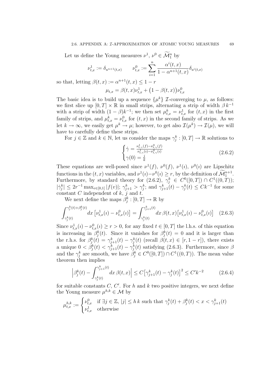Let us define the Young measures  $\nu^1$ ,  $\nu^0 \in \mathcal{M}_1^n$  by

$$
\nu_{t,x}^1 := \delta_{u^{n+1}(t,x)} \qquad \nu_{t,x}^0 := \sum_{i=1}^n \frac{\alpha^i(t,x)}{1 - \alpha^{n+1}(t,x)} \delta_{u^i(t,x)}
$$

so that, letting  $\beta(t, x) := \alpha^{n+1}(t, x) \leq 1 - r$ 

$$
\mu_{t,x} = \beta(t,x)\nu_{t,x}^1 + (1 - \beta(t,x))\nu_{t,x}^0
$$

The basic idea is to build up a sequence  $\{\mu^k\}$  *I*-converging to  $\mu$ , as follows: we first slice up  $[0, T] \times \mathbb{R}$  in small strips, alternating a strip of width  $\beta k^{-1}$ with a strip of width  $(1 - \beta)k^{-1}$ ; we then set  $\mu_{t,x}^k = \nu_{t,x}^1$  for  $(t, x)$  in the first family of strips, and  $\mu_{t,x}^k = \nu_{t,x}^0$  for  $(t, x)$  in the second family of strips. As we let  $k \to \infty$ , we easily get  $\mu^k \to \mu$ ; however, to get also  $\mathcal{I}(\mu^k) \to \mathcal{I}(\mu)$ , we will have to carefully define these strips.

For  $j \in \mathbb{Z}$  and  $k \in \mathbb{N}$ , let us consider the maps  $\gamma_j^k : [0, T] \to \mathbb{R}$  solutions to

$$
\begin{cases}\n\dot{\gamma} = \frac{\nu_{t,\gamma}^1(f) - \nu_{t,\gamma}^0(f)}{\nu_{t,\gamma}^1(i) - \nu_{t,\gamma}^0(i)} \\
\gamma(0) = \frac{j}{k}\n\end{cases}
$$
\n(2.6.2)

These equations are well-posed since  $\nu^1(f)$ ,  $\nu^0(f)$ ,  $\nu^1(i)$ ,  $\nu^0(i)$  are Lipschitz functions in the  $(t, x)$  variables, and  $\nu^1(i) - \nu^0(i) \ge r$ , by the definition of  $\mathcal{M}_1^{n+1}$ . Furthermore, by standard theory for  $(2.6.2)$ ,  $\gamma_j^k \in C^0([0,T]) \cap C^1((0,T));$  $|\dot{\gamma}_j^k| \leq 2r^{-1} \max_{v \in [0,1]} |f(v)|; \gamma_{j+1}^k > \gamma_j^k$ ; and  $\gamma_{j+1}^k(t) - \gamma_j^k(t) \leq Ck^{-1}$  for some constant C independent of  $k$ , j and t.

We next define the maps  $\beta_j^k : [0, T] \to \mathbb{R}$  by

$$
\int_{\gamma_j^k(t)}^{\gamma_j^k(t) + \beta_j^k(t)} dx \left[ \nu_{t,x}^1(i) - \nu_{t,x}^0(i) \right] = \int_{\gamma_j^k(t)}^{\gamma_{j+1}^k(t)} dx \, \beta(t,x) \left[ \nu_{t,x}^1(i) - \nu_{t,x}^0(i) \right] \tag{2.6.3}
$$

Since  $\nu_{t,x}^1(i) - \nu_{t,x}^0(i) \ge r > 0$ , for any fixed  $t \in [0,T]$  the l.h.s. of this equation is increasing in  $\beta_j^k(t)$ . Since it vanishes for  $\beta_j^k(t) = 0$  and it is larger than the r.h.s. for  $\beta_j^k(t) = \gamma_{j+1}^k(t) - \gamma_j^k(t)$  (recall  $\beta(t, x) \in [r, 1 - r]$ ), there exists a unique  $0 < \beta_j^k(t) < \gamma_{j+1}^k(t) - \gamma_j^k(t)$  satisfying (2.6.3). Furthermore, since  $\beta$ and the  $\gamma_j^k$  are smooth, we have  $\beta_j^k \in C^0([0,T]) \cap C^1((0,T))$ . The mean value theorem then implies

$$
\left| \beta_j^k(t) - \int_{\gamma_j^k(t)}^{\gamma_{j+1}^k(t)} dx \,\beta(t,x) \right| \le C \left[ \gamma_{j+1}^k(t) - \gamma_j^k(t) \right]^2 \le C' k^{-2} \tag{2.6.4}
$$

for suitable constants  $C, C'$ . For h and k two positive integers, we next define the Young measure  $\mu^{h,k} \in \mathcal{M}$  by

$$
\mu_{t,x}^{h,k} := \begin{cases} \nu_{t,x}^0 & \text{if } \exists j \in \mathbb{Z}, \, |j| \le h \, k \text{ such that } \gamma_j^k(t) + \beta_j^k(t) < x < \gamma_{j+1}^k(t) \\ \nu_{t,x}^1 & \text{otherwise} \end{cases}
$$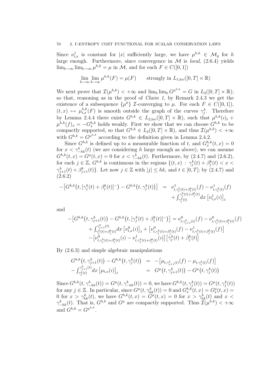Since  $\nu_{t,x}^1$  is constant for |x| sufficiently large, we have  $\mu^{h,k} \in \mathcal{M}_g$  for h large enough. Furthermore, since convergence in  $\mathcal M$  is *local*, (2.6.4) yields  $\lim_{h\to\infty} \lim_{k\to\infty} \mu^{h,k} = \mu$  in M, and for each  $F \in C([0,1])$ 

$$
\lim_{h \to \infty} \lim_{k \to \infty} \mu^{h,k}(F) = \mu(F) \qquad \text{strongly in } L_{1,\text{loc}}([0,T] \times \mathbb{R})
$$

We next prove that  $\mathcal{I}(\mu^{h,k}) < +\infty$  and  $\lim_{h \to 0} \lim_{k \to \infty} G^{\mu^{h,k}} = G$  in  $L_2([0,T] \times \mathbb{R})$ ; so that, reasoning as in the proof of Claim 1, by Remark 2.4.3 we get the existence of a subsequence  $\{\mu^k\}$  *I*-converging to  $\mu$ . For each  $F \in C([0,1]),$  $(t, x) \mapsto \mu_{t, x}^{h, k}(F)$  is smooth outside the graph of the curves  $\gamma_j^k$ . Therefore by Lemma 2.4.4 there exists  $G^{h,k} \in L_{2,\text{loc}}([0,T] \times \mathbb{R})$ , such that  $\mu^{h,k}(i)_t$  +  $\mu^{h,k}(f)_x = -G_x^{h,k}$  holds weakly. First we show that we can choose  $G^{h,k}$  to be compactly supported, so that  $G^{h,k} \in L_2([0,T] \times \mathbb{R})$ , and thus  $\mathcal{I}(\mu^{h,k}) < +\infty$ with  $G^{h,k} = G^{\mu^{h,k}}$  according to the definition given in Lemma 2.4.2.

Since  $G^{h,k}$  is defined up to a measurable function of t, and  $G_x^{h,k}(t,x) = 0$ for  $x < \gamma_{-hk}^k(t)$  (we are considering h large enough as above), we can assume  $G^{h,k}(t, x) = G^{\mu}(t, x) = 0$  for  $x < \gamma_{-hk}^k(t)$ . Furthermore, by  $(2.4.7)$  and  $(2.6.2)$ , for each  $j \in \mathbb{Z}$ ,  $G^{h,k}$  is continuous in the regions  $\{(t,x) : \gamma_j^k(t) + \beta_j^k(t) < x <$  $\gamma_{j+1}^k(t) + \beta_{j+1}^k(t)$ . Let now  $j \in \mathbb{Z}$  with  $|j| \leq hk$ , and  $t \in [0,T]$ ; by (2.4.7) and  $(2.6.2)$ 

$$
- [G^{h,k}(t, [\gamma_j^k(t) + \beta_j^k(t)]^-) - G^{h,k}(t, \gamma_j^k(t))] = \nu_{t, \gamma_j^k(t) + \beta_j^k(t)}^1(f) - \nu_{t, \gamma_j^k(t)}^1(f) + \int_{\gamma_j^k(t)}^{\gamma_j^k(t) + \beta_j^k(t)} dx [\nu_{t,x}^1(t)]_t
$$

and

$$
- [G^{h,k}(t, \gamma_{j+1}^k(t)) - G^{h,k}(t, [\gamma_j^k(t) + \beta_j^k(t)]^-)] = \nu_{t, \gamma_{j+1}^k(t)}^0(f) - \nu_{t, \gamma_j^k(t) + \beta_j^k(t)}^0(f) + \int_{\gamma_j^k(t) + \beta_j^k(t)}^{\gamma_{j+1}^k(t)} dx [\nu_{t,x}^0(t)]_t + [\nu_{t, \gamma_j^k(t) + \beta_j^k(t)}^0(f) - \nu_{t, \gamma_j^k(t) + \beta_j^k(t)}^1(f)] - [\nu_{t, \gamma_j^k(t) + \beta_j^k(t)}^0(t) - \nu_{t, \gamma_j^k(t) + \beta_j^k(t)}^1(t)] [\gamma_j^k(t) + \beta_j^k(t)]
$$

By (2.6.3) and simple algebraic manipulations

$$
G^{h,k}(t,\gamma_{j+1}^k(t)) - G^{h,k}(t,\gamma_j^k(t)) = -[\mu_{t,\gamma_{j+1}^k(t)}(f) - \mu_{t,\gamma_j^k(t)}(f)] - \int_{\gamma_j^k(t)}^{\gamma_{j+1}^k(t)} dx [\mu_{t,x}(t)]_t = G^{\mu}(t,\gamma_{j+1}^k(t)) - G^{\mu}(t,\gamma_j^k(t))
$$

Since  $G^{h,k}(t, \gamma_{-hk}^k(t)) = G^{\mu}(t, \gamma_{-hk}^k(t)) = 0$ , we have  $G^{h,k}(t, \gamma_j^k(t)) = G^{\mu}(t, \gamma_j^k(t))$ for any  $j \in \mathbb{Z}$ . In particular, since  $G^{\mu}(t, \gamma_{hk}^k(t)) = 0$  and  $G_x^{h,k}(t, x) = G_x^{\mu}(t, x) =$ 0 for  $x > \gamma_{hk}^k(t)$ , we have  $G^{h,k}(t,x) = G^{\mu}(t,x) = 0$  for  $x > \gamma_{hk}^k(t)$  and  $x <$  $\gamma_{-hk}^k(t)$ . That is,  $G^{h,k}$  and  $G^{\mu}$  are compactly supported. Thus  $\mathcal{I}(\mu^{h,k}) < +\infty$ and  $G^{h,k} = G^{\mu^{h,k}}$ .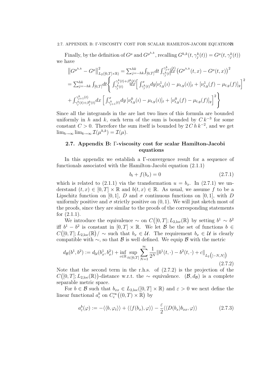#### 2.7. APPENDIX B: Γ-VISCOSITY COST FOR SCALAR HAMILTON-JACOBI EQUATIONS71

Finally, by the definition of  $G^{\mu}$  and  $G^{\mu^{h,k}}$ , recalling  $G^{h,k}(t, \gamma_j^k(t)) = G^{\mu}(t, \gamma_j^k(t))$ we have

$$
\|G^{\mu^{h,k}} - G^{\mu}\|_{L_2([0,T]\times\mathbb{R})}^2 = \sum_{j=-hk}^{hk} \int_{[0,T]} dt \int_{\gamma_j^k(t)}^{\gamma_j^k+1}(dx) \left( G^{\mu^{h,k}}(t,x) - G^{\mu}(t,x) \right)^2
$$
  
\n
$$
= \sum_{j=-hk}^{hk} \int_{[0,T]} dt \left\{ \int_{\gamma_j^k(t)}^{\gamma_j^k(t)+\beta_j^k}(dx) \left[ \int_{\gamma_j^k(t)}^x dy [\nu_{t,y}^1(u) - \mu_{t,y}(u)]_t + [\nu_{t,y}^1(f) - \mu_{t,y}(f)]_y \right]^2
$$
  
\n
$$
+ \int_{\gamma_j^k(t)+\beta_j^k(t)}^{\gamma_{j+1}^k(t)} dx \left[ \int_{\gamma_{j+1}^k(t)}^x dy [\nu_{t,y}^0(u) - \mu_{t,y}(u)]_t + [\nu_{t,y}^0(f) - \mu_{t,y}(f)]_y \right]^2 \right\}
$$

Since all the integrands in the are last two lines of this formula are bounded uniformly in h and k, each term of the sum is bounded by  $C k^{-3}$  for some constant  $C > 0$ . Therefore the sum itself is bounded by  $2 C h k^{-2}$ , and we get  $\lim_{h\to\infty} \lim_{k\to\infty} \mathcal{I}(\mu^{h,k}) = \mathcal{I}(\mu).$ 

# 2.7. Appendix B: Γ-viscosity cost for scalar Hamilton-Jacobi equations

In this appendix we establish a Γ-convergence result for a sequence of functionals associated with the Hamilton-Jacobi equation (2.1.1)

$$
b_t + f(b_x) = 0 \t\t(2.7.1)
$$

which is related to (2.1.1) via the transformation  $u = b_x$ . In (2.7.1) we understand  $(t, x) \in [0, T] \times \mathbb{R}$  and  $b(t, x) \in \mathbb{R}$ . As usual, we assume f to be a Lipschitz function on [0, 1], D and  $\sigma$  continuous functions on [0, 1], with D uniformly positive and  $\sigma$  strictly positive on  $(0, 1)$ . We will just sketch most of the proofs, since they are similar to the proofs of the corresponding statements for (2.1.1).

We introduce the equivalence  $\sim$  on  $C([0,T]; L_{2,\text{loc}}(\mathbb{R})$  by setting  $b^1 \sim b^2$ iff  $b^1 - b^2$  is constant in  $[0, T] \times \mathbb{R}$ . We let B be the set of functions  $b \in$  $C([0,T];L_{2,\text{loc}}(\mathbb{R})/\sim \text{such that } b_x \in \mathcal{U}$ . The requirement  $b_x \in \mathcal{U}$  is clearly compatible with  $\sim$ , so that B is well defined. We equip B with the metric

$$
d_{\mathcal{B}}(b^1, b^2) := d_{\mathcal{U}}(b_x^1, b_x^2) + \inf_{c \in \mathbb{R}} \sup_{t \in [0, T]} \sum_{N=1}^{\infty} \frac{1}{2^N} ||b^1(t, \cdot) - b^2(t, \cdot) + c||_{L_2\left([-N, N]\right)}
$$
\n(2.7.2)

Note that the second term in the r.h.s. of (2.7.2) is the projection of the  $C([0,T];L_{2,\text{loc}}(\mathbb{R}))$ -distance w.r.t. the ∼ equivalence.  $(\mathcal{B}, d_{\mathcal{B}})$  is a complete separable metric space.

For  $b \in \mathcal{B}$  such that  $b_{xx} \in L_{2,loc}([0,T] \times \mathbb{R})$  and  $\varepsilon > 0$  we next define the linear functional  $a_{\varepsilon}^{b}$  on  $C_{c}^{\infty}((0,T)\times\mathbb{R})$  by

$$
a_{\varepsilon}^{b}(\varphi) := -\langle \langle b, \varphi_{t} \rangle \rangle + \langle \langle f(b_{x}), \varphi \rangle \rangle - \frac{\varepsilon}{2} \langle \langle D(b_{x})b_{xx}, \varphi \rangle \rangle \tag{2.7.3}
$$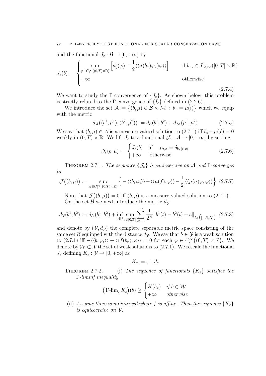and the functional  $J_{\varepsilon} : \mathcal{B} \mapsto [0, +\infty]$  by

$$
J_{\varepsilon}(b) := \begin{cases} \sup_{\varphi \in C_c^{\infty}((0,T) \times \mathbb{R})} \left[ a_{\varepsilon}^b(\varphi) - \frac{1}{2} \langle \langle \sigma(b_x) \varphi, \varphi \rangle \rangle \right] & \text{if } b_{xx} \in L_{2,loc}([0,T] \times \mathbb{R}) \\ +\infty & \text{otherwise} \end{cases}
$$
\n(2.7.4)

We want to study the Γ-convergence of  $\{J_{\varepsilon}\}\$ . As shown below, this problem is strictly related to the Γ-convergence of  $\{I_{\varepsilon}\}\$  defined in (2.2.6).

We introduce the set  $\mathcal{A} := \{(b, \mu) \in \mathcal{B} \times \mathcal{M} : b_x = \mu(i)\}\$  which we equip with the metric

$$
d_{\mathcal{A}}((b^1, \mu^1), (b^2, \mu^2)) := d_{\mathcal{B}}(b^1, b^2) + d_{\mathcal{M}}(\mu^1, \mu^2)
$$
 (2.7.5)

We say that  $(b, \mu) \in \mathcal{A}$  is a measure-valued solution to  $(2.7.1)$  iff  $b_t + \mu(f) = 0$ weakly in  $(0,T) \times \mathbb{R}$ . We lift  $J_{\varepsilon}$  to a functional  $\mathcal{J}_{\varepsilon} : \mathcal{A} \to [0,+\infty]$  by setting

$$
\mathcal{J}_{\varepsilon}(b,\mu) := \begin{cases} J_{\varepsilon}(b) & \text{if } \mu_{t,x} = \delta_{b_x(t,x)} \\ +\infty & \text{otherwise} \end{cases}
$$
 (2.7.6)

THEOREM 2.7.1. The sequence  $\{\mathcal{J}_{\varepsilon}\}\$ is equicoercive on A and Γ-converges to

$$
\mathcal{J}((b,\mu)) := \sup_{\varphi \in C_c^{\infty}((0,T) \times \mathbb{R})} \left\{-\langle\langle b, \varphi_t \rangle\rangle + \langle\langle \mu(f), \varphi \rangle\rangle - \frac{1}{2} \langle\langle \mu(\sigma)\varphi, \varphi \rangle\rangle \right\} (2.7.7)
$$

Note that  $\mathcal{J}((b,\mu))=0$  iff  $(b,\mu)$  is a measure-valued solution to  $(2.7.1)$ . On the set  $\beta$  we next introduce the metric  $dy$ 

$$
d_{\mathcal{Y}}(b^1, b^2) := d_{\mathcal{X}}(b_x^1, b_x^2) + \inf_{c \in \mathbb{R}} \sup_{t \in [0, T]} \sum_{N=1}^{\infty} \frac{1}{2^N} ||b^1(t) - b^2(t) + c||_{L_2\big([-N, N]\big)} \tag{2.7.8}
$$

and denote by  $(\mathcal{Y}, d_{\mathcal{Y}})$  the complete separable metric space consisting of the same set B equipped with the distance  $d_{\mathcal{Y}}$ . We say that  $b \in \mathcal{Y}$  is a weak solution to  $(2.7.1)$  iff  $-\langle \langle b, \varphi_t \rangle \rangle + \langle \langle f(b_x), \varphi \rangle \rangle = 0$  for each  $\varphi \in C_c^{\infty}((0, T) \times \mathbb{R})$ . We denote by  $W \subset \mathcal{Y}$  the set of weak solutions to (2.7.1). We rescale the functional  $J_{\varepsilon}$  defining  $K_{\varepsilon}: \mathcal{Y} \to [0, +\infty]$  as

$$
K_{\varepsilon}:=\varepsilon^{-1}J_{\varepsilon}
$$

THEOREM 2.7.2. (i) The sequence of functionals  $\{K_{\varepsilon}\}\$  satisfies the Γ-liminf inequality

$$
\left(\Gamma\text{-}\underline{\lim}_{\varepsilon} K_{\varepsilon}\right)(b) \ge \begin{cases} H(b_x) & \text{if } b \in \mathcal{W} \\ +\infty & \text{otherwise} \end{cases}
$$

(ii) Assume there is no interval where f is affine. Then the sequence  $\{K_{\varepsilon}\}\$ is equicoercive on Y.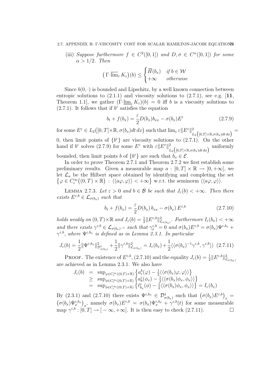### 2.7. APPENDIX B: Γ-VISCOSITY COST FOR SCALAR HAMILTON-JACOBI EQUATIONS73

(iii) Suppose furthermore  $f \in C^2([0,1])$  and  $D, \sigma \in C^{\alpha}([0,1])$  for some  $\alpha > 1/2$ . Then

$$
\left(\Gamma\overline{\dim}_{\varepsilon} K_{\varepsilon}\right)(b) \leq \begin{cases} \overline{H}(b_x) & \text{if } b \in \mathcal{W} \\ +\infty & otherwise \end{cases}
$$

Since  $b(0, \cdot)$  is bounded and Lipschitz, by a well known connection between entropic solutions to  $(2.1.1)$  and viscosity solutions to  $(2.7.1)$ , see e.g.  $[11]$ , Theorem 1.1, we gather  $(\Gamma\text{-}\lim_{\varepsilon} K_{\varepsilon})(b) = 0$  iff b is a viscosity solutions to (2.7.1). It follows that if  $b^{\varepsilon}$  satisfies the equation

$$
b_t + f(b_x) = \frac{\varepsilon}{2} D(b_x) b_{xx} - \sigma(b_x) E^{\varepsilon}
$$
 (2.7.9)

for some  $E^{\varepsilon} \in L_2([0,T] \times \mathbb{R}, \sigma(b_x)dt dx)$  such that  $\lim_{\varepsilon} \varepsilon ||E^{\varepsilon}||^2$ ,  $\frac{2}{L_2\big([0,T]\times \mathbb{R}, \sigma(b_x)dt\,dx\big)}=$ 0, then limit points of  $\{b^{\varepsilon}\}\$ are viscosity solutions to  $(2.7.1)$ . On the other hand if  $b^{\varepsilon}$  solves (2.7.9) for some  $E^{\varepsilon}$  with  $\varepsilon ||E^{\varepsilon}||^2$  $\sum_{L_2}^{2} ($ [0,*T*]×ℝ, $\sigma$ (*b*<sub>x</sub>)dt dx) uniformly bounded, then limit points b of  $\{b^{\varepsilon}\}\$ are such that  $b_x \in \mathcal{E}$ .

In order to prove Theorem 2.7.1 and Theorem 2.7.2 we first establish some preliminary results. Given a measurable map  $a : [0, T] \times \mathbb{R} \to [0, +\infty]$ , we let  $\mathcal{L}_a$  be the Hilbert space obtained by identifying and completing the set  $\{\varphi \in C_c^{\infty}((0,T) \times \mathbb{R}) : \langle \langle a\varphi, \varphi \rangle \rangle < +\infty\}$  w.r.t. the seminorm  $\langle \langle a\varphi, \varphi \rangle \rangle$ .

LEMMA 2.7.3. Let  $\varepsilon > 0$  and  $b \in \mathcal{B}$  be such that  $J_{\varepsilon}(b) < +\infty$ . Then there exists  $E^{\varepsilon,b} \in \mathcal{L}_{\sigma(b_x)}$  such that

$$
b_t + f(b_x) = \frac{\varepsilon}{2} D(b_x) b_{xx} - \sigma(b_x) E^{\varepsilon, b}
$$
 (2.7.10)

holds weakly on  $(0, T) \times \mathbb{R}$  and  $J_{\varepsilon}(b) = \frac{1}{2} ||E^{\varepsilon, b}||_{\mathcal{L}_{\sigma(b_x)}}^2$ . Furthermore  $I_{\varepsilon}(b_x) < +\infty$ and there exists  $\gamma^{\varepsilon,b} \in \mathcal{L}_{\sigma(b_x)^{-1}}$  such that  $\gamma_x^{\varepsilon,b} = 0$  and  $\sigma(b_x)E^{\varepsilon,b} = \sigma(b_x)\Psi^{\varepsilon,b_x} +$  $\gamma^{\varepsilon,b}$ , where  $\Psi^{\varepsilon,b_x}$  is defined as in Lemma 2.3.1. In particular

$$
J_{\varepsilon}(b) = \frac{1}{2} \|\Psi^{\varepsilon, b_x}\|_{\mathcal{D}^1_{\sigma(b_x)}}^2 + \frac{1}{2} \|\gamma^{\varepsilon, b}\|_{\mathcal{L}_{\sigma(b_x)}}^2 = I_{\varepsilon}(b_x) + \frac{1}{2} \langle \langle \sigma(b_x)^{-1} \gamma^{\varepsilon, b}, \gamma^{\varepsilon, b} \rangle \rangle \tag{2.7.11}
$$

**PROOF.** The existence of  $E^{\varepsilon,b}$ , (2.7.10) and the equality  $J_{\varepsilon}(b) = \frac{1}{2} ||E^{\varepsilon,b}||^2_{\mathcal{L}_{\sigma(b_x)}}$ are achieved as in Lemma 2.3.1. We also have

$$
J_{\varepsilon}(b) = \sup_{\varphi \in C_{c}^{\infty}((0,T) \times \mathbb{R})} \left\{ a_{\varepsilon}^{b}(\varphi) - \frac{1}{2} \langle \langle \sigma(b_{x})\varphi, \varphi \rangle \rangle \right\}
$$
  
\n
$$
\geq \sup_{\phi \in C_{c}^{\infty}((0,T) \times \mathbb{R})} \left\{ a_{b}^{\varepsilon}(\phi_{x}) - \frac{1}{2} \langle \langle \sigma(b_{x})\phi_{x}, \phi_{x} \rangle \rangle \right\}
$$
  
\n
$$
= \sup_{\phi \in C_{c}^{\infty}((0,T) \times \mathbb{R})} \left\{ \ell_{b_{x}}^{\varepsilon}(\phi) - \frac{1}{2} \langle \langle \sigma(b_{x})\phi_{x}, \phi_{x} \rangle \rangle \right\} = I_{\varepsilon}(b_{x})
$$

By (2.3.1) and (2.7.10) there exists  $\Psi^{\varepsilon,b_x} \in \mathcal{D}^1_{\sigma(b_x)}$  such that  $(\sigma(b_x)E^{\varepsilon,b})_x =$  $(\sigma(b_x)\Psi_x^{\varepsilon,b_x})_x$ , namely  $\sigma(b_x)E^{\varepsilon,b} = \sigma(b_x)\Psi_x^{\varepsilon,b_x} + \gamma^{\varepsilon,b}(t)$  for some measurable map  $\gamma^{\varepsilon,b} : [0,T] \to [-\infty, +\infty]$ . It is then easy to check (2.7.11).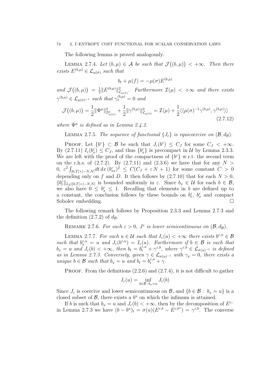#### 74 2. Γ-ENTROPY COST FUNCTIONAL FOR SCALAR CONSERVATION LAWS

The following lemma is proved analogously.

LEMMA 2.7.4. Let  $(b,\mu) \in \mathcal{A}$  be such that  $\mathcal{J}((b,\mu)) < +\infty$ . Then there exists  $E^{(b,\mu)} \in \mathcal{L}_{\mu(\sigma)}$  such that

$$
b_t + \mu(f) = -\mu(\sigma) E^{(b,\mu)}
$$

and  $\mathcal{J}((b,\mu)) = \frac{1}{2}$  $\frac{1}{2} \| E^{(b,\mu)} \|_{\mathcal{L}_{\mu(\sigma)}}^2$ . Furthermore  $\mathcal{I}(\mu) < +\infty$  and there exists  $\gamma^{(b,\mu)} \in \mathcal{L}_{\mu(\sigma)^{-1}}$  such that  $\gamma_x^{(b,\mu)} = 0$  and

$$
\mathcal{J}((b,\mu)) = \frac{1}{2} \|\Psi^{\mu}\|_{\mathcal{D}_{\mu(\sigma)}^{1}}^{2} + \frac{1}{2} \|\gamma^{(b,\mu)}\|_{\mathcal{L}_{\mu(\sigma)}}^{2} = \mathcal{I}(\mu) + \frac{1}{2} \langle\langle \mu(\sigma)^{-1}\gamma^{(b,\mu)}, \gamma^{(b,\mu)}\rangle\rangle
$$
\n(2.7.12)

where  $\Psi^{\mu}$  is defined as in Lemma 2.4.2.

LEMMA 2.7.5. The sequence of functional  $\{J_{\varepsilon}\}\$ is equicoercive on  $(\mathcal{B}, d_{\mathcal{B}})$ .

PROOF. Let  $\{b^{\varepsilon}\}\subset\mathcal{B}$  be such that  $J_{\varepsilon}(b^{\varepsilon})\leq C_J$  for some  $C_J<+\infty$ . By (2.7.11)  $I_{\varepsilon}(b_x^{\varepsilon}) \leq C_J$ , and thus  $\{b_x^{\varepsilon}\}\$ is precompact in U by Lemma 2.3.3. We are left with the proof of the compactness of  $\{b^{\varepsilon}\}\$  w.r.t. the second term on the r.h.s. of  $(2.7.2)$ . By  $(2.7.11)$  and  $(2.3.6)$  we have that for any  $N >$  $(0, \varepsilon^2 \int_{[0,T] \times [-N,N]} dt \, dx \, (b_{xx}^{\varepsilon})^2 \leq C(C_J + \varepsilon N + 1)$  for some constant  $C > 0$ depending only on f and D. It then follows by  $(2.7.10)$  that for each  $N > 0$ ,  $||b_t^{\varepsilon}||_{L_2([0,T]\times[-N,N]}$  is bounded uniformly in  $\varepsilon$ . Since  $b_x \in \mathcal{U}$  for each  $b \in \mathcal{B}$ , we also have  $0 \leq b_x^{\varepsilon} \leq 1$ . Recalling that elements in b are defined up to a constant, the conclusion follows by these bounds on  $b_t^{\varepsilon}$ ,  $b_x^{\varepsilon}$  and compact Sobolev embedding.

The following remark follows by Proposition 2.3.3 and Lemma 2.7.3 and the definition  $(2.7.2)$  of  $d_{\mathcal{B}}$ .

REMARK 2.7.6. For each  $\varepsilon > 0$ ,  $J^{\varepsilon}$  is lower semicontinuous on  $(\mathcal{B}, d_{\mathcal{B}})$ .

LEMMA 2.7.7. For each  $u \in \mathcal{U}$  such that  $I_{\varepsilon}(u) < +\infty$  there exists  $b^{\varepsilon, u} \in \mathcal{B}$ such that  $b_x^{\varepsilon,u} = u$  and  $J_{\varepsilon}(b^{\varepsilon,u}) = I_{\varepsilon}(u)$ . Furthermore if  $b \in \mathcal{B}$  is such that  $b_x = u$  and  $J_\varepsilon(b) < +\infty$ , then  $b_t = b_t^{\varepsilon, u'} + \gamma^{\varepsilon, b}$ , where  $\gamma^{\varepsilon, b} \in \mathcal{L}_{\sigma(u)^{-1}}$  is defined as in Lemma 2.7.3. Conversely, given  $\gamma \in \mathcal{L}_{\sigma(u)^{-1}}$  with  $\gamma_x = 0$ , there exists a unique  $b \in \mathcal{B}$  such that  $b_x = u$  and  $b_t = b_t^{\varepsilon, u} + \gamma$ .

**PROOF.** From the definitions  $(2.2.6)$  and  $(2.7.4)$ , it is not difficult to gather

$$
I_{\varepsilon}(u) = \inf_{b \in \mathcal{B}: b_x = u} J_{\varepsilon}(b)
$$

Since  $J_{\varepsilon}$  is coercive and lower semicontinuous on  $\mathcal{B}$ , and  $\{b \in \mathcal{B} : b_x = u\}$  is a closed subset of  $\mathcal{B}$ , there exists a  $b^u$  on which the infimum is attained.

If b is such that  $b_x = u$  and  $J_\varepsilon(b) < +\infty$ , then by the decomposition of  $E^{\varepsilon, \cdot}$ in Lemma 2.7.3 we have  $(b - b^u)_t = \sigma(u)(E^{\varepsilon, b} - E^{\varepsilon, b^u}) = \gamma^{\varepsilon, b}$ . The converse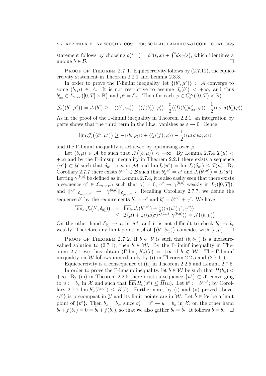statement follows by choosing  $b(t, x) = b^{u}(t, x) + \int^{t} ds \gamma(s)$ , which identifies a unique  $b \in \mathcal{B}$ .

PROOF OF THEOREM 2.7.1. Equicoercivity follows by  $(2.7.11)$ , the equicoercivity statement in Theorem 2.2.1 and Lemma 2.3.3.

In order to prove the Γ-liminf inequality, let  $\{(b^{\varepsilon}, \mu^{\varepsilon})\} \subset \mathcal{A}$  converge to some  $(b,\mu) \in \mathcal{A}$ . It is not restrictive to assume  $J_{\varepsilon}(b^{\varepsilon}) < +\infty$ , and thus  $b_{xx}^{\varepsilon} \in L_{2,\text{loc}}([0,T] \times \mathbb{R})$  and  $\mu^{\varepsilon} = \delta_{b_x^{\varepsilon}}$ . Then for each  $\varphi \in C_{\text{c}}^{\infty}((0,T) \times \mathbb{R})$ 

$$
\mathcal{J}_{\varepsilon}\big((b^{\varepsilon},\mu^{\varepsilon})\big) = J_{\varepsilon}(b^{\varepsilon}) \ge -\langle\langle b^{\varepsilon},\varphi_t\rangle\rangle + \langle\langle f(b^{\varepsilon}_x),\varphi\rangle\rangle - \frac{\varepsilon}{2}\langle\langle D(b^{\varepsilon}_x)b^{\varepsilon}_{xx},\varphi\rangle\rangle - \frac{1}{2}\langle\langle\varphi,\sigma(b^{\varepsilon}_x)\varphi\rangle\rangle
$$

As in the proof of the Γ-liminf inequality in Theorem 2.2.1, an integration by parts shows that the third term in the l.h.s. vanishes as  $\varepsilon \to 0$ . Hence

$$
\lim_{\varepsilon} \mathcal{J}_{\varepsilon} \big( (b^{\varepsilon}, \mu^{\varepsilon}) \big) \geq - \langle \langle b, \varphi_t \rangle \rangle + \langle \langle \mu(f), \varphi \rangle \rangle - \frac{1}{2} \langle \langle \mu(\sigma) \varphi, \varphi \rangle \rangle
$$

and the Γ-liminf inequality is achieved by optimizing over  $\varphi$ .

Let  $(b,\mu) \in \mathcal{A}$  be such that  $\mathcal{J}((b,\mu)) < +\infty$ . By Lemma 2.7.4  $\mathcal{I}(\mu) <$  $+\infty$  and by the Γ-limsup inequality in Theorem 2.2.1 there exists a sequence  $\{u^{\varepsilon}\}\subset\mathcal{U}$  such that  $\delta_{u^{\varepsilon}}\to\mu$  in M and  $\overline{\lim} I_{\varepsilon}(u^{\varepsilon})=\overline{\lim}\mathcal{I}_{\varepsilon}(\delta_{u^{\varepsilon}})\leq\mathcal{I}(\mu)$ . By Corollary 2.7.7 there exists  $b^{\varepsilon, u^{\varepsilon}} \in \mathcal{B}$  such that  $b^{\varepsilon, u^{\varepsilon}}_x = u^{\varepsilon}$  and  $J_{\varepsilon}(b^{\varepsilon, u^{\varepsilon}}) = I_{\varepsilon}(u^{\varepsilon}).$ Letting  $\gamma^{(b,\mu)}$  be defined as in Lemma 2.7.4, it is also easily seen that there exists a sequence  $\gamma^{\varepsilon} \in \mathcal{L}_{\sigma(u^{\varepsilon})^{-1}}$  such that  $\gamma_x^{\varepsilon} = 0$ ,  $\gamma^{\varepsilon} \to \gamma^{(b,\mu)}$  weakly in  $L_2([0,T])$ , and  $\|\gamma^{\varepsilon}\|_{\mathcal{L}_{\sigma(u^{\varepsilon})^{-1}}}\to \|\gamma^{(b,\mu)}\|_{\mathcal{L}_{\mu(\sigma)^{-1}}}$ . Recalling Corollary 2.7.7, we define the sequence  $b^{\varepsilon}$  by the requirements  $b^{\varepsilon}_x = u^{\varepsilon}$  and  $b^{\varepsilon}_t = b^{\varepsilon, u^{\varepsilon}}_t + \gamma^{\varepsilon}$ . We have

$$
\overline{\lim}_{\varepsilon} \mathcal{J}_{\varepsilon} (b^{\varepsilon}, \delta_{b_{x}^{\varepsilon}}) = \overline{\lim}_{\varepsilon} J_{\varepsilon} (b^{\varepsilon, u^{\varepsilon}}) + \frac{1}{2} \langle \langle \sigma(u^{\varepsilon}) \gamma^{\varepsilon}, \gamma^{\varepsilon} \rangle \rangle \leq \mathcal{I}(\mu) + \frac{1}{2} \langle \langle \mu(\sigma) \gamma^{(b, \mu)}, \gamma^{(b, \mu)} \rangle \rangle = \mathcal{J}((b, \mu))
$$

On the other hand  $\delta_{b_x^{\varepsilon}} \to \mu$  in M, and it is not difficult to check  $b_t^{\varepsilon} \to b_t$ weakly. Therefore any limit point in A of  $\{(b^{\varepsilon}, \delta_{b_x^{\varepsilon}})\}$  coincides with  $(b, \mu)$ .  $\Box$ 

PROOF OF THEOREM 2.7.2. If  $b \in \mathcal{Y}$  is such that  $(b, \delta_{b_x})$  is a measurevalued solution to (2.7.1), then  $b \in W$ . By the Γ-liminf inequality in Theorem 2.7.1 we thus obtain  $(\Gamma\text{-}\lim_{\epsilon} K_{\epsilon})(b) = +\infty$  if  $b \notin \mathcal{W}$ . The  $\Gamma\text{-}\liminf$ inequality on W follows immediately by (i) in Theorem 2.2.5 and  $(2.7.11)$ .

Equicoercivity is a consequence of (ii) in Theorem 2.2.5 and Lemma 2.7.5. In order to prove the Γ-limsup inequality, let  $b \in \mathcal{W}$  be such that  $H(b_x)$ +∞. By (iii) in Theorem 2.2.5 there exists a sequence  $\{u^{\varepsilon}\}\subset \mathcal{X}$  converging to  $u := b_x$  in X and such that  $\overline{\lim} H_\varepsilon(u^\varepsilon) \leq \overline{H}(u)$ . Let  $b^\varepsilon := b^{\varepsilon, u^\varepsilon}$ ; by Corollary 2.7.7  $\overline{\lim} K_{\varepsilon}(b^{\varepsilon, u^{\varepsilon}}) \leq K(b)$ . Furthermore, by (i) and (ii) proved above,  ${b^{\varepsilon}}$  is precompact in  $\mathcal Y$  and its limit points are in W. Let  $\tilde{b} \in \mathcal W$  be a limit point of  $\{b^{\varepsilon}\}\$ . Then  $\tilde{b}_x = b_x$ , since  $b_x^{\varepsilon} = u^{\varepsilon} \to u = b_x$  in  $\mathcal{X}$ ; on the other hand  $b_t + f(b_x) = 0 = \tilde{b}_t + f(\tilde{b}_x)$ , so that we also gather  $b_t = \tilde{b}_t$ . It follows  $\tilde{b} = b$ .  $\Box$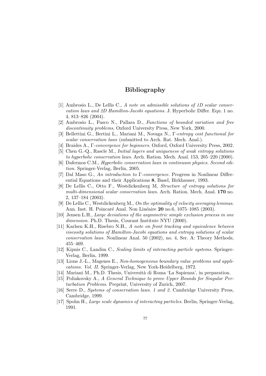# Bibliography

- [1] Ambrosio L., De Lellis C., A note on admissible solutions of 1D scalar conservation laws and 2D Hamilton-Jacobi equations. J. Hyperbolic Differ. Equ. 1 no. 4, 813–826 (2004).
- [2] Ambrosio L., Fusco N., Pallara D., Functions of bounded variation and free discontinuity problems, Oxford University Press, New York, 2000.
- [3] Bellettini G., Bertini L., Mariani M., Novaga N., Γ-entropy cost functional for scalar conservation laws (submitted to Arch. Rat. Mech. Anal.).
- [4] Braides A., Γ-convergence for beginners. Oxford, Oxford University Press, 2002.
- [5] Chen G.-Q., Rascle M., Initial layers and uniqueness of weak entropy solutions to hyperbolic conservation laws. Arch. Ration. Mech. Anal. 153, 205–220 (2000).
- [6] Dafermos C.M., Hyperbolic conservation laws in continuum physics. Second edition. Springer-Verlag, Berlin, 2005.
- [7] Dal Maso G., An introduction to Γ-convergence. Progress in Nonlinear Differential Equations and their Applications 8, Basel, Birkhauser, 1993.
- [8] De Lellis C., Otto F., Westdickenberg M, Structure of entropy solutions for multi-dimensional scalar conservation laws. Arch. Ration. Mech. Anal. 170 no. 2, 137–184 (2003).
- [9] De Lellis C., Westdickenberg M., On the optimality of velocity averaging lemmas. Ann. Inst. H. Poincaré Anal. Non Linéaire 20 no.6, 1075–1085 (2003).
- [10] Jensen L.H., Large deviations of the asymmetric simple exclusion process in one dimension. Ph.D. Thesis, Courant Institute NYU (2000).
- [11] Karlsen K.H., Risebro N.H., A note on front tracking and equivalence between viscosity solutions of Hamilton-Jacobi equations and entropy solutions of scalar conservation laws. Nonlinear Anal. 50 (2002), no. 4, Ser. A: Theory Methods, 455–469.
- [12] Kipnis C., Landim C., Scaling limits of interacting particle systems. Springer-Verlag, Berlin, 1999.
- [13] Lions J.-L., Magenes E., Non-homogeneous boundary value problems and applications. Vol. II. Springer-Verlag, New York-Heidelberg, 1972.
- [14] Mariani M., Ph.D. Thesis, Universit`a di Roma 'La Sapienza', in preparation.
- [15] Poliakovsky A., A General Technique to prove Upper Bounds for Singular Perturbation Problems. Preprint, University of Zurich, 2007.
- [16] Serre D., Systems of conservation laws. 1 and 2. Cambridge University Press, Cambridge, 1999.
- [17] Spohn H., Large scale dynamics of interacting particles. Berlin, Springer-Verlag, 1991.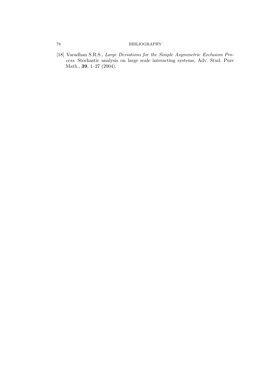### 78 BIBLIOGRAPHY

[18] Varadhan S.R.S., Large Deviations for the Simple Asymmetric Exclusion Process. Stochastic analysis on large scale interacting systems, Adv. Stud. Pure Math., 39, 1–27 (2004).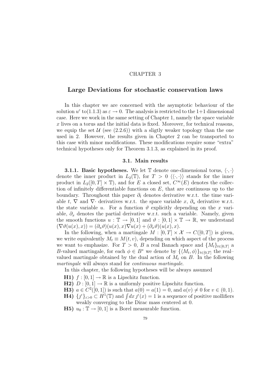### CHAPTER 3

## Large Deviations for stochastic conservation laws

In this chapter we are concerned with the asymptotic behaviour of the solution  $u^{\varepsilon}$  to(1.1.3) as  $\varepsilon \to 0$ . The analysis is restricted to the 1+1 dimensional case. Here we work in the same setting of Chapter 1, namely the space variable  $x$  lives on a torus and the initial data is fixed. Moreover, for technical reasons, we equip the set  $\mathcal{U}$  (see (2.2.6)) with a sligtly weaker topology than the one used in 2. However, the results given in Chapter 2 can be transported to this case with minor modifications. These modifications require some "extra" technical hypotheses only for Theorem 3.1.3, as explained in its proof.

### 3.1. Main results

**3.1.1. Basic hypotheses.** We let  $\mathbb{T}$  denote one-dimensional torus,  $\langle \cdot, \cdot \rangle$ denote the inner product in  $L_2(\mathbb{T})$ , for  $T > 0 \langle \langle \cdot, \cdot \rangle \rangle$  stands for the inner product in  $L_2([0,T] \times \mathbb{T})$ , and for E a closed set,  $C^{\infty}(E)$  denotes the collection of infinitely differentiable functions on  $E$ , that are continuous up to the boundary. Throughout this paper  $\partial_t$  denotes derivative w.r.t. the time variable t,  $\nabla$  and  $\nabla$  derivatives w.r.t. the space variable x,  $\partial_u$  derivative w.r.t. the state variable u. For a function  $\vartheta$  explicitly depending on the x variable,  $\partial_x$  denotes the partial derivative w.r.t. such a variable. Namely, given the smooth functions  $u : \mathbb{T} \to [0,1]$  and  $\vartheta : [0,1] \times \mathbb{T} \to \mathbb{R}$ , we understand  $(\nabla \vartheta(u(x), x)) = (\partial_u \vartheta)(u(x), x) \nabla u(x) + (\partial_x \vartheta)(u(x), x).$ 

In the following, when a martingale  $M : [0, T] \times \mathcal{X} \to C([0, T])$  is given, we write equivalently  $M_t \equiv M(t, v)$ , depending on which aspect of the process we want to emphasize. For  $T > 0$ , B a real Banach space and  $\{M_t\}_{t\in[0,T]}$  a B-valued martingale, for each  $\phi \in B^*$  we denote by  $\{ \langle M_t, \phi \rangle \}_{t \in [0,T]}$  the realvalued martingale obtained by the dual action of  $M_t$  on  $B$ . In the following martingale will always stand for continuous martingale.

In this chapter, the following hypotheses will be always assumed

- **H1)**  $f : [0, 1] \rightarrow \mathbb{R}$  is a Lipschitz function.
- **H2**)  $D : [0, 1] \rightarrow \mathbb{R}$  is a uniformly positive Lipschitz function.
- **H3)**  $a \in C^2([0,1])$  is such that  $a(0) = a(1) = 0$ , and  $a(v) \neq 0$  for  $v \in (0,1)$ .
- **H4**)  $\{f^{\varepsilon}\}_{\varepsilon>0} \subset H^{1}(\mathbb{T})$  and  $\int dx \, f^{\varepsilon}(x) = 1$  is a sequence of positive mollifiers weakly converging to the Dirac mass centered at 0.
- **H5)**  $u_0 : \mathbb{T} \to [0, 1]$  is a Borel measurable function.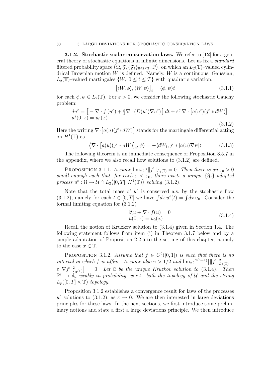3.1.2. Stochastic scalar conservation laws. We refer to [12] for a general theory of stochastic equations in infinite dimensions. Let us fix a standard filtered probability space  $(\Omega, \mathfrak{F}, \{\mathfrak{F}_t\}_{0 \leq t \leq T}, \mathbb{P})$ , on which an  $L_2(\mathbb{T})$ -valued cylindrical Brownian motion  $W$  is defined. Namely,  $W$  is a continuous, Gaussian,  $L_2(\mathbb{T})$ -valued martingales  $\{W_t, 0 \le t \le T\}$  with quadratic variation:

$$
[\langle W, \phi \rangle, \langle W, \psi \rangle]_t = \langle \phi, \psi \rangle t \tag{3.1.1}
$$

for each  $\phi, \psi \in L_2(\mathbb{T})$ . For  $\varepsilon > 0$ , we consider the following stochastic Cauchy problem:

$$
du^{\varepsilon} = \left[ -\nabla \cdot f(u^{\varepsilon}) + \frac{\varepsilon}{2} \nabla \cdot (D(u^{\varepsilon}) \nabla u^{\varepsilon}) \right] dt + \varepsilon^{\gamma} \nabla \cdot \left[ a(u^{\varepsilon}) (j^{\varepsilon} * dW) \right]
$$
  

$$
u^{\varepsilon}(0, x) = u_0(x)
$$
 (3.1.2)

Here the writing  $\nabla \cdot [a(u)(f^* * dW)]$  stands for the martingale differential acting on  $H^1(\mathbb{T})$  as

$$
\left\langle \nabla \cdot \left[ a(u)(j^{\varepsilon} * dW) \right]_t, \psi \right\rangle = -\left\langle dW_t, j^{\varepsilon} * \left[ a(u) \nabla \psi \right] \right\rangle \tag{3.1.3}
$$

The following theorem is an immediate consequence of Proposition 3.5.7 in the appendix, where we also recall how solutions to (3.1.2) are defined.

PROPOSITION 3.1.1. Assume  $\lim_{\varepsilon} \varepsilon^{\gamma} \| \jmath^{\varepsilon} \|_{L_2(\mathbb{T})} = 0$ . Then there is an  $\varepsilon_0 > 0$ small enough such that, for each  $\varepsilon < \varepsilon_0$ , there exists a unique  $\{\mathfrak{F}_t\}$ -adapted process  $u^{\varepsilon} : \Omega \to \mathcal{U} \cap L_2([0,T];H^1(\mathbb{T}))$  solving  $(3.1.2)$ .

Note that the total mass of  $u^{\varepsilon}$  is conserved a.s. by the stochastic flow  $(3.1.2)$ , namely for each  $t \in [0, T]$  we have  $\int dx u^{\varepsilon}(t) = \int dx u_0$ . Consider the formal limiting equation for (3.1.2)

$$
\partial_t u + \nabla \cdot f(u) = 0
$$
  
 
$$
u(0, x) = u_0(x)
$$
 (3.1.4)

Recall the notion of Kruzkov solution to (3.1.4) given in Section 1.4. The following statement follows from item (i) in Theorem 3.1.7 below and by a simple adaptation of Proposition 2.2.6 to the setting of this chapter, namely to the case  $x \in \mathbb{T}$ .

**PROPOSITION** 3.1.2. Assume that  $f \in C^2([0,1])$  is such that there is no interval in which f is affine. Assume also  $\gamma > 1/2$  and  $\lim_{\varepsilon} \varepsilon^{2(\gamma-1)} \left[ ||j^{\varepsilon}||_{L_2(\mathbb{T})}^2 +$  $\mathcal{E} \|\nabla \mathcal{J}^{\varepsilon}\|_{L_2(\mathbb{T})}^2$  = 0. Let  $\bar{u}$  be the unique Kruzkov solution to (3.1.4). Then  $\mathbb{P}^{\varepsilon} \to \tilde{\delta}_{\bar{u}}^{\tilde{\varepsilon}}$  weakly in probability, w.r.t. both the topology of U and the strong  $L_p([0,T] \times \mathbb{T})$  topology.

Proposition 3.1.2 establishes a convergence result for laws of the processes  $u^{\varepsilon}$  solutions to (3.1.2), as  $\varepsilon \to 0$ . We are then interested in large deviations principles for these laws. In the next sections, we first introduce some preliminary notions and state a first a large deviations principle. We then introduce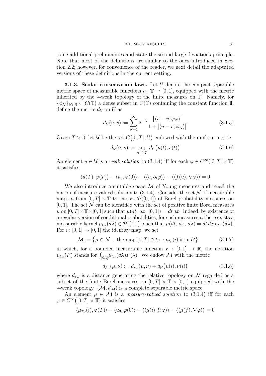some additional preliminaries and state the second large deviations principle. Note that most of the definitions are similar to the ones introduced in Section 2.2; however, for convenience of the reader, we next detail the adaptated versions of these definitions in the current setting.

**3.1.3. Scalar conservation laws.** Let  $U$  denote the compact separable metric space of measurable functions  $u : \mathbb{T} \to [0, 1]$ , equipped with the metric inherited by the ∗-weak topology of the finite measures on T. Namely, for  ${\phi_N}_{N\in\mathbb{N}}\subset C(\mathbb{T})$  a dense subset in  $C(\mathbb{T})$  containing the constant function  $\mathbb{I}$ , define the metric  $d_U$  on U as

$$
d_U(u, v) := \sum_{N=1}^{\infty} 2^{-N} \frac{|\langle u - v, \varphi_N \rangle|}{1 + |\langle u - v, \varphi_N \rangle|}
$$
(3.1.5)

Given  $T > 0$ , let U be the set  $C([0, T]; U)$  endowed with the uniform metric

$$
d_{\mathcal{U}}(u,v) := \sup_{t \in [0,T]} d_{U}(u(t),v(t)) \tag{3.1.6}
$$

An element  $u \in \mathcal{U}$  is a weak solution to (3.1.4) iff for each  $\varphi \in C^{\infty}([0, T] \times \mathbb{T})$ it satisfies

$$
\langle u(T), \varphi(T) \rangle - \langle u_0, \varphi(0) \rangle - \langle \langle u, \partial_t \varphi \rangle \rangle - \langle \langle f(u), \nabla \varphi \rangle \rangle = 0
$$

We also introduce a suitable space  $\mathcal M$  of Young measures and recall the notion of measure-valued solution to  $(3.1.4)$ . Consider the set N of measurable maps  $\mu$  from  $[0, T] \times \mathbb{T}$  to the set  $\mathcal{P}([0, 1])$  of Borel probability measures on  $[0, 1]$ . The set N can be identified with the set of positive finite Borel measures  $\mu$  on  $[0, T] \times \mathbb{T} \times [0, 1]$  such that  $\mu(dt, dx, [0, 1]) = dt dx$ . Indeed, by existence of a regular version of conditional probabilities, for such measures  $\mu$  there exists a measurable kernel  $\mu_{t,x}(d\lambda) \in \mathcal{P}([0,1])$  such that  $\mu(dt, dx, d\lambda) = dt dx \mu_{t,x}(d\lambda)$ . For  $i : [0, 1] \rightarrow [0, 1]$  the identity map, we set

$$
\mathcal{M} := \{ \mu \in \mathcal{N} : \text{ the map } [0, T] \ni t \mapsto \mu_{t, \cdot}(i) \text{ is in } \mathcal{U} \}
$$
 (3.1.7)

in which, for a bounded measurable function  $F : [0,1] \to \mathbb{R}$ , the notation  $\mu_{t,x}(F)$  stands for  $\int_{[0,1]}\mu_{t,x}(d\lambda)F(\lambda)$ . We endow M with the metric

$$
d_{\mathcal{M}}(\mu, \nu) := d_{\text{sw}}(\mu, \nu) + d_{\mathcal{U}}(\mu(i), \nu(i))
$$
\n(3.1.8)

where  $d_{\text{sw}}$  is a distance generating the relative topology on N regarded as a subset of the finite Borel measures on  $[0, T] \times \mathbb{T} \times [0, 1]$  equipped with the ∗-weak topology.  $(\mathcal{M}, d_{\mathcal{M}})$  is a complete separable metric space.

An element  $\mu \in \mathcal{M}$  is a *measure-valued solution* to (3.1.4) iff for each  $\varphi \in C^{\infty}([0,T] \times \mathbb{T})$  it satisfies

$$
\langle \mu_{T,\cdot}(i), \varphi(T) \rangle - \langle u_0, \varphi(0) \rangle - \langle \langle \mu(i), \partial_t \varphi \rangle \rangle - \langle \langle \mu(f), \nabla \varphi \rangle \rangle = 0
$$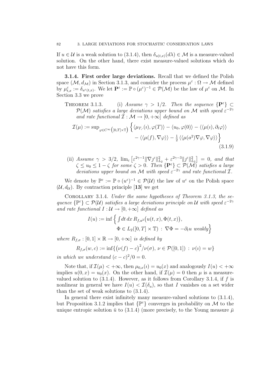If  $u \in \mathcal{U}$  is a weak solution to (3.1.4), then  $\delta_{u(t,x)}(d\lambda) \in \mathcal{M}$  is a measure-valued solution. On the other hand, there exist measure-valued solutions which do not have this form.

3.1.4. First order large deviations. Recall that we defined the Polish space  $(\mathcal{M}, d_{\mathcal{M}})$  in Section 3.1.3, and consider the process  $\mu^{\varepsilon} : \Omega \to \mathcal{M}$  defined by  $\mu_{t,x}^{\varepsilon} := \delta_{u^{\varepsilon}(t,x)}$ . We let  $\mathbf{P}^{\varepsilon} := \mathbb{P} \circ (\mu^{\varepsilon})^{-1} \in \mathcal{P}(\mathcal{M})$  be the law of  $\mu^{\varepsilon}$  on M. In Section 3.3 we prove

THEOREM 3.1.3. (i) Assume  $\gamma > 1/2$ . Then the sequence  $\{P^{\varepsilon}\}\subset$  $\mathcal{P}(\mathcal{M})$  satisfies a large deviations upper bound on M with speed  $\varepsilon^{-2\gamma}$ and rate functional  $\mathcal{I}: \mathcal{M} \to [0, +\infty]$  defined as

$$
\mathcal{I}(\mu) := \sup_{\varphi \in C^{\infty}([0,T] \times \mathbb{T})} \left\{ \langle \mu_{T,\cdot}(i), \varphi(T) \rangle - \langle u_0, \varphi(0) \rangle - \langle \langle \mu(i), \partial_t \varphi \rangle \rangle - \langle \langle \mu(f), \nabla \varphi \rangle \rangle - \frac{1}{2} \langle \langle \mu(a^2) \nabla \varphi, \nabla \varphi \rangle \rangle \right\}
$$
\n(3.1.9)

(ii) Assume  $\gamma > 3/2$ ,  $\lim_{\varepsilon} \left[ \varepsilon^{2\gamma-1} \|\nabla j^{\varepsilon}\|_{L_2}^2 + \varepsilon^{2\gamma-3} \|j^{\varepsilon}\|_{L_2}^2 \right] = 0$ , and that  $\zeta \leq u_0 \leq 1-\zeta$  for some  $\zeta > 0$ . Then  $\{P^\varepsilon\} \subset \mathcal{P}(\mathcal{M})$  satisfies a large deviations upper bound on M with speed  $\varepsilon^{-2\gamma}$  and rate functional  $\mathcal{I}$ .

We denote by  $\mathbb{P}^{\varepsilon} := \mathbb{P} \circ (u^{\varepsilon})^{-1} \in \mathcal{P}(\mathcal{U})$  the law of  $u^{\varepsilon}$  on the Polish space  $(\mathcal{U}, d_{\mathcal{U}})$ . By contraction principle [13] we get

Corollary 3.1.4. Under the same hypotheses of Theorem 3.1.3, the sequence  $\{P^{\varepsilon}\}\subset \mathcal{P}(\mathcal{U})$  satisfies a large deviations principle on U with speed  $\varepsilon^{-2\gamma}$ and rate functional  $I: \mathcal{U} \to [0, +\infty]$  defined as

$$
I(u) := \inf \left\{ \int dt \, dx \, R_{f,a^2}(u(t,x), \Phi(t,x)),
$$
  

$$
\Phi \in L_2([0,T] \times \mathbb{T}) : \nabla \Phi = -\partial_t u \, \text{ weakly} \right\}
$$

where  $R_{f,\sigma}:[0,1]\times\mathbb{R}\to[0,+\infty]$  is defined by

$$
R_{f,\sigma}(w,c) := \inf \{ (\nu(f) - c)^2 / \nu(\sigma), \nu \in \mathcal{P}([0,1]) : \nu(\iota) = w \}
$$

in which we understand  $(c - c)^2/0 = 0$ .

Note that, if  $\mathcal{I}(\mu) < +\infty$ , then  $\mu_{0,x}(i) = u_0(x)$  and analogously  $I(u) < +\infty$ implies  $u(0, x) = u_0(x)$ . On the other hand, if  $\mathcal{I}(\mu) = 0$  then  $\mu$  is a measurevalued solution to  $(3.1.4)$ . However, as it follows from Corollary 3.1.4, if f is nonlinear in general we have  $I(u) < \mathcal{I}(\delta_u)$ , so that I vanishes on a set wider than the set of weak solutions to (3.1.4).

In general there exist infinitely many measure-valued solutions to (3.1.4), but Proposition 3.1.2 implies that  $\{ \mathbb{P}^{\varepsilon} \}$  converges in probability on M to the unique entropic solution  $\bar{u}$  to (3.1.4) (more precisely, to the Young measure  $\bar{\mu}$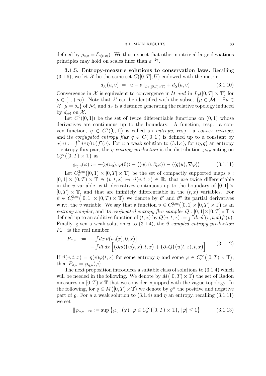defined by  $\bar{\mu}_{t,x} = \delta_{\bar{u}(t,x)}$ . We thus expect that other nontrivial large deviations principles may hold on scales finer than  $\varepsilon^{-2\gamma}$ .

3.1.5. Entropy-measure solutions to conservation laws. Recalling  $(3.1.6)$ , we let X be the same set  $C([0, T]; U)$  endowed with the metric

$$
d_{\mathcal{X}}(u,v) := \|u - v\|_{L_1([0,T] \times \mathbb{T})} + d_{\mathcal{U}}(u,v) \tag{3.1.10}
$$

Convergence in X is equivalent to convergence in U and in  $L_p([0,T] \times \mathbb{T})$  for  $p \in [1, +\infty)$ . Note that X can be identified with the subset  $\{\mu \in \mathcal{M} : \exists u \in$  $\mathcal{X}, \mu = \delta_u$  of M, and  $d\chi$  is a distance generating the relative topology induced by  $d_{\mathcal{M}}$  on  $\mathcal{X}$ .

Let  $C^2([0,1])$  be the set of twice differentiable functions on  $(0,1)$  whose derivatives are continuous up to the boundary. A function, resp. a convex function,  $\eta \in C^2([0,1])$  is called an *entropy*, resp. a *convex entropy*, and its *conjugated entropy flux*  $q \in C([0,1])$  is defined up to a constant by  $q(u) := \int^u \neg v \eta'(v) f'(v)$ . For u a weak solution to (3.1.4), for  $(\eta, q)$  an entropy – entropy flux pair, the *η-entropy production* is the distribution  $\wp_{n,u}$  acting on  $C_c^{\infty}([0,T)\times \mathbb{T})$  as

$$
\wp_{\eta, u}(\varphi) := -\langle \eta(u_0), \varphi(0) \rangle - \langle \langle \eta(u), \partial_t \varphi \rangle \rangle - \langle \langle q(u), \nabla \varphi \rangle \rangle \tag{3.1.11}
$$

Let  $C_c^{2,\infty}([0,1)\times[0,T]\times\mathbb{T})$  be the set of compactly supported maps  $\vartheta$ :  $[0,1] \times (0,T) \times \mathbb{T} \ni (v,t,x) \mapsto \vartheta(v,t,x) \in \mathbb{R}$ , that are twice differentiable in the v variable, with derivatives continuous up to the boundary of  $[0, 1] \times$  $[0, T] \times \mathbb{T}$ , and that are infinitely differentiable in the  $(t, x)$  variables. For  $\vartheta \in C_c^{2,\infty}([0,1] \times [0,T) \times \mathbb{T})$  we denote by  $\vartheta'$  and  $\vartheta''$  its partial derivatives w.r.t. the v variable. We say that a function  $\theta \in C^{2,\infty}_c([0,1] \times [0,T) \times \mathbb{T})$  is an entropy sampler, and its conjugated entropy flux sampler  $Q : [0,1] \times [0,T] \times \mathbb{T}$  is defined up to an additive function of  $(t, x)$  by  $Q(u, t, x) := \int^u dv \, \vartheta'(v, t, x) f'(v)$ . Finally, given a weak solution u to  $(3.1.4)$ , the  $\vartheta$ -sampled entropy production  $P_{\vartheta, u}$  is the real number

$$
P_{\vartheta,u} := -\int dx \,\vartheta(u_0(x),0,x) \Big| - \int dt \, dx \left[ (\partial_t \vartheta)(u(t,x),t,x) + (\partial_x Q)(u(t,x),t,x) \right]
$$
(3.1.12)

If  $\vartheta(v,t,x) = \eta(v)\varphi(t,x)$  for some entropy  $\eta$  and some  $\varphi \in C_c^{\infty}([0,T) \times \mathbb{T}),$ then  $P_{\vartheta,u} = \wp_{n,u}(\varphi)$ .

The next proposition introduces a suitable class of solutions to (3.1.4) which will be needed in the following. We denote by  $M([0, T) \times \mathbb{T})$  the set of Radon measures on  $[0, T) \times \mathbb{T}$  that we consider equipped with the vague topology. In the following, for  $\rho \in M([0, T) \times \mathbb{T})$  we denote by  $\rho^{\pm}$  the positive and negative part of  $\rho$ . For u a weak solution to (3.1.4) and  $\eta$  an entropy, recalling (3.1.11) we set

$$
\|\wp_{\eta,u}\|_{\text{TV}} := \sup \left\{ \wp_{\eta,u}(\varphi), \, \varphi \in C_c^{\infty}([0,T) \times \mathbb{T}), \, |\varphi| \le 1 \right\} \tag{3.1.13}
$$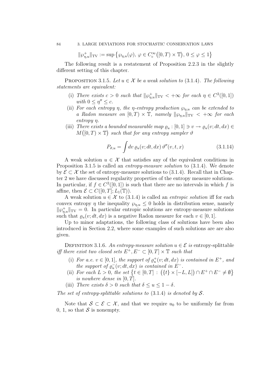$$
\|\wp_{\eta,u}^+\|_{\text{TV}} := \sup \left\{ \wp_{\eta,u}(\varphi), \, \varphi \in C_c^{\infty}([0,T) \times \mathbb{T}), \, 0 \le \varphi \le 1 \right\}
$$

The following result is a restatement of Proposition 2.2.3 in the slightly different setting of this chapter.

PROPOSITION 3.1.5. Let  $u \in \mathcal{X}$  be a weak solution to (3.1.4). The following statements are equivalent:

- (i) There exists  $c > 0$  such that  $\|\wp_{\eta,u}^+\|_{TV} < +\infty$  for each  $\eta \in C^2([0,1])$ with  $0 \leq \eta'' \leq c$ .
- (ii) For each entropy  $\eta$ , the  $\eta$ -entropy production  $\wp_{n,u}$  can be extended to a Radon measure on  $[0, T) \times \mathbb{T}$ , namely  $||\wp_{n,u}||_{TV} < +\infty$  for each entropy η.
- (iii) There exists a bounded measurable map  $\varrho_u : [0,1] \ni v \to \varrho_u(v; dt, dx) \in$  $M([0, T) \times \mathbb{T})$  such that for any entropy sampler  $\vartheta$

$$
P_{\vartheta, u} = \int dv \, \varrho_u(v; dt, dx) \, \vartheta''(v, t, x) \tag{3.1.14}
$$

A weak solution  $u \in \mathcal{X}$  that satisfies any of the equivalent conditions in Proposition 3.1.5 is called an *entropy-measure solution* to  $(3.1.4)$ . We denote by  $\mathcal{E} \subset \mathcal{X}$  the set of entropy-measure solutions to (3.1.4). Recall that in Chapter 2 we have discussed regularity properties of the entropy measure solutions. In particular, if  $f \in C^2([0,1])$  is such that there are no intervals in which f is affine, then  $\mathcal{E} \subset C([0,T]; L_1(\mathbb{T})).$ 

A weak solution  $u \in \mathcal{X}$  to (3.1.4) is called an *entropic solution* iff for each convex entropy  $\eta$  the inequality  $\wp_{n,u} \leq 0$  holds in distribution sense, namely  $\|\varphi_{\eta,u}^+\|_{\text{TV}} = 0$ . In particular entropic solutions are entropy-measure solutions such that  $\rho_u(v; dt, dx)$  is a negative Radon measure for each  $v \in [0, 1]$ .

Up to minor adaptations, the following class of solutions have been also introduced in Section 2.2, where some examples of such solutions are are also given.

DEFINITION 3.1.6. An entropy-measure solution  $u \in \mathcal{E}$  is entropy-splittable iff there exist two closed sets  $E^+, E^- \subset [0,T] \times \mathbb{T}$  such that

- (i) For a.e.  $v \in [0,1]$ , the support of  $\varrho_u^+(v; dt, dx)$  is contained in  $E^+$ , and the support of  $\varrho_u^-(v; dt, dx)$  is contained in  $E^-$ .
- (ii) For each  $L > 0$ , the set  $\{t \in [0, T] : (\{t\} \times [-L, L]) \cap E^+ \cap E^- \neq \emptyset\}$ is nowhere dense in  $[0, T]$ .
- (iii) There exists  $\delta > 0$  such that  $\delta \le u \le 1 \delta$ .

The set of entropy-splittable solutions to  $(3.1.4)$  is denoted by S.

Note that  $S \subset \mathcal{E} \subset \mathcal{X}$ , and that we require  $u_0$  to be uniformly far from 0, 1, so that  $S$  is nonempty.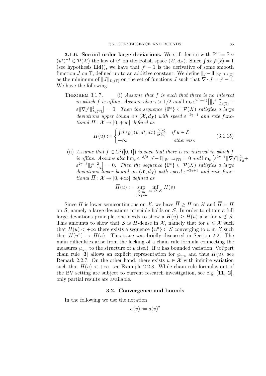**3.1.6. Second order large deviations.** We still denote with  $\mathbb{P}^{\varepsilon} := \mathbb{P} \circ$  $(u^{\varepsilon})^{-1} \in \mathcal{P}(\mathcal{X})$  the law of  $u^{\varepsilon}$  on the Polish space  $(\mathcal{X}, d_{\mathcal{X}})$ . Since  $\int dx \, \iota^{\varepsilon}(x) = 1$ (see hypothesis H4)), we have that  $j^{\epsilon}-1$  is the derivative of some smooth function J on T, defined up to an additive constant. We define  $||j - 1||_{W^{-1,1}(\mathbb{T})}$ as the minimum of  $||J||_{L_1(\mathbb{T})}$  on the set of functions J such that  $\nabla \cdot J = j^{\varepsilon} - 1$ . We have the following

THEOREM 3.1.7. (i) Assume that  $f$  is such that there is no interval in which f is affine. Assume also  $\gamma > 1/2$  and  $\lim_{\varepsilon} \varepsilon^{2(\gamma-1)} \left[ \| \jmath^{\varepsilon} \|_{L_2(\mathbb{T})}^2 + \right]$  $\mathcal{E} \|\nabla \jmath^{\varepsilon}\|_{L_2(\mathbb{T})}^2 = 0$ . Then the sequence  $\{\mathbb{P}^{\varepsilon}\}\subset \mathcal{P}(X)$  satisfies a large deviations upper bound on  $(\mathcal{X}, d_{\mathcal{X}})$  with speed  $\varepsilon^{-2\gamma+1}$  and rate functional  $H : \mathcal{X} \to [0, +\infty]$  defined as

$$
H(u) := \begin{cases} \int dv \, \varrho_u^+(v; dt, dx) \, \frac{D(v)}{a^2(v)} & \text{if } u \in \mathcal{E} \\ +\infty & \text{otherwise} \end{cases} \tag{3.1.15}
$$

(ii) Assume that  $f \in C^2([0,1])$  is such that there is no interval in which f is affine. Assume also  $\lim_{\varepsilon} \varepsilon^{-3/2} \| j^{\varepsilon} - \mathbb{I} \|_{W^{-1,1}(\mathbb{T})} = 0$  and  $\lim_{\varepsilon} \left[ \varepsilon^{2\gamma - 1} \| \nabla j^{\varepsilon} \|_{L_2}^2 + \right]$  $\varepsilon^{2\gamma-3} \|j^{\varepsilon}\|_{L_2}^2$  = 0. Then the sequence  $\{\mathbb{P}^{\varepsilon}\}\subset \mathcal{P}(X)$  satisfies a large deviations lower bound on  $(\mathcal{X}, d_{\mathcal{X}})$  with speed  $\varepsilon^{-2\gamma+1}$  and rate functional  $\overline{H}: \mathcal{X} \to [0, +\infty]$  defined as

$$
\overline{H}(u) := \sup_{\substack{\mathcal{O} \ni u \\ \mathcal{O} \text{ open}}} \inf_{v \in \mathcal{O} \cap \mathcal{S}} H(v)
$$

Since H is lower semicontinuous on X, we have  $\overline{H} > H$  on X and  $\overline{H} = H$ on  $S$ , namely a large deviations principle holds on  $S$ . In order to obtain a full large deviations principle, one needs to show a  $H(u) \geq \overline{H}(u)$  also for  $u \notin \mathcal{S}$ . This amounts to show that S is H-dense in X, namely that for  $u \in \mathcal{X}$  such that  $H(u) < +\infty$  there exists a sequence  $\{u^n\} \subset \mathcal{S}$  converging to u in X such that  $H(u^n) \to H(u)$ . This issue was briefly discussed in Section 2.2. The main difficulties arise from the lacking of a chain rule formula connecting the measures  $\wp_{n,u}$  to the structure of u itself. If u has bounded variation, Vol'pert chain rule [3] allows an explicit representation for  $\wp_{n,u}$  and thus  $H(u)$ , see Remark 2.2.7. On the other hand, there exists  $u \in \mathcal{X}$  with infinite variation such that  $H(u) < +\infty$ , see Example 2.2.8. While chain rule formulas out of the BV setting are subject to current research investigation, see e.g.  $[11, 2]$ , only partial results are available.

### 3.2. Convergence and bounds

In the following we use the notation

$$
\sigma(v) := a(v)^2
$$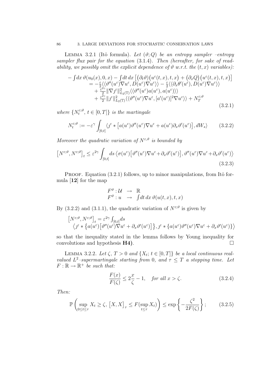LEMMA 3.2.1 (Itô formula). Let  $(\vartheta; Q)$  be an entropy sampler –entropy sampler flux pair for the equation (3.1.4). Then (hereafter, for sake of readability, we possibly omit the explicit dependence of  $\vartheta$  w.r.t. the  $(t, x)$  variables):

$$
- \int dx \,\vartheta(u_0(x),0,x) - \int dt \,dx \left[ \left( \partial_t \vartheta \right) \left( u^{\varepsilon}(t,x),t,x \right) + \left( \partial_x Q \right) \left( u^{\varepsilon}(t,x),t,x \right) \right] = -\frac{\varepsilon}{2} \left\langle \langle \vartheta''(u^{\varepsilon}) \nabla u^{\varepsilon}, D(u^{\varepsilon}) \nabla u^{\varepsilon} \rangle \right\rangle - \frac{\varepsilon}{2} \left\langle \langle \partial_x \theta'(u^{\varepsilon}), D(u^{\varepsilon}) \nabla u^{\varepsilon} \rangle \right\rangle + \frac{\varepsilon^{2\gamma}}{2} \|\nabla f^{\varepsilon}\|_{L_2(\mathbb{T})}^2 \left\langle \langle \vartheta''(u^{\varepsilon}) a(u^{\varepsilon}), a(u^{\varepsilon}) \rangle \right\rangle + \frac{\varepsilon^{2\gamma}}{2} \|f^{\varepsilon}\|_{L_2(\mathbb{T})}^2 \left\langle \langle \vartheta''(u^{\varepsilon}) \nabla u^{\varepsilon}, [a'(u^{\varepsilon})]^2 \nabla u^{\varepsilon} \rangle \right\rangle + N_T^{\varepsilon;\vartheta}
$$
(3.2.1)

where  $\{N_t^{\varepsilon;\vartheta}$  $\{e^{i\theta}, t \in [0,T]\}$  is the martingale

$$
N_t^{\varepsilon;\vartheta} := -\varepsilon^{\gamma} \int_{[0,t]} \langle j^{\varepsilon} * \left[ a(u^{\varepsilon}) \vartheta''(u^{\varepsilon}) \nabla u^{\varepsilon} + a(u^{\varepsilon}) \partial_x \vartheta'(u^{\varepsilon}) \right], dW_s \rangle \tag{3.2.2}
$$

Moreover the quadratic variation of  $N^{\varepsilon,\vartheta}$  is bounded by

$$
\left[N^{\varepsilon;\vartheta},N^{\varepsilon;\vartheta}\right]_t \leq \varepsilon^{2\gamma} \int_{[0,t]} ds \left\langle \sigma(u^{\varepsilon}) \left[\vartheta''(u^{\varepsilon}) \nabla u^{\varepsilon} + \partial_x \vartheta'(u^{\varepsilon})\right], \vartheta''(u^{\varepsilon}) \nabla u^{\varepsilon} + \partial_x \vartheta'(u^{\varepsilon}) \right\rangle
$$
\n(3.2.3)

PROOF. Equation  $(3.2.1)$  follows, up to minor manipulations, from Itô formula [12] for the map

$$
F^{\vartheta} : \mathcal{U} \rightarrow \mathbb{R}
$$
  

$$
F^{\vartheta} : u \rightarrow \int dt \, dx \, \vartheta(u(t,x),t,x)
$$

By (3.2.2) and (3.1.1), the quadratic variation of  $N^{\varepsilon,\vartheta}$  is given by

$$
\begin{aligned}\n\left[N^{\varepsilon;\vartheta},N^{\varepsilon;\vartheta}\right]_t &= \varepsilon^{2\gamma}\int_{[0,t]}ds \\
\left\langle j^{\varepsilon}*\left\{a(u^{\varepsilon})\left[\vartheta''(u^{\varepsilon})\nabla u^{\varepsilon} + \partial_x\vartheta'(u^{\varepsilon})\right]\right\},j^{\varepsilon}*\left\{a(u^{\varepsilon})\vartheta''(u^{\varepsilon})\nabla u^{\varepsilon} + \partial_x\vartheta'(u^{\varepsilon})\right\}\right\rangle\n\end{aligned}
$$

so that the inequality stated in the lemma follows by Young inequality for convolutions and hypothesis  $H4$ ).

LEMMA 3.2.2. Let  $\zeta$ ,  $T > 0$  and  $\{X_t; t \in [0,T]\}$  be a local continuous realvalued  $L^2$ -supermartingale starting from 0, and  $\tau \leq T$  a stopping time. Let  $F: \mathbb{R} \to \mathbb{R}^+$  be such that:

$$
\frac{F(x)}{F(\zeta)} \le 2\frac{x}{\zeta} - 1, \quad \text{for all } x > \zeta. \tag{3.2.4}
$$

Then:

$$
\mathbb{P}\left(\sup_{0\leq t\leq\tau} X_t \geq \zeta, \ [X, X]_{\tau} \leq F(\sup_{t\leq\tau} X_t)\right) \leq \exp\left\{-\frac{\zeta^2}{2F(\zeta)}\right\};\tag{3.2.5}
$$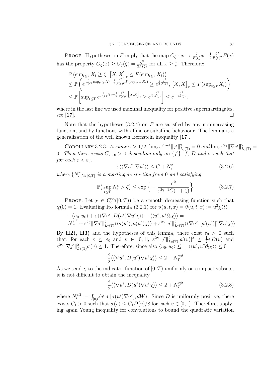**PROOF.** Hypotheses on F imply that the map  $G_{\zeta}: x \to \frac{\zeta}{F(\zeta)}x - \frac{1}{2}$ 2  $\zeta^2$  $\frac{\zeta^2}{F(\zeta)^2}F(x)$ has the property  $G_{\zeta}(x) \geq G_{\zeta}(\zeta) = \frac{\zeta^2}{2F(\zeta)}$  $\frac{\zeta^2}{2F(\zeta)}$  for all  $x \geq \zeta$ . Therefore:

$$
\mathbb{P}\left(\sup_{t\leq\tau} X_t \geq \zeta, \left[X, X\right]_{\tau} \leq F(\sup_{t\leq\tau} X_t)\right) \n\leq \mathbb{P}\left(e^{\frac{\zeta}{F(\zeta)}\sup_{t\leq\tau} X_t - \frac{1}{2}\frac{\zeta^2}{F(\zeta)^2}F(\sup_{t\leq\tau} X_t)} \geq e^{\frac{1}{2}\frac{\zeta^2}{F(\zeta)}}, \left[X, X\right]_{\tau} \leq F(\sup_{t\leq\tau} X_t)\right) \n\leq \mathbb{P}\left[\sup_{t\leq T} e^{\frac{\zeta}{F(\zeta)}X_t - \frac{1}{2}\frac{\zeta^2}{F(\zeta)^2}\left[X, X\right]_t} \geq e^{\frac{1}{2}\frac{\zeta^2}{F(\zeta)}}\right] \leq e^{-\frac{\zeta^2}{2F(\zeta)}}.
$$

where in the last line we used maximal inequality for positive supermartingales,  $\text{see } [17]$ .

Note that the hypotheses  $(3.2.4)$  on F are satisfied by any nonincreasing function, and by functions with affine or subaffine behaviour. The lemma is a generalization of the well known Bernstein inequality [17].

COROLLARY 3.2.3. Assume  $\gamma > 1/2$ ,  $\lim_{\varepsilon} \varepsilon^{2\gamma-1} ||\mathcal{J}^{\varepsilon}||_{L_2(\mathbb{T})}^2 = 0$  and  $\lim_{\varepsilon} \varepsilon^{2\gamma} ||\nabla \mathcal{J}^{\varepsilon}||_{L_2(\mathbb{T})}^2 =$ 0. Then there exists  $C, \varepsilon_0 > 0$  depending only on  $\{f^{\varepsilon}\}, \dot{f}, D$  and  $\sigma$  such that for each  $\varepsilon < \varepsilon_0$ :

$$
\varepsilon \langle \langle \nabla u^{\varepsilon}, \nabla u^{\varepsilon} \rangle \rangle \le C + N_T^{\varepsilon} \tag{3.2.6}
$$

where  $\{N_t^{\varepsilon}\}_{t\in[0,T]}$  is a martingale starting from 0 and satisfying

$$
\mathbb{P}\left(\sup_{t\leq T} N_t^{\varepsilon} > \zeta\right) \leq \exp\left\{-\frac{\zeta^2}{\varepsilon^{2\gamma - 1}C(1+\zeta)}\right\} \tag{3.2.7}
$$

PROOF. Let  $\chi \in C_c^{\infty}([0,T))$  be a smooth decreasing function such that  $\chi(0) = 1$ . Evaluating Itô formula (3.2.1) for  $\vartheta(u,t,x) = \bar{\vartheta}(u,t,x) := u^2 \chi(t)$ 

$$
-\langle u_0, u_0 \rangle + \varepsilon \langle \langle \nabla u^{\varepsilon}, D(u^{\varepsilon}) \nabla u^{\varepsilon} \chi \rangle \rangle - \langle \langle u^{\varepsilon}, u^{\varepsilon} \partial_t \chi \rangle \rangle =
$$
  

$$
N_T^{\varepsilon; \overline{\vartheta}} + \varepsilon^{2\gamma} \| \nabla \jmath^{\varepsilon} \|_{L_2(\mathbb{T})}^2 \langle \langle a(u^{\varepsilon}), a(u^{\varepsilon}) \chi \rangle \rangle + \varepsilon^{2\gamma} \| \jmath^{\varepsilon} \|_{L_2(\mathbb{T})}^2 \langle \langle \nabla u^{\varepsilon}, [a'(u^{\varepsilon})]^2 \nabla u^{\varepsilon} \chi \rangle \rangle
$$

By H2), H3) and the hypotheses of this lemma, there exist  $\varepsilon_0 > 0$  such that, for each  $\varepsilon \leq \varepsilon_0$  and  $v \in [0,1]$ ,  $\varepsilon^{2\gamma} \|j^{\varepsilon}\|_{L_2(\mathbb{T})}^2 [a'(v)]^2 \leq \frac{1}{2}$  $\frac{1}{2}\varepsilon D(v)$  and  $\epsilon^{2\gamma} \|\nabla f^{\varepsilon}\|_{L_2(\mathbb{T})}^2 \sigma(v) \leq 1$ . Therefore, since also  $\langle u_0, u_0 \rangle \leq 1, \langle\langle u^{\varepsilon}, u^{\varepsilon} \partial_t \chi \rangle\rangle \leq 0$ 

$$
\frac{\varepsilon}{2}\langle\langle\nabla u^\varepsilon,D(u^\varepsilon)\nabla u^\varepsilon\chi\rangle\rangle\leq 2+N_T^{\varepsilon;\overline{\vartheta}}
$$

As we send  $\chi$  to the indicator function of  $[0, T)$  uniformly on compact subsets, it is not difficult to obtain the inequality

$$
\frac{\varepsilon}{2} \langle \langle \nabla u^{\varepsilon}, D(u^{\varepsilon}) \nabla u^{\varepsilon} \chi \rangle \rangle \le 2 + N_T^{\varepsilon;2}
$$
\n(3.2.8)

where  $N_t^{\varepsilon;2}$  $t^{\varepsilon;2} := \int_{[0,t]} \! \! \sqrt{\int_{0}^{\varepsilon}} * [\sigma(u^{\varepsilon}) \nabla u^{\varepsilon}], dW \rangle.$  Since D is uniformly positive, there exists  $C_1 > 0$  such that  $\sigma(v) \leq C_1 D(v)/8$  for each  $v \in [0,1]$ . Therefore, applying again Young inequality for convolutions to bound the quadratic variation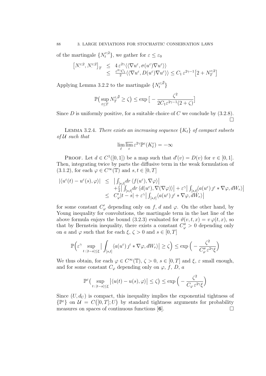of the martingale  $\{N_t^{\varepsilon;2}\}\,$ , we gather for  $\varepsilon \leq \varepsilon_0$ 

$$
\begin{array}{rcl}\n\left[N_{\cdot}^{\varepsilon;2},N_{\cdot}^{\varepsilon;2}\right]_{T} & \leq & 4\,\varepsilon^{2\gamma}\langle\langle\nabla u^{\varepsilon},\sigma(u^{\varepsilon})\nabla u^{\varepsilon}\rangle\rangle \\
& \leq & \frac{\varepsilon^{2\gamma}C_{1}}{2}\langle\langle\nabla u^{\varepsilon},D(u^{\varepsilon})\nabla u^{\varepsilon}\rangle\rangle \leq C_{1}\,\varepsilon^{2\gamma-1}\big[2+N_{T}^{\varepsilon;2}\big]\n\end{array}
$$

Applying Lemma 3.2.2 to the martingale  $\{N_t^{\varepsilon;\vartheta}\}\$ 

$$
\mathbb{P}\left(\sup_{t\leq T} N_T^{\varepsilon,\bar{\vartheta}} \geq \zeta\right) \leq \exp\big[-\frac{\zeta^2}{2C_1\varepsilon^{2\gamma-1}(2+\zeta)}\big]
$$

Since  $D$  is uniformly positive, for a suitable choice of  $C$  we conclude by  $(3.2.8)$ .  $\Box$ 

LEMMA 3.2.4. There exists an increasing sequence  $\{K_\ell\}$  of compact subsets  $of U such that$ 

$$
\lim_{\ell} \overline{\lim_{\varepsilon}} \, \varepsilon^{2\gamma} \mathbb{P}^{\varepsilon} (K_{\ell}^{c}) = -\infty
$$

PROOF. Let  $d \in C^1([0,1])$  be a map such that  $d'(v) = D(v)$  for  $v \in [0,1]$ . Then, integrating twice by parts the diffusive term in the weak formulation of  $(3.1.2)$ , for each  $\varphi \in C^{\infty}(\mathbb{T})$  and  $s, t \in [0, T]$ 

$$
\begin{array}{rcl} |\langle u^{\varepsilon}(t)-u^{\varepsilon}(s),\varphi\rangle|&\leq&\left|\int_{[s,t]}dr\left\langle f(u^{\varepsilon}),\nabla\varphi\right\rangle\right|\\& &+\frac{\varepsilon}{2}\right|\int_{[s,t]}dr\left\langle d(u^{\varepsilon}),\nabla(\nabla\varphi)\right\rangle|+\varepsilon^{\gamma}\right|\int_{[s,t]} \langle a(u^{\varepsilon})\,j^{\varepsilon}* \nabla\varphi,dW_{r}\rangle|\\&\leq& C'_{\varphi}|t-s|+\varepsilon^{\gamma}\right|\int_{[s,t]} \langle a(u^{\varepsilon})\,j^{\varepsilon}* \nabla\varphi,dW_{r}\rangle| \end{array}
$$

for some constant  $C'_{\varphi}$  depending only on f, d and  $\varphi$ . On the other hand, by Young inequality for convolutions, the martingale term in the last line of the above formula enjoys the bound (3.2.3) evaluated for  $\vartheta(v,t,x) = v \varphi(t,x)$ , so that by Bernstein inequality, there exists a constant  $C''_{\varphi} > 0$  depending only on a and  $\varphi$  such that for each  $\xi, \zeta > 0$  and  $s \in [0, T]$ 

$$
\mathbb{P}\Big(\varepsilon^{\gamma}\sup_{t\,:\,|t-s|\leq\xi}\big|\int_{[s,t]} \langle a(u^{\varepsilon})\, \jmath^{\varepsilon}\ast \nabla\varphi, dW_{r}\rangle\big|\geq \zeta\Big)\leq \exp\Big(-\frac{\zeta^{2}}{C''_{\varphi}\varepsilon^{2\gamma}\xi}\Big)
$$

We thus obtain, for each  $\varphi \in C^{\infty}(\mathbb{T})$ ,  $\zeta > 0$ ,  $s \in [0, T]$  and  $\xi$ ,  $\varepsilon$  small enough, and for some constant  $C_{\varphi}$  depending only on  $\varphi$ , f, D, a

$$
\mathbb{P}^{\varepsilon}\Big(\sup_{t\,:\,|t-s|\leq\xi}\big|\langle u(t)-u(s),\varphi\rangle\big|\leq\zeta\Big)\leq \exp\Big(-\frac{\zeta^2}{C_{\varphi}\,\varepsilon^{2\gamma}\xi}\Big)
$$

Since  $(U, d_U)$  is compact, this inequality implies the exponential tightness of  $\{\mathbb{P}^{\varepsilon}\}\$  on  $\mathcal{U} = C([0,T];U)$  by standard tightness arguments for probability measures on spaces of continuous functions  $[6]$ .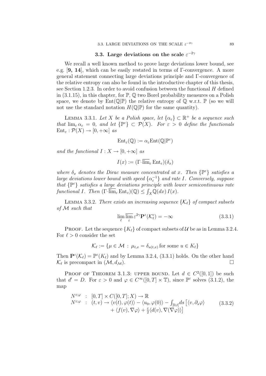## 3.3. Large deviations on the scale  $\varepsilon^{-2\gamma}$

We recall a well known method to prove large deviations lower bound, see e.g. [9, 14], which can be easily restated in terms of Γ-convergence. A more general statement connecting large deviations principle and Γ-convergence of the relative entropy can also be found in the introductive chapter of this thesis, see Section 1.2.3. In order to avoid confusion between the functional  $H$  defined in  $(3.1.15)$ , in this chapter, for  $\mathbb{P}, \mathbb{Q}$  two Borel probability measures on a Polish space, we denote by  $Ent(\mathbb{Q}|\mathbb{P})$  the relative entropy of  $\mathbb Q$  w.r.t.  $\mathbb P$  (so we will not use the standard notation  $H(\mathbb{Q}|\mathbb{P})$  for the same quantity).

LEMMA 3.3.1. Let X be a Polish space, let  $\{\alpha_{\varepsilon}\}\subset \mathbb{R}^+$  be a sequence such that  $\lim_{\varepsilon} \alpha_{\varepsilon} = 0$ , and let  $\{\mathbb{P}^{\varepsilon}\}\subset \mathcal{P}(X)$ . For  $\varepsilon > 0$  define the functionals  $Ent_{\varepsilon} : \mathcal{P}(X) \to [0, +\infty]$  as

$$
\mathrm{Ent}_\varepsilon(\mathbb{Q}):=\alpha_\varepsilon\mathrm{Ent}(\mathbb{Q}|\mathbb{P}^\varepsilon)
$$

and the functional  $I: X \to [0, +\infty]$  as

$$
I(x):=(\Gamma\text{-}\overline{\lim}_{\varepsilon}\text{Ent}_{\varepsilon})(\delta_x)
$$

where  $\delta_x$  denotes the Dirac measure concentrated at x. Then  $\{\mathbb{P}^{\varepsilon}\}\$  satisfies a large deviations lower bound with speed  $\{\alpha_{\varepsilon}^{-1}\}$  and rate I. Conversely, suppose that  $\{ \mathbb{P}^{\varepsilon} \}$  satisfies a large deviations principle with lower semicontinuous rate functional I. Then  $(\Gamma\text{-}\overline{\lim}_{\varepsilon} Ent_{\varepsilon})(\mathbb{Q}) \leq \int_X \mathbb{Q}(dx) I(x)$ .

LEMMA 3.3.2. There exists an increasing sequence  $\{\mathcal{K}_{\ell}\}\$  of compact subsets of M such that

$$
\lim_{\ell} \overline{\lim_{\varepsilon}} \varepsilon^{2\gamma} \mathbf{P}^{\varepsilon}(\mathcal{K}_{\ell}^{c}) = -\infty
$$
\n(3.3.1)

PROOF. Let the sequence  ${K_{\ell}}$  of compact subsets of U be as in Lemma 3.2.4. For  $\ell > 0$  consider the set

$$
\mathcal{K}_{\ell} := \{ \mu \in \mathcal{M} \, : \, \mu_{t,x} = \delta_{u(t,x)} \text{ for some } u \in K_{\ell} \}
$$

Then  $\mathbf{P}^{\varepsilon}(\mathcal{K}_{\ell}) = \mathbb{P}^{\varepsilon}(K_{\ell})$  and by Lemma 3.2.4, (3.3.1) holds. On the other hand  $\mathcal{K}_{\ell}$  is precompact in  $(\mathcal{M}, d_{\mathcal{M}})$ .

PROOF OF THEOREM 3.1.3: UPPER BOUND. Let  $d \in C^2([0,1])$  be such that  $d' = D$ . For  $\varepsilon > 0$  and  $\varphi \in C^{\infty}([0, T] \times \mathbb{T})$ , since  $\mathbb{P}^{\varepsilon}$  solves  $(3.1.2)$ , the map

$$
N^{\varepsilon;\varphi} : [0, T] \times C([0, T]; X) \to \mathbb{R}
$$
  
\n
$$
N^{\varepsilon;\varphi} : (t, v) \to \langle v(t), \varphi(t) \rangle - \langle u_0, \varphi(0) \rangle - \int_{[0, t]} ds \left[ \langle v, \partial_s \varphi \rangle \right] + \langle f(v), \nabla \varphi \rangle + \frac{\varepsilon}{2} \langle d(v), \nabla(\nabla \varphi) \rangle \right]
$$
\n(3.3.2)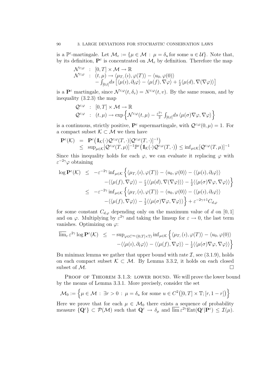is a  $\mathbb{P}^{\varepsilon}$ -martingale. Let  $\mathcal{M}_e := \{ \mu \in \mathcal{M} : \mu = \delta_u \text{ for some } u \in \mathcal{U} \}$ . Note that, by its definition,  $\mathbf{P}^{\varepsilon}$  is concentrated on  $\mathcal{M}_{e}$  by definition. Therefore the map

$$
\begin{array}{rcl}\n\mathcal{N}^{\varepsilon;\varphi}&:& [0,T]\times\mathcal{M}\rightarrow\mathbb{R} \\
\mathcal{N}^{\varepsilon;\varphi}&:& (t,\mu)\rightarrow \langle\mu_T,(t),\varphi(T)\rangle-\langle u_0,\varphi(0)\rangle \\
&-&\int_{[0,t]}ds\left[\langle\mu(\imath),\partial_t\varphi\rangle-\langle\mu(f),\nabla\varphi\rangle+\frac{\varepsilon}{2}\langle\mu(d),\nabla(\nabla\varphi)\rangle\right]\n\end{array}
$$

is a  $\mathbf{P}^{\varepsilon}$  martingale, since  $\mathcal{N}^{\varepsilon;\varphi}(t,\delta_v) = N^{\varepsilon;\varphi}(t,v)$ . By the same reason, and by inequality (3.2.3) the map

$$
\begin{array}{rcl}\mathcal{Q}^{\varepsilon;\varphi}&:& [0,T]\times \mathcal{M}\rightarrow \mathbb{R} \\ \mathcal{Q}^{\varepsilon;\varphi}&:& (t,\mu)\rightarrow \exp\left\{\mathcal{N}^{\varepsilon;\varphi}(t,\mu)-\frac{\varepsilon^{2\gamma}}{2}\int_{[0,t]}ds\left\langle \mu(\sigma)\nabla\varphi,\nabla\varphi\right\rangle\right\}\end{array}
$$

is a continuous, strictly positive,  $\mathbf{P}^{\varepsilon}$  supermartingale, with  $\mathcal{Q}^{\varepsilon,\varphi}(0,\mu)=1$ . For a compact subset  $\mathcal{K} \subset \mathcal{M}$  we then have

$$
\begin{array}{rcl}\n\mathbf{P}^{\varepsilon}(\mathcal{K}) & = & \mathbf{P}^{\varepsilon}(\mathbb{1}_{\mathcal{K}}(\cdot)\mathcal{Q}^{\varepsilon;\varphi}(T,\cdot)[\mathcal{Q}^{\varepsilon;\varphi}(T,\cdot)]^{-1}) \\
& \leq & \sup_{\mu \in \mathcal{K}}[\mathcal{Q}^{\varepsilon;\varphi}(T,\mu)]^{-1} \mathbb{P}^{\varepsilon}(\mathbb{1}_{\mathcal{K}}(\cdot)\mathcal{Q}^{\varepsilon;\varphi}(T,\cdot)) \leq \inf_{\mu \in \mathcal{K}}[\mathcal{Q}^{\varepsilon;\varphi}(T,\mu)]^{-1}\n\end{array}
$$

Since this inequality holds for each  $\varphi$ , we can evaluate it replacing  $\varphi$  with  $\varepsilon^{-2\gamma}\varphi$  obtaining

$$
\log \mathbf{P}^{\varepsilon}(\mathcal{K}) \leq -\varepsilon^{-2\gamma} \inf_{\mu \in \mathcal{K}} \left\{ \langle \mu_{T,\cdot}(i), \varphi(T) \rangle - \langle u_0, \varphi(0) \rangle - \langle \langle \mu(i), \partial_t \varphi \rangle \rangle \right.\n- \langle \langle \mu(f), \nabla \varphi \rangle \rangle - \frac{\varepsilon}{2} \langle \langle \mu(d), \nabla(\nabla \varphi) \rangle \rangle - \frac{1}{2} \langle \langle \mu(\sigma) \nabla \varphi, \nabla \varphi \rangle \rangle \right\}\n\leq -\varepsilon^{-2\gamma} \inf_{\mu \in \mathcal{K}} \left\{ \langle \mu_{T,\cdot}(i), \varphi(T) \rangle - \langle u_0, \varphi(0) \rangle - \langle \langle \mu(i), \partial_t \varphi \rangle \rangle \right.\n- \langle \langle \mu(f), \nabla \varphi \rangle \rangle - \frac{1}{2} \langle \langle \mu(\sigma) \nabla \varphi, \nabla \varphi \rangle \rangle \right\} + \varepsilon^{-2\gamma+1} C_{d,\varphi}
$$

for some constant  $C_{d,\varphi}$  depending only on the maximum value of d on [0, 1] and on  $\varphi$ . Multiplying by  $\varepsilon^{2\gamma}$  and taking the limsup for  $\varepsilon \to 0$ , the last term vanishes. Optimizing on  $\varphi$ :

$$
\overline{\lim}_{\varepsilon} \varepsilon^{2\gamma} \log \mathbf{P}^{\varepsilon}(\mathcal{K}) \leq -\sup_{\varphi \in C^{\infty}([0,T] \times \mathbb{T})} \inf_{\mu \in \mathcal{K}} \left\{ \langle \mu_{T,\cdot}(i), \varphi(T) \rangle - \langle u_0, \varphi(0) \rangle \right. -\langle \langle \mu(i), \partial_t \varphi \rangle \rangle - \langle \langle \mu(f), \nabla \varphi \rangle \rangle - \frac{1}{2} \langle \langle \mu(\sigma) \nabla \varphi, \nabla \varphi \rangle \rangle \right\}
$$

Bu minimax lemma we gather that upper bound with rate  $\mathcal{I}$ , see (3.1.9), holds on each compact subset  $K \subset \mathcal{M}$ . By Lemma 3.3.2, it holds on each closed subset of  $M$ .

PROOF OF THEOREM 3.1.3: LOWER BOUND. We will prove the lower bound by the means of Lemma 3.3.1. More precisely, consider the set

$$
\mathcal{M}_0 := \left\{ \mu \in \mathcal{M} : \exists r > 0 : \mu = \delta_u \text{ for some } u \in C^2([0, T] \times \mathbb{T}; [r, 1-r]) \right\}
$$

Here we prove that for each  $\mu \in \mathcal{M}_0$  there exists a sequence of probability measure  $\{Q^{\varepsilon}\}\subset \mathcal{P}(\mathcal{M})$  such that  $Q^{\varepsilon} \to \delta_{\mu}$  and  $\overline{\lim}_{\varepsilon} \varepsilon^{2\gamma} \text{Ent}(Q^{\varepsilon} | P^{\varepsilon}) \leq \mathcal{I}(\mu)$ .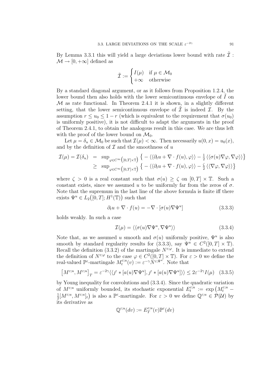By Lemma 3.3.1 this will yield a large deviations lower bound with rate  $\mathcal I$ :  $\mathcal{M} \rightarrow [0, +\infty]$  defined as

$$
\tilde{\mathcal{I}} := \begin{cases} I(\mu) & \text{if } \mu \in \mathcal{M}_0 \\ +\infty & \text{otherwise} \end{cases}
$$

By a standard diagonal argument, or as it follows from Proposition 1.2.4, the lower bound then also holds with the lower semicontinuous envelope of  $I$  on  $\mathcal M$  as rate functional. In Theorem 2.4.1 it is shown, in a slightly different setting, that the lower semicontinuous envelope of  $\tilde{\mathcal{I}}$  is indeed  $\mathcal{I}$ . By the assumption  $r \le u_0 \le 1 - r$  (which is equivalent to the requirement that  $\sigma(u_0)$ ) is uniformly positive), it is not difficult to adapt the arguments in the proof of Theorem 2.4.1, to obtain the analogous result in this case. We are thus left with the proof of the lower bound on  $\mathcal{M}_0$ .

Let  $\mu = \delta_u \in \mathcal{M}_0$  be such that  $\mathcal{I}(\mu) < \infty$ . Then necessarily  $u(0, x) = u_0(x)$ , and by the definition of  $\mathcal I$  and the smoothness of  $u$ 

$$
\mathcal{I}(\mu) = \mathcal{I}(\delta_u) = \sup_{\varphi \in C^{\infty}([0,T] \times \mathbb{T})} \left\{ - \langle \langle \partial_t u + \nabla \cdot f(u), \varphi \rangle \rangle - \frac{1}{2} \langle \langle \sigma(u) \nabla \varphi, \nabla \varphi \rangle \rangle \right\}
$$
  
 
$$
\geq \sup_{\varphi \in C^{\infty}([0,T] \times \mathbb{T})} \left\{ - \langle \langle \partial_t u + \nabla \cdot f(u), \varphi \rangle \rangle - \frac{\zeta}{2} \langle \langle \nabla \varphi, \nabla \varphi \rangle \rangle \right\}
$$

where  $\zeta > 0$  is a real constant such that  $\sigma(u) > \zeta$  on  $[0, T] \times \mathbb{T}$ . Such a constant exists, since we assumed u to be uniformly far from the zeros of  $\sigma$ . Note that the supremum in the last line of the above formula is finite iff there exists  $\Psi^u \in L_2([0,T]; H^1(\mathbb{T}))$  such that

$$
\partial_t u + \nabla \cdot f(u) = -\nabla \cdot [\sigma(u)\nabla \Psi^u]
$$
\n(3.3.3)

holds weakly. In such a case

$$
\mathcal{I}(\mu) = \langle \langle \sigma(u) \nabla \Psi^u, \nabla \Psi^u \rangle \rangle \tag{3.3.4}
$$

Note that, as we assumed u smooth and  $\sigma(u)$  uniformly positive,  $\Psi^u$  is also smooth by standard regularity results for (3.3.3), say  $\Psi^u \in C^2([0,T] \times \mathbb{T})$ . Recall the definition (3.3.2) of the martingale  $N^{\epsilon;\varphi}$ . It is immediate to extend the definition of  $N^{\varepsilon,\varphi}$  to the case  $\varphi \in C^2([0,T] \times \mathbb{T})$ . For  $\varepsilon > 0$  we define the real-valued  $\mathbb{P}^{\varepsilon}$ -martingale  $M_t^{\varepsilon;u}$  $\mathcal{E}^{\varepsilon;u}_t(v) := \varepsilon^{-\gamma} N^{\varepsilon;\Psi^u}$ . Note that

$$
\left[M^{\varepsilon;u}, M^{\varepsilon;u}\right]_T = \varepsilon^{-2\gamma} \langle \langle j^{\varepsilon} * [a(u)\nabla\Psi^u], j^{\varepsilon} * [a(u)\nabla\Psi^u] \rangle \rangle \le 2\varepsilon^{-2\gamma} I(\mu) \quad (3.3.5)
$$

by Young inequality for convolutions and (3.3.4). Since the quadratic variation of  $M^{\varepsilon;u}$  uniformly bounded, its stochastic exponential  $E_t^{\varepsilon;u}$  $\epsilon_t^{\varepsilon;u}$  :=  $\exp\left(M_t^{\varepsilon;u}-\right)$ 1  $\frac{1}{2}[M^{\varepsilon;u},M^{\varepsilon;u}]_t$  is also a  $\mathbb{P}^{\varepsilon}$ -martingale. For  $\varepsilon > 0$  we define  $\mathbb{Q}^{\varepsilon;u} \in \mathcal{P}(\mathcal{U})$  by its derivative as

$$
\mathbb{Q}^{\varepsilon;u}(dv):=E_T^{\varepsilon;u}(v)\mathbb{P}^\varepsilon(dv)
$$

91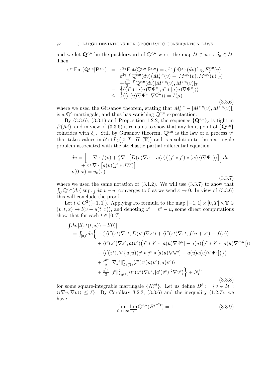and we let  $\mathbf{Q}^{\varepsilon;u}$  be the pushforward of  $\mathbb{Q}^{\varepsilon;u}$  w.r.t. the map  $\mathcal{U} \ni u \mapsto \delta_u \in \mathcal{U}$ . Then

$$
\varepsilon^{2\gamma} \text{Ent}(\mathbf{Q}^{\varepsilon;u}|\mathbf{P}^{\varepsilon;u}) = \varepsilon^{2\gamma} \text{Ent}(\mathbb{Q}^{\varepsilon;u}|\mathbb{P}^{\varepsilon;u}) = \varepsilon^{2\gamma} \int \mathbb{Q}^{\varepsilon;u}(dv) \log E_T^{\varepsilon;u}(v) \n= \varepsilon^{2\gamma} \int \mathbb{Q}^{\varepsilon;u}(dv) \left( M_T^{\varepsilon;u}(v) - [M^{\varepsilon;u}(v), M^{\varepsilon;u}(v)]_T \right) \n+ \frac{\varepsilon^{2\gamma}}{2} \int \mathbb{Q}^{\varepsilon;u}(dv) [M^{\varepsilon;u}(v), M^{\varepsilon;u}(v)]_T \n= \frac{1}{2} \langle \langle f^{\varepsilon} * [a(u)\nabla \Psi^u], f^{\varepsilon} * [a(u)\nabla \Psi^u] \rangle \rangle \n\leq \frac{1}{2} \langle \langle \sigma(u)\nabla \Psi^u, \nabla \Psi^u \rangle \rangle = I(\mu)
$$
\n(3.3.6)

where we used the Girsanov theorem, stating that  $M_t^{\varepsilon;u} - [M^{\varepsilon;u}(v), M^{\varepsilon;u}(v)]_t$ is a  $\mathbb{Q}^{\varepsilon}$ -martingale, and thus has vanishing  $\mathbb{Q}^{\varepsilon;u}$  expectaction.

By (3.3.6), (3.3.1) and Proposition 1.2.2, the sequence  $\{Q^{\varepsilon;u}\}\varepsilon$  is tight in  $\mathcal{P}(\mathcal{M})$ , and in view of (3.3.6) it remains to show that any limit point of  $\{Q^{\varepsilon;u}\}\$ coincides with  $\delta_{\mu}$ . Still by Girsanov theorem,  $\mathbb{Q}^{\varepsilon;u}$  is the law of a process  $v^{\varepsilon}$ that takes values in  $\mathcal{U} \cap L_2([0,T];H^1(\mathbb{T}))$  and is a solution to the martingale problem associated with the stochastic partial differential equation

$$
dv = \left[ -\nabla \cdot f(v) + \frac{\varepsilon}{2} \nabla \cdot \left[ D(v) \nabla v - a(v) \left( (\jmath^{\varepsilon} * \jmath^{\varepsilon}) * (a(u) \nabla \Psi^u) \right) \right] \right] dt
$$
  
+  $\varepsilon^{\gamma} \nabla \cdot \left[ a(v) (\jmath^{\varepsilon} * dW) \right]$   
 $v(0, x) = u_0(x)$  (3.3.7)

where we used the same notation of  $(3.1.2)$ . We will use  $(3.3.7)$  to show that  $\int_{\mathcal{U}} \mathbb{Q}^{\varepsilon;u}(dv) \sup_t \int dx |v - u|$  converges to 0 as we send  $\varepsilon \to 0$ . In view of (3.3.6) this will conclude the proof.

Let  $l \in C^2([-1,1])$ . Applying Itô formula to the map  $[-1,1] \times [0,T] \times \mathbb{T} \ni$  $(v, t, x) \mapsto l(v - u(t, x))$ , and denoting  $z^{\varepsilon} = v^{\varepsilon} - u$ , some direct computations show that for each  $t \in [0, T]$ 

$$
\int dx \left[l(z^{\varepsilon}(t,x)) - l(0)\right]
$$
\n
$$
= \int_{[0,t]} ds \left\{ -\frac{\varepsilon}{2} \langle l''(z^{\varepsilon}) \nabla z^{\varepsilon}, D(v^{\varepsilon}) \nabla z^{\varepsilon} \rangle + \langle l''(z^{\varepsilon}) \nabla z^{\varepsilon}, f(u+z^{\varepsilon}) - f(u) \rangle \right.
$$
\n
$$
+ \langle l''(z^{\varepsilon}) \nabla z^{\varepsilon}, a(v^{\varepsilon}) \left( j^{\varepsilon} * j^{\varepsilon} * [a(u) \nabla \Psi^{u}] - a(u) \left( j^{\varepsilon} * j^{\varepsilon} * [a(u) \nabla \Psi^{u}] \right) \rangle \right.
$$
\n
$$
- \langle l'(z^{\varepsilon}), \nabla \{ a(u) \left( j^{\varepsilon} * j^{\varepsilon} * [a(u) \nabla \Psi^{u}] - a(u) a(u) \nabla \Psi^{u} \right] \} \rangle \right\}
$$
\n
$$
+ \frac{\varepsilon^{2\gamma}}{2} ||\nabla j^{\varepsilon}||_{L_{2}(\mathbb{T})}^{2} \langle l''(z^{\varepsilon}) a(v^{\varepsilon}), a(v^{\varepsilon}) \rangle
$$
\n
$$
+ \frac{\varepsilon^{2\gamma}}{2} ||j^{\varepsilon}||_{L_{2}(\mathbb{T})}^{2} \langle l''(z^{\varepsilon}) \nabla v^{\varepsilon}, [a'(v^{\varepsilon})]^{2} \nabla v^{\varepsilon} \rangle \right\} + N_{t}^{\varepsilon; l}
$$
\n(3.3.8)

for some square-integrable martingale  $\{N_t^{\varepsilon l}\}\$ . Let us define  $B^{\ell} := \{v \in \mathcal{U} :$  $\langle \langle \nabla v, \nabla v \rangle \rangle \leq \ell$ . By Corollary 3.2.3, (3.3.6) and the inequality (1.2.7), we have

$$
\lim_{\ell \to +\infty} \lim_{\varepsilon} \mathbb{Q}^{\varepsilon; u}(B^{\varepsilon^{-2}\ell}) = 1
$$
\n(3.3.9)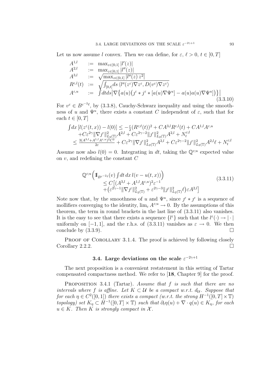Let us now assume l convex. Then we can define, for  $\varepsilon, \ell > 0, t \in [0, T]$ 

$$
A^{1,l} := \max_{z \in [0,1]} |l'(z)|
$$
  
\n
$$
A^{2,l} := \max_{z \in [0,1]} |l''(z)|
$$
  
\n
$$
A^{3,l} := \sqrt{\max_{z \in [0,1]} |l''(z)z^2|}
$$
  
\n
$$
R^{\varepsilon,l}(t) := \sqrt{\int_{[0,t]} ds \langle l''(z^{\varepsilon}) \nabla z^{\varepsilon}, D(v^{\varepsilon}) \nabla z^{\varepsilon} \rangle}
$$
  
\n
$$
A^{\varepsilon,u} := \int dt ds \big|\nabla \big\{ a(u) \big(\jmath^{\varepsilon} * j^{\varepsilon} * [a(u) \nabla \Psi^u] - a(u) a(u) \nabla \Psi^u] \big) \big\} \big|
$$
\n(3.3.10)

For  $v^{\varepsilon} \in B^{\varepsilon^{-2}\ell}$ , by (3.3.8), Cauchy-Schwarz inequality and using the smoothness of u and  $\Psi^u$ , there exists a constant C independent of  $\varepsilon$ , such that for each  $t \in [0, T]$ 

$$
\begin{split} \int &dx \left[l(z^{\varepsilon}(t,x)) - l(0)\right] \leq -\tfrac{\varepsilon}{2} (R^{\varepsilon;\ell}(t))^2 + C A^{3,l} R^{\varepsilon,l}(t) + C A^{1,l} A^{\varepsilon,u} \\ &\quad + C \varepsilon^{2\gamma} \|\nabla f^{\varepsilon}\|^2_{L_2(\mathbb{T})} A^{2,l} + C \varepsilon^{2\gamma-2} \|f^{\varepsilon}\|^2_{L_2(\mathbb{T})} A^{2,l} + N^{\varepsilon;l}_t \\ &\leq \tfrac{3 (A^{3,l} + A^{1,l} A^{\varepsilon,u})^2 C^2}{2\varepsilon} + C \varepsilon^{2\gamma} \|\nabla f^{\varepsilon}\|^2_{L_2(\mathbb{T})} A^{2,l} + C \varepsilon^{2\gamma-2} \|f^{\varepsilon}\|^2_{L_2(\mathbb{T})} A^{2,l}\ell + N^{\varepsilon;l}_t \end{split}
$$

Assume now also  $l(0) = 0$ . Integrating in dt, taking the  $\mathbb{Q}^{\varepsilon;u}$  expected value on v, and redefining the constant C

$$
\begin{split} \mathbb{Q}^{\varepsilon;u} \Big( & \mathbb{1}_{B^{\varepsilon^{-2}\ell}}(v) \int dt \, dx \, l(v - u(t, x)) \Big) \\ &\leq C \big[ (A^{3,l} + A^{1,l} A^{\varepsilon, u})^2 \varepsilon^{-1} \\ &+ \big( \varepsilon^{2\gamma - 1} \| \nabla j^{\varepsilon} \|_{L_2(\mathbb{T})}^2 + \varepsilon^{2\gamma - 3} \| j^{\varepsilon} \|_{L_2(\mathbb{T})}^2 \ell \big) \varepsilon A^{2,l} \big] \end{split} \tag{3.3.11}
$$

Note now that, by the smoothness of u and  $\Psi^u$ , since  $\hat{J}^{\varepsilon} * \hat{J}^{\varepsilon}$  is a sequence of mollifiers converging to the identity,  $\lim_{\varepsilon} A^{\varepsilon; u} \to 0$ . By the assumptions of this theorem, the term in round brackets in the last line of (3.3.11) also vanishes. It is the easy to see that there exists a sequence  $\{l^{\varepsilon}\}\$  such that the  $l^{\varepsilon}(\cdot) \to |\cdot|$ uniformly on  $[-1, 1]$ , and the r.h.s. of  $(3.3.11)$  vanishes as  $\varepsilon \to 0$ . We then conclude by  $(3.3.9)$ .

PROOF OF COROLLARY 3.1.4. The proof is achieved by following closely Corollary 2.2.2.

## 3.4. Large deviations on the scale  $\varepsilon^{-2\gamma+1}$

The next proposition is a convenient restatement in this setting of Tartar compensated compactness method. We refer to [18, Chapter 9] for the proof.

PROPOSITION 3.4.1 (Tartar). Assume that f is such that there are no intervals where f is affine. Let  $K \subset \mathcal{U}$  be a compact w.r.t.  $d_{\mathcal{U}}$ . Suppose that for each  $\eta \in C^2([0,1])$  there exists a compact (w.r.t. the strong  $H^{-1}([0,T] \times \mathbb{T})$ topology) set  $K_{\eta} \subset H^{-1}([0,T] \times \mathbb{T})$  such that  $\partial_t \eta(u) + \nabla \cdot q(u) \in K_{\eta}$ , for each  $u \in K$ . Then K is strongly compact in X.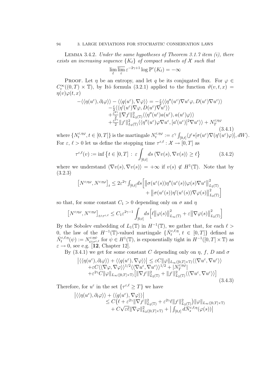LEMMA 3.4.2. Under the same hypotheses of Theorem 3.1.7 item  $(i)$ , there exists an increasing sequence  ${K_{\ell}}$  of compact subsets of X such that

$$
\lim_{\ell} \overline{\lim_{\varepsilon}} \varepsilon^{-2\gamma+1} \log \mathbb{P}^{\varepsilon}(K_{\ell}) = -\infty
$$

PROOF. Let  $\eta$  be an entropy, and let  $\eta$  be its conjugated flux. For  $\varphi \in$  $C_c^{\infty}((0,T)\times\mathbb{T})$ , by Itô formula (3.2.1) applied to the function  $\vartheta(v,t,x)$  $\eta(v)\varphi(t,x)$ 

$$
-\langle\langle \eta(u^{\varepsilon}), \partial_t \varphi \rangle\rangle - \langle\langle q(u^{\varepsilon}), \nabla \varphi \rangle\rangle = -\frac{\varepsilon}{2} \langle\langle \eta''(u^{\varepsilon}) \nabla u^{\varepsilon} \varphi, D(u^{\varepsilon}) \nabla u^{\varepsilon} \rangle\rangle -\frac{\varepsilon}{2} \langle\langle \eta'(u^{\varepsilon}) \nabla \varphi, D(u^{\varepsilon}) \nabla u^{\varepsilon} \rangle\rangle +\frac{\varepsilon^{2\gamma}}{2} \|\nabla f^{\varepsilon}\|_{L_2(\mathbb{T})}^2 \langle\langle \eta''(u^{\varepsilon}) a(u^{\varepsilon}), a(u^{\varepsilon}) \varphi \rangle\rangle +\frac{\varepsilon^{2\gamma}}{2} \|f^{\varepsilon}\|_{L_2(\mathbb{T})}^2 \langle\langle \eta''(u^{\varepsilon}) \varphi \nabla u^{\varepsilon}, [a'(u^{\varepsilon})]^2 \nabla u^{\varepsilon} \rangle\rangle + N_T^{\varepsilon; \eta\varphi}
$$
(3.4.1)

where  $\{N_t^{\varepsilon,\eta\varphi}$  $\{\epsilon,\eta\varphi}, t \in [0,T] \}$  is the martingale  $N_t^{\varepsilon,\eta\varphi}$  $\mathcal{F}^{\varepsilon,\eta\varphi}_t:=\varepsilon^\gamma\int_{[0,t]} \langle \jmath^\varepsilon\ast[\sigma(u^\varepsilon)\nabla(\eta'(u^\varepsilon)\varphi)],dW\rangle.$ For  $\varepsilon, \ell > 0$  let us define the stopping time  $\tau^{\varepsilon, \ell} : \mathcal{X} \to [0, T]$  as

$$
\tau^{\varepsilon,\ell}(v) := \inf \left\{ t \in [0,T] \, : \, \varepsilon \int_{[0,t]} ds \, \langle \nabla v(s), \nabla v(s) \rangle \ge \ell \right\} \tag{3.4.2}
$$

where we understand  $\langle \nabla v(s), \nabla v(s) \rangle = +\infty$  if  $v(s) \notin H^1(\mathbb{T})$ . Note that by (3.2.3)

$$
\left[N^{\varepsilon;\eta\varphi},N^{\varepsilon;\eta\varphi}\right]_t \leq 2\varepsilon^{2\gamma} \int_{[0,t]} ds \left[\left\|\sigma(u^{\varepsilon}(s))\eta''(u^{\varepsilon}(s))\varphi(s)\nabla u^{\varepsilon}\right\|_{L_2(\mathbb{T})}^2 + \left\|\sigma(u^{\varepsilon}(s))\eta'(u^{\varepsilon}(s))\nabla\varphi(s)\right\|_{L_2(\mathbb{T})}^2\right]
$$

so that, for some constant  $C_1 > 0$  depending only on  $\sigma$  and  $\eta$ 

$$
\left[N^{\varepsilon;\eta\varphi},N^{\varepsilon;\eta\varphi}\right]_{t\wedge\tau^{\varepsilon,\ell}}\leq C_{1}\varepsilon^{2\gamma-1}\int_{[0,t]}ds\Big[\ell\big\|\varphi(s)\big\|^{2}_{L_{\infty}(\mathbb{T})}+\varepsilon\big\|\nabla\varphi(s)\big\|^{2}_{L_{2}(\mathbb{T})}\Big]
$$

By the Sobolev embedding of  $L_1(\mathbb{T})$  in  $H^{-1}(\mathbb{T})$ , we gather that, for each  $\ell >$ 0, the law of the  $H^{-1}(\mathbb{T})$ -valued martingale  $\{\bar{N}_t^{\varepsilon,\ell;\eta}, t \in [0,T]\}\$  defined as  $\bar{N}^{\varepsilon,\ell;\eta}_t(\psi):=N^{\varepsilon;\eta\psi}_{t\wedge\tau^\varepsilon}$  $\tau^{\varepsilon;\eta\psi}_{t\wedge\tau^{\varepsilon,\ell}}$  for  $\psi \in H^1(\mathbb{T})$ , is exponentially tight in  $H^{-1}([0,T] \times \mathbb{T})$  as  $\varepsilon \to 0$ , see e.g. [12, Chapter 12].

By (3.4.1) we get for some constant C depending only on  $\eta$ , f, D and  $\sigma$ 

$$
\left| \langle \langle \eta(u^{\varepsilon}), \partial_t \varphi \rangle \rangle + \langle \langle q(u^{\varepsilon}), \nabla \varphi \rangle \rangle \right| \leq \varepsilon C \|\varphi\|_{L_{\infty}([0,T] \times \mathbb{T})} \langle \langle \nabla u^{\varepsilon}, \nabla u^{\varepsilon} \rangle \rangle + \varepsilon C \langle \langle \nabla \varphi, \nabla \varphi \rangle \rangle^{1/2} \langle \langle \nabla u^{\varepsilon}, \nabla u^{\varepsilon} \rangle \rangle^{1/2} + |N_T^{\varepsilon; \eta \varphi}| + \varepsilon^{2\gamma} C \|\varphi\|_{L_{\infty}([0,T] \times \mathbb{T})} \left[ \|\nabla f^{\varepsilon}\|_{L_2(\mathbb{T})}^2 + \|f^{\varepsilon}\|_{L_2(\mathbb{T})}^2 \langle \langle \nabla u^{\varepsilon}, \nabla u^{\varepsilon} \rangle \rangle \right]
$$
(3.4.3)

Therefore, for  $u^{\varepsilon}$  in the set  $\{\tau^{\varepsilon,\ell} \geq T\}$  we have

$$
\begin{aligned} \left| \langle \langle \eta(u^{\varepsilon}), \partial_t \varphi \rangle \rangle + \langle \langle q(u^{\varepsilon}), \nabla \varphi \rangle \rangle \right| \\ &\leq C \big( \ell + \varepsilon^{2\gamma} \| \nabla f^{\varepsilon} \|_{L_2(\mathbb{T})}^2 + \varepsilon^{2\gamma} \ell \| f^{\varepsilon} \|_{L_2(\mathbb{T})}^2 \big) \| \varphi \|_{L_{\infty}([0, T] \times \mathbb{T})} \\ &+ C \sqrt{\varepsilon \ell} \| \nabla \varphi \|_{L_2([0, T] \times \mathbb{T})}^2 + \left| \int_{[0, t]} d\bar{N}_s^{\varepsilon, \ell; \eta} (\varphi(s)) \right| \end{aligned}
$$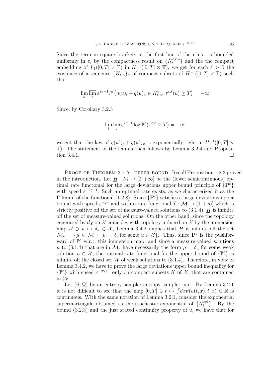Since the term in square brackets in the first line of the r.h.s. is bounded uniformly in  $\varepsilon$ , by the compactness result on  $\{\bar{N}_t^{\varepsilon,\ell;\eta}\}\$  and the the compact embedding of  $L_1([0,T] \times \mathbb{T})$  in  $H^{-1}([0,T] \times \mathbb{T})$ , we get for each  $\ell > 0$  the existence of a sequence  $\{K_{\ell,n}\}_n$  of compact subsets of  $H^{-1}([0,T] \times \mathbb{T})$  such that

$$
\lim_{n} \overline{\lim_{\varepsilon}} \varepsilon^{2\gamma - 1} \mathbb{P}^{\varepsilon} \big( \eta(u)_t + q(u)_x \in K_{\ell,n}^c, \tau^{\varepsilon,\ell}(u) \ge T \big) = -\infty
$$

Since, by Corollary 3.2.3

$$
\lim_{\ell} \overline{\lim_{\varepsilon}} \, \varepsilon^{2\gamma - 1} \log \mathbb{P}^{\varepsilon}(\tau^{\varepsilon,\ell} \geq T) = -\infty
$$

we get that the law of  $\eta(u^{\varepsilon})_t + q(u^{\varepsilon})_x$  is exponentially tight in  $H^{-1}([0,T] \times$ T). The statement of the lemma then follows by Lemma 3.2.4 and Proposition 3.4.1.

PROOF OF THEOREM 3.1.7: UPPER BOUND. Recall Proposition 1.2.3 proved in the introduction. Let  $H : \mathcal{M} \to [0, +\infty]$  be the (lower semicontinuous) optimal rate functional for the large deviations upper bound principle of  $\{P^{\varepsilon}\}\$ with speed  $\varepsilon^{-2\gamma+1}$ . Such an optimal rate exists, as we characterized it as the Γ-liminf of the functional (1.2.8). Since  $\{P^{\varepsilon}\}\$  satisfies a large deviations upper bound with speed  $\varepsilon^{-2\gamma}$  and with a rate functional  $\mathcal{I}: \mathcal{M} \to [0, +\infty]$  which is strictly positive off the set of measure-valued solutions to  $(3.1.4)$ , H is infinite off the set of measure-valued solutions. On the other hand, since the topology generated by  $d_{\mathcal{X}}$  on  $\mathcal{X}$  coincides with topology induced on  $\mathcal{X}$  by the immersion map  $\mathcal{X} \ni u \mapsto \delta_u \in \mathcal{X}$ , Lemma 3.4.2 implies that  $\underline{H}$  is infinite off the set  $\mathcal{M}_e = \{\mu \in \mathcal{M} : \mu = \delta_u \text{ for some } u \in \mathcal{X}\}\.$  Thus, since  $\mathbf{P}^{\varepsilon}$  is the pushforward of  $\mathbb{P}^{\varepsilon}$  w.r.t. this immersion map, and since a measure-valued solutions  $\mu$  to (3.1.4) that are in  $\mathcal{M}_{e}$  have necessarily the form  $\mu = \delta_{u}$  for some weak solution  $u \in \mathcal{X}$ , the optimal rate functional for the upper bound of  $\{\mathbb{P}^{\varepsilon}\}\$  is infinite off the closed set  $W$  of weak solutions to  $(3.1.4)$ . Therefore, in view of Lemma 3.4.2, we have to prove the large deviations upper bound inequality for  $\{\mathbb{P}^{\varepsilon}\}\$  with speed  $\varepsilon^{-2\gamma+1}$  only on compact subsets K of X, that are contained in W.

Let  $(\vartheta, Q)$  be an entropy sampler-entropy sampler pair. By Lemma 3.2.1 it is not difficult to see that the map  $[0, T] \ni t \mapsto \int dx \vartheta(u(t, x), t, x) \in \mathbb{R}$  is continuous. With the same notation of Lemma 3.2.1, consider the exponential supermartingale obtained as the stochastic exponential of  $\{N_t^{\varepsilon;\vartheta}\}.$  By the bound  $(3.2.3)$  and the just stated continuity property of u, we have that for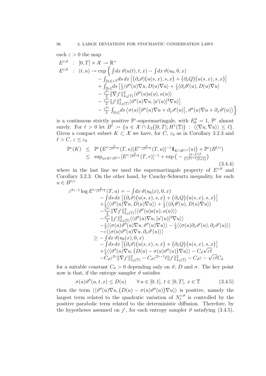each 
$$
\varepsilon > 0
$$
 the map  
\n
$$
E^{\varepsilon;\vartheta} : [0, T] \times \mathcal{X} \to \mathbb{R}^{+}
$$
\n
$$
E^{\varepsilon;\vartheta} : (t, u) \to \exp \left\{ \int dx \, \vartheta(u(t), t, x) - \int dx \, \vartheta(u_0, 0, x) - \int_{[0, t] \times \mathbb{T}} ds \, dx \left[ (\partial_s \vartheta) (u(s, x), s, x) + (\partial_x Q) (u(s, x), s, x) \right] + \int_{[0, t]} ds \left[ \frac{\varepsilon}{2} \langle \vartheta''(u) \nabla u, D(u) \nabla u \rangle + \frac{\varepsilon}{2} \langle \partial_x \vartheta'(u), D(u) \nabla u \rangle - \frac{\varepsilon^{2\gamma}}{2} ||\nabla \vartheta||_{L_2(\mathbb{T})}^2 \langle \vartheta''(u) a(u), a(u) \rangle - \frac{\varepsilon^{2\gamma}}{2} ||\vartheta||_{L_2(\mathbb{T})}^2 \langle \vartheta''(u) \nabla u, [a'(u)]^2 \nabla u \rangle \right] - \frac{\varepsilon^{2\gamma}}{2} \int_{[0, t]} ds \langle \sigma(u) [\vartheta''(u) \nabla u + \partial_x \vartheta'(u)], \vartheta''(u) \nabla u + \partial_x \vartheta'(u) \rangle \right\}
$$

is a continuous strictly positive  $\mathbb{P}^{\varepsilon}$ -supermartingale, with  $E_0^{\theta} = 1$ ,  $\mathbb{P}^{\varepsilon}$  almost surely. For  $\ell > 0$  let  $B^{\ell} := \{u \in \mathcal{X} \cap L_2([0,T]; H^1(\mathbb{T})) : \langle\langle \nabla u, \nabla u \rangle\rangle \leq \ell\}.$ Given a compact subset  $K \subset \mathcal{X}$  we have, for C,  $\varepsilon_0$  as in Corollary 3.2.3 and  $\ell > C, \, \varepsilon \leq \varepsilon_0$ 

$$
\mathbb{P}^{\varepsilon}(K) \leq \mathbb{P}^{\varepsilon}\left(E^{\varepsilon;\frac{\vartheta}{\varepsilon^{2\gamma-1}}}(T,u)[E^{\varepsilon;\frac{\vartheta}{\varepsilon^{2\gamma-1}}}(T,u)]^{-1}1\!\!1_{K\cap B^{\ell/\varepsilon}}(u)\right) + \mathbb{P}^{\varepsilon}(B^{\ell/\varepsilon})
$$
  
 
$$
\leq \text{sup}_{u\in K\cap B^{\ell/\varepsilon}}[E^{\varepsilon;\frac{\vartheta}{\varepsilon^{2\gamma-1}}}(T,v)]^{-1} + \exp\left(-\frac{(\ell-C)^2}{C\varepsilon^{2\gamma-1}(\ell+1)}\right)
$$
(3.4.4)

where in the last line we used the supermartingale property of  $E^{\varepsilon;\vartheta}$  and Corollary 3.2.3. On the other hand, by Cauchy-Schwartz inequality, for each  $u \in B^{\ell/\varepsilon}$ 

$$
\varepsilon^{2\gamma-1} \log E^{\varepsilon;\frac{\partial}{\varepsilon^{2\gamma-1}}}(T, u) = -\int dx \,\vartheta(u_{0}(x), 0, x) \n- \int ds \, dx \left[ (\partial_{s}\vartheta)(u(s, x), s, x) + (\partial_{x}Q)(u(s, x), s, x) \right] \n+ \frac{\varepsilon}{2} \langle \langle \vartheta''(u)\nabla u, D(u)\nabla u \rangle \rangle + \frac{\varepsilon}{2} \langle \langle \partial_{x}\theta'(u), D(u)\nabla u \rangle \rangle \n- \frac{\varepsilon^{2\gamma}}{2} \|\nabla f^{\varepsilon}\|_{L_{2}(\mathbb{T})}^{2} \langle \langle \vartheta''(u)a(u), a(u) \rangle \rangle \n- \frac{\varepsilon^{2\gamma}}{2} \|\nabla f\|_{L_{2}(\mathbb{T})}^{2} \langle \langle \vartheta''(u)\nabla u, [a'(u)]^{2}\nabla u \rangle \rangle \n- \frac{\varepsilon}{2} \langle \langle \sigma(u)\vartheta''(u)\nabla u, \vartheta''(u)\nabla u \rangle \rangle - \frac{\varepsilon}{2} \langle \langle \sigma(u)\partial_{x}\vartheta'(u), \partial_{x}\vartheta'(u) \rangle \rangle \n- \varepsilon \langle \langle \sigma(u)\vartheta''(u)\nabla u, \partial_{x}\vartheta'(u) \rangle \rangle \n\geq - \int dx \,\vartheta(u_{0}(x), 0, x) \n- \int ds \, dx \, [(\partial_{s}\vartheta)(u(s, x), s, x) + (\partial_{x}Q)(u(s, x), s, x) \n+ \frac{\varepsilon}{2} \langle \langle \vartheta''(u)\nabla u, (D(u) - \sigma(u)\vartheta''(u))\nabla u \rangle \rangle - C_{\vartheta} \sqrt{\varepsilon \ell} \n- C_{\vartheta} \varepsilon^{2\gamma} \|\nabla f^{\varepsilon}\|_{L_{2}(\mathbb{T})}^{2} - C_{\vartheta} \varepsilon^{2\gamma-1} \ell \|f^{\varepsilon}\|_{L_{2}(\mathbb{T})}^{2} - C_{\vartheta} \varepsilon - \sqrt{\varepsilon \ell C_{\vartheta}}
$$

for a suitable constant  $C_{\vartheta} > 0$  depending only on  $\vartheta$ , D and  $\sigma$ . The key point now is that, if the entropy sampler  $\vartheta$  satisfies

$$
\sigma(u)\vartheta''(u,t,x)\leq D(u) \qquad \forall \, u\in [0,1], \, t\in [0,T], \, x\in \mathbb{T} \tag{3.4.5}
$$

then the term  $\langle \langle \vartheta''(u) \nabla u, (D(u) - \sigma(u) \vartheta''(u)) \nabla u \rangle \rangle$  is positive, namely the largest term related to the quadratic variation of  $N_t^{\varepsilon;\vartheta}$  $t_t^{\varepsilon; \nu}$  is controlled by the positive parabolic term related to the deterministic diffusion. Therefore, by the hypotheses assumed on  $f^{\epsilon}$ , for each entropy sampler  $\vartheta$  satisfying (3.4.5),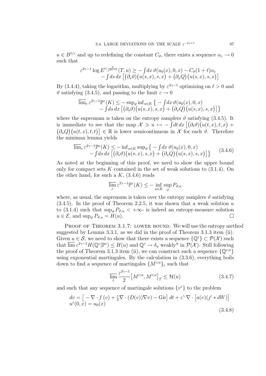$u \in B^{\ell/\varepsilon}$  and up to redefining the constant  $C_{\vartheta}$ , there exists a sequence  $\alpha_{\varepsilon} \to 0$ such that

$$
\varepsilon^{2\gamma-1} \log E^{\varepsilon; \frac{\vartheta}{\varepsilon^{2\gamma-1}}}(T, u) \geq -\int dx \,\vartheta(u_0(x), 0, x) - C_{\vartheta}(1 + \ell)\alpha_{\varepsilon}
$$
  
 
$$
- \int ds \, dx \, [(\partial_s \vartheta) (u(s, x), s, x) + (\partial_x Q) (u(s, x), s, x)]
$$

By (3.4.4), taking the logarithm, multiplying by  $\varepsilon^{2\gamma-1}$  optimizing on  $\ell > 0$  and  $\vartheta$  satisfying (3.4.5), and passing to the limit  $\varepsilon \to 0$ 

$$
\overline{\lim}_{\varepsilon} \varepsilon^{2\gamma - 1} \mathbb{P}^{\varepsilon}(K) \le - \sup_{\vartheta} \inf_{u \in K} \left\{ - \int dx \, \vartheta(u_0(x), 0, x) - \int ds \, dx \, \left[ (\partial_s \vartheta) \big( u(s, x), s, x \big) + (\partial_x Q) \big( u(s, x), s, x \big) \right] \right\}
$$

where the supremum is taken on the entropy samplers  $\vartheta$  satisfying (3.4.5). It is immediate to see that the map  $\mathcal{X} \ni u \mapsto -\int dt dx \left[ (\partial_t \vartheta)(u(t,x), t, x) + \right]$  $(\partial_x Q)(u(t, x), t, t)$   $\in \mathbb{R}$  is lower semicontinuous in X for each  $\vartheta$ . Therefore the minimax lemma yields

$$
\overline{\lim}_{\varepsilon} \varepsilon^{2\gamma - 1} \mathbb{P}^{\varepsilon}(K) \le - \inf_{u \in K} \sup_{\vartheta} \left\{ - \int dx \, \vartheta(u_0(x), 0, x) - \int ds \, dx \left[ (\partial_s \vartheta) \big( u(s, x), s, x \big) + (\partial_x Q) \big( u(s, x), s, x \big) \right] \right\}
$$
\n(3.4.6)

As noted at the beginning of this proof, we need to show the upper bound only for compact sets K contained in the set of weak solutions to  $(3.1.4)$ . On the other hand, for such a  $K$ ,  $(3.4.6)$  reads

$$
\overline{\lim_{\varepsilon}} \, \varepsilon^{2\gamma - 1} \mathbb{P}^{\varepsilon}(K) \leq - \inf_{u \in K} \sup_{\vartheta} P_{\vartheta, u}
$$

where, as usual, the supremum is taken over the entropy samplers  $\vartheta$  satisfying  $(3.4.5)$ . In the proof of Theorem 2.2.5, it was shown that a weak solution u to (3.1.4) such that  $\sup_{\theta} P_{\theta,u} < +\infty$ - is indeed an entropy-measure solution  $u \in \mathcal{E}$ , and  $\sup_{\theta} P_{\vartheta, u} = H(u)$ .

PROOF OF THEOREM 3.1.7: LOWER BOUND. We will use the entropy method suggested by Lemma 3.3.1, as we did in the proof of Theorem 3.1.3 item (ii). Given  $u \in \mathcal{S}$ , we need to show that there exists a sequence  $\{\mathbb{Q}^{\varepsilon}\}\subset \mathcal{P}(\mathcal{X})$  such that  $\overline{\lim}_{\varepsilon} \varepsilon^{2\gamma-1} H(\mathbb{Q}^{\varepsilon} | \mathbb{P}^{\varepsilon}) \leq H(u)$  and  $\mathbb{Q}^{\varepsilon} \to \delta_u$  weakly\* in  $\mathcal{P}(\mathcal{X})$ . Still following the proof of Theorem 3.1.3 item (ii), we can construct such a sequence  $\{\mathbb{Q}^{\varepsilon;u}\}$ using exponential martingales. By the calculation in (3.3.6), everything boils down to find a sequence of martingales  $\{M^{\varepsilon;u}\}_{\varepsilon}$  such that

$$
\overline{\lim_{\varepsilon}} \frac{\varepsilon^{2\gamma - 1}}{2} \left[ M^{\varepsilon; u}, M^{\varepsilon; u} \right]_T \le \mathcal{H}(u) \tag{3.4.7}
$$

and such that any sequence of martingale solutions  $\{v^{\varepsilon}\}\)$  to the problem

$$
dv = \left[ -\nabla \cdot f(v) + \frac{\varepsilon}{2} \nabla \cdot (D(v)) \nabla v \right) - \text{Gir} \right] dt + \varepsilon^{\gamma} \nabla \cdot \left[ a(v) (j^{\varepsilon} * dW) \right]
$$
  
  $u^{\varepsilon}(0, x) = u_0(x)$  (3.4.8)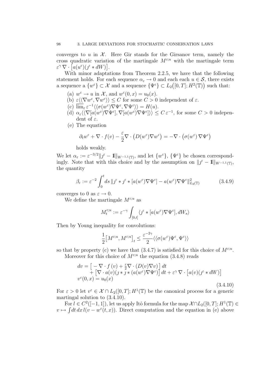converges to u in  $\mathcal{X}$ . Here Gir stands for the Girsanov term, namely the cross quadratic variation of the martingale  $M^{\varepsilon;u}$  with the martingale term  $\varepsilon^{\gamma} \nabla \cdot [a(u^{\varepsilon})(\jmath^{\varepsilon} * dW)].$ 

With minor adaptations from Theorem 2.2.5, we have that the following statement holds. For each sequence  $\alpha_{\varepsilon} \to 0$  and each each  $u \in \mathcal{S}$ , there exists a sequence a  $\{w^{\varepsilon}\}\subset \mathcal{X}$  and a sequence  $\{\Psi^{\varepsilon}\}\subset L_2([0,T];H^2(\mathbb{T}))$  such that:

- (a)  $w^{\varepsilon} \to u$  in X, and  $w^{\varepsilon}(0, x) = u_0(x)$ .
- (b)  $\varepsilon \langle \langle \nabla w^\varepsilon, \nabla w^\varepsilon \rangle \rangle \leq C$  for some  $C > 0$  independent of  $\varepsilon$ .
- (c)  $\overline{\lim}_{\varepsilon} \varepsilon^{-1} \langle \langle \sigma(w^{\varepsilon}) \nabla \Psi^{\varepsilon}, \nabla \Psi^{\varepsilon} \rangle \rangle = H(u).$
- (d)  $\alpha_{\varepsilon} \langle \langle \nabla [a(w^{\varepsilon}) \nabla \Psi^{\varepsilon}], \nabla [a(w^{\varepsilon}) \nabla \Psi^{\varepsilon}] \rangle \rangle \leq C \varepsilon^{-1}$ , for some  $C > 0$  independent of  $\varepsilon$ .
- (e) The equation

$$
\partial_t w^{\varepsilon} + \nabla \cdot f(v) - \frac{\varepsilon}{2} \nabla \cdot \left( D(w^{\varepsilon}) \nabla w^{\varepsilon} \right) = - \nabla \cdot \left( \sigma(w^{\varepsilon}) \nabla \Psi^{\varepsilon} \right)
$$

holds weakly.

We let  $\alpha_{\varepsilon} := \varepsilon^{-3/2} \| \mathcal{J}^{\varepsilon} - \mathbb{I} \|_{W^{-1,1}(\mathbb{T})}$ , and let  $\{w^{\varepsilon}\}, \{\Psi^{\varepsilon}\}\$ be chosen correspondingly. Note that with this choice and by the assumption on  $||j^{\varepsilon} - 1||_{W^{-1,1}(\mathbb{T})}$ , the quantity

$$
\beta_{\varepsilon} := \varepsilon^{-2} \int_0^t ds \, \|j^{\varepsilon} * j^{\varepsilon} * [a(w^{\varepsilon}) \nabla \Psi^{\varepsilon}] - a(w^{\varepsilon}) \nabla \Psi^{\varepsilon} \|_{L_2(\mathbb{T})}^2 \tag{3.4.9}
$$

converges to 0 as  $\varepsilon \to 0$ .

We define the martingale  $M^{\varepsilon;u}$  as

$$
M_t^{\varepsilon;u} := \varepsilon^{-\gamma} \int_{[0,t]} \langle j^{\varepsilon} * [a(w^{\varepsilon}) \nabla \Psi^{\varepsilon}], dW_s \rangle
$$

Then by Young inequality for convolutions:

$$
\frac{1}{2}\big[M^{\varepsilon;u},M^{\varepsilon;u}\big]_t\leq \frac{\varepsilon^{-2\gamma}}{2}\langle\langle\sigma(w^\varepsilon)\Psi^\varepsilon,\Psi^\varepsilon\rangle\rangle
$$

so that by property (c) we have that  $(3.4.7)$  is satisfied for this choice of  $M^{\epsilon;u}$ . Moreover for this choice of  $M^{\varepsilon;u}$  the equation (3.4.8) reads

$$
dv = \left[ -\nabla \cdot f(v) + \frac{\varepsilon}{2} \nabla \cdot (D(v) \nabla v) \right] dt + \left[ \nabla \cdot a(v)(\jmath * \jmath * (a(w^{\varepsilon}) \nabla \Psi^{\varepsilon}) \right] dt + \varepsilon^{\gamma} \nabla \cdot \left[ a(v)(\jmath^{\varepsilon} * dW) \right] v^{\varepsilon}(0, x) = u_0(x)
$$
\n(3.4.10)

For  $\varepsilon > 0$  let  $v^{\varepsilon} \in \mathcal{X} \cap L_2([0,T]; H^1(\mathbb{T}))$  be the canonical process for a generic martingal solution to (3.4.10).

For  $l \in C^2([-1,1])$ , let us apply Itô formula for the map  $\mathcal{X} \cap L_2([0,T]; H^1(\mathbb{T}) \in$  $v \mapsto \int dt \, dx \, l(v - w^{\varepsilon}(t, x))$ . Direct computation and the equation in (e) above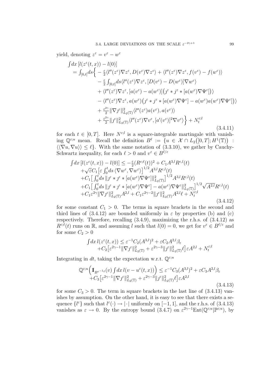yield, denoting  $z^{\varepsilon} = v^{\varepsilon} - w^{\varepsilon}$ 

$$
\int dx \left[l(z^{\varepsilon}(t,x)) - l(0)\right]
$$
\n
$$
= \int_{[0,t]} ds \left\{ -\frac{\varepsilon}{2} \langle l''(z^{\varepsilon}) \nabla z^{\varepsilon}, D(v^{\varepsilon}) \nabla z^{\varepsilon} \rangle + \langle l''(z^{\varepsilon}) \nabla z^{\varepsilon}, f(v^{\varepsilon}) - f(w^{\varepsilon}) \rangle \right.
$$
\n
$$
- \frac{\varepsilon}{2} \int_{[0,t]} ds \langle l''(z^{\varepsilon}) \nabla z^{\varepsilon}, [D(v^{\varepsilon}) - D(w^{\varepsilon})] \nabla w^{\varepsilon} \rangle
$$
\n
$$
+ \langle l''(z^{\varepsilon}) \nabla z^{\varepsilon}, [a(v^{\varepsilon}) - a(w^{\varepsilon})] \left( \int_{-\varepsilon}^{\varepsilon} \partial z^{\varepsilon} + [a(w^{\varepsilon}) \nabla \Psi^{\varepsilon}] \right) \rangle
$$
\n
$$
- \langle l''(z^{\varepsilon}) \nabla z^{\varepsilon}, a(w^{\varepsilon}) \left( \int_{-\varepsilon}^{\varepsilon} \partial z^{\varepsilon} + [a(w^{\varepsilon}) \nabla \Psi^{\varepsilon}] - a(w^{\varepsilon}) a(w^{\varepsilon}) \nabla \Psi^{\varepsilon} \right] \rangle
$$
\n
$$
+ \frac{\varepsilon^{2\gamma}}{2} ||\nabla f||_{L_2(\mathbb{T})}^2 \langle l''(z^{\varepsilon}) a(v^{\varepsilon}), a(v^{\varepsilon}) \rangle
$$
\n
$$
+ \frac{\varepsilon^{2\gamma}}{2} ||f^{\varepsilon}||_{L_2(\mathbb{T})}^2 \langle l''(z^{\varepsilon}) \nabla v^{\varepsilon}, [a'(v^{\varepsilon})]^2 \nabla v^{\varepsilon} \rangle \right\} + N_t^{\varepsilon;l}
$$
\n(3.4.11)

for each  $t \in [0, T]$ . Here  $N^{\varepsilon, l}$  is a square-integrable martingale with vanishing  $\mathbb{Q}^{\varepsilon;u}$  mean. Recall the definition  $B^{\ell} := \{u \in \mathcal{X} \cap L_2([0,T]; H^1(\mathbb{T})) \; : \;$  $\langle \langle \nabla u, \nabla u \rangle \rangle \leq \ell$ . With the same notation of (3.3.10), we gather by Cauchy-Schwartz inequality, for each  $\ell > 0$  and  $v^{\varepsilon} \in B^{\ell/\varepsilon}$ 

$$
\int dx \left[ l(z^{\varepsilon}(t,x)) - l(0) \right] \leq -\frac{\varepsilon}{2} (R^{\varepsilon;\ell}(t))^2 + C_1 A^{3,l} R^{\varepsilon,l}(t) \n+ \sqrt{\varepsilon} C_1 \left[ \varepsilon \int_0^t ds \langle \nabla w^{\varepsilon}, \nabla w^{\varepsilon} \rangle \right]^{1/2} A^{3,l} R^{\varepsilon,l}(t) \n+ C_1 \left[ \int_0^t ds \Vert j^{\varepsilon} * j^{\varepsilon} * [a(w^{\varepsilon}) \nabla \Psi^{\varepsilon}] \Vert_{L_2(\mathbb{T})}^2 \right]^{1/2} A^{3,l} R^{\varepsilon,l}(t) \n+ C_1 \left[ \int_0^t ds \Vert j^{\varepsilon} * j^{\varepsilon} * [a(w^{\varepsilon}) \nabla \Psi^{\varepsilon}] - a(w^{\varepsilon}) \nabla \Psi^{\varepsilon} \Vert_{L_2(\mathbb{T})}^2 \right]^{1/2} \sqrt{A^{2,l}} R^{\varepsilon,l}(t) \n+ C_1 \varepsilon^{2\gamma} \Vert \nabla j^{\varepsilon} \Vert_{L_2(\mathbb{T})}^2 A^{2,l} + C_1 \varepsilon^{2\gamma-2} \Vert j^{\varepsilon} \Vert_{L_2(\mathbb{T})}^2 A^{2,l} \ell + N^{\varepsilon;l} \tag{3.4.12}
$$

for some constant  $C_1 > 0$ . The terms in square brackets in the second and third lines of  $(3.4.12)$  are bounded uniformly in  $\varepsilon$  by properties (b) and (c) respectively. Therefore, recalling (3.4.9), maximizing the r.h.s. of (3.4.12) as  $R^{\varepsilon,\ell}(t)$  runs on R, and assuming l such that  $l(0) = 0$ , we get for  $v^{\varepsilon} \in B^{\ell/\varepsilon}$  and for some  $C_2 > 0$ 

$$
\int dx \, l(z^{\varepsilon}(t,x)) \leq \varepsilon^{-1} C_2 (A^{3,l})^2 + \varepsilon C_2 A^{2,l} \beta_{\varepsilon} + C_2 \big[ \varepsilon^{2\gamma-1} \| \nabla \jmath^{\varepsilon} \|_{L_2(\mathbb{T})}^2 + \varepsilon^{2\gamma-3} \| \jmath^{\varepsilon} \|_{L_2(\mathbb{T})}^2 \ell \big] \varepsilon A^{2,l} + N_t^{\varepsilon;l}
$$

Integrating in dt, taking the expectation w.r.t.  $\mathbb{Q}^{\varepsilon;u}$ 

$$
\mathbb{Q}^{\varepsilon;u}\left(\mathbb{I}_{B^{\varepsilon^{-1}\ell}}(v)\int dx\,l(v-u^{\varepsilon}(t,x))\right) \leq \varepsilon^{-1}C_3(A^{3,l})^2 + \varepsilon C_3A^{2,l}\beta_{\varepsilon}
$$
  
+
$$
C_3\big[\varepsilon^{2\gamma-1}\|\nabla j^{\varepsilon}\|_{L_2(\mathbb{T})}^2 + \varepsilon^{2\gamma-3}\|j^{\varepsilon}\|_{L_2(\mathbb{T})}^2\ell\big]\varepsilon A^{2,l}
$$
(3.4.13)

for some  $C_3 > 0$ . The term in square brackets in the last line of  $(3.4.13)$  vanishes by assumption. On the other hand, it is easy to see that there exists a sequence  $\{l^{\varepsilon}\}\$  such that  $l^{\varepsilon}(\cdot) \to |\cdot|$  uniformly on  $[-1, 1]$ , and the r.h.s. of  $(3.4.13)$ vanishes as  $\varepsilon \to 0$ . By the entropy bound  $(3.4.7)$  on  $\varepsilon^{2\gamma-1}$ Ent $(\mathbb{Q}^{\varepsilon;u}|\mathbb{P}^{\varepsilon;u})$ , by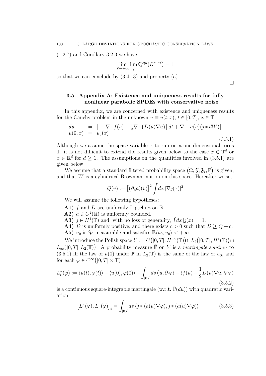(1.2.7) and Corollary 3.2.3 we have

$$
\lim_{\ell \to +\infty} \lim_{\varepsilon} \mathbb{Q}^{\varepsilon; u}(B^{\varepsilon^{-1} \ell}) = 1
$$

so that we can conclude by (3.4.13) and property (a).

## 3.5. Appendix A: Existence and uniqueness results for fully nonlinear parabolic SPDEs with conservative noise

In this appendix, we are concerned with existence and uniqueness results for the Cauchy problem in the unknown  $u \equiv u(t, x), t \in [0, T], x \in \mathbb{T}$ 

$$
du = \left[ -\nabla \cdot f(u) + \frac{1}{2}\nabla \cdot \left( D(u)\nabla u \right) \right] dt + \nabla \cdot \left[ a(u)(\jmath * dW) \right]
$$
  
 
$$
u(0, x) = u_0(x) \tag{3.5.1}
$$

Although we assume the space-variable  $x$  to run on a one-dimensional torus  $\mathbb{T}$ , it is not difficult to extend the results given below to the case  $x \in \mathbb{T}^d$  or  $x \in \mathbb{R}^d$  for  $d \geq 1$ . The assumptions on the quantities involved in (3.5.1) are given below.

We assume that a standard filtered probability space  $(\Omega, \mathfrak{F}, \mathfrak{F}_t, \mathbb{P})$  is given, and that  $W$  is a cylindrical Brownian motion on this space. Hereafter we set

$$
Q(v) := [(\partial_u a)(v)]^2 \int dx \, |\nabla j(x)|^2
$$

We will assume the following hypotheses:

- **A1)** f and D are uniformly Lipschitz on R.
- **A2**)  $a \in C^2(\mathbb{R})$  is uniformly bounded.
- **A3**)  $j \in H^1(\mathbb{T})$  and, with no loss of generality,  $\int dx |j(x)| = 1$ .

**A4)** D is uniformly positive, and there exists  $c > 0$  such that  $D \ge Q + c$ . **A5)**  $u_0$  is  $\mathfrak{F}_0$  measurable and satisfies  $\mathbb{E}\langle u_0, u_0 \rangle < +\infty$ .

We introduce the Polish space  $Y := C([0, T]; H^{-2}(\mathbb{T})) \cap L_2([0, T]; H^1(\mathbb{T})) \cap L_3$  $L_\infty([0,T];L_2(\mathbb{T}))$ . A probability measure  $\bar{\mathbb{P}}$  on Y is a *martingale solution* to (3.5.1) iff the law of  $u(0)$  under  $\bar{\mathbb{P}}$  in  $L_2(\mathbb{T})$  is the same of the law of  $u_0$ , and for each  $\varphi \in C^{\infty}([0, T] \times \mathbb{T})$ 

$$
L_t^u(\varphi) := \langle u(t), \varphi(t) \rangle - \langle u(0), \varphi(0) \rangle - \int_{[0,t]} ds \langle u, \partial_t \varphi \rangle - \langle f(u) - \frac{1}{2} D(u) \nabla u, \nabla \varphi \rangle
$$
\n(3.5.2)

is a continuous square-integrable martingale (w.r.t.  $\bar{P}(du)$ ) with quadratic variation

$$
\left[L^{u}(\varphi), L^{u}(\varphi)\right]_{t} = \int_{[0,t]} ds \left\langle \jmath * (a(u)\nabla \varphi), \jmath * (a(u)\nabla \varphi) \right\rangle \tag{3.5.3}
$$

 $\Box$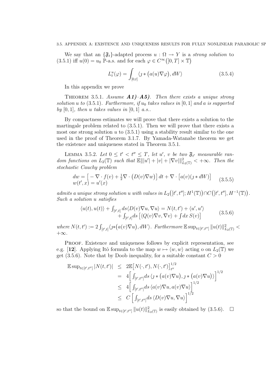### 3.5. APPENDIX A: EXISTENCE AND UNIQUENESS RESULTS FOR FULLY NONLINEAR PARABOLIC SP

We say that an  $\{\mathfrak{F}_t\}$ -adapted process  $u : \Omega \to Y$  is a strong solution to (3.5.1) iff  $u(0) = u_0 \mathbb{P}$ -a.s. and for each  $\varphi \in C^{\infty}([0, T] \times \mathbb{T})$ 

$$
L_t^u(\varphi) = \int_{[0,t]} \langle \jmath * (a(u)\nabla \varphi), dW \rangle \tag{3.5.4}
$$

In this appendix we prove

THEOREM 3.5.1. Assume  $A1$ - $A5$ ). Then there exists a unique strong solution u to  $(3.5.1)$ . Furthermore, if  $u_0$  takes values in  $[0, 1]$  and a is supported by  $[0, 1]$ , then u takes values in  $[0, 1]$  a.s..

By compactness estimates we will prove that there exists a solution to the martingale problem related to (3.5.1). Then we will prove that there exists a most one strong solution u to  $(3.5.1)$  using a stability result similar to the one used in the proof of Theorem 3.1.7. By Yamada-Watanabe theorem we get the existence and uniqueness stated in Theorem 3.5.1.

LEMMA 3.5.2. Let  $0 \le t' < t'' \le T$ , let u', v be two  $\mathfrak{F}_{t'}$  measurable random functions on  $L_2(\mathbb{T})$  such that  $\mathbb{E} \Vert |u'| + |v| + |\nabla v| \Vert_{L_2(\mathbb{T})}^2 < +\infty$ . Then the stochastic Cauchy problem

$$
dw = \left[ -\nabla \cdot f(v) + \frac{1}{2}\nabla \cdot (D(v)\nabla w) \right] dt + \nabla \cdot \left[ a(v)(\jmath * dW) \right]
$$
  
\n
$$
w(t',x) = u'(x)
$$
\n(3.5.5)

admits a unique strong solution u with values in  $L_2([t', t'']; H^1(\mathbb{T})) \cap C([t', t''], H^{-1}(\mathbb{T})).$ Such a solution u satisfies

$$
\langle u(t), u(t) \rangle + \int_{[t',t]} ds \langle D(v) \nabla u, \nabla u \rangle = N(t, t') + \langle u', u' \rangle + \int_{[t',t]} ds \left[ \langle Q(v) \nabla v, \nabla v \rangle + \int dx \, S(v) \right]
$$
(3.5.6)

where  $N(t,t') := 2 \int_{[t',t]} \langle \jmath * (a(v) \nabla u), dW \rangle$ . Furthermore  $\mathbb{E} \sup_{t \in [t',t'']} ||u(t)||^2_{L_2(\mathbb{T})}$  $+\infty$ .

Proof. Existence and uniqueness follows by explicit representation, see e.g. [12]. Applying Itô formula to the map  $w \mapsto \langle w, w \rangle$  acting o on  $L_2(\mathbb{T})$  we get (3.5.6). Note that by Doob inequality, for a suitable constant  $C > 0$ 

$$
\mathbb{E} \sup_{t \in [t',t'']} |N(t,t')| \leq 2 \mathbb{E} [N(\cdot,t'), N(\cdot,t')]_{t''}^{1/2}
$$
  
\n
$$
= 4 \Big[ \int_{[t',t'']} ds \langle \jmath * (a(v)\nabla u), \jmath * (a(v)\nabla u) \rangle \Big]^{1/2}
$$
  
\n
$$
\leq 4 \Big[ \int_{[t',t'']} ds \langle a(v)\nabla u, a(v)\nabla u \rangle \Big]^{1/2}
$$
  
\n
$$
\leq C \Big[ \int_{[t',t'']} ds \langle D(v)\nabla u, \nabla u \rangle \Big]^{1/2}
$$

so that the bound on  $\mathbb{E} \sup_{t \in [t', t'']} ||u(t)||^2_{L_2(\mathbb{T})}$  is easily obtained by  $(3.5.6)$ .  $\Box$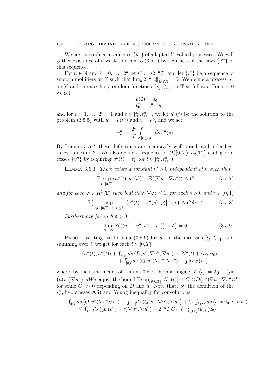We next introduce a sequence  $\{u^n\}$  of adapted Y-valued processes. We will gather existence of a weak solution to  $(3.5.1)$  by tightness of the laws  $\{ \mathbb{P}^n \}$  of this sequence.

For  $n \in \mathbb{N}$  and  $i = 0, \ldots, 2^n$  let  $t_i^n := i2^{-n}T$ , and let  $\{i^n\}$  be a sequence of smooth mollifiers on  $\mathbb T$  such that  $\lim_{n} 2^{-n} ||u||_{L_1(\mathbb T)}^2 = 0$ . We define a process  $u^n$ on Y and the auxiliary random functions  $\{v_i^n\}_{i=0}^{2^n}$  on T as follows. For  $i=0$ we set

$$
u(0) = u_0
$$
  

$$
v_0^n := i^n * u_0
$$

and for  $i = 1, ..., 2<sup>n</sup> - 1$  and  $t \in [t<sub>i</sub><sup>n</sup>, t<sub>i+1</sub><sup>n</sup>],$  we let  $u<sup>n</sup>(t)$  be the solution to the problem (3.5.5) with  $u' = u(t_i^n)$  and  $v = v_i^n$ , and we set

$$
v_i^n := \frac{2^n}{T} \int_{[t_{i-1}^n, t_i^n]} ds \, u^n(s)
$$

By Lemma 3.5.2, these definitions are recursively well-posed, and indeed  $u<sup>n</sup>$ takes values in Y. We also define a sequence of  $D([0, T); L_2(\mathbb{T}))$  cadlag processes  $\{v^n\}$  by requiring  $v^n(t) = v_i^n$  for  $t \in [t_i^n, t_{i+1}^n)$ .

LEMMA 3.5.3. There exists a constant  $C > 0$  independent of n such that

$$
\mathbb{E} \sup_{t \in [0,T]} \langle u^n(t), u^n(t) \rangle + \mathbb{E} \langle \langle \nabla u^n, \nabla u^n \rangle \rangle \le C \tag{3.5.7}
$$

and for each  $\varphi \in H^1(\mathbb{T})$  such that  $\langle \nabla \varphi, \nabla \varphi \rangle \leq 1$ , for each  $\delta > 0$  and  $r \in (0, 1)$ 

$$
\mathbb{P}\left(\sup_{s,t\in[0,T]:|s-t|\le\delta} \left|\langle u^n(t)-u^n(s),\varphi\rangle\right|>r\right)\le C\,\delta\,r^{-2}\tag{3.5.8}
$$

Furthermore for each  $\delta > 0$ 

$$
\lim_{n \to \infty} \mathbb{P}\big(\langle \langle u^n - v^n, u^n - v^n \rangle \rangle > \delta\big) = 0 \tag{3.5.9}
$$

PROOF. Writing Itô formula (3.5.6) for  $u^n$  in the intervals  $[t_i^n, t_{i+1}^n]$  and summing over i, we get for each  $t \in [0, T]$ 

$$
\langle u^n(t), u^n(t) \rangle + \int_{[0,t]} ds \langle D(v^n) \nabla u^n, \nabla u^n \rangle = N^n(t) + \langle u_0, u_0 \rangle
$$
  
+ 
$$
\int_{[0,t]} ds [\langle Q(v^n) \nabla v^n, \nabla v^n \rangle + \int dx S(v^n)]
$$

where, by the same means of Lemma 3.5.2, the martingale  $N^n(t) := 2 \int_{[0,t]} \langle j * \rangle$  $(a(v^n)\nabla u^n), dW$  enjoys the bound  $\mathbb{E} \sup_{s\in[0,T]}|N^n(t)| \leq C_1 \langle \langle D(v^n)\nabla u^n, \nabla u^n\rangle \rangle^{1/2}$ for some  $C_1 > 0$  depending on D and a. Note that, by the definition of the  $v_i^n$ , hypotheses **A5**) and Young inequality for convolutions

$$
\begin{aligned} &\int_{[0,t]} ds \langle Q(v^n) \nabla v^n \nabla v^n \rangle \le \int_{[0,t]} ds \langle Q(v^n) \nabla u^n, \nabla u^n \rangle + C_2 \int_{[0,t_1^n]} ds \langle v^n * u_0, v^n * u_0 \rangle \\ &\le \int_{[0,t]} ds \langle (D(v^n) - c) \nabla u^n, \nabla u^n \rangle + 2^{-n} T C_2 \, \|v^n\|_{L_1(\mathbb{T})}^2 \langle u_0, \langle u_0 \rangle \end{aligned}
$$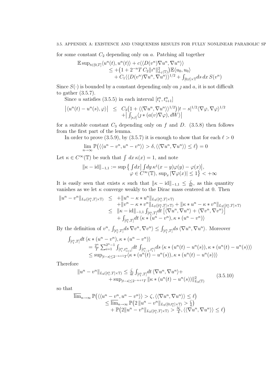for some constant  $C_2$  depending only on a. Patching all together

$$
\mathbb{E} \sup_{t \in [0,T]} \langle u^n(t), u^n(t) \rangle + c \langle \langle D(v^n) \nabla u^n, \nabla u^n \rangle \rangle
$$
  
\n
$$
\leq + (1 + 2^{-n}TC_2 ||u^n||^2_{L_1(\mathbb{T})}) \mathbb{E} \langle u_0, u_0 \rangle
$$
  
\n
$$
+ C_1 \langle \langle D(v^n) \nabla u^n, \nabla u^n \rangle \rangle^{1/2} + \int_{[0,t] \times \mathbb{T}} ds \, dx \, S(v^n)
$$

Since  $S(\cdot)$  is bounded by a constant depending only on *f* and *a*, it is not difficult to gather (3.5.7).

Since u satisfies (3.5.5) in each interval  $[t_i^n, t_{i+1}^n]$ 

$$
\left| \langle u^n(t) - u^n(s), \varphi \rangle \right| \leq C_3 \left( 1 + \langle \langle \nabla u^n, \nabla u^n \rangle \rangle^{1/2} \right) |t - s|^{1/2} \langle \nabla \varphi, \nabla \varphi \rangle^{1/2} + \left| \int_{[s,t]} \langle \jmath * (a(v) \nabla \varphi), dW \rangle \right|
$$

for a suitable constant  $C_3$  depending only on f and D. (3.5.8) then follows from the first part of the lemma.

In order to prove (3.5.9), by (3.5.7) it is enough to show that for each  $\ell > 0$ 

$$
\lim_{n \to \infty} \mathbb{P}(\langle \langle u^n - v^n, u^n - v^n \rangle) > \delta, \langle \langle \nabla u^n, \nabla u^n \rangle \rangle \le \ell = 0
$$

Let  $\kappa \in C^{\infty}(\mathbb{T})$  be such that  $\int dx \kappa(x) = 1$ , and note

$$
\|\kappa - \mathrm{id}\|_{-1,1} := \sup \left\{ \int dx \, \big| \int dy \, \kappa^j(x - y) \varphi(y) - \varphi(x) \big|, \right. \\ \varphi \in C^\infty(\mathbb{T}), \, \sup_x |\nabla \varphi(x)| \le 1 \right\} < +\infty
$$

It is easily seen that exists  $\kappa$  such that  $\|\kappa - \mathrm{id}\|_{-1,1} \leq \frac{\zeta}{8}$  $\frac{\zeta}{8\ell}$ , as this quantity vanishes as we let  $\kappa$  converge weakly to the Dirac mass centered at 0. Then

$$
||u^{n} - v^{n}||_{L_{2}([t_{1}^{n}, T] \times \mathbb{T})} \leq +||u^{n} - \kappa * u^{n}||_{L_{2}([t_{1}^{n}, T] \times \mathbb{T})} +||v^{n} - \kappa * v^{n}||_{L_{2}([t_{1}^{n}, T] \times \mathbb{T})} + ||\kappa * u^{n} - \kappa * v^{n}||_{L_{2}([t_{1}^{n}, T] \times \mathbb{T})} \leq ||\kappa - \mathrm{id}||_{-1,1} \int_{[t_{1}^{n}, T]} dt \left[ \langle \nabla u^{n}, \nabla u^{n} \rangle + \langle \nabla v^{n}, \nabla v^{n} \rangle \right] + \int_{[t_{1}^{n}, T]} dt \left\langle \kappa * (u^{n} - v^{n}), \kappa * (u^{n} - v^{n}) \right\rangle
$$

By the definition of  $v^n$ ,  $\int_{[t_1^n,T]} ds \nabla v^n, \nabla v^n \rangle \leq \int_{[t_1^n,T]} ds \langle \nabla u^n, \nabla u^n \rangle$ . Moreover

$$
\begin{split} \int_{[t_1^n,T]} dt \, &\langle \kappa * (u^n - v^n), \kappa * (u^n - v^n) \rangle \\ &= \frac{2^n}{T} \sum_{i=1}^{2^n - 1} \int_{[t_i^n, t_{i+1}^n]} dt \, \int_{[t_{i-1}^n, t_i^n]} ds \, \langle \kappa * (u^n(t) - u^n(s)), \kappa * (u^n(t) - u^n(s)) \rangle \\ &\leq \sup_{|t-s| \leq 2^{-n+1} T} \langle \kappa * (u^n(t) - u^n(s)), \kappa * (u^n(t) - u^n(s)) \rangle \end{split}
$$

Therefore

$$
||u^{n} - v^{n}||_{L_{2}([t_{1}^{n}, T] \times \mathbb{T})} \leq \frac{\zeta}{4\ell} \int_{[t_{1}^{n}, T]} dt \langle \nabla u^{n}, \nabla u^{n} \rangle + \sup_{|t-s| \leq 2^{-n+1}T} ||\kappa * (u^{n}(t) - u^{n}(s))||_{L_{2}(\mathbb{T})}^{2}
$$
(3.5.10)

so that

$$
\overline{\lim}_{n\to\infty} \mathbb{P}(\langle \langle u^n - v^n, u^n - v^n \rangle \rangle > \zeta, \langle \langle \nabla u^n, \nabla u^n \rangle \rangle \leq \ell) \n\leq \overline{\lim}_{n\to\infty} \mathbb{P}(2 \| u^n - v^n \|_{L_2([0,t_1^n] \times \mathbb{T})} > \frac{\zeta}{4}) \n+ \mathbb{P}(2 \| u^n - v^n \|_{L_2([t_1^n,T] \times \mathbb{T})} > \frac{3\zeta}{4}, \langle \langle \nabla u^n, \nabla u^n \rangle \rangle \leq \ell)
$$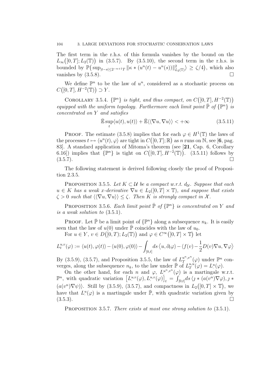The first term in the r.h.s. of this formula vanishes by the bound on the  $L_\infty([0,T];L_2(\mathbb{T}))$  in (3.5.7). By (3.5.10), the second term in the r.h.s. is bounded by  $\mathbb{P}(\sup_{|t-s|\leq 2^{-n+1}T} ||\kappa \ast (u^{n}(t) - u^{n}(s))||_{L_2(\mathbb{T})}^2) \geq \zeta/4$ , which also vanishes by  $(3.5.8)$ .

We define  $\mathbb{P}^n$  to be the law of  $u^n$ , considered as a stochastic process on  $C([0,T], H^{-2}(\mathbb{T})) \supset Y.$ 

COROLLARY 3.5.4.  $\{\mathbb{P}^n\}$  is tight, and thus compact, on  $C([0,T], H^{-2}(\mathbb{T}))$ equipped with the uniform topology. Furthermore each limit point  $\overline{P}$  of  $\{P^n\}$  is concentrated on Y and satisfies

$$
\bar{\mathbb{E}} \sup_{t} \langle u(t), u(t) \rangle + \bar{\mathbb{E}} \langle \langle \nabla u, \nabla u \rangle \rangle < +\infty \tag{3.5.11}
$$

PROOF. The estimate (3.5.8) implies that for each  $\varphi \in H^1(\mathbb{T})$  the laws of the processes  $t \mapsto \langle u^n(t), \varphi \rangle$  are tight in  $C([0,T]; \mathbb{R})$  as n runs on N, see [6, pag. 83]. A standard application of Mitoma's theorem (see [21, Cap. 6, Corollary 6.16) implies that  $\{\mathbb{P}^n\}$  is tight on  $C([0,T], H^{-2}(\mathbb{T}))$ . (3.5.11) follows by  $(3.5.7)$ .

The following statement is derived following closely the proof of Proposition 2.3.5.

PROPOSITION 3.5.5. Let  $K \subset \mathcal{U}$  be a compact w.r.t.  $d_{\mathcal{U}}$ . Suppose that each  $u \in K$  has a weak x-derivative  $\nabla u \in L_2([0,T] \times \mathbb{T})$ , and suppose that exists  $\zeta > 0$  such that  $\langle \langle \nabla u, \nabla u \rangle \rangle \leq \zeta$ . Then K is strongly compact in X.

PROPOSITION 3.5.6. Each limit point  $\overline{P}$  of  $\{\mathbb{P}^n\}$  is concentrated on Y and is a weak solution to (3.5.1).

**PROOF.** Let  $\bar{\mathbb{P}}$  be a limit point of  $\{\mathbb{P}^n\}$  along a subsequence  $n_k$ . It is easily seen that the law of  $u(0)$  under  $\bar{P}$  coincides with the law of  $u_0$ .

For  $u \in Y$ ,  $v \in D([0,T); L_2(\mathbb{T}))$  and  $\varphi \in C^{\infty}([0,T] \times \mathbb{T})$  let

$$
L_t^{u,v}(\varphi) := \langle u(t), \varphi(t) \rangle - \langle u(0), \varphi(0) \rangle - \int_{[0,t]} ds \langle u, \partial_t \varphi \rangle - \langle f(v) - \frac{1}{2} D(v) \nabla u, \nabla \varphi \rangle
$$

By (3.5.9), (3.5.7), and Proposition 3.5.5, the law of  $L_T^{u^n,v^n}$  $u^n,v^n(\varphi)$  under  $\mathbb{P}^n$  converges, along the subsequence  $n_k$ , to the law under  $\bar{\mathbb{P}}$  of  $L_T^{u,u}$  $u, u(\varphi) = L^u(\varphi).$ 

On the other hand, for each n and  $\varphi$ ,  $L_i^{u^n,v^n}(\varphi)$  is a martingale w.r.t.  $\mathbb{P}^n$ , with quadratic variation  $\left[L^{u,v}(\varphi), L^{u,v}(\varphi)\right]_t = \int_{[0,t]} ds \, \langle j * (a(v^n) \nabla \varphi), j *$  $(a(v^n)\nabla\psi)$ . Still by (3.5.9), (3.5.7), and compactness in  $L_2([0,T] \times \mathbb{T})$ , we have that  $L^u(\varphi)$  is a martingale under  $\overline{\mathbb{P}}$ , with quadratic variation given by  $(3.5.3)$ .

PROPOSITION 3.5.7. There exists at most one strong solution to  $(3.5.1)$ .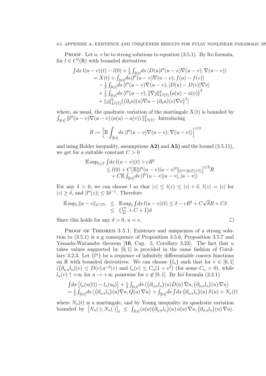### 3.5. APPENDIX A: EXISTENCE AND UNIQUENESS RESULTS FOR FULLY NONLINEAR PARABOLIC SF

**PROOF.** Let  $u, v$  be to strong solutions to equation (3.5.1). By Ito formula, for  $l \in C^2(\mathbb{R})$  with bounded derivatives

$$
\int dx \, l(u-v)(t) - l(0) + \frac{1}{2} \int_{[0,t]} ds \, \langle D(u)l''(u-v) \nabla(u-v), \nabla(u-v) \rangle
$$
  
=  $X(t) + \int_{[0,t]} ds \langle l''(u-v) \nabla(u-v), f(u) - f(v) \rangle$   
-  $\frac{1}{2} \int_{[0,t]} ds \langle l''(u-v) \nabla(u-v), [D(u) - D(v)] \nabla v \rangle$   
+  $\frac{1}{2} \int_{[0,t]} ds \langle l''(u-v), ||\nabla j||_{L^2(\mathbb{T})}^2 (a(u) - a(v))^2$   
+  $||j||_{L^2(\mathbb{T})}^2 ((\partial_u a)(u) \nabla u - (\partial_u a)(v) \nabla v)^2 \rangle$ 

where, as usual, the quadratic variation of the martingale  $X(t)$  is bounded by  $\int_{[0,t]} \|l''(u-v)\nabla(u-v) (a(u)-a(v)) \|_{L^2(\mathbb{T})}^2$ . Introducing

$$
R := \left[ \mathbb{E} \int_{[0,t]} ds \, \langle l''(u-v) \nabla (u-v), \nabla (u-v) \rangle \right]^{1/2}
$$

and using Holder inequality, assumptions  $\mathbf{A2}$  and  $\mathbf{A5}$  and the bound (3.5.11), we get for a suitable constant  $C > 0$ 

$$
\mathbb{E} \sup_{t \le T} \int dx \, l(u - v)(t) + cR^2
$$
  
\n
$$
\le l(0) + C \left[ \mathbb{E} ||l''(u - v)||u - v|^2 ||_{L^{\infty}([0, T] \times \mathbb{T})} \right]^{1/2} R
$$
  
\n
$$
+ C \mathbb{E} \int_{[0, t]} ds \, \langle l''(u - v)||u - v|, |u - v| \rangle
$$

For any  $\delta > 0$ , we can choose l so that  $|z| \leq l(z) \leq |z| + \delta$ ,  $l(z) = |z|$  for  $|z| \geq \delta$ , and  $|l''(z)| \leq 3\delta^{-1}$ . Therefore

$$
\mathbb{E}\sup_t \|u - v\|_{L^1(\mathbb{T})} \leq \mathbb{E}\sup_t \int dx \, l(u - v)(t) \leq \delta - cR^2 + C\sqrt{\delta}R + C\delta
$$
  

$$
\leq \left(\frac{C^2}{4c} + C + 1\right)\delta
$$

Since this holds for any  $\delta > 0$ ,  $u = v$ .

PROOF OF THEOREM 3.5.1. Existence and uniqueness of a strong solution to (3.5.1) is a g consequence of Proposition 3.5.6, Proposition 3.5.7 and Yamada-Watanabe theorem [16, Cap. 5, Corollary 3.23]. The fact that  $u$ takes values supported by [0, 1] is provided in the same fashion of Corollary 3.2.3. Let  $\{l^n\}$  be a sequence of infinitely differentiable convex functions on R with bounded derivatives. We can choose  $\{l_n\}$  such that for  $v \in [0, 1]$  $((\partial_{u,u}l_n)(v) \leq D(v) a^{-2}(v)$  and  $l_n(v) \leq C_n(1+v^2)$  (for some  $C_n > 0$ ), while  $l_n(v) \uparrow +\infty$  for  $n \to +\infty$  pointwise for  $v \notin [0,1]$ . By Itô formula (3.2.1)

$$
\int dx \left[l_n(u(t)) - l_n(u_0)\right] + \frac{1}{2} \int_{[0,t]} ds \left\langle \left(\partial_{u,u} l_n\right)(u) D(u) \nabla u, \left(\partial_{u,u} l_n\right)(u) \nabla u \right\rangle
$$
  
=  $\frac{1}{2} \int_{[0,t]} ds \left\langle \left(\partial_{u,u} l_n\right)(u) \nabla u, Q(u) \nabla u \right\rangle + \int_{[0,t]} ds \int dx \left(\partial_{u,u} l_n\right)(u) S(u) + N_n(t)$ 

where  $N_n(t)$  is a martingale, and by Young inequality its quadratic variation bounded by  $[N_n(\cdot), N_n(\cdot)]_t \leq \int_{[0,t]} \langle a(u) (\partial_{u,u} l_n)(u) a(u) \nabla u, (\partial_{u,u} l_n)(u) \nabla u \rangle$ .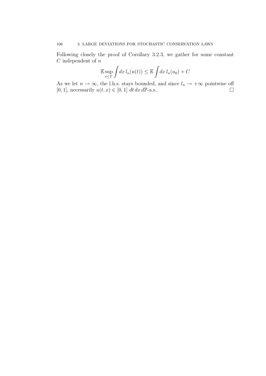Following closely the proof of Corollary 3.2.3, we gather for some constant  $C$  independent of  $n$ 

$$
\mathbb{E} \sup_{t \leq T} \int dx \, l_n(u(t)) \leq \mathbb{E} \int dx \, l_n(u_0) + C
$$

As we let  $n \to \infty$ , the l.h.s. stays bounded, and since  $l_n \to +\infty$  pointwise off [0, 1], necessarily  $u(t, x) \in [0, 1] dt dx d\mathbb{P}$ -a.s..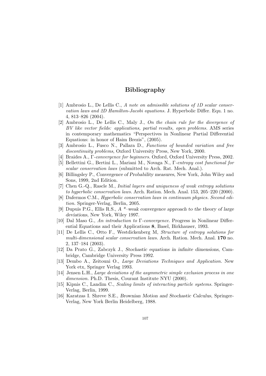# Bibliography

- [1] Ambrosio L., De Lellis C., A note on admissible solutions of 1D scalar conservation laws and 2D Hamilton-Jacobi equations. J. Hyperbolic Differ. Equ. 1 no. 4, 813–826 (2004).
- [2] Ambrosio L., De Lellis C., Maly J., On the chain rule for the divergence of BV like vector fields: applications, partial results, open problems. AMS series in contemporary mathematics "Perspectives in Nonlinear Partial Differential Equations: in honor of Haim Brezis", (2005).
- [3] Ambrosio L., Fusco N., Pallara D., Functions of bounded variation and free discontinuity problems, Oxford University Press, New York, 2000.
- [4] Braides A., Γ-convergence for beginners. Oxford, Oxford University Press, 2002.
- [5] Bellettini G., Bertini L., Mariani M., Novaga N., Γ-entropy cost functional for scalar conservation laws (submitted to Arch. Rat. Mech. Anal.).
- [6] Billingsley P., Convergence of Probability measures, New York, John Wiley and Sons, 1999, 2nd Edition.
- [7] Chen G.-Q., Rascle M., Initial layers and uniqueness of weak entropy solutions to hyperbolic conservation laws. Arch. Ration. Mech. Anal. 153, 205–220 (2000).
- [8] Dafermos C.M., Hyperbolic conservation laws in continuum physics. Second edition. Springer-Verlag, Berlin, 2005.
- [9] Dupuis P.G., Ellis R.S.,  $A^*$ –weak convergence approach to the theory of large deviations, New York, Wiley 1997.
- [10] Dal Maso G., An introduction to  $\Gamma$ -convergence. Progress in Nonlinear Differential Equations and their Applications 8, Basel, Birkhauser, 1993.
- [11] De Lellis C., Otto F., Westdickenberg M, Structure of entropy solutions for multi-dimensional scalar conservation laws. Arch. Ration. Mech. Anal. 170 no. 2, 137–184 (2003).
- [12] Da Prato G., Zabczyk J., Stochastic equations in infinite dimensions, Cambridge, Cambridge University Press 1992.
- [13] Dembo A., Zeitouni O., Large Deviations Techniques and Application. New York etx, Springer Verlag 1993.
- [14] Jensen L.H., Large deviations of the asymmetric simple exclusion process in one dimension. Ph.D. Thesis, Courant Institute NYU (2000).
- [15] Kipnis C., Landim C., Scaling limits of interacting particle systems. Springer-Verlag, Berlin, 1999.
- [16] Karatzas I. Shreve S.E., Brownian Motion and Stochastic Calculus, Springer-Verlag, New York Berlin Heidelberg, 1988.